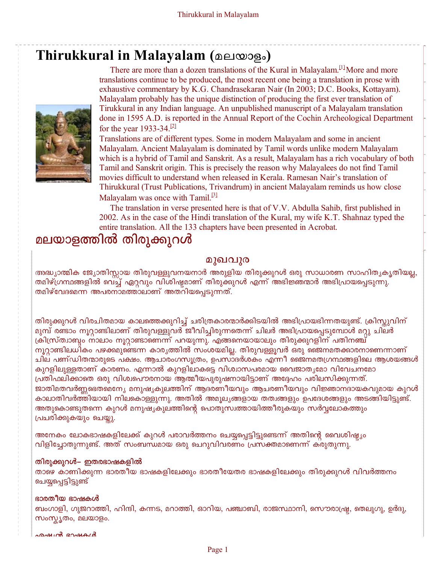## **Thirukkural in Malayalam (**മലയാളം**)**



There are more than a dozen translations of the Kural in Malayalam.<sup>[1]</sup>More and more translations continue to be produced, the most recent one being a translation in prose with exhaustive commentary by K.G. Chandrasekaran Nair (In 2003; D.C. Books, Kottayam). Malayalam probably has the unique distinction of producing the first ever translation of Tirukkural in any Indian language. An unpublished manuscript of a Malayalam translation done in 1595 A.D. is reported in the Annual Report of the Cochin Archeological Department for the year 1933-34.<sup>[2]</sup>

Translations are of different types. Some in modern Malayalam and some in ancient Malayalam. Ancient Malayalam is dominated by Tamil words unlike modern Malayalam which is a hybrid of Tamil and Sanskrit. As a result, Malayalam has a rich vocabulary of both Tamil and Sanskrit origin. This is precisely the reason why Malayalees do not find Tamil movies difficult to understand when released in Kerala. Ramesan Nair's translation of Thirukkural (Trust Publications, Trivandrum) in ancient Malayalam reminds us how close Malayalam was once with Tamil.<sup>[3]</sup>

 The translation in verse presented here is that of V.V. Abdulla Sahib, first published in 2002. As in the case of the Hindi translation of the Kural, my wife K.T. Shahnaz typed the entire translation. All the 133 chapters have been presented in Acrobat.

## മലയാളത്തിൽ തിരുക്കുറൾ

#### മുഖവുര

അദ്ധ്യാത്മിക ജ്യോതിസ്സായ തിരുവള്ളുവനയനാർ അരുളിയ തിരുക്കുറൾ ഒരു സാധാരണ സാഹിതൃകൃതിയല്ല, തമിഴ്ഗ്രന്ഥങ്ങളിൽ വെച്ച് ഏറ്റവും വിശിഷ്ടമാണ് തിരുക്കുറൾ എന്ന് അഭിജ്ഞന്മാർ അഭിപ്രായപ്പെടുന്നു. തമിഴ്വേദമെന്ന അപരനാമത്താലാണ് അതറിയപ്പെടുന്നത്.

തിരുക്കുറൾ വിരചിതമായ കാലത്തെക്കുറിച്ച് ചരിത്രകാരന്മാർക്കിടയിൽ അഭിപ്രായഭിന്നതയുണ്ട്. ക്രിസ്കുവിന് ്മുമ്പ് രണ്ടാം നൂറ്റാണ്ടിലാണ് തിരുവള്ളുവർ ജീവിച്ചിരുന്നതെന്ന് ചിലർ അഭിപ്രായപ്പെടുമ്പോൾ മറ്റു ചിലർ ക്രിസ്ര്രമാബും നാലാം നൂറ്റാണ്ടാണെന്ന് പറയുന്നു. എങ്ങനെയായാലും തിരുക്കുറളിന് പതിനഞ്ച് നൂറ്റാണ്ടിലധികം പഴക്കമുണ്ടെന്ന കാരൃത്തിൽ സംശയമില്ല. തിരുവള്ളൂവർ ഒരു ജൈനമതക്കാരനാണെന്നാണ് ചില പണ്ഡിതന്മാരുടെ പക്ഷം. ആചാരംഗസൂത്രം, ഉപസാദർശകം എന്നീ ജൈനമതഗ്രന്ഥങ്ങളിലെ ആശയങ്ങൾ കുറളിലുള്ളതാണ് കാരണം. എന്നാൽ കുറളിലാകട്ടെ വിശ്വാസപരമായ വൈജാതൃമോ വിവേചനമോ പ്രതിഫലിക്കാതെ ഒരു വിശ്വപൌരനായ ആത്മീയപുരുഷനായിട്ടാണ് അദ്ദേഹം പരിലസിക്കുന്നത്. ജാതിമതവർണ്ണഭെതമെന്യേ മനുഷൃകുലത്തിന് ആദരണീയവും ആചരണീയവും വിജ്ഞാനദായകവുമായ കുറൾ കാലാതിവർത്തിയായി നിലകൊള്ളുന്നു. അതിൽ അമൂലൃങ്ങളായ തത്വങ്ങളും ഉപദേശങ്ങളും അടങ്ങിയിട്ടുണ്ട്. അതുകൊണ്ടുതന്നെ കുറൾ മനുഷൃകുലത്തിന്റെ പൊതുസ്വത്തായിത്തീരുകയും സർവ്വലോകത്തും പ്രചരിക്കുകയും ചെയ്തു.

<u>അനേകം ലോകഭാഷകളിലേക്ക് കുറൾ പരാവർത്തനം ചെയ്യപ്പെട്ടിട്ടുണ്ടെന്ന് അതിന്റെ വൈശിഷ്ട്യം</u> വിളിച്ചോതുന്നുണ്ട്. അത് സംബന്ധമായ ഒരു ചെറുവിവരണം പ്രസക്തമാണെന്ന് കരുതുന്നു.

#### തിരുക്കുറൾ– ഇതരഭാഷകളിൽ

താഴെ കാണിക്കുന്ന ഭാരതീയ ഭാഷകളിലേക്കും ഭാരതീയേതര ഭാഷകളിലേക്കും തിരുക്കുറൾ വിവർത്തനം ചെയ്യപ്പെട്ടിട്ടുണ്ട്

#### ഭാരതീയ ഭാഷകൾ

ബംഗാളി, ഗുജറാത്തി, ഹിന്ദി, കന്നട, മറാത്തി, ഓറിയ, പഞ്ചാബി, രാജസ്ഥാനി, സൌരാഷ്ട്ര, തെലുഗു, ഉർദു, സംസ്കൃതം, മലയാളം.

മൈഗ്രീ ഭാഷകൾ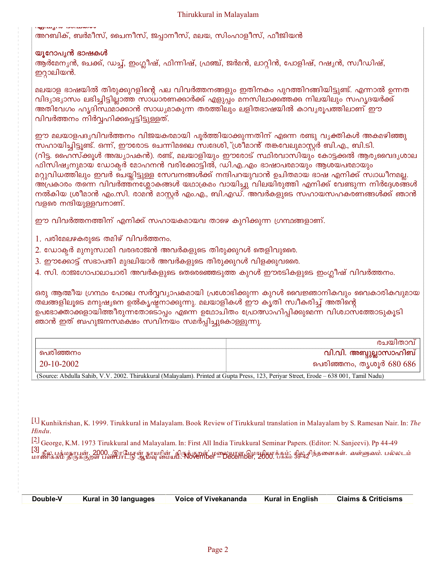അറബിക്, ബർമീസ്, ചൈനീസ്, ജപ്പാനീസ്, മലയ, സിംഹാളീസ്, ഫീജിയൻ

#### യൂറോപൃൻ ഭാഷകൾ

ആർമേനൃൻ, ചെക്ക്, ഡച്ച്, ഇംഗ്ലീഷ്, ഫിന്നിഷ്, ഫ്രഞ്ച്, ജർമൻ, ലാറ്റിൻ, പോളിഷ്, റഷൃൻ, സ്വീഡിഷ്, ഇറ്റാലിയൻ.

മലയാള ഭാഷയിൽ തിരുക്കുറളിന്റെ പല വിവർത്തനങ്ങളും ഇതിനകം പുറത്തിറങ്ങിയിട്ടുണ്ട്. എന്നാൽ ഉന്നത വിദ്യാഭ്യാസം ലഭിച്ചിട്ടില്ലാത്ത സാധാരണക്കാർക്ക് എളുപ്പം മനസിലാക്കത്തക്ക നിലയിലും സഹൃദയർക്ക് അതിവേഗം ഹൃദിസ്ഥമാക്കാൻ സാധ്യമാകുന്ന തരത്തിലും ലളിതഭാഷയിൽ കാവൃരൂപത്തിലാണ് ഈ വിവർത്തനം നിർവ്വഹിക്കപ്പെട്ടിട്ടുള്ളത്.

ഈ മലയാളപദൃവിവർത്തനം വിജയകരമായി പൂർത്തിയാക്കുന്നതിന് എന്നെ രണ്ടു വൃക്തികൾ അകമഴിഞ്ഞു സഹായിച്ചിട്ടുണ്ട്. ഒന്ന്, ഈരോട ചെന്നിമലൈ സ്വദേശി,്ശ്രീമാൻ് തങ്കവേലുമാസ്റ്റർ ബി.എ., ബി.ടി. (റിട്ട. ഹൈസ്ക്കൂൾ അദ്ധ്യാപകൻ). രണ്ട്, മലയാളിയും ഈരോട് സ്ഥിരവാസിയും കോട്ടക്കൽ ആരൃവൈദൃശാല ഫിസിഷൃനുമായ ഡോക്ടർ മോഹനൻ വരിക്കോട്ടിൽ, ഡി.എ..എം ഭാഷാപരമായും ആശയപരമായും മറ്റുവിധത്തിലും ഇവർ ചെയ്തിട്ടുള്ള സേവനങ്ങൾക്ക് നന്ദിപറയുവാൻ ഉചിതമായ ഭാഷ എനിക്ക് സ്വാധീനമല്ല. അപ്രകാരം തന്നെ വിവർത്തനശ്ലോകങ്ങൾ യഥാക്രമം വായിച്ചു വിലയിരുത്തി എനിക്ക് വേണ്ടുന്ന നിർദ്ദേശങ്ങൾ നൽകിയ ശ്രീമാൻ എം.സി. രാമൻ മാസ്റ്റർ എം.എ., ബി.എഡ്. അവർകളുടെ സഹായസഹകരണങ്ങൾക്ക് ഞാൻ വളരെ നന്ദിയുള്ളവനാണ്.

ഈ വിവർത്തനത്തിന് എനിക്ക് സഹായകമായവ താഴെ കുറിക്കുന്ന ഗ്രന്ഥങ്ങളാണ്.

- 1. പരിമേലഴകരുടെ തമിഴ് വിവർത്തനം.
- 2. ഡോക്ടർ മുനുസ്വാമി വരദരാജൻ അവർകളുടെ തിരുക്കുറൾ തെളിവുരൈ.
- 3. ഈക്കോട്ട് സഭാപതി മുദലിയാർ അവർകളുടെ തിരുക്കുറൾ വിളക്കുവരൈ.
- 4. സി. രാജഗോപാലാചാരി അവർകളുടെ തെരെഞ്ഞെടുത്ത കുറൾ ഈരടികളുടെ ഇംഗ്ലീഷ് വിവർത്തനം.

ഒരു ആത്മീയ ഗ്രന്ഥം പോലെ സർവ്വവൃാപകമായി പ്രശോഭിക്കുന്ന കുറൾ വൈജ്ഞാനികവും വൈകാരികവുമായ തലങ്ങളിലൂടെ മനുഷ്യനെ ഉൽകൃഷ്ടനാക്കുന്നു. മലയാളികൾ ഈ കൃതി സ്വീകരിച്ച് അതിന്റെ ഉപഭോക്താക്കളായിത്തീരുന്നതോടൊപ്പം എന്നെ ഉഥോചിതം പ്രോത്സാഹിപ്പിക്കുമെന്ന വിശ്വാസത്തോടുകൂടി ഞാൻ ഇത് ബഹുജനസമക്ഷം സവിനയം സമർപ്പിച്ചുകൊള്ളുന്നു.

| പെര        | അബ്ദുല്ലാസാഹിബ്<br>വ്വ.വ്വ. |
|------------|-----------------------------|
| 20-10-2002 | 680 686<br>പെരിഞ്ഞനം, തൃശൂർ |

(Source: Abdulla Sahib, V.V. 2002. Thirukkural (Malayalam). Printed at Gupta Press, 123, Periyar Street, Erode - 638 001, Tamil Nadu)

<sup>[1]</sup> Kunhikrishan, K. 1999. Tirukkural in Malayalam. Book Review of Tirukkural translation in Malayalam by S. Ramesan Nair. In: The Hindu.

<sup>[2]</sup> George, K.M. 1973 Tirukkural and Malayalam. In: First All India Tirukkural Seminar Papers. (Editor: N. Sanjeevi). Pp 44-49 [3]<br>மாணிக்கம் திருக்குறள் பண்பாட்டு ஆய்வு மையம். November – December, 2000. பக்கம் 39-4*2* ந்தனைகள். *வள்ளுவம்.* பல்லடம்<br>மாணிக்கம் திருக்குறள் பண்பாட்டு ஆய்வு மையம். November – December, 2000. பக்கம் 39-4*2* ந்தனைகள். *வள*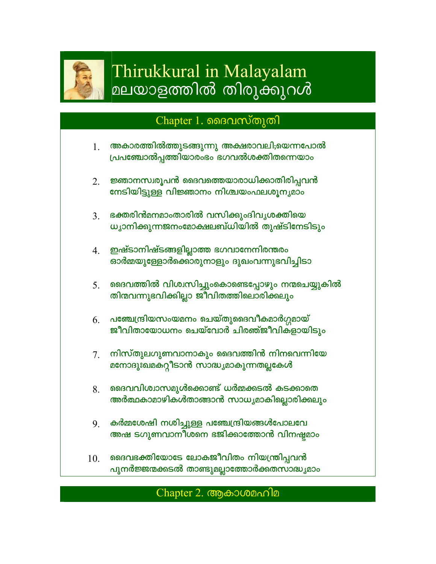

# Thirukkural in Malayalam മലയാളത്തിൽ തിരുക്കുറൾ

## Chapter 1. മൈവസ്തുതി

- അകാരത്തിൽത്തുടങ്ങുന്നു അക്ഷരാവലി;യെന്നപോൽ 1. പ്രപഞ്ചോൽപ്പത്തിയാരംഭം ഭഗവൽശക്തിതന്നെയാം
- ജ്ഞാനസ്വരൂപൻ ഭൈവത്തെയാരാധിക്കാതിരിപ്പവൻ  $2<sup>1</sup>$ നേടിയിട്ടുള്ള വിജ്ഞാനം നിശ്ചയംഫലശൂനൃമാം
- ഭക്തരിൻമനമാംതാരിൽ വസിക്കുംദിവൃശക്തിയെ  $3<sub>1</sub>$ ധ്യാനിക്കുന്നജനംമോക്ഷലബ്ധിയിൽ തുഷ്ടിനേടിടും
- ഇഷ്ടാനിഷ്ടങ്ങളില്ലാത്ത ഭഗവാനേനിരന്തരം 4. ഓർമ്മയുള്ളോർക്കൊരുനാളും ദുഖംവന്നുഭവിച്ചിടാ
- ദൈവത്തിൽ വിശ്വസിച്ചുംകൊണ്ടെപ്പോഴും നന്മചെയ്യുകിൽ  $5<sub>1</sub>$ തിന്മവന്നുഭവിക്കില്ലാ ജീവിതത്തിലൊരിക്കലും
- <u>പഞ്ചേന്ദ്രിയസംയമനം ചെയ്തുദൈവീകമാർഗ്ഗമായ്</u> 6. ജീവിതായോധനം ചെയ്വോർ ചിരഞ്ജീവികളായിടും
- നിസ്തുലഗുണവാനാകും ദൈവത്തിൻ നിനവെന്നിയേ 7. മനോദുഃഖമകറ്റീടാൻ സാദ്ധ്യമാകുന്നതല്ലകേൾ
- ദൈവവിശ്വാസമുൾക്കൊണ്ട് ധർമ്മക്കടൽ കടക്കാതെ 8. അർത്ഥകാമാഴികൾതാങ്ങാൻ സാധൃമാകില്ലൊരിക്കലും
- കർമ്മശേഷി നശിച്ചുള്ള പഞ്ചേന്ദ്രിയങ്ങൾപോലവേ  $9<sub>1</sub>$ അഷ ടഗുണവാനീശനെ ഭജിക്കാത്തോൻ വിനഷ്ടമാം
- ദൈവഭക്തിയോടേ ലോകജീവിതം നിയന്ത്രിപ്പവൻ 10. പുനർജ്ജന്മക്കടൽ താണ്ടുമല്ലാത്തോർക്കതസാദ്ധ്യമാം

#### $Chapter 2.$  ആകാശമഹിമ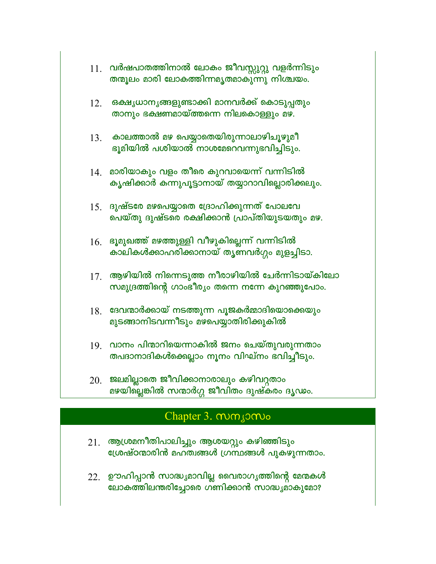|     | 11. വർഷപാതത്തിനാൽ ലോകം ജീവസ്സുറ്റു വളർന്നിടും<br>തന്മൂലം മാരി ലോകത്തിന്നമൃതമാകുന്നു നിശ്ചയം.     |
|-----|--------------------------------------------------------------------------------------------------|
| 12. | ഒക്ഷൃധാനൃങ്ങളുണ്ടാക്കി മാനവർക്ക് കൊടുപ്പതും<br>താനും ഭക്ഷണമായ്ത്തന്നെ നിലകൊള്ളും മഴ.             |
| 13. | കാലത്താൽ മഴ പെയ്യാതെയിരുന്നാലാഴിച്ചുഴുമീ<br>ഭൂമിയിൽ പശിയാൽ നാശമേറെവന്നുഭവിച്ചിടും.               |
| 14. | മാരിയാകും വളം തീരെ കുറവായെന്ന് വന്നിടിൽ<br>കൃഷിക്കാർ കന്നുപൂട്ടാനായ് തയ്യാറാവില്ലൊരിക്കലും.      |
| 15. | ദുഷ്ടരേ മഴപെയ്യാതെ ദ്രോഹിക്കുന്നത് പോലവേ<br>പെയ്തു ദുഷ്ടരെ രക്ഷിക്കാൻ പ്രാപ്തിയുടയതും മഴ.        |
| 16. | ഭൂമുഖത്ത് മഴത്തുള്ളി വീഴുകില്ലെന്ന് വന്നിടിൽ<br>കാലികൾക്കാഹരിക്കാനായ് തൃണവർഗ്ഗം മുളച്ചിടാ.       |
| 17. | ആഴിയിൽ നിന്നെടുത്ത നീരാഴിയിൽ ചേർന്നിടായ്കിലോ<br>സമുദ്രത്തിന്റെ ഗാംഭീര്യം തന്നെ നന്നേ കുറഞ്ഞുപോം. |
| 18. | ദേവന്മാർക്കായ് നടത്തുന്ന പൂജകർമ്മാദിയൊക്കെയും<br>മുടങ്ങാനിടവന്നീടും മഴപെയ്യാതിരിക്കുകിൽ          |
| 19. | വാനം പിന്മാറിയെന്നാകിൽ ജനം ചെയ്തുവരുന്നതാം<br>തപദാനാദികൾക്കെല്ലാം നൂനം വിഘ്നം ഭവിച്ചീടും.        |
| 20  | ജലമിലാതെ ജീവിക്കാനാരാലും കഴിവറതാം                                                                |

ജലമല്ലാതെ ജിവിക്കാനാരാലും കഴിവുതാം<br>മഴയില്ലെങ്കിൽ സന്മാർഗ്ഗ ജീവിതം ദുഷ്കരം ദൃഢം.

## Chapter 3. mm gomo

- ആശ്രമനീതിപാലിച്ചും ആശയറ്റും കഴിഞ്ഞിടും<br>ശ്രേഷ്ഠന്മാരിൻ മഹത്വങ്ങൾ ഗ്രന്ഥങ്ങൾ പുകഴുന്നതാം. 21.
- 22. ഊഹിപ്പാൻ സാദ്ധ്യമാവില്ല വൈരാഗ്യത്തിന്റെ മേന്മകൾ ലോകത്തിലന്തരിച്ചോരെ ഗ്ണിക്കാൻ സാദ്ധ്യമാകുമോ?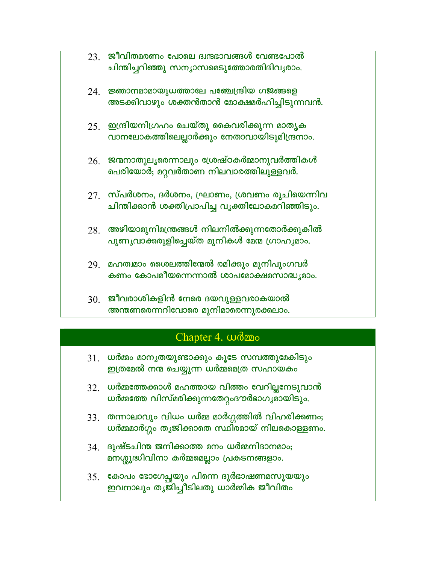- $23.$  ജീവിതമരണം പോലെ ദ്വന്ദഭാവങ്ങൾ വേണ്ടപോൽ ചിന്തിച്ചറിഞ്ഞു സന്യാസമെടുത്തോരതിദിവൃരാം.
- $24.$  ജ്ഞാനമാമായുധത്താലേ പഞ്ചേന്ദ്രിയ ഗജങ്ങളെ അടക്കിവാഴും ശക്തൻതാൻ മോക്ഷമർഹിച്ചിടുന്നവൻ.
- $25.$  ഇന്ദ്രിയനിഗ്രഹം ചെയ്തു കൈവരിക്കുന്ന മാതൃക വാനലോകത്തിലെല്ലാർക്കും നേതാവായിടുമിന്ദ്രനാം.
- $26.$  ജന്മനാതുലൃരെന്നാലും ശ്രേഷ്ഠകർമ്മാനുവർത്തികൾ പെരിയോർ; മറ്റവർതാണ നിലവാരത്തിലുള്ളവർ.
- $27$ . സ്പർശനം, ദർശനം, ഘ്രാണം, ശ്രവണം രുചിയെന്നിവ ചിന്തിക്കാൻ ശക്തിപ്രാപിച്ച വൃക്തിലോകമറിഞ്ഞിടും.
- $28$ . അഴിയാമുനിമന്ത്രങ്ങൾ നിലനിൽക്കുന്നതോർക്കുകിൽ പുണൃവാക്കരുളിച്ചെയ്ത മുനികൾ മേന്മ ഗ്രാഹൃമാം.
- 29. മഹത്വമാം ശൈലത്തിന്മേൽ രമിക്കും മുനിപുംഗവർ കണം കോപമീയന്നെന്നാൽ ശാപമോക്ഷമസാദ്ധ്യമാം.
- 30. ജീവരാശികളിൻ നേരെ ദയവുള്ളവരാകയാൽ അന്തണരെന്നറിവോരെ മുനിമാരെന്നുരക്കലാം.

## Chapter 4. womo

- $31$ . ധർമ്മം മാനൃതയുണ്ടാക്കും കൂടേ സമ്പത്തുമേകിടും ഇത്രമേൽ നന്മ ചെയ്യുന്ന ധർമ്മമെത്ര സഹായകം
- 32. ധർമ്മത്തേക്കാൾ മഹത്തായ വിത്തം വേറില്ലനേടുവാൻ ധർമ്മത്തേ വിസ്മരിക്കുന്നതേറ്റംദൗർഭാഗൃമായിടും.
- $33.$  തന്നാലാവും വിധം ധർമ്മ മാർഗ്ഗത്തിൽ വിഹരിക്കണം; ധർമ്മമാർഗ്ഗം തൃജിക്കാതെ സ്ഥിരമായ് നിലകൊള്ളണം.
- 34. ദുഷ്ടചിന്ത ജനിക്കാത്ത മനം ധർമ്മനിദാനമാം; മനശ്ശുദ്ധിവിനാ കർമ്മമെല്ലാം പ്രകടനങ്ങളാം.
- 35. കോപം ഭോഗേച്ചുയും പിന്നെ ദുർഭാഷണമസൂയയും ഇവനാലും തൃജിച്ചീടിലതു ധാർമ്മിക ജീവിതം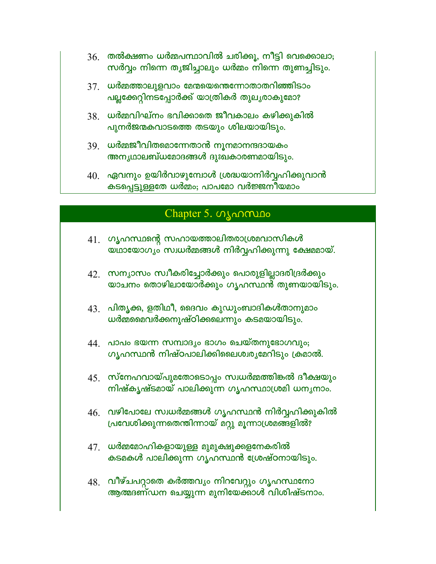- $36.$  തൽക്ഷണം ധർമ്മപന്ഥാവിൽ ചരിക്കൂ, നീട്ടി വെക്കൊലാ; സർവ്വം നിന്നെ തൃജിച്ചാലും ധർമ്മം നിന്നെ തുണച്ചിടും.
- $37$ . ധർമ്മത്താലുളവാം മേന്മയെന്തെന്നോതാതറിഞ്ഞിടാം പല്ലക്കേറ്റിനടപ്പോർക്ക് യാത്രികർ തുലൃരാകുമോ?
- $38$ . ധർമ്മവിഘ്നം ഭവിക്കാതെ ജീവകാലം കഴിക്കുകിൽ പുനർജന്മകവാടത്തെ തടയും ശിലയായിടും.
- $39.$  ധർമ്മജീവിതമൊന്നേതാൻ നൂനമാനന്ദദായകം അന്യഥാലബ്ധമോദങ്ങൾ ദുഃഖകാരണമായിടും.
- $40$ . ഏവനും ഉയിർവാഴുമ്പോൾ ശ്രദ്ധയാനിർവ്വഹിക്കുവാൻ കടപ്പെട്ടുള്ളതേ ധർമ്മം; പാപമോ വർജ്ജനിയമാം

#### Chapter 5. ഗൃഹസ്ഥം

- 41. ഗൃഹസ്ഥന്റെ സഹായത്താലിതരാശ്രമവാസികൾ യ്ഥായോഗൃം സ്വധർമ്മങ്ങൾ നിർവ്വഹിക്കുന്നു ക്ഷേമമായ്.
- 42. സന്യാസം സ്വീകരിച്ചോർക്കും പൊരുളില്ലാദരിദ്രർക്കും യാചനം തൊഴിലായോർക്കും ഗൃഹസ്ഥൻ തുണയായിടും.
- $43.$  പിതൃക്ക, ളതിഥീ, ദൈവം കുഡുംബാദികൾതാനുമാം ധർമ്മമൈവർക്കനുഷ്ഠിക്കലെന്നും കടമയായിടും.
- 44. പാപം ഭയന്ന സമ്പാദൃം ഭാഗം ചെയ്തനുഭോഗവും; ഗൃഹസ്ഥൻ നിഷ്ഠപാലിക്കിലൈശ്വര്യമേറിടും ക്രമാൽ.
- 45 സ്നേഹവായ്പുമതോടൊപ്പം സ്വധർമ്മത്തിങ്കൽ ദീക്ഷയും നിഷ്കൃഷ്ടമായ് പാലിക്കുന്ന ഗൃഹസ്ഥാശ്രമി ധനൃനാം.
- $46.$  വഴിപോലേ സ്വധർമ്മങ്ങൾ ഗൃഹസ്ഥൻ നിർവ്വഹിക്കുകിൽ പ്രവേശിക്കുന്നതെന്തിന്നായ് മറ്റു മൂന്നാശ്രമങ്ങളിൽ?
- $47$ . ധർമ്മമോഹികളായുള്ള മുമുക്ഷുക്കളനേകരിൽ കടമകൾ പാലിക്കുന്ന ഗൃഹസ്ഥൻ ശ്രേഷ്ഠനായിടും.
- 48. വീഴ്ചപറ്റാതെ കർത്തവ്യം നിറവേറ്റും ഗൃഹസ്ഥനോ ആത്മദണ്ഡന ചെയ്യുന്ന മുനിയേക്കാൾ വിശിഷ്ടനാം.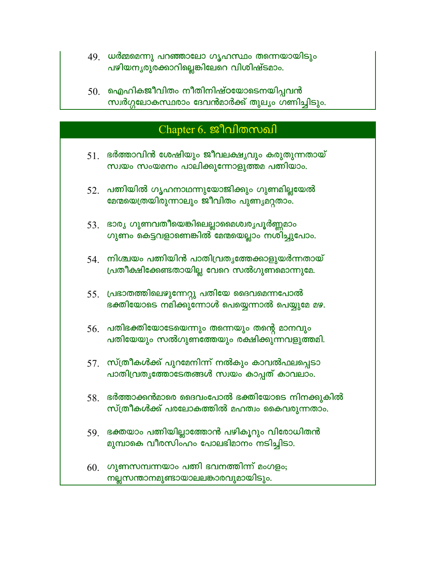- 49. ധർമ്മമെന്നു പറഞ്ഞാലോ ഗൃഹസ്ഥം തന്നെയായിടും പഴിയനൃരുരക്കാറില്ലെങ്കിലേറെ വിശിഷ്ടമാം.
- $50<sub>1</sub>$  ഐഹികജീവിതം നീതിനിഷ്ഠയോടെനയിപ്പവൻ സ്വർഗ്ഗലോകസ്ഥരാം ദേവൻമാർക്ക് തുലൃം ഗണിച്ചിടും.

## Chapter 6. ജീവിതസഖി

- $51$ . ഭർത്താവിൻ ശേഷിയും ജീവലക്ഷ്യവും കരുതുന്നതായ് സ്വയം സംയമനം പാലിക്കുന്നോളുത്തമ പത്നിയാം.
- 52. പത്നിയിൽ ഗൃഹനാഥന്നുയോജിക്കും ഗുണമില്ലയേൽ മേന്മയെത്രയിരുന്നാലും ജീവിതം പുണ്യമറ്റതാം.
- 53. ഭാര്യ ഗുണവതീയെങ്കിലെല്ലാമൈശ്വരൃപൂർണ്ണമാം ഗുണം കെട്ടവളാണെങ്കിൽ മേന്മയെല്ലാം നശിച്ചുപോം.
- $54$ ്രനിശ്ചയം പത്നിയിൻ പാതിവ്രതൃത്തേക്കാളുയർന്നതായ് പ്രതീക്ഷിക്കേണ്ടതായില്ല വേറെ സൽഗുണമൊന്നുമേ.
- 55 പ്രഭാതത്തിലെഴുന്നേറ്റു പതിയേ ദൈവമെന്നപോൽ ഭക്തിയോടെ നമിക്കുന്നോൾ പെയ്യെന്നാൽ പെയ്യുമേ മഴ.
- 56. പതിഭക്തിയോടേയെന്നും തന്നെയും തന്റെ മാനവും പതിയേയും സൽഗുണത്തേയും രക്ഷിക്കുന്നവളുത്തമി.
- $57$ . സ്ത്രീകൾക്ക് പുറമേനിന്ന് നൽകും കാവൽഫലപ്പെടാ പാതിവ്രതൃത്തോടേതങ്ങൾ സ്വയം കാപ്പത് കാവലാം.
- $58$ ്രഭർത്താക്കൻമാരെ ദൈവംപോൽ ഭക്തിയോടെ നിനക്കുകിൽ സ്ത്രീകൾക്ക് പരലോകത്തിൽ മഹത്വം കൈവരുന്നതാം.
- 59. ഭക്തയാം പത്നിയില്ലാത്തോൻ പഴികൂറും വിരോധിതൻ മുമ്പാകെ വീരസിംഹം പോലഭിമാനം നടിച്ചിടാ.
- $60$  ഗുണസമ്പന്നയാം പത്നി ഭവനത്തിന്ന് മംഗളം; നല്ലസന്താനമുണ്ടായാലലങ്കാരവുമായിടും.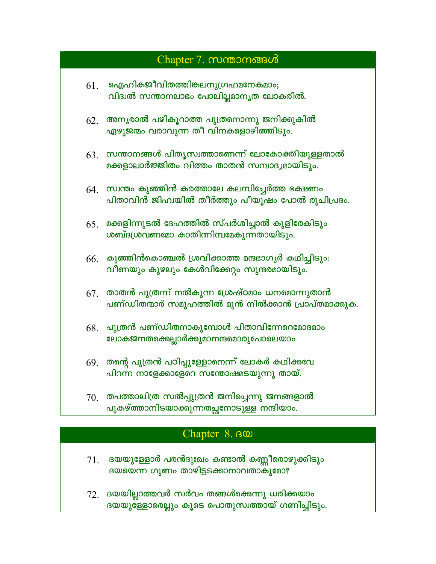## Chapter 7. mmomons of

- $61.$  ഐഹികജീവിതത്തിങ്കലനുഗ്രഹമനേകമാം; വിദ്വൽ സന്താനലാഭം പോലില്ലമാനൃത ലോകരിൽ.
- $62.$  അനൃരാൽ പഴികൂറാത്ത പുത്രനൊന്നു ജനിക്കുകിൽ ഏഴുജന്മം വരാവുന്ന തീ വിനകളൊഴിഞ്ഞിടും.
- $63.$  സന്താനങ്ങൾ പിതൃസ്വത്താണെന്ന് ലോകോക്തിയുള്ളതാൽ മക്കളാലാർജ്ജിതം വിത്തം താതൻ സമ്പാദൃമായിടും.
- $64$  സ്വന്തം കുഞ്ഞിൻ കരത്താലേ കലമ്പിച്ചേർത്ത ഭക്ഷണം പിതാവിൻ ജിഹ്വയിൽ തീർത്തും പീയുഷം പോൽ രുചിപ്രദം.
- $65<sub>1</sub>$  മക്കളിന്നുടൽ ദേഹത്തിൽ സ്പർശിച്ചാൽ കുളിരേകിടും ശബ്ദശ്രവണമോ കാതിന്നിമ്പമേകുന്നതായിടും.
- $66<sub>1</sub>$  കുഞ്ഞിൻകൊഞ്ചൽ ശ്രവിക്കാത്ത മന്ദഭാഗൃർ കഥിച്ചിടും: വീണയും കുഴലും കേൾവിക്കേറ്റം സുന്ദരമായിടും.
- $67.$  താതൻ പുത്രന്ന് നൽകുന്ന ശ്രേഷ്ഠമാം ധനമൊന്നുതാൻ പണ്ഡിതന്മാർ സമൂഹത്തിൽ മുൻ നിൽക്കാൻ പ്രാപ്തമാക്കുക.
- $68.$  പുത്രൻ പണ്ഡിതനാകുമ്പോൾ പിതാവിന്നേറെമോദമാം ലോകജനതക്കെല്ലാർക്കുമാനന്ദമൊരുപോലെയാം
- $69$ . തന്റെ പുത്രൻ പഠിപ്പുള്ളോനെന്ന് ലോകർ കഥിക്കവേ പിറന്ന നാളേക്കാളേറെ സന്തോഷമടയുന്നു തായ്.
- $70$ . തപത്താലിത്ര സൽപ്പുത്രൻ ജനിച്ചെന്നു ജനങ്ങളാൽ പുകഴ്ത്താനിടയാക്കുന്നതച്ഛനോടുള്ള നന്ദിയാം.

#### Chapter 8. BO

- $71.$  ദയയുള്ളോർ പരൻദുഃഖം കണ്ടാൽ കണ്ണീരൊഴുക്കിടും ദയയെന്ന ഗുണം താഴിട്ടടക്കാനാവതാകുമോ?
- $72.$  ദയയില്ലാത്തവർ സർവം തങ്ങൾക്കെന്നു ധരിക്കയാം ദയയുള്ളോരെല്ലും കൂടെ പൊതുസ്വത്തായ് ഗണിച്ചിടും.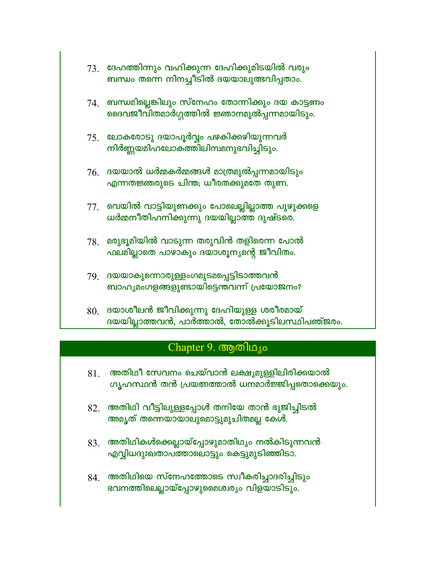- $73.$  ദേഹത്തിന്നും വഹിക്കുന്ന ദേഹിക്കുമിടയിൽ വരും ബന്ധം തന്നെ നിനച്ചീടിൽ ദയയാലുത്ഭവിപ്പതാം.
- $74$ . ബന്ധമില്ലെങ്കിലും സ്നേഹം തോന്നിക്കും ദയ കാട്ടണം ഭൈവജീവിതമാർഗ്ഗത്തിൽ ജ്ഞാനമുൽപ്പന്നമായിടും.
- 75. ലോകരോടു ദയാപൂർവ്വം പഴകിക്കഴിയുന്നവർ നിർണ്ണയമിഹലോകത്തിലിമ്പമനുഭവിച്ചിടും.
- $76.$  ദയയാൽ ധർമ്മകർമ്മങ്ങൾ മാത്രമുൽപ്പന്നമായിടും എന്നതജ്ഞരുടെ ചിന്ത; ധീരതക്കുമതേ തുണ.
- 77. വെയിൽ വാട്ടിയുണക്കും പോലെല്ലില്ലാത്ത പുഴുക്കളെ ധർമ്മനീതിഹനിക്കുന്നു ദയയില്ലാത്ത ദുഷ്ടരെ.
- $78.$  മരുഭൂമിയിൽ വാടുന്ന തരുവിൻ തളിരെന്ന പോൽ ഫലമില്ലാതെ പാഴാകും ദയാശൂന്യന്റെ ജീവിതം.
- 79 ദയയാകുന്നൊരുള്ളംഗമുടമപ്പെട്ടിടാത്തവൻ ബാഹൃമംഗളങ്ങളുണ്ടായിട്ടെന്തവന്ന് പ്രയോജനം?
- $80.$  ദയാശീലൻ ജീവിക്കുന്നു ദേഹിയുള്ള ശരീരമായ് ദയയില്ലാത്തവൻ, പാർത്താൽ, തോൽക്കൂടിലസ്ഥിപഞ്ജരം.

## Chapter 9. ആതിഥ്യം

- അതിഥീ സേവനം ചെയ്വാൻ ലക്ഷ്യമുള്ളിലിരിക്കയാൽ  $81$ ഗൃഹസ്ഥൻ തൻ പ്രയത്നത്താൽ ധനമാർജ്ജിപ്പതൊക്കെയും.
- $82.$  അതിഥി വീട്ടിലുള്ളപ്പോൾ തനിയേ താൻ ഭുജിച്ചിടൽ അമൃത് തന്നെയായാലുമൊട്ടുമുചിതമല്ല കേൾ.
- $83.$  അതിഥികൾക്കെല്ലായ്പ്പോഴുമാതിഥ്യം നൽകിടുന്നവൻ എവ്വിധദുഃഖതാപത്താലൊട്ടും കെട്ടുമുടിഞ്ഞിടാ.
- $84.$  അതിഥിയെ സ്നേഹത്തോടെ സ്വീകരിച്ചാദരിച്ചിടും ഭവനത്തിലെല്ലായ്പ്പോഴുമൈശ്വരൃം വിളയാടിടും.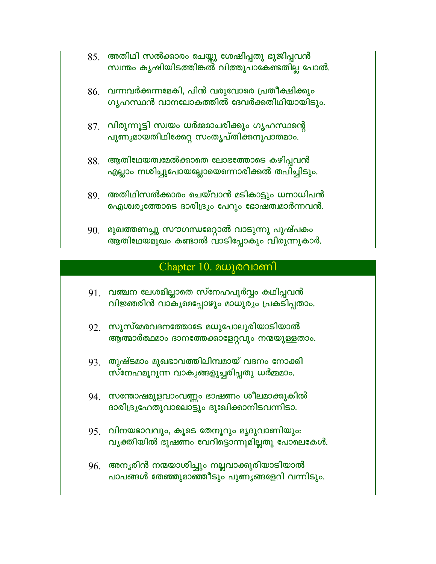- $85.$  അതിഥി സൽക്കാരം ചെയ്തു ശേഷിപ്പതു ഭുജിപ്പവൻ സ്വന്തം കൃഷിയിടത്തിങ്കത് വിത്തുപാകേണ്ടതില്ല പോൽ.
- $86.$  വന്നവർക്കന്നമേകി, പിൻ വരുവോരെ പ്രതീക്ഷിക്കും ഗൃഹസ്ഥൻ വാനലോകത്തിൽ ദേവർക്കതിഥിയായിടും.
- 87. വിരുന്നൂട്ടി സ്വയം ധർമ്മമാചരിക്കും ഗൃഹസ്ഥന്റെ പുണ്യമായതിഥിക്കേറ്റ സംതൃപ്തിക്കനുപാതമാം.
- $88.$  ആതിഥേയത്വമേൽക്കാതെ ലോഭത്തോടെ കഴിപ്പവൻ എല്ലാം നശിച്ചുപോയല്ലോയെന്നൊരിക്കൽ തപിച്ചിടും.
- 89. അതിഥിസൽക്കാരം ചെയ്വാൻ മടികാട്ടും ധനാധിപൻ ഐശ്വര്യത്തോടെ ദാരിദ്ര്യം പേറും ഭോഷത്വമാർന്നവൻ.
- 90. മുഖത്തണച്ചു സൗഗന്ധമേറ്റാൽ വാടുന്നു പുഷ്പകം ആതിഥേയമുഖം കണ്ടാൽ വാടിപ്പോകും വിരുന്നുകാർ.

#### Chapter  $10.$  മധുരവാണി

- 91. വഞ്ചന ലേശമില്ലാതെ സ്നേഹപൂർവ്വം കഥിപ്പവൻ വിജ്ഞരിൻ വാകൃമെപ്പോഴും മാധുര്യം പ്രകടിപ്പതാം.
- 92. സുസ്മേരവദനത്തോടേ മധുപോലുരിയാടിയാൽ ആത്മാർത്ഥമാം ദാനത്തേക്കാളേറ്റവും നന്മയുള്ളതാം.
- 93. തുഷ്ടമാം മുഖഭാവത്തിലിമ്പമായ് വദനം നോക്കി സ്നേഹമൂറുന്ന വാകൃങ്ങളുച്ചരിപ്പതു ധർമ്മമാം.
- 94 സന്തോഷമുളവാംവണ്ണം ഭാഷണം ശീലമാക്കുകിൽ ദാരിദ്ര്യഹേതുവാലൊട്ടും ദുഃഖിക്കാനിടവന്നിടാ.
- 95 വിനയഭാവവും, കൂടെ തേനൂറും മൃദുവാണിയും: വൃക്തിയിൽ ഭൂഷണം വേറിട്ടൊന്നുമില്ലതു പോലെകേൾ.
- 96. അന്യരിൻ നന്മയാശിച്ചും നല്ലവാക്കുരിയാടിയാൽ പാപങ്ങൾ തേഞ്ഞുമാഞ്ഞീടും പുണൃങ്ങളേറി വന്നിടും.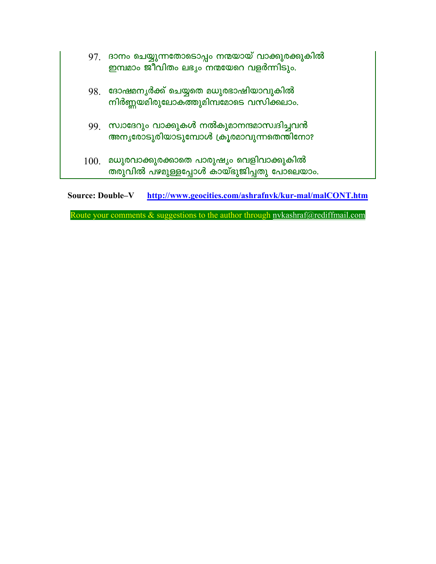| 100. | മധുരവാക്കുരക്കാതെ പാരുഷ്യം വെളിവാക്കുകിൽ<br>തരുവിൽ പഴമുള്ളപ്പോൾ കായ്ഭുജിപ്പതു പോലെയാം.         |
|------|------------------------------------------------------------------------------------------------|
|      | 99 സ്വാദേറും വാക്കുകൾ നൽകുമാനന്ദമാസ്വദിച്ചവൻ<br>അനൃരോടുരിയാടുമ്പോൾ ക്രൂരമാവുന്നതെന്തിനോ?       |
| 98.  | ദോഷമനൃർക്ക് ചെയ്യതെ മധുരഭാഷിയാവുകിൽ<br>നിർണ്ണയമിരുലോകത്തുമിമ്പമോടെ വസിക്കലാം.                  |
|      | 97. ദാനം ചെയ്യുന്നതോടൊപ്പം നന്മയായ് വാക്കുരക്കുകിൽ<br>ഇമ്പമാം ജീവിതം ലഭൃം നന്മയേറെ വളർന്നിടും. |

Source: Double-V http://www.geocities.com/ashrafnyk/kur-mal/malCONT.htm

Route your comments & suggestions to the author through nvkashraf@rediffmail.com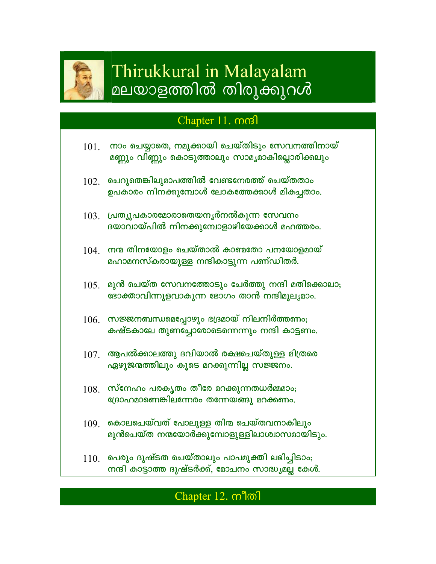

# Thirukkural in Malayalam മലയാളത്തിൽ തിരുക്കുറൾ

## Chapter 11. mm

- നാം ചെയ്യാതെ, നമുക്കായി ചെയ്തിടും സേവനത്തിനായ് 101. മണ്ണും വിണ്ണും കൊടുത്താലും സാമൃമാകില്ലൊരിക്കലും
- $102$  ചെറുതെങ്കിലുമാപത്തിൽ വേണ്ടനേരത്ത് ചെയ്തതാം ഉപകാരം നിനക്കുമ്പോൾ ലോകത്തേക്കാൾ മികച്ചതാം.
- $103$  പ്രത്യുപകാരമോരാതെയനൃർനൽകുന്ന സേവനം ദയാവായ്പിൽ നിനക്കുമ്പോളാഴിയേക്കാൾ മഹത്തരം.
- $104$ . നന്മ തിനയോളം ചെയ്താൽ കാണ്മതോ പനയോളമായ് മഹാമനസ്കരായുള്ള നന്ദികാട്ടുന്ന പണ്ഡിതർ.
- $105$ . മുൻ ചെയ്ത സേവനത്തോടും ചേർത്തു നന്ദി മതിക്കൊലാ; ഭോക്താവിന്നുളവാകുന്ന ഭോഗം താൻ നന്ദിമൂല്യമാം.
- $106.$  സജ്ജനബന്ധമെപ്പോഴും ഭദ്രമായ് നിലനിർത്തണം; കഷ്ടകാലേ തുണച്ചോരോടെന്നെന്നും നന്ദി കാട്ടണം.
- $107$ . ആപൽക്കാലത്തു ദവിയാൽ രക്ഷചെയ്തുള്ള മിത്രരെ ഏഴുജന്മത്തിലും കൂടെ മറക്കുന്നില്ല സജ്ജനം.
- $108.$  സ്നേഹം പരകൃതം തീരേ മറക്കുന്നതധർമ്മമാം; ദ്രോഹമാണെങ്കിലന്നേരം തന്നേയങ്ങു മറക്കണം.
- $109$ . കൊലചെയ്വത് പോലുള്ള തിന്മ ചെയ്തവനാകിലും മുൻചെയ്ത നന്മയോർക്കുമ്പോളുള്ളിലാശ്വാസമായിടും.
- $110$  പെരും ദുഷ്ടത ചെയ്താലും പാപമുക്തി ലഭിച്ചിടാം; നന്ദി കാട്ടാത്ത ദുഷ്ടർക്ക്, മോചനം സാദ്ധ്യമല്ല കേൾ.

## Chapter 12. mlon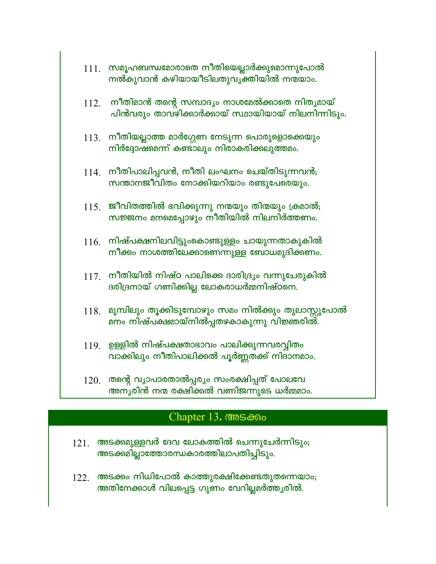- $111.$  സമൂഹബന്ധമോരാതെ നീതിയെല്ലാർക്കുമൊന്നുപോൽ നൽകുവാൻ കഴിയായീടിലതുവൃക്തിയിൽ നന്മയാം.
- നീതിമാൻ തന്റെ സമ്പാദ്യം നാശമേൽക്കാതെ നിതൃമായ് 112. പിൻവരും താവഴിക്കാർക്കായ് സ്ഥായിയായ് നിലനിന്നിടും.
- 113. നീതിയല്ലാത്ത മാർഗ്ഗേണ നേടുന്ന പൊരുളൊക്കെയും നിർദ്ദോഷമെന്ന് കണ്ടാലും നിരാകരിക്കലുത്തമം.
- $114$ . നീതിപാലിപ്പവൻ, നീതി ലംഘനം ചെയ്തിടുന്നവൻ; സന്താനജീവിതം നോക്കിയറിയാം രണ്ടുപേരെയും.
- $115.$  ജീവിതത്തിൽ ഭവിക്കുന്നു നന്മയും തിന്മയും ക്രമാൽ; സജ്ജനം മനമെപ്പോഴും നീതിയിൽ നിലനിർത്തണം.
- $116.$  നിഷ്പക്ഷനിലവിട്ടുംകൊണ്ടുള്ളം ചായുന്നതാകുകിൽ നീക്കം നാശത്തിലേക്കാണെന്നുള്ള ബോധമുദിക്കണം.
- $117$ . നീതിയിൽ നിഷ്ഠ പാലിക്കെ ദാരിദ്ര്യം വന്നുചേരുകിൽ ദരിദ്രനായ് ഗണിക്കില്ല ലോകരാധർമ്മനിഷ്ഠനെ.
- $118$ . മുമ്പിലും തൂക്കിടുമ്പോഴും സമം നിൽക്കും തുലാസ്സുപോൽ മനം നിഷ്പക്ഷമായ്നിൽപ്പതഴകാകുന്നു വിജ്ഞരിൽ.
- <u>119. ഉള്ളിൽ നിഷ്പക്ഷതാഭാവം പാലിക്കുന്നവരവ്വിതം</u> വാക്കിലും നീതിപാലിക്കൽ പൂർണ്ണതക്ക് നിദാനമാം.
- $120$ . തന്റെ വ്യാപാരതാൽപ്പര്യം സംരക്ഷിപ്പത് പോലവേ അനൃരിൻ നന്മ രക്ഷിക്കൽ വണിജന്നുടെ ധർമ്മമാം.

#### Chapter 13. CODS OPOO

- $121$ . അടക്കമുള്ളവർ ദേവ ലോകത്തിൽ ചെന്നുചേർന്നിടും; അടക്കമില്ലാത്തോരന്ധകാരത്തിലാപതിച്ചിടും.
- $122$ . അടക്കം നിധിപോൽ കാത്തുരക്ഷിക്കേണ്ടതുതന്നെയാം; അതിനേക്കാൾ വിലപ്പെട്ട ഗുണം വേറില്ലമർത്തൃരിൽ.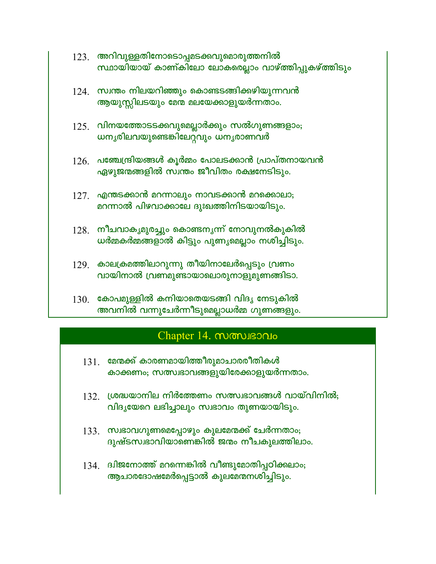- $123.$  അറിവുള്ളതിനോടൊപ്പമടക്കവുമൊരുത്തനിൽ സ്ഥായിയായ് കാണ്കിലോ ലോകരെല്ലാം വാഴ്ത്തിപ്പുകഴ്ത്തിടും
- $124$ . സ്വന്തം നിലയറിഞ്ഞും കൊണ്ടടങ്ങിക്കഴിയുന്നവൻ ആയുസ്സിലടയും മേന്മ മലയേക്കാളുയർന്നതാം.
- $125$ . വിനയത്തോടടക്കവുമെല്ലാർക്കും സൽഗുണങ്ങളാം; ധനൃരിലവയുണ്ടെങ്കിലേറ്റവും ധനൃരാണവർ
- $126$ . പഞ്ചേന്ദ്രിയങ്ങൾ കൂർമ്മം പോലടക്കാൻ പ്രാപ്തനായവൻ ഏഴുജന്മങ്ങളിൽ സ്വന്തം ജീവിതം രക്ഷനേടിടും.
- $127.$  എന്തടക്കാൻ മറന്നാലും നാവടക്കാൻ മറക്കൊലാ; മറന്നാൽ പിഴവാക്കാലേ ദുഃഖത്തിനിടയായിടും.
- $128$ . നീചവാകൃമുരച്ചും കൊണ്ടനൃന്ന് നോവുനൽകുകിൽ ധർമ്മകർമ്മങ്ങളാൽ കിട്ടും പുണ്യമെല്ലാം നശിച്ചിടും.
- 129 കാലക്രമത്തിലാറുന്നു തീയിനാലേർപ്പെടും വ്രണം വായിനാൽ വ്രണമുണ്ടായാലൊരുനാളുമുണങ്ങിടാ.
- $130$ . കോപമുള്ളിൽ കനിയാതെയടങ്ങി വിദൃ നേടുകിൽ അവനിൽ വന്നുചേർന്നീടുമെല്ലാധർമ്മ ഗുണങ്ങളും.

## Chapter 14. monusonio

- $131.$  മേന്മക്ക് കാരണമായിത്തീരുമാചാരരീതികൾ കാക്കണം; സത്സ്വഭാവങ്ങളുയിരേക്കാളുയർന്നതാം.
- $132$ . ശ്രദ്ധയാനില നിർത്തേണം സത്സ്വഭാവങ്ങൾ വായ്വിനിൽ; വിദൃയേറെ ലഭിച്ചാലും സ്വഭാവം തുണയായിടും.
- $133.$  സ്വഭാവഗുണമെപ്പോഴും കുലമേന്മക്ക് ചേർന്നതാം; ദുഷ്ടസ്വഭാവിയാണെങ്കിൽ ജന്മം നീചകുലത്തിലാം.
- $134.$  ദ്വിജനോത്ത് മറന്നെങ്കിൽ വീണ്ടുമോതിപ്പഠിക്കലാം; ആചാരദോഷമേർപ്പെട്ടാൽ കുലമേന്മനശിച്ചിടും.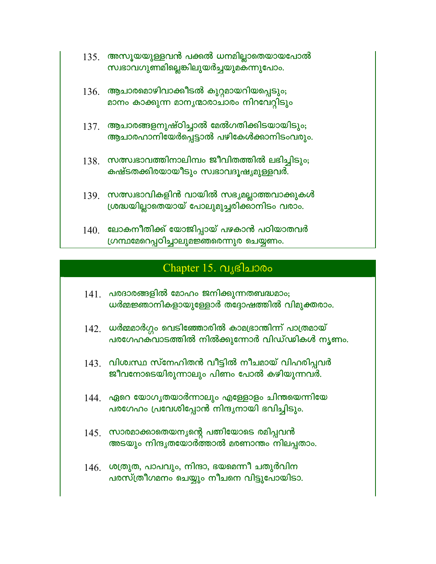- $135.$  അസൂയയുള്ളവൻ പക്കൽ ധനമില്ലാതെയായപോൽ സ്വഭാവഗുണമില്ലെങ്കിലുയർച്ചയുമകന്നുപോം.
- $136.$  ആചാരമൊഴിവാക്കീടൽ കുറ്റമായറിയപ്പെടും; മാനം കാക്കുന്ന മാനൃന്മാരാചാരം നിറവേറ്റിടും
- $137.$  ആചാരങ്ങളനുഷ്ഠിച്ചാൽ മേൽഗതിക്കിടയായിടും; ആചാരഹാനിയേർപ്പെട്ടാൽ പഴികേൾക്കാനിടംവരും.
- $138$ . സത്സ്വഭാവത്തിനാലിമ്പം ജീവിതത്തിൽ ലഭിച്ചിടും; കഷ്ടതക്കിരയായീടും സ്വഭാവദൂഷ്യമുള്ളവർ.
- $139$ . സത്സ്വഭാവികളിൻ വായിൽ സഭ്യമല്ലാത്തവാക്കുകൾ ശ്രദ്ധയില്ലാതെയായ് പോലുമുച്ചരിക്കാനിടം വരാം.
- $140$ . ലോകനീതിക്ക് യോജിപ്പായ് പഴകാൻ പഠിയാതവർ ഗ്രന്ഥമേറെപ്പഠിച്ചാലുമജ്ഞരെന്നുര ചെയ്യണം.

## Chapter 15.  $Q_{\text{S}}$ ദിചാരം

- $141$  പരദാരങ്ങളിൽ മോഹം ജനിക്കുന്നതബദ്ധമാം; ധർമ്മജ്ഞാനികളായുള്ളോർ തദ്ദോഷത്തിൽ വിമുക്തരാം.
- $142$ . ധർമ്മമാർഗ്ഗം വെടിഞ്ഞോരിൽ കാമഭ്രാന്തിന്ന് പാത്രമായ് പരഗേഹക്വാടത്തിൽ നിൽക്കുന്നോർ വിഡ്ഢികൾ നൃണം.
- $143$ . വിശ്വസ്ഥ സ്നേഹിതൻ വീട്ടിൽ നീചമായ് വിഹരിപ്പവർ ജീവനോടെയിരുന്നാലും പിണം പോൽ കഴിയുന്നവർ.
- $144$ . ഏറെ യോഗൃതയാർന്നാലും എള്ളോളം ചിന്തയെന്നിയേ പരഗേഹം പ്രവേശിപ്പോൻ നിന്ദുനായി ഭവിച്ചിടും.
- $145.$  സാരമാക്കാതെയനൃന്റെ പത്നിയോടെ രമിപ്പവൻ അടയും നിന്ദൃതയോർത്താൽ മരണാന്തം നിലപ്പതാം.
- $146.$  ശത്രുത, പാപവും, നിന്ദാ, ഭയമെന്നീ ചതുർവിന പരസ്ത്രീഗമനം ചെയ്യും നീചനെ വിട്ടുപോയിടാ.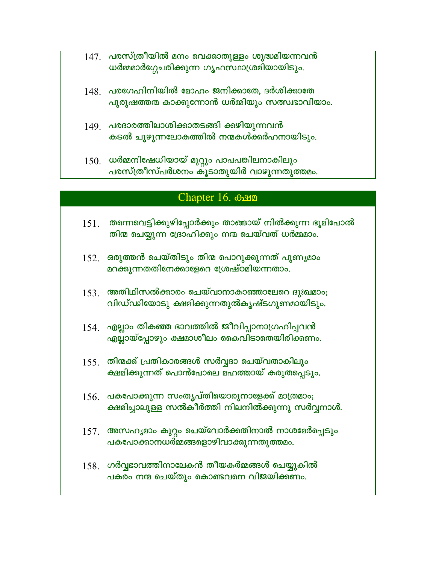- $147$ . പരസ്ത്രീയിൽ മനം വെക്കാതുള്ളം ശുദ്ധമിയന്നവൻ ധർമ്മമാർഗ്ഗേചരിക്കുന്ന ഗൃഹസ്ഥാശ്രമിയായിടും.
- $148$ ് പരഗേഹിനിയിൽ മോഹം ജനിക്കാതേ, ദർശിക്കാതേ പുരുഷത്തന്മ കാക്കുന്നോൻ ധർമ്മിയും സത്സ്വഭാവിയാം.
- 149. പരദാരത്തിലാശിക്കാതടങ്ങി ക്കഴിയുന്നവൻ കടൽ ചൂഴുന്നലോകത്തിൽ നന്മകൾക്കർഹനായിടും.
- $150.$  ധർമ്മനിഷേധിയായ് മുറ്റും പാപപങ്കിലനാകിലും പരസ്ത്രീസ്പർശനം കൂടാതുയിർ വാഴുന്നതുത്തമം.

#### Chapter 16. **Chapter**

- തന്നെവെട്ടിക്കുഴിപ്പോർക്കും താങ്ങായ് നിൽക്കുന്ന ഭൂമിപോൽ 151. തിന്മ ചെയ്യുന്ന ദ്രോഹിക്കും നന്മ ചെയ്വത് ധർമ്മമാം.
- $152.$  ഒരുത്തൻ ചെയ്തിടും തിന്മ പൊറുക്കുന്നത് പുണൃമാം മറക്കുന്നതതിനേക്കാളേറെ ശ്രേഷ്ഠമിയന്നതാം.
- $153$ . അതിഥിസൽക്കാരം ചെയ്വാനാകാഞ്ഞാലേറെ ദുഃഖമാം; വിഡ്ഢിയോടു ക്ഷമിക്കുന്നതുൽകൃഷ്ടഗുണമായിടും.
- $154$ . എല്ലാം തികഞ്ഞ ഭാവത്തിൽ ജീവിപ്പാനാഗ്രഹിപ്പവൻ എല്ലായ്പ്പോഴും ക്ഷമാശീലം കൈവിടാതെയിരിക്കണം.
- $155$ . തിന്മക്ക് പ്രതികാരങ്ങൾ സർവ്വദാ ചെയ്വതാകിലും ക്ഷമിക്കുന്നത് പൊൻപോലെ മഹത്തായ് കരുതപ്പെടും.
- $156.$  പകപോക്കുന്ന സംതൃപ്തിയൊരുനാളേക്ക് മാത്രമാം; ക്ഷമിച്ചാലുള്ള സൽകീർത്തി നിലനിൽക്കുന്നു സർവ്വനാൾ.
- $157.$  അസഹൃമാം കുറ്റം ചെയ്വോർക്കതിനാൽ നാശമേർപ്പെടും **പകപോക്കാനധർമ്മങ്ങളൊഴിവാക്കുന്നതുത്തമം**.
- $158$ . ഗർവ്വഭാവത്തിനാലേകൻ തീയകർമ്മങ്ങൾ ചെയ്യുകിൽ പകരം നന്മ ചെയ്തും കൊണ്ടവനെ വിജയിക്കണം.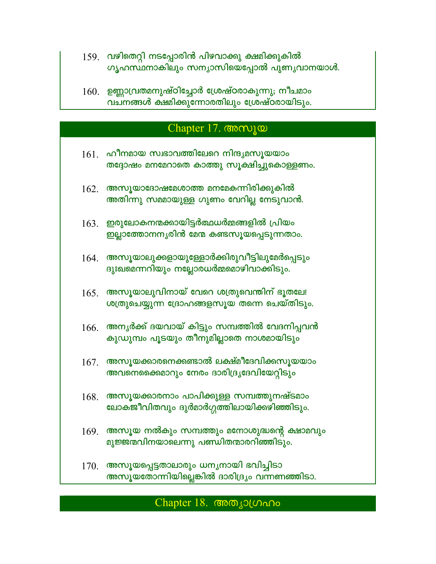- 159. വഴിതെറ്റി നടപ്പോരിൻ പിഴവാക്കു ക്ഷമിക്കുകിൽ ഗൃഹസ്ഥനാകിലും സന്യാസിയെപ്പോൽ പുണ്യവാനയാൾ.
- $160.$  ഉണ്ണാവ്രതമനുഷ്ഠിച്ചോർ ശ്രേഷ്ഠരാകുന്നു; നീചമാം വചനങ്ങൾ ക്ഷമിക്കുന്നോരതിലും ശ്രേഷ്ഠരായിടും.

## Chapter 17. Compa

- $161$  ഹീനമായ സ്വഭാവത്തിലേറെ നിന്ദ്യമസൂയയാം തദ്ദോഷം മനമേറാതെ കാത്തു സൂക്ഷിച്ചുകൊള്ളണം.
- $162.$  അസൂയാദോഷമേശാത്ത മനമേകന്നിരിക്കുകിൽ അതിന്നു സമ്മായുള്ള ഗുണം വേറില്ല നേടുവാൻ.
- $163.$  ഇരുലോകനന്മക്കായിട്ടർത്ഥധർമ്മങ്ങളിൽ പ്രിയം ഇല്ലാത്തോനനൃരിൻ മേന്മ കണ്ടസൂയപ്പെടുന്നതാം.
- 164. അസൂയാലുക്കളായുള്ളോർക്കിരുവീട്ടിലുമേർപ്പെടും ദുഃഖമെന്നറിയും നല്ലോരധർമ്മമൊഴിവാക്കിടും.
- $165.$  അസൂയാലുവിനായ് വേറെ ശത്രുവെന്തിന് ഭൂതലേ! ശത്രുചെയ്യുന്ന ദ്രോഹങ്ങളസൂയ തന്നെ ചെയ്തിടും.
- $166.$  അന്യർക്ക് ദയവായ് കിട്ടും സമ്പത്തിൽ വേദനിപ്പവൻ കുഡുമ്പം പൂടയും തീനുമില്ലാതെ നാശമായിടും
- $167.$  അസൂയക്കാരനെക്കണ്ടാൽ ലക്ഷ്മീദേവിക്കസൂയയാം അവനെക്കൈമാറും നേരം ദാരിദ്ര്യദേവിയേറ്റിടും
- $168.$  അസൂയക്കാരനാം പാപിക്കുള്ള സമ്പത്തുനഷ്ടമാം ലോകജീവിതവും ദുർമാർഗ്ഗത്തിലായിക്കഴിഞ്ഞിടും.
- $169$ . അസൂയ നൽകും സമ്പത്തും മനോശുദ്ധന്റെ ക്ഷാമവും മുജ്ജന്മവിനയാലെന്നു പണ്ഡിതന്മാരറിഞ്ഞിടും.
- 170. അസൂയപ്പെട്ടതാലാരും ധനൃനായി ഭവിച്ചിടാ അസൂയതോന്നിയില്ലെങ്കിൽ ദാരിദ്ര്യം വന്നണഞ്ഞിടാ.

## Chapter 18. അത്യാഗ്രഹം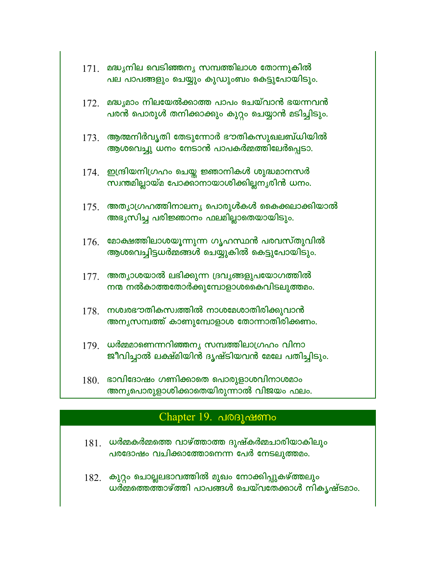| 171.             | മദ്ധ്യനില വെടിഞ്ഞന്യ സമ്പത്തിലാശ തോന്നുകിൽ<br>പല പാപങ്ങളും ചെയ്യും കുഡുംബം കെട്ടുപോയിടും.         |
|------------------|---------------------------------------------------------------------------------------------------|
| 172.             | മദ്ധ്യമാം നിലയേൽക്കാത്ത പാപം ചെയ്വാൻ ഭയന്നവൻ<br>പരൻ പൊരുൾ തനിക്കാക്കും കുറ്റം ചെയ്യാൻ മടിച്ചിടും. |
|                  | $173$ . ആത്മനിർവൃതി തേടുന്നോർ ഭൗതികസുഖലബ്ധിയിൽ<br>ആശവെച്ചു ധനം നേടാൻ പാപകർമ്മത്തിലേർപ്പെടാ.       |
|                  | 174. ഇന്ദ്രിയനിഗ്രഹം ചെയ്ത ജ്ഞാനികൾ ശുദ്ധമാനസർ<br>സ്വന്തമില്ലായ്മ പോക്കാനായാശിക്കില്ലനൃരിൻ ധനം.   |
| 175.             | അതൃാഗ്രഹത്തിനാലനൃ പൊരുൾകൾ കൈക്കലാക്കിയാൽ<br>അഭ്യസിച്ച പരിജ്ഞാനം ഫലമില്ലാതെയായിടും.                |
| 176.             | മോക്ഷത്തിലാശയൂന്നുന്ന ഗൃഹസ്ഥൻ പരവസ്തുവിൽ<br>ആശവെച്ചിട്ടധർമ്മങ്ങൾ ചെയ്യുകിൽ കെട്ടുപോയിടും.         |
| 177.             | അത്യാശയാൽ ലഭിക്കുന്ന ദ്രവൃങ്ങളുപയോഗത്തിൽ<br>നന്മ നൽകാത്തതോർക്കുമ്പോളാശകൈവിടലുത്തമം.               |
| 178.             | നശ്വരഭൗതികസ്വത്തിൽ നാശമേശാതിരിക്കുവാൻ<br>അനൃസമ്പത്ത് കാണുമ്പോളാശ തോന്നാതിരിക്കണം.                 |
| 179.             | ധർമ്മമാണെന്നറിഞ്ഞനൃ സമ്പത്തിലാഗ്രഹം വിനാ<br>ജീവിച്ചാൽ ലക്ഷ്മിയിൻ ദൃഷ്ടിയവൻ മേലേ പതിച്ചിടും.       |
| 1.8 <sub>0</sub> | ഭാവിദോഷം ഗണിക്കാതെ പൊരുളാശവിനാശമാം                                                                |

ມ ທ<sub>ະ</sub>ກາດໃສົດດດະກະ അന്യപൊരുളാശിക്കാതെയിരുന്നാൽ വിജയം ഫലം.

## Chapter 19. പരദൂഷണം

- $181.$  ധർമ്മകർമ്മത്തെ വാഴ്ത്താത്ത ദുഷ്കർമ്മചാരിയാകിലും പരദോഷം വചിക്കാത്തോനെന്ന പേർ നേടലുത്തമം.
- 182. കുറ്റം ചൊല്ലലഭാവത്തിൽ മുഖം നോക്കിപ്പുകഴ്ത്തലും ധർമ്മത്തെത്താഴ്ത്തി പാപങ്ങൾ ചെയ്വതേക്കാൾ നികൃഷ്ടമാം.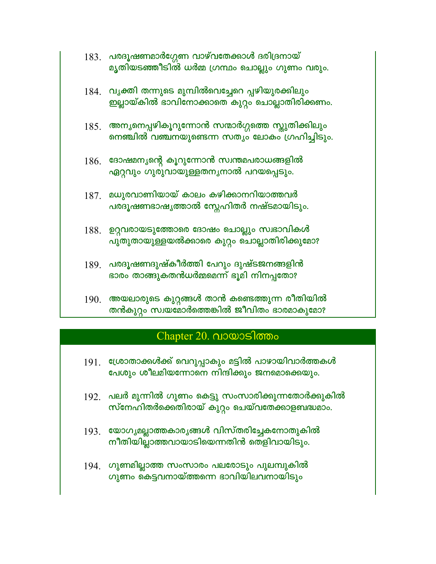| $183$ . പരദൂഷണമാർഗ്ഗേണ വാഴ്വതേക്കാൾ ദരിദ്രനായ്  |
|-------------------------------------------------|
| മ്യതിയടഞ്ഞീടിൽ ധർമ്മ ഗ്രന്ഥം ചൊല്ലും ഗുണം വരും. |

- 184 വൃക്തി തന്നുടെ മുമ്പിൽവെച്ചേറെ പ്പഴിയുരക്കിലും ഇല്ലായ്കിൽ ഭാവിനോക്കാതെ കുറ്റം ചൊല്ലാതിരിക്കണം.
- $185$ . അന്യനെപ്പഴികൂറുന്നോൻ സന്മാർഗ്ഗത്തെ സ്കുതിക്കിലും നെഞ്ചിൽ വഞ്ചനയുണ്ടെന്ന സത്യം ലോകം ഗ്രഹിച്ചിടും.
- $186.$  ദോഷമന്യന്റെ കൂറുന്നോൻ സ്വന്തമപരാധങ്ങളിൽ ഏറ്റവും ഗുരുവായുള്ളതനൃനാൽ പറയപ്പെടും.
- $187.$  മധുരവാണിയായ് കാലം കഴിക്കാനറിയാത്തവർ പര<mark>ദൂഷണ</mark>ഭാഷൃത്താൽ സ്നേഹിതർ നഷ്ടമായിടും.
- 188. ഉറ്റവരായടുത്തോരെ ദോഷം ചൊല്ലും സ്വഭാവികൾ പുതുതായുള്ളയൽക്കാരെ കുറ്റം ചൊല്ലാതിരിക്കുമോ?
- 189. പരദൂഷണദുഷ്കീർത്തി പേറും ദുഷ്ടജനങ്ങളിൻ ഭാരം താങ്ങുകതൻധർമ്മമെന്ന് ഭൂമി നിനപ്പതോ?
- 190. അയലാരുടെ കുറ്റങ്ങൾ താൻ കണ്ടെത്തുന്ന രീതിയിൽ തൻകുറ്റം സ്വയമോർത്തെങ്കിൽ ജീവിതം ഭാരമാകുമോ?

## Chapter 20. വായാടിത്തം

- 191. ശ്രോതാക്കൾക്ക് വെറുപ്പാകും മട്ടിൽ പാഴായിവാർത്തകൾ പേശും ശീലമിയന്നോനെ നിന്ദിക്കും ജനമൊക്കെയും.
- $192$ . പലർ മുന്നിൽ ഗുണം കെട്ടു സംസാരിക്കുന്നതോർക്കുകിൽ സ്നേഹിതർക്കെതിരായ് കുറ്റം ചെയ്വതേക്കാളബദ്ധമാം.
- 193. യോഗ്യമല്ലാത്തകാര്യങ്ങൾ വിസ്തരിച്ചേകനോതുകിൽ നീതിയില്ലാത്തവായാടിയെന്നതിൻ തെളിവായിടും.
- 194. ഗുണമില്ലാത്ത സംസാരം പലരോടും പുലമ്പുകിൽ ഗുണം കെട്ടവനായ്ത്തന്നെ ഭാവിയിലവനായിടും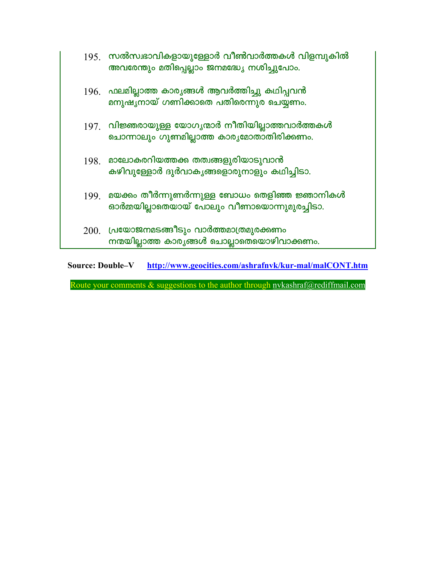|      | $195$ . സൽസ്വഭാവികളായുള്ളോർ വീൺവാർത്തകൾ വിളമ്പുകിൽ<br>അവരേന്തും മതിപ്പെല്ലാം ജനമദ്ധ്യേ നശിച്ചുപോം. |
|------|----------------------------------------------------------------------------------------------------|
|      | $196$ . ഫലമില്ലാത്ത കാര്യങ്ങൾ ആവർത്തിച്ചു കഥിപ്പവൻ<br>മനുഷൃനായ് ഗണിക്കാതെ പതിരെന്നുര ചെയ്യണം.      |
|      | $197$ . വിജ്ഞരായുള്ള യോഗൃന്മാർ നീതിയില്ലാത്തവാർത്തകൾ<br>ചൊന്നാലും ഗുണമില്ലാത്ത കാരൃമോതാതിരിക്കണം.  |
| 198. | മാലോകരറിയത്തക്ക തത്വങ്ങളുരിയാടുവാൻ<br>കഴിവുള്ളോർ ദുർവാകൃങ്ങളൊരുനാളും കഥിച്ചിടാ.                    |
| 199. | മയക്കം തീർന്നുണർന്നുള്ള ബോധം തെളിഞ്ഞ ജ്ഞാനികൾ<br>ഓർമ്മയില്ലാതെയായ് പോലും വീണായൊന്നുമുരച്ചിടാ.      |
|      | $200.$ പ്രയോജനമടങ്ങീടും വാർത്തമാത്രമുരക്കണം<br>നന്മയില്ലാത്ത കാരൃങ്ങൾ ചൊല്ലാതെയൊഴിവാക്കണം.         |

Source: Double-V http://www.geocities.com/ashrafnvk/kur-mal/malCONT.htm

Route your comments & suggestions to the author through nykashraf@rediffmail.com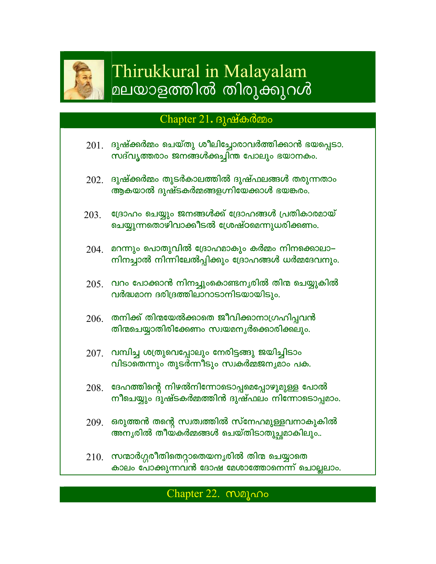

# Thirukkural in Malayalam മലയാളത്തിൽ തിരുക്കുറൾ

## Chapter 21.  $\beta$   $\Delta$   $\delta$   $\alpha$   $\beta$   $\alpha$   $\beta$   $\alpha$   $\beta$   $\alpha$   $\beta$   $\alpha$   $\beta$   $\alpha$   $\beta$   $\alpha$   $\beta$   $\alpha$   $\beta$   $\alpha$   $\beta$   $\alpha$   $\beta$   $\alpha$   $\beta$   $\beta$   $\alpha$   $\beta$   $\alpha$   $\beta$   $\alpha$   $\beta$   $\alpha$   $\beta$   $\alpha$   $\beta$   $\alpha$   $\beta$   $\alpha$   $\beta$   $\alpha$   $\beta$

- ദുഷ്ക്കർമ്മം ചെയ്തു ശീലിച്ചോരാവർത്തിക്കാൻ ഭയപ്പെടാ. 201. സദ്വൃത്തരാം ജനങ്ങൾക്കച്ചിന്ത പോലും ഭയാനകം.
- $202$ . ദുഷ്ക്കർമ്മം തുടർകാലത്തിൽ ദുഷ്ഫലങ്ങൾ തരുന്നതാം ആകയാൽ ദുഷ്ടകർമ്മങ്ങളഗ്നിയേക്കാൾ ഭയങ്കരം.
- ദ്രോഹം ചെയ്യും ജനങ്ങൾക്ക് ദ്രോഹങ്ങൾ പ്രതികാരമായ് 203. ചെയ്യുന്നതൊഴിവാക്കീടൽ ശ്രേഷ്ഠമെന്നുധരിക്കണം.
- $204$ . മറന്നും പൊതുവിൽ ദ്രോഹമാകും കർമ്മം നിനക്കൊലാ– നിനച്ചാൽ നിന്നിലേൽപ്പിക്കും ദ്രോഹങ്ങൾ ധർമ്മദേവനും.
- $205$ . വറം പോക്കാൻ നിനച്ചുംകൊണ്ടനൃരിൽ തിന്മ ചെയ്യുകിൽ വർദ്ധമാന ദരിദ്രത്തിലാറാടാനിടയായിടും.
- $206$ . തനിക്ക് തിന്മയേൽക്കാതെ ജീവിക്കാനാഗ്രഹിപ്പവൻ തിന്മചെയ്യാതിരിക്കേണം സ്വയമനൃർക്കൊരിക്കലും.
- $207$ . വമ്പിച്ച ശത്രുവെപ്പോലും നേരിട്ടങ്ങു ജയിച്ചിടാം വിടാതെന്നും തുടർന്നീടും സ്വകർമ്മജനൃമാം പക.
- ദേഹത്തിന്റെ നിഴൽനിന്നോടൊപ്പമെപ്പോഴുമുള്ള പോൽ 208. നീചെയ്യും ദുഷ്ടകർമ്മത്തിൻ ദുഷ്ഫലം നിന്നോടൊപ്പമാം.
- $209$ . ഒരുത്തൻ തന്റെ സ്വത്വത്തിൽ സ്നേഹമുള്ളവനാകുകിൽ അനൃരിൽ തീയകർമ്മങ്ങൾ ചെയ്തിടാതുച്ചമാകിലും..
- $210.$  സന്മാർഗ്ഗരീതിതെറ്റാതെയനൃരിൽ തിന്മ ചെയ്യാതെ കാലം പോക്കുന്നവൻ ദോഷ മേശാത്തോനെന്ന് ചൊല്ലലാം.

## Chapter 22. Majono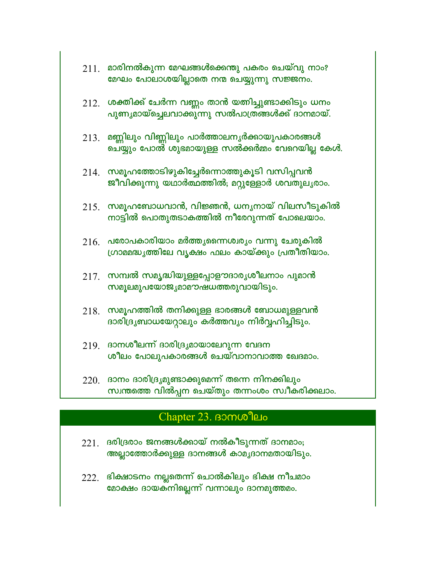- $211.$  മാരിനൽകുന്ന മേഘങ്ങൾക്കെന്തു പകരം ചെയ്വു നാം? മേഘം പോലാശയില്ലാതെ നന്മ ചെയ്യുന്നു സജ്ജനം.
- $212$ . ശക്തിക്ക് ചേർന്ന വണ്ണം താൻ യത്നിച്ചുണ്ടാക്കിടും ധനം പുണ്യമായ്ച്ചെലവാക്കുന്നു സൽപാത്രങ്ങൾക്ക് ദാനമായ്.
- $213$ . മണ്ണിലും വിണ്ണിലും പാർത്താലനൃർക്കായുപകാരങ്ങൾ ചെയ്യും പോൽ ശുഭമായുള്ള സൽക്കർമ്മം വേറെയില്ല കേൾ.
- $214$ . സമൂഹത്തോടിഴുകിച്ചേർന്നൊത്തുകൂടി വസിപ്പവൻ ജീവിക്കുന്നു യഥാർത്ഥത്തിൽ; മറ്റുള്ളോർ ശവതുലൃരാം.
- $215.$  സമൂഹബോധവാൻ, വിജ്ഞൻ, ധനൃനായ് വിലസീടുകിൽ നാട്ടിൽ പൊതുതടാകത്തിൽ നീരേറുന്നത് പോലെയാം.
- $216$ . പരോപകാരിയാം മർത്തൃന്നൈശ്വര്യം വന്നു ചേരുകിൽ ഗ്രാമമദ്ധൃത്തിലേ വൃക്ഷം ഫലം കായ്ക്കും പ്രതീതിയാം.
- $217.$  സമ്പൽ സമൃദ്ധിയുള്ളപ്പോളൗദാര്യശീലനാം പുമാൻ <u>സമൂലമുപയോജൃമാമൗഷധത്തരുവായിടും.</u>
- $218.$  സമൂഹത്തിൽ തനിക്കുള്ള ഭാരങ്ങൾ ബോധമുള്ളവൻ ദാരിദ്ര്യബാധയേറ്റാലും കർത്തവ്യം നിർവ്വഹിച്ചിടും.
- $219$  ദാനശീലന്ന് ദാരിദ്ര്യമായാലേറുന്ന വേദന ശീലം പോലുപകാരങ്ങൾ ചെയ്വാനാവാത്ത ഖേദമാം.
- $220.$  ദാനം ദാരിദ്ര്യമുണ്ടാക്കുമെന്ന് തന്നെ നിനക്കിലും സ്വന്തത്തെ വിൽപ്പന ചെയ്തും തന്നംശം സ്വീകരിക്കലാം.

## Chapter 23. BOMOO PLO

- $221$ . ദരിദ്രരാം ജനങ്ങൾക്കായ് നൽകീടുന്നത് ദാനമാം; അല്ലാത്തോർക്കുള്ള ദാനങ്ങൾ കാമൃദാനമതായിടും.
- 222. ഭിക്ഷാടനം നല്ലതെന്ന് ചൊൽകിലും ഭിക്ഷ നീചമാം മോക്ഷം ദായക്നില്ലെന്ന് വന്നാലും ദാനമുത്തമം.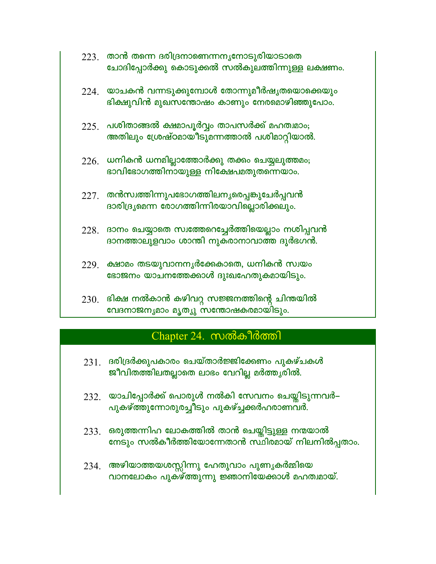- $223$ . താൻ തന്നെ ദരിദ്രനാണെന്നനൃനോടുരിയാടാതെ ചോദിപ്പോർക്കു കൊടുക്കൽ സൽകുലത്തിന്നുള്ള ലക്ഷണം.
- $224$ . യാചകൻ വന്നടുക്കുമ്പോൾ തോന്നുമീർഷൃതയൊക്കെയും ഭിക്ഷുവിൻ മുഖസന്തോഷം കാണും നേരമൊഴിഞ്ഞുപോം.
- $225$ . പശിതാങ്ങൽ ക്ഷമാപൂർവ്വം താപസർക്ക് മഹത്വമാം; അതിലും ശ്രേഷ്ഠമായീടുമന്നത്താൽ പശിമാറ്റിയാൽ.
- $226$ . ധനികൻ ധനമില്ലാത്തോർക്കു തക്കം ചെയ്യലുത്തമം; ഭാവിഭോഗത്തിനായുള്ള നിക്ഷേപമതുതന്നെയാം.
- $227.$  തൻസ്വത്തിന്നുപഭോഗത്തിലനൃരെപ്പങ്കുചേർപ്പവൻ ദാരിദ്ര്യമെന്ന രോഗത്തിന്നിരയാവില്ലൊരിക്കലും.
- $228.$  ദാനം ചെയ്യാതെ സ്വത്തേറെച്ചേർത്തിയെല്ലാം നശിപ്പവൻ ദാനത്താലുളവാം ശാന്തി നുകരാനാവാത്ത ദുർഭഗൻ.
- 229. ക്ഷാമം തടയുവാനനൃർക്കേകാതെ, ധനികൻ സ്വയം ഭോജനം യാചനത്തേക്കാൾ ദുഃഖഹേതുകമായിടും.
- $230.$  ഭിക്ഷ നൽകാൻ കഴിവറ്റ സജ്ജനത്തിന്റെ ചിന്തയിൽ വേദനാജനൃമാം മൃത്യു സന്തോഷകരമായിടും.

## Chapter 24. സൽകീർത്തി

- $231$  ദരിദ്രർക്കുപകാരം ചെയ്താർജ്ജിക്കേണം പുകഴ്ചകൾ ജീവിതത്തിലതല്ലാതെ ലാഭം വേറില്ല മർത്തൃരിൽ.
- $232$ . യാചിപ്പോർക്ക് പൊരുൾ നൽകി സേവനം ചെയ്തിടുന്നവർ– പുകഴ്ത്തുന്നോരുരച്ചീടും പുകഴ്ച്ചക്കർഹരാണവർ.
- 233. ഒരുത്തന്നിഹ ലോകത്തിൽ താൻ ചെയ്തിട്ടുള്ള നന്മയാൽ നേടും സൽകീർത്തിയോന്നേതാൻ സ്ഥിരമായ് നിലനിൽപ്പതാം.
- 234. അഴിയാത്തയശസ്സിന്നു ഹേതുവാം പുണ്യകർമ്മിയെ വാനലോകം പുകഴ്ത്തുന്നു ജ്ഞാനിയേക്കാൾ മഹത്വമായ്.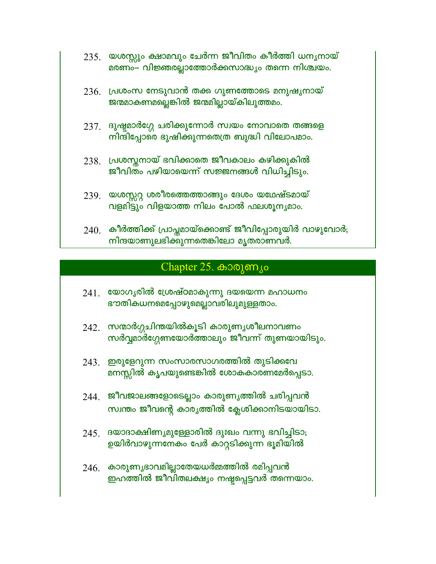- 235. യശസ്സും ക്ഷാമവും ചേർന്ന ജീവിതം കീർത്തി ധനൃനായ് മരണം– വിജ്ഞരല്ലാത്തോർക്കസാദ്ധ്യം തന്നെ നിശ്ചയം.
- $236$ . പ്രശംസ നേടുവാൻ തക്ക ഗുണത്തോടെ മനുഷൃനായ് ജന്മമാകണമല്ലെങ്കിൽ ജന്മമില്ലായ്കിലുത്തമം.
- $237$ . ദുഷ്ടമാർഗ്ഗേ ചരിക്കുന്നോർ സ്വയം നോവാതെ തങ്ങളെ നിന്ദിപ്പോരെ ഭുഷിക്കുന്നതെത്ര ബുദ്ധി വിലോപമാം.
- 238. പ്രശസ്തനായ് ഭവിക്കാതെ ജീവകാലം കഴിക്കുകിൽ ജീവിതം പഴിയായെന്ന് സജ്ജനങ്ങൾ വിധിച്ചിടും.
- 239. യശസ്സറ്റ ശരീരത്തെത്താങ്ങും ദേശം യഥേഷ്ടമായ് വളമിട്ടും വിളയാത്ത നിലം പോൽ ഫലശൂനൃമാം.
- $240$ . കീർത്തിക്ക് പ്രാപ്തമായ്ക്കൊണ്ട് ജീവിപ്പോരുയിർ വാഴുവോർ; നിന്ദയാണുലഭിക്കുന്നതെങ്കിലോ മൃതരാണവർ.

## Chapter  $25.$  കാരുണ്യം

- $241$ . യോഗൃരിൽ ശ്രേഷ്ഠമാകുന്നു ദയയെന്ന മഹാധനം ഭൗതികധനമെപ്പോഴുമെല്ലാവരിലുമുള്ളതാം.
- 242. സന്മാർഗ്ഗചിന്തയിൽകൂടി കാരുണ്യശീലനാവണം സർവ്വമാർഗ്ഗേണയോർത്താലും ജീവന്ന് തുണയായിടും.
- 243. ഇരുളേറുന്ന സംസാരസാഗരത്തിൽ തുടിക്കവേ മനസ്സിൽ കൃപയുണ്ടെങ്കിൽ ശോകകാരണമേർപ്പെടാ.
- 244. ജീവജാലങ്ങളോടെല്ലാം കാരുണ്യത്തിൽ ചരിപ്പവൻ സ്വന്തം ജീവന്റെ കാരൃത്തിൽ ക്ലേശിക്കാനിടയായിടാ.
- $245.$  ദയാദാക്ഷിണ്യമുള്ളോരിൽ ദുഃഖം വന്നു ഭവിച്ചിടാ; ഉയിർവാഴുന്നനേകം പേർ കാറ്റടിക്കുന്ന ഭൂമിയിൽ
- $246.$  കാരുണ്യഭാവമില്ലാതേയധർമ്മത്തിൽ രമിപ്പവൻ ഇഹത്തിൽ ജീവിതലക്ഷ്യം നഷ്ടപ്പെട്ടവർ തന്നെയാം.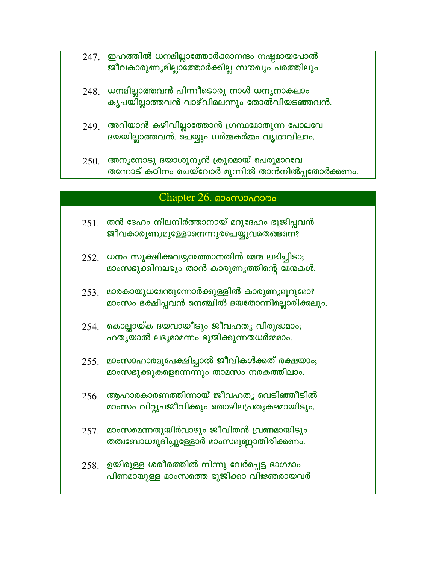- 247. ഇഹത്തിൽ ധനമില്ലാത്തോർക്കാനന്ദം നഷ്ടമായപോൽ ജീവകാരുണ്യമില്ലാത്തോർക്കില്ല സൗഖ്യം പരത്തിലും.
- $248.$  ധനമില്ലാത്തവൻ പിന്നീടൊരു നാൾ ധനൃനാകലാം കൃപയില്ലാത്തവൻ വാഴ്വിലെന്നും തോൽവിയടഞ്ഞവൻ.
- $249$ . അറിയാൻ കഴിവില്ലാത്തോൻ ഗ്രന്ഥമോതുന്ന പോലവേ ദയയില്ലാത്തവൻ. ചെയ്യും ധർമ്മകർമ്മം വൃഥാവിലാം.
- $250$ . അനൃനോടു ദയാശൂനൃൻ ക്രൂരമായ് പെരുമാറവേ തന്നോട് കഠിനം ചെയ്വോർ മുന്നിൽ താൻനിൽപ്പതോർക്കണം.

#### $Chapter 26.$  200 $\omega$

- $251$ . തൻ ദേഹം നിലനിർത്താനായ് മറുദേഹം ഭുജിപ്പവൻ **ജീവകാരുണ്യമുള്ളോനെന്നുരചെയ്യുവതെങ്ങനെ**?
- $252.$  ധനം സൂക്ഷിക്കവയ്യാത്തോനതിൻ മേന്മ ലഭിച്ചിടാ; മാംസഭുക്കിനലഭ്യം താൻ കാരുണ്യത്തിന്റെ മേന്മകൾ.
- $253$ . മാരകായുധമേന്തുന്നോർക്കുള്ളിൽ കാരുണ്യമൂറുമോ? മാംസം ഭക്ഷിപ്പവൻ നെഞ്ചിൽ ദയതോന്നില്ലൊരിക്കലും.
- $254$ . കൊല്ലായ്ക ദയവായീടും ജീവഹതൃ വിരുദ്ധമാം; ഹതൃയാൽ ലഭൃമാമന്നം ഭുജിക്കുന്നതധർമ്മമാം.
- $255$ . മാംസാഹാരമുപേക്ഷിച്ചാൽ ജീവികൾക്കത് രക്ഷയാം; മാംസഭുക്കുകളെന്നെന്നും താമസം നരകത്തിലാം.
- $256$ . ആഹാരകാരണത്തിന്നായ് ജീവഹത്യ വെടിഞ്ഞീടിൽ മാംസം വിറ്റുപജീവിക്കും തൊഴിലപ്രതൃക്ഷമായിടും.
- $257$ . മാംസമെന്നതുയിർവാഴും ജീവിതൻ വ്രണമായിടും തത്വബോധമുദിച്ചുള്ളോർ മാംസമുണ്ണാതിരിക്കണം.
- $258.$  ഉയിരുള്ള ശരീരത്തിൽ നിന്നു വേർപ്പെട്ട ഭാഗമാം പിണമായുള്ള മാംസത്തെ ഭുജിക്കാ വിജ്ഞരായവർ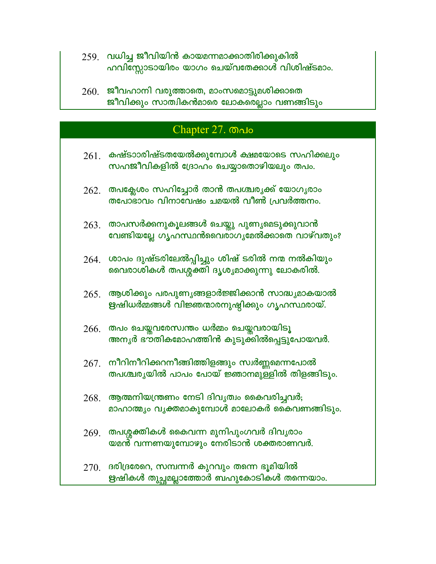- $259$  വധിച്ച ജീവിയിൻ കായമന്നമാക്കാതിരിക്കുകിൽ ഹവിസ്സോടായിരം യാഗം ചെയ്വതേക്കാൾ വിശിഷ്ടമാം.
- $260.$  ജീവഹാനി വരുത്താതെ, മാംസമൊട്ടുമശിക്കാതെ ജീവിക്കും സാത്വികൻമാരെ ലോകരെല്ലാം വണങ്ങിടും

### Chapter 27. Malo

- $261$ . കഷ്ടാാരിഷ്ടതയേൽക്കുമ്പോൾ ക്ഷമയോടെ സഹിക്കലും സഹജീവികളിൽ ദ്രോഹം ചെയ്യാതൊഴിയലും തപം.
- $262.$  തപക്ലേശം സഹിച്ചോർ താൻ തപശ്ചര്യക്ക് യോഗൃരാം തപോഭാവം വിനാവേഷം ചമയൽ വീൺ പ്രവർത്തനം.
- $263$ . താപസർക്കനുകൂലങ്ങൾ ചെയ്തു പുണൃമെടുക്കുവാൻ വേണ്ടിയല്ലേ ഗൃഹസ്ഥൻവൈരാഗൃമേൽക്കാതെ വാഴ്വതും?
- $264$ . ശാപം ദുഷ്ടരിലേൽപ്പിച്ചും ശിഷ് ടരിൽ നന്മ നൽകിയും വൈരാശികൾ തപശ്ശക്തി ദൃശൃമാക്കുന്നു ലോകരിൽ.
- $265$ . ആശിക്കും പരപുണൃങ്ങളാർജ്ജിക്കാൻ സാദ്ധൃമാകയാൽ ഋഷിധർമ്മങ്ങൾ വിജ്ഞന്മാരനുഷ്ഠിക്കും ഗൃഹസ്ഥരായ്.
- $266$ . തപം ചെയ്തവരേസ്വന്തം ധർമ്മം ചെയ്തവരായിടൂ അനൃർ ഭൗ്തികമോഹത്തിൻ കുടുക്കിൽപ്പെട്ടുപോയവർ.
- $267.$  നീറിനീറിക്കറനീങ്ങിത്തിളങ്ങും സ്വർണ്ണമെന്നപോൽ തപശ്ചരൃയിൽ പാപം പോയ് ജ്ഞാനമുള്ളിൽ തിളങ്ങിടും.
- $268.$  ആത്മനിയന്ത്രണം നേടി ദിവൃത്വം കൈവരിച്ചവർ; മാഹാത്മ്യം വൃക്തമാകുമ്പോൾ മാലോകർ കൈവണങ്ങിടും.
- 269. തപശ്ശക്തികൾ കൈവന്ന മുനിപുംഗവർ ദിവൃരാം യമൻ വന്നണയുമ്പോഴും നേരിടാൻ ശക്തരാണവർ.
- $270$ . ദരിദ്രരേറെ, സമ്പന്നർ കുറവും തന്നെ ഭൂമിയിൽ ഋഷികൾ തുച്ചമല്ലാത്തോർ ബഹുകോടികൾ തന്നെയാം.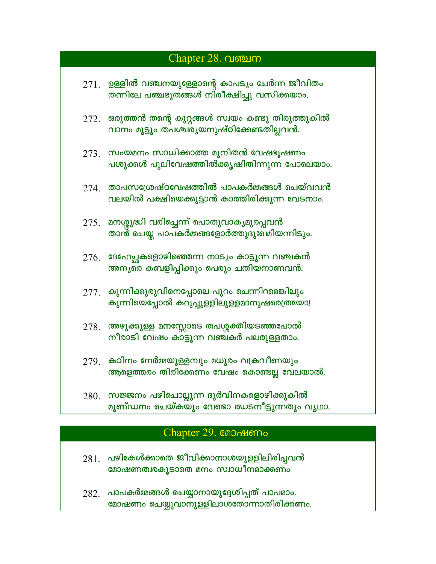# Chapter 28. വഞ്ചന  $271.$  ഉള്ളിൽ വഞ്ചനയുള്ളോന്റെ കാപട്യം ചേർന്ന ജീവിതം തന്നിലേ പഞ്ചഭൂതങ്ങൾ നിരീക്ഷിച്ചു വസിക്കയാം.  $272$ . ഒരുത്തൻ തന്റെ കുറ്റങ്ങൾ സ്വയം കണ്ടു തിരുത്തുകിൽ വാനം മുട്ടും ത്പശ്ചരൃയനുഷ്ഠിക്കേണ്ടതില്ലവൻ.  $273$  സംയമനം സാധിക്കാത്ത മുനിതൻ വേഷഭൂഷണം പശുക്കൾ പുലിവേഷത്തിൽക്കൃഷിതിന്നുന്ന പോലെയാം.  $274$ . താപസശ്രേഷ്ഠവേഷത്തിൽ പാപകർമ്മങ്ങൾ ചെയ്വവൻ വലയിൽ പക്ഷിയെക്കൂട്ടാൻ കാത്തിരിക്കുന്ന വേടനാം.  $275$ . മനശ്ശുദ്ധി വരിച്ചെന്ന് പൊതുവാകൃമുരപ്പവൻ താൻ ചെയ്ത പാപകർമ്മങ്ങളോർത്തുദുഃഖമിയന്നിടും.  $276.$  ദേഹേച്ചകളൊഴിഞ്ഞെന്ന നാട്യം കാട്ടുന്ന വഞ്ചകൻ അനൃതെ കബളിപ്പിക്കും പെരും ചതിയനാണവൻ.  $277$ . കുന്നിക്കുരുവിനെപ്പോലെ പുറം ചെന്നിറമെങ്കിലും കുന്നിയെപ്പോൽ കറുപ്പുള്ളിലുള്ളമാനുഷരെത്രയോ! 278. അഴുക്കുള്ള മനസ്സോടെ തപശ്ശക്തിയടഞ്ഞപോൽ നീരാടി വേഷം കാട്ടുന്ന വഞ്ചകർ പലരുള്ളതാം.  $279$ . കഠിനം നേർമ്മയുള്ളമ്പും മധുരം വക്രവീണയും ആളെത്തരം തിരിക്കേണം വേഷം കൊണ്ടല്ല വേലയാൽ.

 $280.$  സജ്ജനം പഴിചൊല്ലുന്ന ദുർവിനകളൊഴിക്കുകിൽ മുണ്ഡനം ചെയ്കയും വേണ്ടാ ഝടനീട്ടുന്നതും വൃഥാ.

### Chapter 29. **@Oommo**

- $281$  പഴികേൾക്കാതെ ജീവിക്കാനാശയുള്ളിലിരിപ്പവൻ മോഷണത്വരകൂടാതെ മനം സ്വാധീനമാക്കണം
- 282. പാപകർമ്മങ്ങൾ ചെയ്യാനായുദ്ദേശിപ്പത് പാപമാം. മോഷണം ചെയ്യുവാനുള്ളിലാശതോന്നാതിരിക്കണം.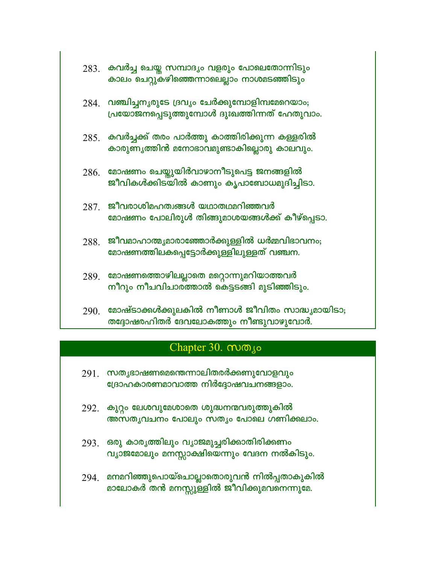|  | $283$ . കവർച്ച ചെയ്ത സമ്പാദൃം വളരും പോലെതോന്നിടും<br>കാലം ചെറ്റുകഴിഞ്ഞെന്നാലെല്ലാം നാശമടഞ്ഞിടും         |
|--|---------------------------------------------------------------------------------------------------------|
|  | $284$ . വഞ്ചിച്ചനൃരുടേ ദ്രവൃം ചേർക്കുമ്പോളിമ്പമേറെയാം;<br>പ്രയോജനപ്പെടുത്തുമ്പോൾ ദുഃഖത്തിന്നത് ഹേതുവാം. |
|  | $285$ . കവർച്ചക്ക് തരം പാർത്തു കാത്തിരിക്കുന്ന കള്ളരിൽ<br>കാരുണ്യത്തിൻ മനോഭാവമുണ്ടാകില്ലൊരു കാലവും.     |
|  | $286$ . മോഷണം ചെയ്തുയിർവാഴാനീടുപെട്ട ജനങ്ങളിൽ<br>ജീവികൾക്കിടയിൽ കാണും കൃപാബോധമുദിച്ചിടാ.                |
|  | $287.$ ജീവരാശിമഹത്വങ്ങൾ യഥാതഥമറിഞ്ഞവർ<br>മോഷണം പോലിരുൾ തിങ്ങുമാശയങ്ങൾക്ക് കീഴ്പ്പെടാ.                   |
|  | $288$ . ജീവമാഹാത്മ്യമാരാഞ്ഞോർക്കുള്ളിൽ ധർമ്മവിഭാവനം;<br>മോഷണത്തിലകപ്പെട്ടോർക്കുള്ളിലുള്ളത് വഞ്ചന.       |
|  | 289. മോഷണത്തൊഴിലല്ലാതെ മറ്റൊന്നുമറിയാത്തവർ<br>നീറും നീചവിചാരത്താൽ കെട്ടടങ്ങി മുടിഞ്ഞിടും.               |
|  | $2901$ മോഷ്ടാക്കൾക്കുലകിൽ നീണാൾ ജീവിതം സാദ്ധ്യമായിടാ;<br>തദ്ദോഷരഹിതർ ദേവലോകത്തും നീണ്ടുവാഴുവോർ.         |

## Chapter 30. mm/o

- 291. സതൃഭാഷണമെന്തെന്നാലിതരർക്കണുവോളവും ശ്രോഹകാരണമാവാത്ത നിർദ്ദോഷവചനങ്ങളാം.
- 292. കുറ്റം ലേശവുമേശാതെ ശുദ്ധനന്മവരുത്തുകിൽ അസതൃവചനം പോലും സത്യം പോലെ ഗണിക്കലാം.
- 293. ഒരു കാരൃത്തിലും വൃാജമുച്ചരിക്കാതിരിക്കണം വ്യാജമോലും മനസ്സാക്ഷിയെന്നും വേദന നൽകിടും.
- 294. മനമറിഞ്ഞുപൊയ്ചൊല്ലാതൊരുവൻ നിൽപ്പതാകുകിൽ മാലോകർ തൻ മനസ്സു്ള്ളിൽ ജീവിക്കുമവനെന്നുമേ.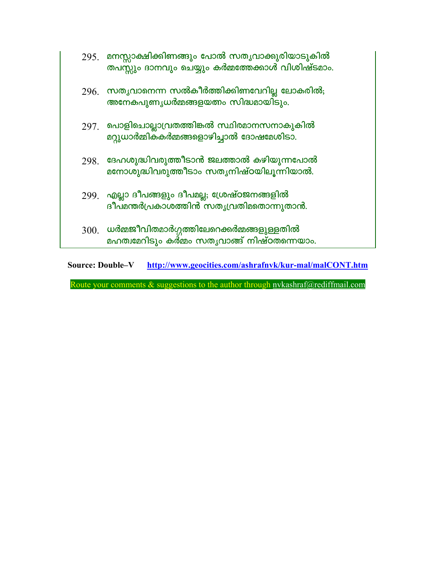|      | 295 മനസ്സാക്ഷിക്കിണങ്ങും പോൽ സതൃവാക്കുരിയാടുകിൽ<br>തപസ്സും ദാനവും ചെയ്യും കർമ്മത്തേക്കാൾ വിശിഷ്ടമാം. |
|------|------------------------------------------------------------------------------------------------------|
|      | $296$ . സതൃവാനെന്ന സൽകീർത്തിക്കിണവേറില്ല ലോകരിൽ;<br>അനേകപുണൃധർമ്മങ്ങളയത്നം സിദ്ധമായിടും.             |
|      | $297$ പൊളിചൊല്ലാവ്രതത്തിങ്കൽ സ്ഥിരമാനസനാകുകിൽ<br>മറ്റുധാർമ്മികകർമ്മങ്ങളൊഴിച്ചാൽ ദോഷമേശിടാ.           |
| 298. | ദേഹശുദ്ധിവരുത്തീടാൻ ജലത്താൽ കഴിയുന്നപോൽ<br>മനോശുദ്ധിവരുത്തീടാം സതൃനിഷ്ഠയിലുന്നിയാൽ.                  |
|      | 299 എല്ലാ ദീപങ്ങളും ദീപമല്ല; ശ്രേഷ്ഠജനങ്ങളിൽ<br>ദീപമന്തർപ്രകാശത്തിൻ സതൃവ്രതിമതൊന്നുതാൻ.              |
| 300. | ധർമ്മജീവിതമാർഗ്ഗത്തിലേറെക്കർമ്മങ്ങളുള്ളതിൽ<br>മഹത്വമേറിടും കർമ്മം സതൃവാങ്ങ് നിഷ്ഠതന്നെയാം.           |

**Source: Double-V** http://www.geocities.com/ashrafnvk/kur-mal/malCONT.htm

Route your comments & suggestions to the author through nvkashraf@rediffmail.com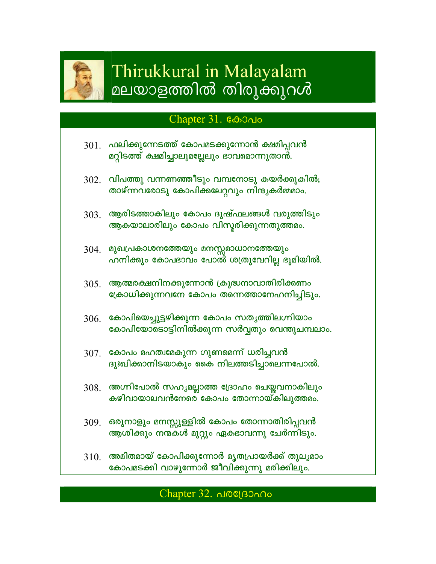

# Thirukkural in Malayalam മലയാളത്തിൽ തിരുക്കുറൾ

## Chapter 31. **COO**

- $301.$  ഫലിക്കുന്നേടത്ത് കോപമടക്കുന്നോൻ ക്ഷമിപ്പവൻ മറ്റിടത്ത് ക്ഷമിച്ചാലുമല്ലേലും ഭാവമൊന്നുതാൻ.
- $302.$  വിപത്തു വന്നണഞ്ഞീടും വമ്പനോടു കയർക്കുകിൽ; താഴ്ന്നവരോടു കോപിക്കലേറ്റവും നിന്ദൃകർമ്മമാം.
- ആരിടത്താകിലും കോപം ദുഷ്ഫലങ്ങൾ വരുത്തിടും 303. ആകയാലാരിലും കോപം വിസ്മരിക്കുന്നതുത്തമം.
- 304. മുഖപ്രകാശനത്തേയും മനസ്സമാധാനത്തേയും ഹനിക്കും കോപഭാവം പോൽ ശത്രുവേറില്ല ഭൂമിയിൽ.
- $305$ . ആത്മരക്ഷനിനക്കുന്നോൻ ക്രുദ്ധനാവാതിരിക്കണം ക്രോധിക്കുന്നവനേ കോപം തന്നെത്താനേഹനിച്ചിടും.
- 306. കോപിയെച്ചുട്ടഴിക്കുന്ന കോപം സതൃത്തിലഗ്നിയാം കോപിയോടൊട്ടിനിൽക്കുന്ന സർവ്വതും വെന്തുചമ്പലാം.
- $307$ . കോപം മഹത്വമേകുന്ന ഗുണമെന്ന് ധരിച്ചവൻ ദുഃഖിക്കാനിടയാകും കൈ നിലത്തടിച്ചാലെന്നപോൽ.
- 308. അഗ്നിപോൽ സഹ്യമല്ലാത്ത ദ്രോഹം ചെയ്തവനാകിലും കഴിവായാലവൻനേരെ കോപം തോന്നായ്കിലുത്തമം.
- 309. ഒരുനാളും മനസ്സുള്ളിൽ കോപം തോന്നാതിരിപ്പവൻ ആശിക്കും നന്മകൾ മുറ്റും ഏകഭാവന്നു ചേർന്നിടും.
- അമിതമായ് കോപിക്കുന്നോർ മൃതപ്രായർക്ക് തുലൃമാം **310**. കോപമടക്കി വാഴുന്നോർ ജീവിക്കുന്നു മരിക്കിലും.

## Chapter 32. dioc(BOnno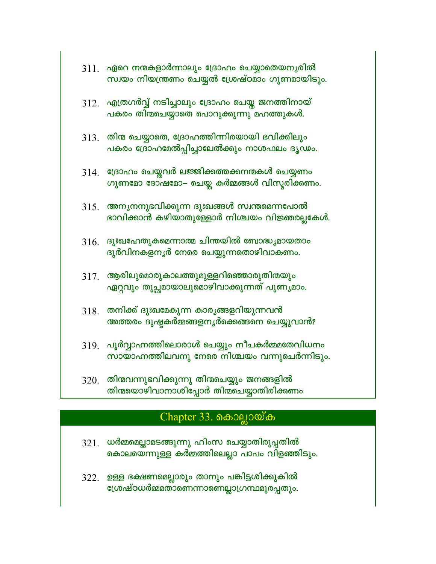- $311$ . ഏറെ നന്മകളാർന്നാലും ദ്രോഹം ചെയ്യാതെയനൃരിൽ സ്വയം നിയന്ത്രണം ചെയ്യൽ ശ്രേഷ്ഠമാം ഗുണമായിടും.
- $312.$  എത്രഗർവ്വ് നടിച്ചാലും ദ്രോഹം ചെയ്ത ജനത്തിനായ് പകരം തിന്മചെയ്യാതെ പൊറുക്കുന്നു മഹത്തുകൾ.
- $313$  തിന്മ ചെയ്യാതെ, ദ്രോഹത്തിന്നിരയായി ഭവിക്കിലും പകരം ദ്രോഹമേൽപ്പിച്ചാലേൽക്കും നാശഫലം ദൃഢം.
- 314. ശ്രോഹം ചെയ്തവർ ലജ്ജിക്കത്തക്കനന്മകൾ ചെയ്യണം ഗുണമോ ദോഷമോ– ചെയ്ത കർമ്മങ്ങൾ വിസ്തരിക്കണം.
- $315.$  അന്യനനുഭവിക്കുന്ന ദുഃഖങ്ങൾ സ്വന്തമെന്നപോൽ ഭാവിക്കാൻ കഴിയാതുള്ളോർ നിശ്ചയം വിജ്ഞരല്ലകേൾ.
- $316.$  ദുഃഖഹേതുകമെന്നാത്മ ചിന്തയിൽ ബോദ്ധ്യമായതാം ദുർവിനകളനൃർ നേരെ ചെയ്യുന്നതൊഴിവാകണം.
- $317$ . ആരിലുമൊരുകാലത്തുമുള്ളറിഞ്ഞൊരുതിന്മയും ഏറ്റവും തുച്ഛമായാലുമൊഴിവാക്കുന്നത് പുണൃമാം.
- $318$ . തനിക്ക് ദുഃഖമേകുന്ന കാരൃങ്ങളറിയുന്നവൻ അത്തരം ദുഷ്ടകർമ്മങ്ങളനൃർക്കെങ്ങനെ ചെയ്യുവാൻ?
- $319$ . പൂർവ്വാഹ്നത്തിലൊരാൾ ചെയ്യും നീചകർമ്മതേവിധനം സായാഹ്നത്തിലവനു നേരെ നിശ്ചയം വന്നുചെർന്നിടും.
- $320$ . തിന്മവന്നുഭവിക്കുന്നു തിന്മചെയ്യും ജനങ്ങളിൽ തിന്മയൊഴിവാനാശിപ്പോർ തിന്മചെയ്യാതിരിക്കണം

## Chapter 33. கைவலுலைக்

- $321.$  ധർമ്മമെല്ലാമടങ്ങുന്നു ഹിംസ ചെയ്യാതിരുപ്പതിൽ കൊലയെന്നുള്ള കർമ്മത്തിലെല്ലാ പാപം വിളഞ്ഞിടും.
- 322. ഉള്ള ഭക്ഷണമെല്ലാരും താനും പങ്കിട്ടശിക്കുകിൽ ശേഷ്ഠധർമ്മതാണെന്നാണെല്ലാഗ്രന്ഥമുരപ്പതും.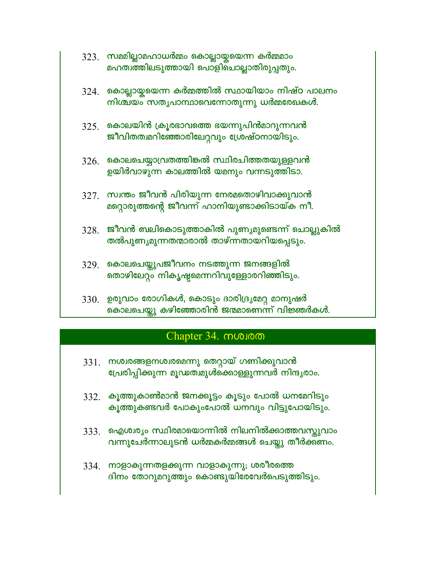|      | $323.$ സമമില്ലാമഹാധർമ്മം കൊല്ലായ്ക്കയന്ന കർമ്മമാം<br>മഹത്വത്തിലടുത്തായി പൊളിചൊല്ലാതിരുപ്പതും.       |
|------|-----------------------------------------------------------------------------------------------------|
| 324. | കൊല്ലായ്മയെന്ന കർമ്മത്തിൽ സ്ഥായിയാം നിഷ്ഠ പാലനം<br>നിശ്ചയം സതൃപാന്ഥാവെന്നോതുന്നു ധർമ്മരേഖകൾ.        |
|      | $325$ . കൊലയിൻ ക്രൂരഭാവത്തെ ഭയന്നുപിൻമാറുന്നവൻ<br>ജീവിതത്വമറിഞ്ഞോരിലേറ്റവും ശ്രേഷ്ഠനായിടും.         |
| 326. | കൊലചെയ്യാവ്രതത്തിങ്കൽ സ്ഥിരചിത്തതയുള്ളവൻ<br>ഉയിർവാഴുന്ന കാലത്തിൽ യമനും വന്നടുത്തിടാ.                |
|      | $327.$ സ്വന്തം ജീവൻ പിരിയുന്ന നേരമതൊഴിവാക്കുവാൻ<br>മറ്റൊരുത്തന്റെ ജീവന്ന് ഹാനിയുണ്ടാക്കിടായ്ക നീ.   |
|      | $328$ . ജീവൻ ബലികൊടുത്താകിൽ പുണ്യമുണ്ടെന്ന് ചൊല്ലുകിൽ<br>തൽപുണ്യമുന്നതന്മാരാൽ താഴ്ന്നതായറിയപ്പെടും. |
|      | $329$ കൊലചെയ്തുപജീവനം നടത്തുന്ന ജനങ്ങളിൽ<br>തൊഴിലേറ്റം നികൃഷ്ടമെന്നറിവുള്ളോരറിഞ്ഞിടും.              |

330. ഉരുവാം രോഗികൾ, കൊടും ദാരിദ്ര്യമേറ്റ മാനുഷർ കൊലചെയ്തു കഴിഞ്ഞോരിൻ ജന്മമാണെന്ന് വിജ്ഞർകൾ.

## Chapter 34. muoloo

- 331. നശ്ചരങ്ങളനശ്ചരമെന്നു തെറ്റായ് ഗണിക്കുവാൻ പ്രേരിപ്പിക്കുന്ന മൂഡത്ഥുൾക്കൊള്ളുന്നവർ നിന്ദൃരാം.
- $332$ . കൂത്തുകാൺമാൻ ജനക്കൂട്ടം കൂടും പോൽ ധനമേറിടും കൂത്തുകണ്ടവർ പോകുംപോൽ ധനവും വിട്ടുപോയിടും.
- 333. ഐശ്വര്യം സ്ഥിരമായൊന്നിൽ നിലനിൽക്കാത്തവസ്തുവാം വന്നുചേർന്നാലുടൻ ധർമ്മകർമ്മങ്ങൾ ചെയ്യു തീർക്കണം.
- 334. നാളാകുന്നതളക്കുന്ന വാളാകുന്നു; ശരീരത്തെ ദിനം തോറുമറുത്തും കൊണ്ടുയിരേവേർപെടുത്തിടും.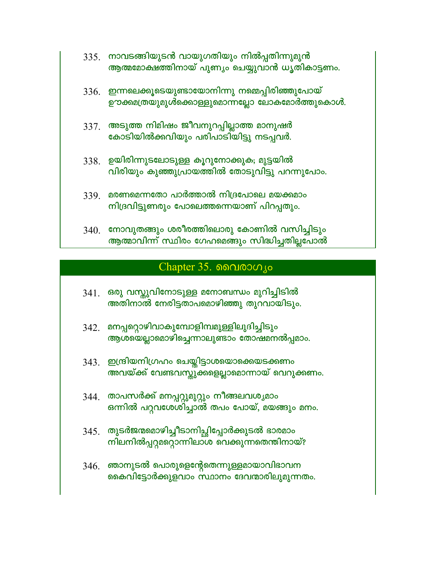- 335. നാവടങ്ങിയുടൻ വായുഗതിയും നിൽപ്പതിന്നുമുൻ ആത്മമോക്ഷത്തിനായ് പുണ്യം ചെയ്യുവാൻ ധൃതികാട്ടണം.
- 336. ഇന്നലെക്കൂടെയുണ്ടായോനിന്നു നമ്മെപ്പിരിഞ്ഞുപോയ് ഊക്കമത്രയുമുൾക്കൊള്ളുമൊന്നല്ലോ ലോകമോർത്തുകൊൾ.
- 337. അടുത്ത നിമിഷം ജീവനുറപ്പില്ലാത്ത മാനുഷർ കോടിയിൽക്കവിയും പരിപാടിയിട്ടു നടപ്പവർ.
- 338. ഉയിരിന്നുടലോടുള്ള കൂറുനോക്കുക; മുട്ടയിൽ വിരിയും കുഞ്ഞുപ്രായത്തിൽ തോടുവിട്ടു പറന്നുപോം.
- 339. മരണമെന്നതോ പാർത്താൽ നിദ്രപോലെ മയക്കമാം നിദ്രവിട്ടുണരും പോലെത്തന്നെയാണ് പിറപ്പതും.
- നോവുതങ്ങും ശരീരത്തിലൊരു കോണിൽ വസിച്ചിടും 340. ആത്മാവിന്ന് സ്ഥിരം ഗേഹമെങ്ങും സിദ്ധിച്ചതില്ലപോൽ

## Chapter  $35.$  ൈവരാഗൃം

- 341. ഒരു വസ്തുവിനോടുള്ള മനോബന്ധം മുറിച്ചിടിൽ അതിനാൽ നേരിട്ടതാപമൊഴിഞ്ഞു തുറവായിടും.
- 342. മനപ്പറ്റൊഴിവാകുമ്പോളിമ്പമുള്ളിലുദിച്ചിടും ആശയെല്ലാമൊഴിച്ചെന്നാലുണ്ടാം തോഷമനൽപ്പമാം.
- 343. ഇന്ദ്രിയനിഗ്രഹം ചെയ്തിട്ടാശയൊക്കെയടക്കണം അവയ്ക്ക് വേണ്ടവസ്തുക്കളെല്ലാമൊന്നായ് വെറുക്കണം.
- 344. താപസർക്ക് മനപ്പറ്റുമുറ്റും നീങ്ങലവശൃമാം ഒന്നിൽ പറ്റവശേശിച്ചാൽ തപം പോയ്, മയങ്ങും മനം.
- 345 ആടർജന്മമൊഴിച്ചീടാനിച്ചിപ്പോർക്കുടൽ ഭാരമാം നിലനിൽപ്പറ്റമറ്റൊന്നിലാശ വെക്കുന്നതെന്തിനായ്?
- $346.$  ഞാനുടൽ പൊരുളെന്റേതെന്നുള്ളമായാവിഭാവന കൈവിട്ടോർക്കുളവാം സ്ഥാനം ദേവന്മാരിലുമുന്നതം.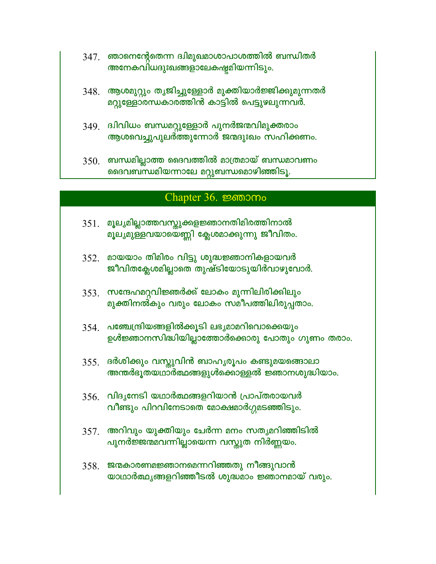- 347. ഞാനെന്റേതെന്ന ദ്വിമുഖമാശാപാശത്തിൽ ബന്ധിതർ അനേകവിധദുഃഖങ്ങളാലേകഷ്ടമിയന്നിടും.
- 348. ആശമുറ്റും തൃജിച്ചുള്ളോർ മുക്തിയാർജ്ജിക്കുമുന്നതർ മറ്റുള്ളോരന്ധകാരത്തിൻ കാട്ടിൽ പെട്ടുഴലുന്നവർ.
- 349. ദ്വിവിധം ബന്ധമറ്റുള്ളോർ പുനർജന്മവിമുക്തരാം ആശവെച്ചുപുലർത്തുന്നോർ ജന്മദുഃഖം സഹിക്കണം.
- $350$ . ബന്ധമില്ലാത്ത ദൈവത്തിൽ മാത്രമായ് ബന്ധമാവണം ദൈവബന്ധമിയന്നാലേ മറ്റുബന്ധമൊഴിഞ്ഞിടൂ.

#### Chapter 36. permomo

- 351. മൂല്യമില്ലാത്തവസ്തുക്കളജ്ഞാനതിമിരത്തിനാൽ മൂല്യമുള്ളവയായെണ്ണി ക്ലേശമാക്കുന്നു ജീവിതം.
- 352. മായയാം തിമിരം വിട്ടു ശുദ്ധജ്ഞാനികളായവർ ജീവിതക്ലേശമില്ലാതെ തുഷ്ടിയോടുയിർവാഴുവോർ.
- 353. സന്ദേഹമറ്റവിജ്ഞർക്ക് ലോകം മുന്നിലിരിക്കിലും മുക്തിനൽകും വരും ലോകം സമീപത്തിലിരുപ്പതാം.
- $354$  പഞ്ചേന്ദ്രിയങ്ങളിൽക്കൂടി ലഭ്യമാമറിവൊക്കെയും ഉൾജ്ഞാനസിദ്ധിയില്ലാത്തോർക്കൊരു പോതും ഗുണം തരാം.
- 355 ദർശിക്കും വസ്തുവിൻ ബാഹൃരൂപം കണ്ടുമയങ്ങൊലാ അന്തർഭൂതയഥാർത്ഥങ്ങളുൾക്കൊള്ളൽ ജ്ഞാനശുദ്ധിയാം.
- $356$  വിദൃനേടി യഥാർത്ഥങ്ങളറിയാൻ പ്രാപ്തരായവർ വീണ്ടും പിറവിനേടാതെ മോക്ഷമാർഗ്ഗമടഞ്ഞിടും.
- 357. അറിവും യുക്തിയും ചേർന്ന മനം സതൃമറിഞ്ഞിടിൽ പുനർജ്ജന്മമവന്നില്ലായെന്ന വസ്തുത നിർണ്ണയം.
- 358. ജന്മകാരണമജ്ഞാനമെന്നറിഞ്ഞതു നീങ്ങുവാൻ യാഥാർത്ഥ്യങ്ങളറിഞ്ഞീടൽ ശുദ്ധമാം ജ്ഞാനമായ് വരും.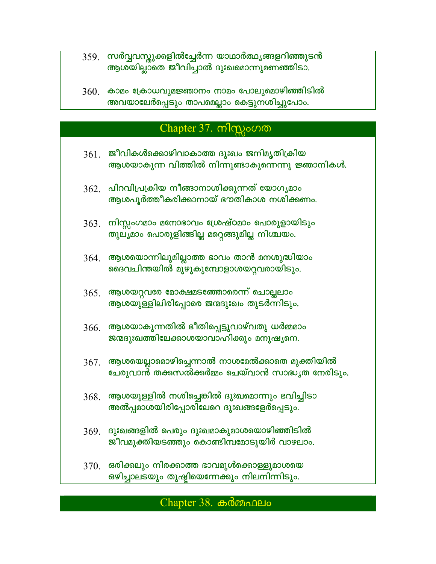- 359. സർവ്വവസ്തുക്കളിൽച്ചേർന്ന യാഥാർത്ഥ്യങ്ങളറിഞ്ഞുടൻ ആശയില്ലാതെ ജീവിച്ചാൽ ദുഃഖമൊന്നുമണഞ്ഞിടാ.
- $360$ . കാമം ക്രോധവുമജ്ഞാനം നാമം പോലുമൊഴിഞ്ഞിടിൽ അവയാലേർപ്പെടും താപമെല്ലാം കെട്ടുനശിച്ചുപോം.

## Chapter 37. ml $mg$  $\circ$ n m

- $361$ . ജീവികൾക്കൊഴിവാകാത്ത ദുഃഖം ജനിമൃതിക്രിയ ആശയാകുന്ന വിത്തിൽ നിന്നുണ്ടാകുന്നെന്നു ജ്ഞാനികൾ.
- $362$ . പിറവിപ്രക്രിയ നീങ്ങാനാശിക്കുന്നത് യോഗൃമാം ആശപൂർത്തീകരിക്കാനായ് ഭൗതികാശ നശിക്കണം.
- $363$ . നിസ്സംഗമാം മനോഭാവം ശ്രേഷ്ഠമാം പൊരുളായിടും തുലൃമാം പൊരുളിങ്ങില്ല മറ്റെങ്ങുമില്ല നിശ്ചയം.
- 364. ആശയൊന്നിലുമില്ലാത്ത ഭാവം താൻ മനശുദ്ധിയാം ദൈവചിന്തയിൽ മുഴുകുമ്പോളാശയറ്റവരായിടും.
- $365.$  ആശയറ്റവരേ മോക്ഷമടഞ്ഞോരെന്ന് ചൊല്ലലാം ആശയുള്ളിലിരിപ്പോരെ ജന്മദുഃഖം തുടർന്നിടും.
- $366$ . ആശയാകുന്നതിൽ ഭീതിപ്പെട്ടുവാഴ്വതു ധർമ്മമാം ജന്മദുഃഖത്തിലേക്കാശയാവാഹിക്കും മനുഷൃനെ.
- $367$ . ആശയെല്ലാമൊഴിച്ചെന്നാൽ നാശമേൽക്കാതെ മുക്തിയിൽ ചേരുവാൻ തക്കസൽക്കർമ്മം ചെയ്വാൻ സാദ്ധൃത നേരിടും.
- $368$ . ആശയുള്ളിൽ നശിച്ചെങ്കിൽ ദുഃഖമൊന്നും ഭവിച്ചിടാ അൽപ്പമാശയിരിപ്പോരിലേറെ ദുഃഖങ്ങളേർപ്പെടും.
- $369$ . ദുഃഖങ്ങളിൽ പെരും ദുഃഖമാകുമാശയൊഴിഞ്ഞിടിൽ ജീവമുക്തിയടഞ്ഞും കൊണ്ടിമ്പമോടുയിർ വാഴലാം.
- $370.$  ഒരിക്കലും നിരക്കാത്ത ഭാവമുൾക്കൊള്ളുമാശയെ ഒഴിച്ചാലടയും തുഷ്ടിയെന്നേക്കും നിലനിന്നിടും.

#### $Chapter 38.$   $\omega$   $\delta$   $\omega$   $\Omega$   $\omega$   $\omega$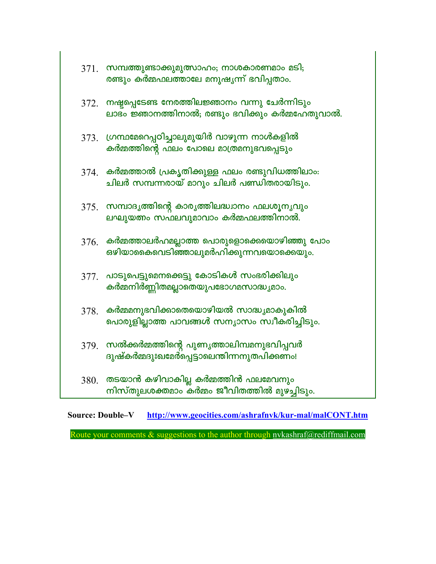|      | 371. സമ്പത്തുണ്ടാക്കുമുത്സാഹം; നാശകാരണമാം മടി;<br>രണ്ടും കർമ്മഫലത്താലേ മനുഷൃന്ന് ഭവിപ്പതാം.       |
|------|---------------------------------------------------------------------------------------------------|
| 372. | നഷ്ടപ്പെടേണ്ട നേരത്തിലജ്ഞാനം വന്നു ചേർന്നിടും<br>ലാഭം ജ്ഞാനത്തിനാൽ; രണ്ടും ഭവിക്കും കർമ്മഹേതുവാൽ. |
| 373. | ഗ്രന്ഥമേറെപ്പഠിച്ചാലുമുയിർ വാഴുന്ന നാൾകളിൽ<br>കർമ്മത്തിന്റെ ഫലം പോലെ മാത്രമനുഭവപ്പെടും            |
| 374. | കർമ്മത്താൽ പ്രകൃതിക്കുള്ള ഫലം രണ്ടുവിധത്തിലാം:<br>ചിലർ സമ്പന്നരായ് മാറും ചിലർ പണ്ഡിതരായിടും.      |
|      | 375. സമ്പാദൃത്തിന്റെ കാരൃത്തിലദ്ധ്വാനം ഫലശൂനൃവും<br>ലഘുയത്നം സഫലവുമാവാം കർമ്മഫലത്തിനാൽ.           |
| 376. | കർമ്മത്താലർഹമല്ലാത്ത പൊരുളൊക്കെയൊഴിഞ്ഞു പോം<br>ഒഴിയാകൈവെടിഞ്ഞാലുമർഹിക്കുന്നവയൊക്കെയും.            |
|      | 377. പാടുപെട്ടുമെനക്കെട്ടു കോടികൾ സംഭരിക്കിലും<br>കർമ്മനിർണ്ണിതമല്ലാതെയുപഭോഗമസാദ്ധ്യമാം.          |
| 378. | കർമ്മമനുഭവിക്കാതെയൊഴിയൽ സാദ്ധ്യമാകുകിൽ<br>പൊരുളില്ലാത്ത പാവങ്ങൾ സന്യാസം സ്വീകരിച്ചിടും.           |
| 379. | സൽക്കർമ്മത്തിന്റെ പുണ്യത്താലിമ്പമനുഭവിപ്പവർ<br>ദുഷ്കർമ്മദുഃഖമേർപ്പെട്ടാലെന്തിന്നനുതപിക്കണം!       |
| 380. | തടയാൻ കഴിവാകില്ല കർമ്മത്തിൻ ഫലമേവനും<br>നിസ്തുലശക്തമാം കർമ്മം ജീവിതത്തിൽ മുഴച്ചിടും.              |

Source: Double-V http://www.geocities.com/ashrafnyk/kur-mal/malCONT.htm

Route your comments  $\&$  suggestions to the author through nykashraf@rediffmail.com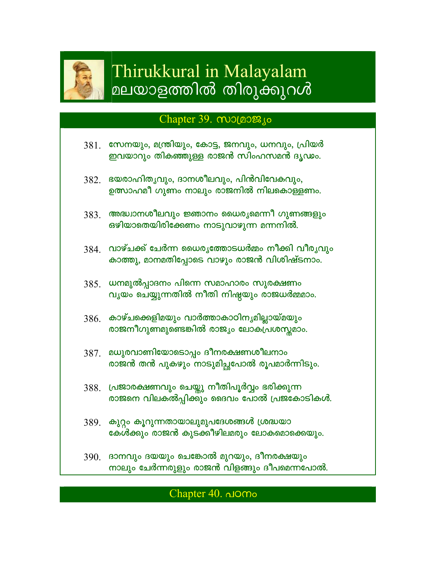

# Thirukkural in Malayalam മലയാളത്തിൽ തിരുക്കുറൾ

## Chapter 39.  $\omega$ olao $\mathcal{B}_{10}$

- $381$ . സേനയും, മന്ത്രിയും, കോട്ട, ജനവും, ധനവും, പ്രിയർ ഇവയാറും തികഞ്ഞുള്ള രാജൻ സിംഹസമൻ ദൃഢം.
- 382. ഭയരാഹിതൃവും, ദാനശീലവും, പിൻവിവേകവും, ഉത്സാഹമീ ഗുണം നാലും രാജനിൽ നിലകൊള്ളണം.
- അദ്ധ്വാനശീലവും ജ്ഞാനം ധൈരൃമെന്നീ ഗുണങ്ങളും 383. ഒഴിയാതെയിരിക്കേണം നാടുവാഴുന്ന മന്നനിൽ.
- 384. വാഴ്ചക്ക് ചേർന്ന ധൈരൃത്തോടധർമ്മം നീക്കി വീരൃവും കാത്തു, മാനമതിപ്പോടെ വാഴും രാജൻ വിശിഷ്ടനാം.
- 385. ധനമുൽപ്പാദനം പിന്നെ സമാഹാരം സുരക്ഷണം വൃയം ചെയ്യുന്നതിൽ നീതി നിഷ്ടയും രാജധർമ്മമാം.
- $386$ . കാഴ്ചക്കെളിമയും വാർത്താകാഠിനൃമില്ലായ്മയും രാജനീഗുണമുണ്ടെങ്കിൽ രാജ്യം ലോകപ്രശസ്തമാം.
- 387. മധുരവാണിയോടൊപ്പം ദീനരക്ഷണശീലനാം രാജൻ തൻ പുകഴും നാടുമിച്ചപോൽ രൂപമാർന്നിടും.
- 388. പ്രജാരക്ഷണവും ചെയ്തു നീതിപൂർവ്വം ഭരിക്കുന്ന രാജനെ വിലകൽപ്പിക്കും ദൈവം പോൽ പ്രജകോടികൾ.
- 389. കുറ്റം കൂറുന്നതായാലുമുപദേശങ്ങൾ ശ്രദ്ധയാ കേൾക്കും രാജൻ കുടക്കീഴിലമരും ലോകമൊക്കെയും.
- 390 ഭാനവും ദയയും ചെങ്കോൽ മുറയും, ദീനരക്ഷയും നാലും ചേർന്നരുളും രാജൻ വിളങ്ങും ദീപമെന്നപോൽ.

## Chapter 40. domo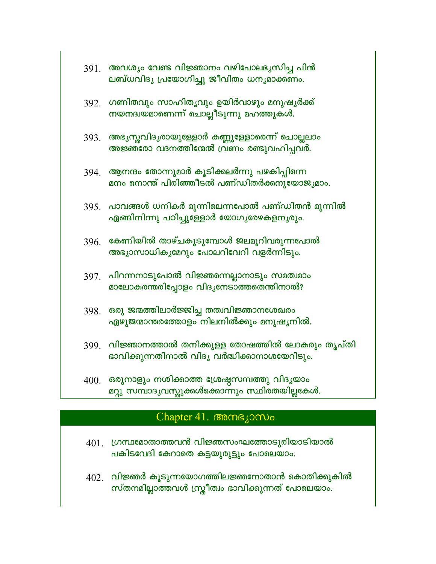| 391. | അവശ്യം വേണ്ട വിജ്ഞാനം വഴിപോലഭൃസിച്ച പിൻ<br>ലബ്ധവിദൃ പ്രയോഗിച്ചു ജീവിതം ധനൃമാക്കണം.             |
|------|------------------------------------------------------------------------------------------------|
| 392. | ഗണിതവും സാഹിതൃവും ഉയിർവാഴും മനുഷൃർക്ക്<br>നയനദ്വയമാണെന്ന് ചൊല്ലീടുന്നു മഹത്തുകൾ.               |
| 393. | അഭൃസ്തവിദൃരായുള്ളോർ കണ്ണുള്ളോരെന്ന് ചൊല്ലലാം<br>അജ്ഞരോ വദനത്തിന്മേൽ വ്രണം രണ്ടുവഹിപ്പവർ.       |
| 394. | ആനന്ദം തോന്നുമാർ കൂടിക്കലർന്നു പഴകിപ്പിന്നെ<br>മനം നൊന്ത് പിരിഞ്ഞീടൽ പണ്ഡിതർക്കനുയോജൃമാം.      |
| 395. | പാവങ്ങൾ ധനികർ മുന്നിലെന്നപോൽ പണ്ഡിതൻ മുന്നിൽ<br>ഏങ്ങിനിന്നു പഠിച്ചുള്ളോർ യോഗൃരേഴകളനൃരും.       |
| 396. | കേണിയിൽ താഴ്ചകൂടുമ്പോൾ ജലമൂറിവരുന്നപോൽ<br>അഭ്യാസാധികൃമേറും പോലറിവേറി വളർന്നിടും.               |
| 397. | പിറന്നനാടുപോൽ വിജ്ഞന്നെല്ലാനാടും സമത്വമാം<br>മാലോകരന്തരിപ്പോളം വിദൃനേടാത്തതെന്തിനാൽ?           |
| 398. | ഒരു ജന്മത്തിലാർജ്ജിച്ച തത്വവിജ്ഞാനശേഖരം<br>ഏഴുജന്മാന്തരത്തോളം നിലനിൽക്കും മനുഷൃനിൽ.            |
| 399. | വിജ്ഞാനത്താൽ തനിക്കുള്ള തോഷത്തിൽ ലോകരും തൃപ്തി<br>ഭാവിക്കുന്നതിനാൽ വിദൃ വർദ്ധിക്കാനാശയേറിടും.  |
| 400. | ഒരുനാളും നശിക്കാത്ത ശ്രേഷ്ഠസമ്പത്തു വിദൃയാം<br>മറ്റു സമ്പാദൃവസ്കുക്കൾക്കൊന്നും സ്ഥിരതയില്ലകേൾ. |

# Chapter 41. Comsjomo

- $401.$  ഗ്രന്ഥമോതാത്തവൻ വിജ്ഞസംഘത്തോടുരിയാടിയാൽ പകിടവേദി കേറാതെ കട്ടയുരുട്ടും പോലെയാം.
- $402$ . വിജ്ഞർ കൂടുന്നയോഗത്തിലജ്ഞനോതാൻ കൊതിക്കുകിൽ<br>സ്തനമില്ലാത്തവൾ സ്ത്രീത്വം ഭാവിക്കുന്നത് പോലെയാം.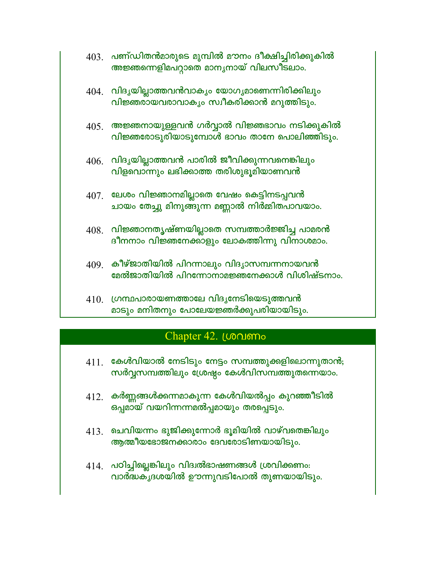| 403. | പണ്ഡിതൻമാരുടെ മുമ്പിൽ മൗനം ദീക്ഷിച്ചിരിക്കുകിൽ |
|------|------------------------------------------------|
|      | അജ്ഞന്നെളിമപറ്റാതെ മാനൃനായ് വിലസീടലാം.         |

- $404$ . വിദൃയില്ലാത്തവൻവാക്യം യോഗ്യമാണെന്നിരിക്കിലും വിജ്ഞരായവരാവാക്യം സ്വീകരിക്കാൻ മറുത്തിടും.
- $405<sub>1</sub>$  അജ്ഞനായുള്ളവൻ ഗർവ്വാൽ വിജ്ഞഭാവം നടിക്കുകിൽ വിജ്ഞരോടുരിയാടുമ്പോൾ ഭാവം താനേ പൊലിഞ്ഞിടും.
- $406$ . വിദൃയില്ലാത്തവൻ പാരിൽ ജീവിക്കുന്നവനെങ്കിലും വിളവൊന്നും ലഭിക്കാത്ത തരിശുഭൂമിയാണവൻ
- 407. ലേശം വിജ്ഞാനമില്ലാതെ വേഷം കെട്ടിനടപ്പവൻ ചായം തേച്ചു മിനുങ്ങുന്ന മണ്ണാൽ നിർമ്മിതപാവയാം.
- $408.$  വിജ്ഞാനതൃഷ്ണയില്ലാതെ സമ്പത്താർജ്ജിച്ച പാമരൻ ദീനനാം വിജ്ഞനേക്കാളും ലോകത്തിന്നു വിനാശമാം.
- $409$ . കീഴ്ജാതിയിൽ പിറന്നാലും വിദൃാസമ്പന്നനായവൻ മേൽജാതിയിൽ പിറന്നോനാമജ്ഞനേക്കാൾ വിശിഷ്ടനാം.
- $410.$  ഗ്രന്ഥപാരായണത്താലേ വിദൃനേടിയെടുത്തവൻ മാടും മനിതനും പോലേയജ്ഞർക്കുപരിയായിടും.

## Chapter 42. Londomo

- $411$ . കേൾവിയാൽ നേടിടും നേട്ടം സമ്പത്തുക്കളിലൊന്നുതാൻ; സർവ്വസമ്പത്തിലും ശ്രേഷ്ഠം കേൾവിസമ്പത്തുതന്നെയാം.
- $412$ . കർണ്ണങ്ങൾക്കന്നമാകുന്ന കേൾവിയൽപ്പം കുറഞ്ഞീടിൽ ഒപ്പമായ് വയറിന്നന്നമൽപ്പമായും തരപ്പെടും.
- $413$ . ചെവിയന്നം ഭുജിക്കുന്നോർ ഭൂമിയിൽ വാഴ്വതെങ്കിലും ആത്മീയഭോജനക്കാരാം ദേവരോടിണയായിടും.
- $414$ . പഠിച്ചില്ലെങ്കിലും വിദ്വൽഭാഷണങ്ങൾ ശ്രവിക്കണം: വാർദ്ധകൃദശയിൽ ഊന്നുവടിപോൽ തുണയായിടും.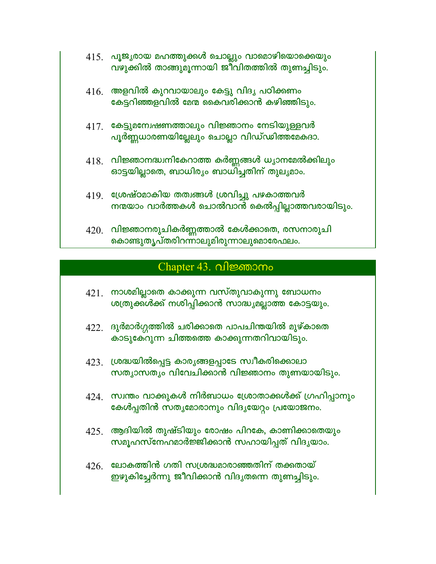- 415 പൂജ്യരായ മഹത്തുക്കൾ ചൊല്ലും വാമൊഴിയൊക്കെയും വഴുക്കിൽ താങ്ങുമൂന്നായി ജീവിതത്തിൽ തുണച്ചിടും.
- $416.$  അളവിൽ കുറവായാലും കേട്ടു വിദൃ പഠിക്കണം കേട്ടറിഞ്ഞളവിൽ മേന്മ കൈവരിക്കാൻ കഴിഞ്ഞിടും.
- $417$ . കേട്ടുമന്വേഷണത്താലും വിജ്ഞാനം നേടിയുള്ളവർ പൂർണ്ണധാരണയില്ലേലും ചൊല്ലാ വിഡ്ഡിത്തമേകദാ.
- $418$ . വിജ്ഞാനദ്ധ്വനികേറാത്ത കർണ്ണങ്ങൾ ധ്യാനമേൽക്കിലും ഓട്ടയില്ലാതെ, ബാധിര്യം ബാധിച്ചതിന് തുല്യമാം.
- $419$ . ശ്രേഷ്ഠമാകിയ തത്വങ്ങൾ ശ്രവിച്ചു പഴകാത്തവർ നന്മയാം വാർത്തകൾ ചൊൽവാൻ കെൽപ്പില്ലാത്തവരായിടും.
- $420$ . വിജ്ഞാനരുചികർണ്ണത്താൽ കേൾക്കാതെ, രസനാരുചി കൊണ്ടുതൃപ്തരിറന്നാലുമിരുന്നാലുമൊരേഫലം.

## Chapter 43. വിജ്ഞാനം

- $421$ . നാശമില്ലാതെ കാക്കുന്ന വസ്തുവാകുന്നു ബോധനം ശത്രുക്ക്ൾക്ക് നശിപ്പിക്കാൻ സാദ്ധ്യമല്ലാത്ത കോട്ടയും.
- $422$ . ദുർമാർഗ്ഗത്തിൽ ചരിക്കാതെ പാപചിന്തയിൽ മുഴ്കാതെ കാടുകേറുന്ന ചിത്തത്തെ കാക്കുന്നതറിവായിടും.
- 423. ശ്രദ്ധയിൽപ്പെട്ട കാരൃങ്ങളപ്പാടേ സ്വീകരിക്കൊലാ സത്യാസത്യം വിവേചിക്കാൻ വിജ്ഞാനം തുണയായിടും.
- 424. സ്വന്തം വാക്കുകൾ നിർബാധം ശ്രോതാക്കൾക്ക് ഗ്രഹിപ്പാനും കേൾപ്പതിൻ സതൃമോരാനും വിദൃയേറ്റം പ്രയോജനം.
- $425$ . ആദിയിൽ തുഷ്ടിയും രോഷം പിറകേ, കാണിക്കാതെയും സമൂഹസ്നേഹമാർജ്ജിക്കാൻ സഹായിപ്പത് വിദൃയാം.
- $426$ . ലോകത്തിൻ ഗതി സശ്രദ്ധമാരാഞ്ഞതിന് തക്കതായ് ഇഴുകിച്ചേർന്നു ജീവിക്കാൻ വിദൃതന്നെ തുണച്ചിടും.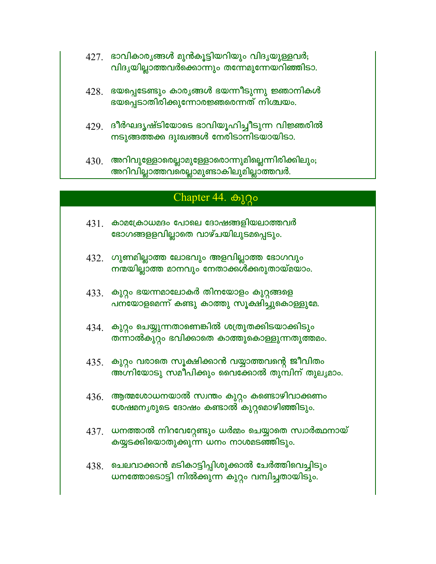- 427. ഭാവികാരൃങ്ങൾ മുൻകൂട്ടിയറിയും വിദൃയുള്ളവർ; വിദൃയില്ലാത്തവർക്കൊന്നും തന്നേമുന്നേയറിഞ്ഞിടാ.
- 428. ഭയപ്പെടേണ്ടും കാര്യങ്ങൾ ഭയന്നീടുന്നു ജ്ഞാനികൾ ഭയപ്പെടാതിരിക്കുന്നോരജ്ഞരെന്നത് നിശ്ചയം.
- 429. ദീർഘദൃഷ്ടിയോടെ ഭാവിയൂഹിച്ചീടുന്ന വിജ്ഞരിൽ നടുങ്ങത്തക്ക ദുഃഖങ്ങൾ നേരിടാനിടയായിടാ.
- $430$ . അറിവുള്ളോരെല്ലാമുള്ളോരൊന്നുമില്ലെന്നിരിക്കിലും; അറിവില്ലാത്തവരെല്ലാമുണ്ടാകിലുമില്ലാത്തവർ.

## Chapter 44. കുറ്റം

- $431$ . കാമക്രോധമദം പോലെ ദോഷങ്ങളിയലാത്തവർ ഭോഗങ്ങളളവില്ലാതെ വാഴ്ചയിലുടമപ്പെടും.
- $432$ . ഗുണമില്ലാത്ത ലോഭവും അളവില്ലാത്ത ഭോഗവും നന്മയില്ലാത്ത മാനവും നേതാക്കൾക്കരുതായ്മയാം.
- 433. കുറ്റം ഭയന്നമാലോകർ തിനയോളം കുറ്റങ്ങളെ പനയോളമെന്ന് കണ്ടു കാത്തു സൂക്ഷിച്ചുകൊള്ളുമേ.
- 434. കുറ്റം ചെയ്യുന്നതാണെങ്കിൽ ശത്രുതക്കിടയാക്കിടും തന്നാൽകുറ്റം ഭവിക്കാതെ കാത്തുകൊള്ളുന്നതുത്തമം.
- 435. കുറ്റം വരാതെ സൂക്ഷിക്കാൻ വയ്യാത്തവന്റെ ജീവിതം അഗ്നിയോടു സമീപിക്കും വൈക്കോൽ തുമ്പിന് തുലൃമാം.
- $436.$  ആത്മശോധനയാൽ സ്വന്തം കുറ്റം കണ്ടൊഴിവാക്കണം ശേഷമനൃരുടെ ദോഷം കണ്ടാൽ കുറ്റമൊഴിഞ്ഞിടും.
- 437. ധനത്താൽ നിറവേറ്റേണ്ടും ധർമ്മം ചെയ്യാതെ സ്വാർത്ഥനായ് കയ്യടക്കിയൊതുക്കുന്ന ധനം നാശമടഞ്ഞിടും.
- 438. ചെലവാക്കാൻ മടികാട്ടിപ്പിശുക്കാൽ ചേർത്തിവെച്ചിടും ധനത്തോടൊട്ടി നിൽക്കുന്ന കുറ്റം വമ്പിച്ചതായിടും.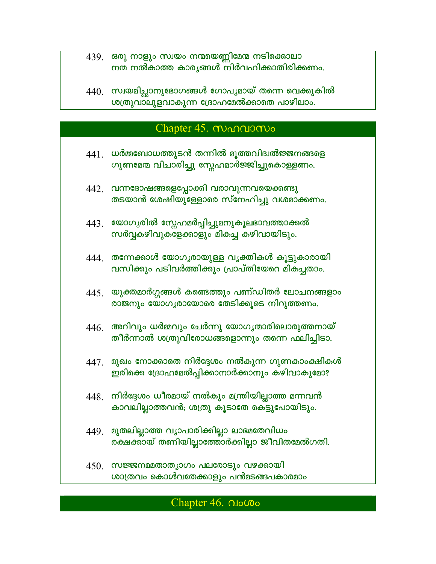- 439. ഒരു നാളും സ്വയം നന്മയെണ്ണിമേന്മ നടിക്കൊലാ നന്മ നൽകാത്ത കാരൃങ്ങൾ നിർവഹിക്കാതിരിക്കണം.
- $440$ . സ്വയമിച്ഛാനുഭോഗങ്ങൾ ഗോപൃമായ് തന്നെ വെക്കുകിൽ ശത്രുവാലുളവാകുന്ന ദ്രോഹമേൽക്കാതെ പാഴിലാം.

## Chapter 45. MANDONO

- $441$  ധർമ്മബോധത്തുടൻ തന്നിൽ മൂത്തവിദ്വൽജ്ജനങ്ങളെ ഗുണമേന വിചാരിച്ചു സ്നേഹമാർജ്ജിച്ചുകൊള്ളണം.
- 442. വന്നദോഷങ്ങളെപ്പോക്കി വരാവുന്നവയെക്കണ്ടു തടയാൻ ശേഷിയുള്ളോരെ സ്നേഹിച്ചു വശമാക്കണം.
- 443. യോഗൃരിൽ സ്നേഹമർപ്പിച്ചുമനുകൂലഭാവത്താക്കൽ സർവ്വകഴിവുക്ജേക്കാളും മികച്ച കഴിവായിടും.
- 444. തന്നേക്കാൾ യോഗൃരായുള്ള വൃക്തികൾ കൂട്ടുകാരായി വസിക്കും പടിവർത്തിക്കും പ്രാപ്തിയേറെ മികച്ചതാം.
- $445$ . യുക്തമാർഗ്ഗങ്ങൾ കണ്ടെത്തും പണ്ഡിതർ ലോചനങ്ങളാം രാജനും യോഗൃരായോരെ തേടിക്കൂടെ നിറുത്തണം.
- $446.$  അറിവും ധർമ്മവും ചേർന്നു യോഗൃന്മാരിലൊരുത്തനായ് തീർന്നാൽ ശത്രുവിരോധങ്ങളൊന്നും തന്നെ ഫലിച്ചിടാ.
- $447$ . മുഖം നോക്കാതെ നിർദ്ദേശം നൽകുന്ന ഗുണകാംക്ഷികൾ ഇരിക്കെ ദ്രോഹമേൽപ്പിക്കാനാർക്കാനും കഴിവാകുമോ?
- $448<sub>1</sub>$  നിർദ്ദേശം ധീരമായ് നൽകും മന്ത്രിയില്ലാത്ത മന്നവൻ കാവലില്ലാത്തവൻ; ശത്രു കൂടാതേ കെട്ടുപോയിടും.
- 449. മുതലില്ലാത്ത വൃാപാരിക്കില്ലാ ലാഭമതേവിധം രക്ഷക്കായ് തണിയില്ലാത്തോർക്കില്ലാ ജീവിതമേൽഗതി.
- $450.$  സജ്ജനമമതാതൃാഗം പലരോടും വഴക്കായി ശാത്രവം കൊൾവതേക്കാളും പൻമടങ്ങപകാരമാം

#### Chapter 46. No Coo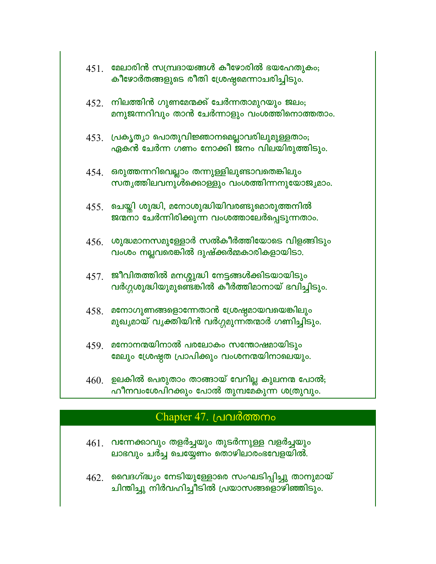| 451. | മേലാരിൻ സമ്പ്രദായങ്ങൾ കീഴോരിൽ ഭയഹേതുകം;<br>കീഴോർതങ്ങളുടെ രീതി ശ്രേഷ്ഠമെന്നാചരിച്ചിടും.            |
|------|---------------------------------------------------------------------------------------------------|
| 452. | നിലത്തിൻ ഗുണമേന്മക്ക് ചേർന്നതാമുറയും ജലം;<br>മനുജന്നറിവും താൻ ചേർന്നാളും വംശത്തിനൊത്തതാം.         |
|      | 453. പ്രകൃത്യാ പൊതുവിജ്ഞാനമെല്ലാവരിലുമുള്ളതാം;<br>ഏകൻ ചേർന്ന ഗണം നോക്കി ജനം വിലയിരുത്തിടും.       |
| 454. | ഒരുത്തന്നറിവെല്ലാം തന്നുള്ളിലുണ്ടാവതെങ്കിലും<br>സതൃത്തിലവനുൾക്കൊള്ളും വംശത്തിന്നനുയോജ്യമാം.       |
| 455. | ചെയ്തി ശുദ്ധി, മനോശുദ്ധിയിവരണ്ടുമൊരുത്തനിൽ<br>ജന്മനാ ചേർന്നിരിക്കുന്ന വംശത്താലേർപ്പെടുന്നതാം.     |
| 456. | ശുദ്ധമാനസമുള്ളോർ സൽകീർത്തിയോടെ വിളങ്ങിടും<br>വംശം നല്ലവരെങ്കിൽ ദുഷ്ക്കർമ്മകാരികളായിടാ.            |
| 457. | ജീവിതത്തിൽ മനശ്ശുദ്ധി നേട്ടങ്ങൾക്കിടയായിടും<br>വർഗ്ഗശുദ്ധിയുമുണ്ടെങ്കിൽ കീർത്തിമാനായ് ഭവിച്ചിടും. |
| 458. | മനോഗുണങ്ങളൊന്നേതാൻ ശ്രേഷ്ഠമായവയെങ്കിലും<br>മുഖ്യമായ് വൃക്തിയിൻ വർഗ്ഗമുന്നതന്മാർ ഗണിച്ചിടും.       |
| 459. | മനോനന്മയിനാൽ പരലോകം സന്തോഷമായിടും<br>മേലും ശ്രേഷ്ഠത പ്രാപിക്കും വംശനന്മയിനാലെയും.                 |
| 460. | ഉലകിൽ പെരുതാം താങ്ങായ് വേറില്ല കുലനന്മ പോൽ;<br>ഹീനവംശേപിറക്കും പോൽ തുമ്പമേകുന്ന ശത്രുവും.         |

# Chapter 47. പ്രവർത്തനം

- $461.$  വന്നേക്കാവും തളർച്ചയും തുടർന്നുള്ള വളർച്ചയും ലാഭവും ചർച്ച ചെയ്യേണം തൊഴിലാരംഭവേളയിൽ.
- 462. വൈദഗ്ദ്ധ്യം നേടിയുള്ളോരെ സംഘടിപ്പിച്ചു താനുമായ്<br>ചിന്തിച്ചു നിർവഹിച്ചീടിൽ പ്രയാസങ്ങളൊഴിഞ്ഞിടും.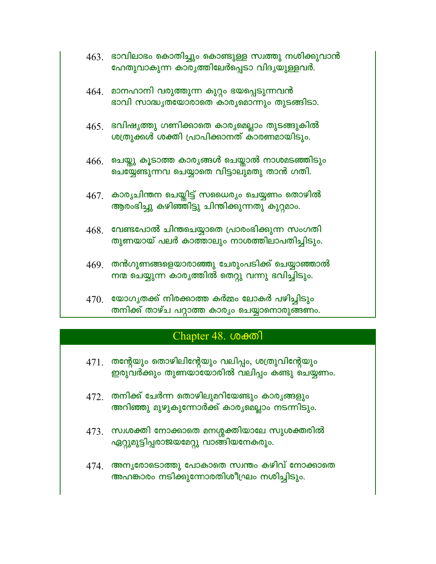| $4631$ ഭാവിലാഭം കൊതിച്ചും കൊണ്ടുള്ള സ്വത്തു നശിക്കുവാൻ |  |
|--------------------------------------------------------|--|
| ഹേതുവാകുന്ന കാരൃത്തിലേർപ്പെടാ വിദൃയുള്ളവർ.             |  |

- 464. മാനഹാനി വരുത്തുന്ന കുറ്റം ഭയപ്പെടുന്നവൻ ഭാവി സാദ്ധൃതയോരാതെ കാരൃമൊന്നും തുടങ്ങിടാ.
- 465. ഭവിഷൃത്തു ഗണിക്കാതെ കാരൃമെല്ലാം തുടങ്ങുകിൽ ശത്രുക്കൾ ശക്തി പ്രാപിക്കാനത് കാരണമായിടും.
- $466$ . ചെയ്തു കൂടാത്ത കാര്യങ്ങൾ ചെയ്താൽ നാശമടഞ്ഞിടും ചെയ്യേണ്ടുന്നവ ചെയ്യാതെ വിട്ടാലുമതു താൻ ഗതി.
- 467. കാര്യചിന്തന ചെയ്തിട്ട് സധൈര്യം ചെയ്യണം തൊഴിൽ ആരംഭിച്ചു കഴിഞ്ഞിട്ടു ചിന്തിക്കുന്നതു കുറ്റമാം.
- $468.$  വേണ്ടപോൽ ചിന്തചെയ്യാതെ പ്രാരംഭിക്കുന്ന സംഗതി തുണയായ് പലർ കാത്താലും നാശത്തിലാപതിച്ചിടും.
- 469. തൻഗുണങ്ങളെയാരാഞ്ഞു ചേരുംപടിക്ക് ചെയ്യാഞ്ഞാൽ നന്മ ചെയ്യുന്ന കാരൃത്തിൽ തെറ്റു വന്നു ഭവിച്ചിടും.
- $470$ . യോഗൃതക്ക് നിരക്കാത്ത കർമ്മം ലോകർ പഴിച്ചിടും തനിക്ക് താഴ്ച പറ്റാത്ത കാര്യം ചെയ്യാനൊരുങ്ങണം.

## Chapter 48. ശക്തി

- $471.$  തന്റേയും തൊഴിലിന്റേയും വലിപ്പം, ശത്രുവിന്റേയും ഇരുവർക്കും തുണയായോരിൽ വലിപ്പം കണ്ടു ചെയ്യണം.
- $472$  തനിക്ക് ചേർന്ന തൊഴിലുമറിയേണ്ടും കാരൃങ്ങളും അറിഞ്ഞു മുഴുകുന്നോർക്ക് കാരൃമെല്ലാം നടന്നിടും.
- 473. സ്വശക്തി നോക്കാതെ മനശ്ശക്തിയാലേ സുശക്തരിൽ ഏറ്റുമുട്ടിപ്പരാജയമേറ്റു വാങ്ങിയനേകരും.
- 474. അന്യരോടൊത്തു പോകാതെ സ്വന്തം കഴിവ് നോക്കാതെ അഹങ്കാരം നടിക്കുന്നോരതിശീഘ്രം നശിച്ചിടും.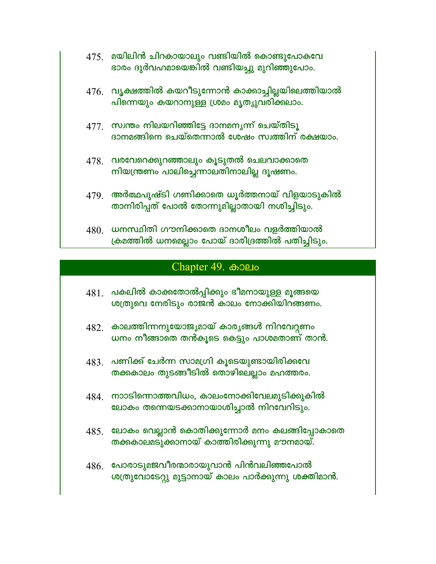| 475. | മയിലിൻ ചിറകായാലും വണ്ടിയിൽ കൊണ്ടുപോകവേ      |  |
|------|---------------------------------------------|--|
|      | ഭാരം ദുർവഹമായെങ്കിൽ വണ്ടിയച്ചു മുറിഞ്ഞുപോം. |  |

- $476$ . വൃക്ഷത്തിൽ കയറീടുന്നോൻ കാക്കാച്ചില്ലയിലെത്തിയാൽ പിന്നെയും കയറാനുള്ള ശ്രമം മൃത്യുവരിക്കലാം.
- $477$  സ്വന്തം നിലയറിഞ്ഞിട്ടേ ദാനമനൃന്ന് ചെയ്തിടൂ ദാനമങ്ങിനെ ചെയ്തെന്നാൽ ശേഷം സ്വത്തിന് രക്ഷയാം.
- 478. വരവേറെക്കുറഞ്ഞാലും കൂടുതൽ ചെലവാക്കാതെ നിയന്ത്രണം പാലിച്ചെന്നാലതിനാലില്ല ദൂഷണം.
- $479$ . അർത്ഥപുഷ്ടി ഗണിക്കാതെ ധൂർത്തനായ് വിളയാടുകിൽ താനിരിപ്പത് പോൽ തോന്നുമില്ലാതായി നശിച്ചിടും.
- $480.$  ധനസ്ഥിതി ഗൗനിക്കാതെ ദാനശീലം വളർത്തിയാൽ ക്രമത്തിൽ ധനമെല്ലാം പോയ് ദാരിദ്രത്തിൽ പതിച്ചിടും.

## Chapter 49. 6000

- $481$ . പകലിൽ കാക്കതോൽപ്പിക്കും ഭീമനായുള്ള മൂങ്ങയെ ശത്രുവെ നേരിടും രാജൻ കാലം നോക്കിയിറങ്ങണം.
- 482. കാലത്തിന്നനുയോജ്യമായ് കാര്യങ്ങൾ നിറവേറ്റണം ധനം നീങ്ങാതെ തൻകൂടെ കെട്ടും പാശമതാണ് താൻ.
- $\,483$  പണിക്ക് ചേർന്ന സാമഗ്രി കൂടെയുണ്ടായിരിക്കവേ തക്കകാലം തുടങ്ങീടിൽ തൊഴിലെല്ലാം മഹത്തരം.
- 484 നാാടിന്നൊത്തവിധം, കാലംനോക്കിവേലമുടിക്കുകിൽ ലോകം തന്നെയടക്കാനായാശിച്ചാൽ നിറവേറിടും.
- $485.$  ലോകം വെല്ലാൻ കൊതിക്കുന്നോർ മനം കലങ്ങിപ്പോകാതെ തക്കകാലമടുക്കാനായ് കാത്തിരിക്കുന്നു മൗനമായ്.
- 486. പോരാടുമജവീരന്മാരായുവാൻ പിൻവലിഞ്ഞപോൽ ശത്രുവോടേറ്റു മുട്ടാനായ് കാലം പാർക്കുന്നു ശക്തിമാൻ.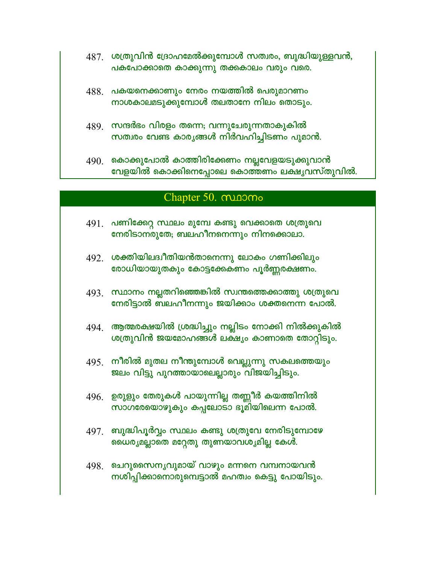- $487$ . ശത്രുവിൻ ദ്രോഹമേൽക്കുമ്പോൾ സത്വരം, ബുദ്ധിയുള്ളവൻ, പകപോക്കാതെ കാക്കുന്നു തക്കകാലം വരും വരെ.
- $488.$  പകയനെക്കാണും നേരം നയത്തിൽ പെരുമാറണം നാശകാലമടുക്കുമ്പോൾ തലതാനേ നിലം തൊടും.
- 489. സന്ദർഭം വിരളം തന്നെ; വന്നുചേരുന്നതാകുകിൽ സത്വരം വേണ്ട കാരൃങ്ങൾ നിർവഹിച്ചിടണം പുമാൻ.
- $490<sub>1</sub>$  കൊക്കുപോൽ കാത്തിരിക്കേണം നല്ലവേളയടുക്കുവാൻ വേളയിൽ കൊക്കിനെപ്പോലെ കൊത്തണം ലക്ഷൃവസ്തുവിൽ.

#### Chapter 50. munomo

- $491$ . പണിക്കേറ്റ സ്ഥലം മുമ്പേ കണ്ടു വെക്കാതെ ശത്രുവെ നേരിടാനരുതേ, ബലഹീനനെന്നും നിനക്കൊലാ.
- 492. ശക്തിയിലദ്വീതിയൻതാനെന്നു ലോകം ഗണിക്കിലും രോധിയായുതകും കോട്ടക്കേകണം പൂർണ്ണരക്ഷണം.
- 493. സ്ഥാനം നല്ലതറിഞ്ഞെങ്കിൽ സ്വന്തത്തെക്കാത്തു ശത്രുവെ നേരിട്ടാൽ ബലഹീനന്നും ജയിക്കാം ശക്തനെന്ന പോൽ.
- 494. ആത്മരക്ഷയിൽ ശ്രദ്ധിച്ചും നല്ലിടം നോക്കി നിൽക്കുകിൽ ശത്രുവിൻ ജയമോഹങ്ങൾ ലക്ഷ്യം കാണാതെ തോറ്റിടും.
- 495 നീരിൽ മുതല നീന്തുമ്പോൾ വെല്ലുന്നു സകലത്തെയും ജലം വിട്ടു പുറത്തായാലെല്ലാരും വിജയിച്ചിടും.
- $496$ . ഉരുളും തേരുകൾ പായുന്നില്ല തണ്ണീർ കയത്തിനിൽ സാഗരേയൊഴുകും കപ്പലോടാ ഭൂമിയിലെന്ന പോൽ.
- 497. ബുദ്ധിപൂർവ്വം സ്ഥലം കണ്ടു ശത്രുവേ നേരിടുമ്പോഴേ ഡൈര്യമല്ലാതെ മറ്റേതു തുണയാവശ്യമില്ല കേൾ.
- 498. ചെറുസൈനൃവുമായ് വാഴും മന്നനെ വമ്പനായവൻ നശിപ്പിക്കാനൊരുമ്പെട്ടാൽ മഹത്വം കെട്ടു പോയിടും.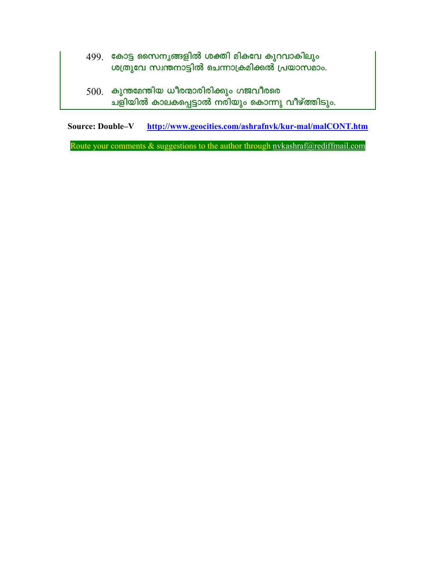- 499. കോട്ട സൈനൃങ്ങളിൽ ശക്തി മികവേ കുറവാകിലും ശത്രുവേ സ്വന്തനാട്ടിൽ ചെന്നാക്രമിക്കൽ പ്രയാസമാം.
- $500.$  കുന്തമേന്തിയ ധീരന്മാരിരിക്കും ഗജവീരരെ ചളിയിൽ കാലകപ്പെട്ടാൽ നരിയും കൊന്നു വീഴ്ത്തിടും.

http://www.geocities.com/ashrafnvk/kur-mal/malCONT.htm **Source: Double-V** 

Route your comments & suggestions to the author through nvkashraf@rediffmail.com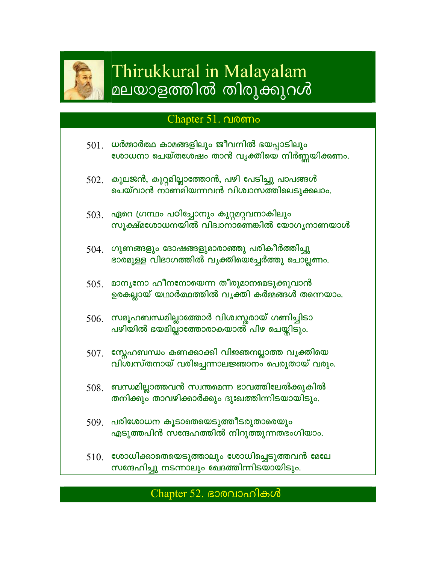

# Thirukkural in Malayalam മലയാളത്തിൽ തിരുക്കുറൾ

## Chapter 51. QIO6Mo

- ധർമ്മാർത്ഥ കാമങ്ങളിലും ജീവനിൽ ഭയപ്പാടിലും 501. ശോധനാ ചെയ്തശേഷം താൻ വൃക്തിയെ നിർണ്ണയിക്കണം.
- $502.$  കുലജൻ, കുറ്റമില്ലാത്തോൻ, പഴി പേടിച്ചു പാപങ്ങൾ ചെയ്വാൻ നാണ്മിയന്നവൻ വിശ്വാസത്തിലെടുക്കലാം.
- 503. ഏറെ ഗ്രന്ഥം പഠിച്ചോനും കുറ്റമറ്റവനാകിലും സൂക്ഷ്മശോധനയിൽ വിദ്വാനാണെങ്കിൽ യോഗൃനാണയാൾ
- $504$ . ഗുണങ്ങളും ദോഷങ്ങളുമാരാഞ്ഞു പരികീർത്തിച്ചു ഭാരമുള്ള വിഭാഗത്തിൽ വൃക്തിയെച്ചേർത്തു ചൊല്ലണം.
- $505$ . മാനൃനോ ഹീനനോയെന്ന തീരുമാനമെടുക്കുവാൻ ഉരകല്ലായ് യഥാർത്ഥത്തിൽ വൃക്തി കർമ്മങ്ങൾ തന്നെയാം.
- 506. സമൂഹബന്ധമില്ലാത്തോർ വിശ്വസ്തരായ് ഗണിച്ചിടാ പഴിയിൽ ഭയമില്ലാത്തോരാകയാൽ പിഴ ചെയ്യിടും.
- 507. സ്നേഹബന്ധം കണക്കാക്കി വിജ്ഞനല്ലാത്ത വൃക്തിയെ വിശ്വസ്തനായ് വരിച്ചെന്നാലജ്ഞാനം പെരുതായ് വരും.
- $508.$  ബന്ധമില്ലാത്തവൻ സ്വന്തമെന്ന ഭാവത്തിലേൽക്കുകിൽ തനിക്കും താവഴിക്കാർക്കും ദുഃഖത്തിന്നിടയായിടും.
- 509. പരിശോധന കൂടാതെയെടുത്തീടരുതാരെയും എടുത്തപിൻ സന്ദേഹത്തിൽ നിറുത്തുന്നതഭംഗിയാം.
- $510$ . ശോധിക്കാതെയെടുത്താലും ശോധിച്ചെടുത്തവൻ മേലേ സന്ദേഹിച്ചു നടന്നാലും ഖേദത്തിന്നിടയായിടും.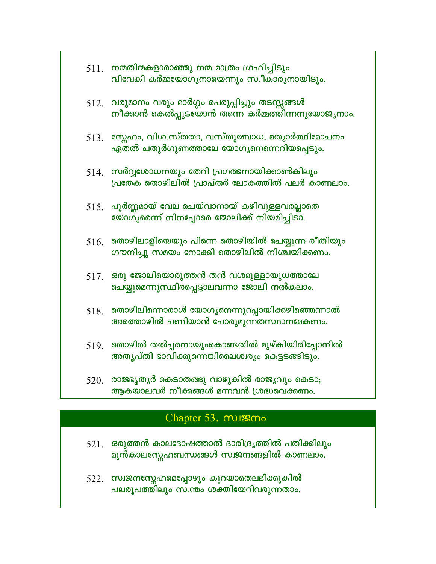| $511$ . നന്മതിന്മകളാരാഞ്ഞു നന്മ മാത്രം ഗ്രഹിച്ചിടും |
|-----------------------------------------------------|
| വിവേകി കർമ്മയോഗൃനായെന്നും സ്വീകാരൃനായിടും.          |

- 512. വരുമാനം വരും മാർഗ്ഗം പെരുപ്പിച്ചും തടസ്സങ്ങൾ നീക്കാൻ കെൽപ്പുടയോൻ തന്നെ കർമ്മത്തിന്നനുയോജൃനാം.
- $513.$  സ്നേഹം, വിശ്വസ്തതാ, വസ്തുബോധ, മതൃാർത്ഥിമോചനം ഏതൽ ചതുർഗുണത്താലേ യോഗൃനെന്നെറിയപ്പെടും.
- $514$ . സർവ്വശോധനയും തേറി പ്രഗത്ഭനായിക്കാൺകിലും പ്രതേക തൊഴിലിൽ പ്രാപ്തർ ലോകത്തിൽ പലർ കാണലാം.
- $515.$  പൂർണ്ണമായ് വേല ചെയ്വാനായ് കഴിവുള്ളവരല്ലാതെ യോഗൃരെന്ന് നിനപ്പോരെ ജോലിക്ക് നിയമിച്ചിടാ.
- $516.$  തൊഴിലാളിയെയും പിന്നെ തൊഴിയിൽ ചെയ്യുന്ന രീതിയും ഗൗനിച്ചു സമയം നോക്കി തൊഴിലിൽ നിശ്ചയിക്കണം.
- $517.$  ഒരു ജോലിയൊരുത്തൻ തൻ വശമുള്ളായുധത്താലേ ചെയ്യുമെന്നുസ്ഥിരപ്പെട്ടാലവന്നാ ജോലി നൽകലാം.
- $518.$  തൊഴിലിന്നൊരാൾ യോഗൃനെന്നുറപ്പായിക്കഴിഞ്ഞെന്നാൽ അത്തൊഴിൽ പണിയാൻ പോരുമുന്നതസ്ഥാനമേകണം.
- $519$ . തൊഴിൽ തൽപ്പരനായുംകൊണ്ടതിൽ മുഴ്കിയിരിപ്പോനിൽ അതൃപ്തി ഭാവിക്കുന്നെങ്കിലൈശ്വര്യം കെട്ടടങ്ങിടും.
- $520<sub>1</sub>$  രാജഭൃതൃർ കെടാതങ്ങു വാഴുകിൽ രാജൃവും കെടാ; ആകയാലവർ നീക്കങ്ങൾ മന്നവൻ ശ്രദ്ധവെക്കണം.

## Chapter 53. mugamo

- $521.$  ഒരുത്തൻ കാലദോഷത്താൽ ദാരിദ്രൃത്തിൽ പതിക്കിലും മുൻകാലസ്റ്റേഹബന്ധങ്ങൾ സ്വജനങ്ങളിൽ കാണലാം.
- 522. സ്വജനസ്നേഹമെപ്പോഴും കുറയാതെലഭിക്കുകിൽ പലരൂപത്തിലും സ്വന്തം ശക്തിയേറിവരുന്നതാം.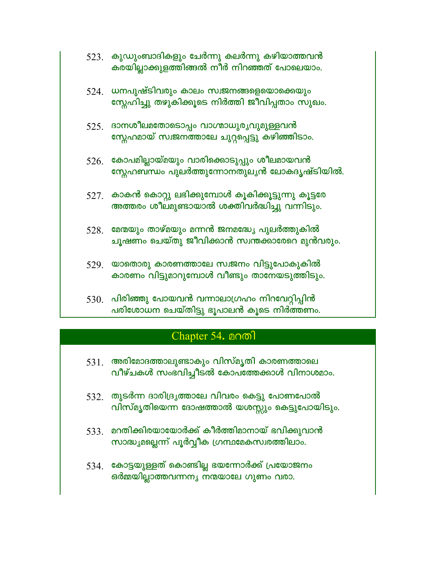| 523. | കുഡുംബാദികളും ചേർന്നു കലർന്നു കഴിയാത്തവൻ<br>കരയില്ലാക്കുളത്തിങ്ങൽ നീർ നിറഞ്ഞത് പോലെയാം.                    |
|------|------------------------------------------------------------------------------------------------------------|
|      | $524$ . ധനപുഷ്ടിവരും കാലം സ്വജനങ്ങളെയൊക്കെയും<br>സ്റ്റേഹിച്ചു തഴുകിക്കൂടെ നിർത്തി ജീവിപ്പതാം സുഖം.         |
|      | <u>525. ഭാനശീലമതോടൊപ്പം വാഗ്മാധുരൃവുമുള്ളവൻ</u><br>സ്റ്റേഹമായ് സ്വജനത്താലേ ചുറ്റപ്പെട്ടു കഴിഞ്ഞിടാം.       |
|      | $526$ . കോപമില്ലായ്മയും വാരിക്കൊടുപ്പും ശീലമായവൻ<br>സ്റ്റേഹബന്ധം പുലർത്തുന്നോനതുലൃൻ ലോകദൃഷ്ടിയിൽ.          |
|      | $527$ . കാകൻ കൊറ്റു ലഭിക്കുമ്പോൾ കൂകിക്കൂട്ടുന്നു കൂട്ടരേ<br>അത്തരം ശീലമുണ്ടായാൽ ശക്തിവർദ്ധിച്ചു വന്നിടും. |
|      | $528$ . മേന്മയും താഴ്മയും മന്നൻ ജനമദ്ധ്യേ പുലർത്തുകിൽ<br>ചൂഷണം ചെയ്തു ജീവിക്കാൻ സ്വന്തക്കാരേറെ മുൻവരും.    |
|      | 529. യാതൊരു കാരണത്താലേ സ്വജനം വിട്ടുപോകുകിൽ<br>കാരണം വിട്ടുമാറുമ്പോൾ വീണ്ടും താനേയടുത്തിടും.               |
|      | 530. പിരിഞ്ഞു പോയവൻ വന്നാലാഗ്രഹം നിറവേറ്റിപ്പിൻ<br>പരിശോധന ചെയ്തിട്ടു ഭൂപാലൻ കൂടെ നിർത്തണം.                |

## Chapter 54. **anml**

- $531.$  അരിമോദത്താലുണ്ടാകും വിസ്മൃതി കാരണത്താലെ വീഴ്ചകൾ സംഭവിച്ചീടൽ കോപത്തേക്കാൾ വിനാശമാം.
- $532.$  തുടർന്ന ദാരിദ്രൃത്താലേ വിവരം കെട്ടു പോണപോൽ വിസ്മൃതിയെന്ന ദോഷത്താൽ യശസ്സും കെട്ടുപോയിടും.
- 533. മറതിക്കിരയായോർക്ക് കീർത്തിമാനായ് ഭവിക്കുവാൻ സാദ്ധ്യമല്ലെന്ന് പൂർവ്വീക ഗ്രന്ഥമേകസ്വരത്തിലാം.
- 534. കോട്ടയുള്ളത് കൊണ്ടില്ല ഭയന്നോർക്ക് പ്രയോജനം ഒർമ്മയില്ലാത്തവന്നനൃ നമയാലേ ഗുണം വരാ.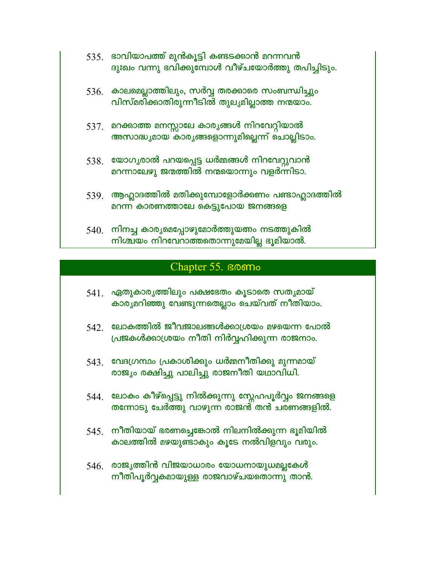| $535$ . ഭാവിയാപത്ത് മുൻകൂട്ടി കണ്ടടക്കാൻ മറന്നവൻ  |
|---------------------------------------------------|
| ദുഃഖം വന്നു ഭവിക്കുമ്പോൾ വീഴ്ചയോർത്തു തപിച്ചിടും. |

- 536. കാലമെല്ലാത്തിലും, സർവ്വ തരക്കാരെ സംബന്ധിച്ചും വിസ്മരിക്കാതിരുന്നീടിൽ തുലൃമില്ലാത്ത നന്മയാം.
- 537. മറക്കാത്ത മനസ്സാലേ കാര്യങ്ങൾ നിറവേറ്റിയാൽ അസാദ്ധ്യമായ കാര്യങ്ങളൊന്നുമില്ലെന്ന് ചൊല്ലിടാം.
- $538.$  യോഗ്യരാൽ പറയപ്പെട്ട ധർമ്മങ്ങൾ നിറവേറ്റുവാൻ മറന്നാലേഴു ജന്മത്തിൽ നന്മയൊന്നും വളർന്നിടാ.
- $539$ . ആഹ്ലാദത്തിൽ മതിക്കുമ്പോളോർക്കണം പണ്ടാഹ്ലാദത്തിൽ മറന്ന കാരണത്താലേ കെട്ടുപോയ ജനങ്ങളെ
- $540$ . നിനച്ച കാര്യമെപ്പോഴുമോർത്തുയത്നം നടത്തുകിൽ നിശ്ചയം നിറവേറാത്തതൊന്നുമേയില്ല ഭൂമിയാൽ.

### Chapter 55. BOOMo

- 541. ഏതുകാരൃത്തിലും പക്ഷഭേതം കൂടാതെ സതൃമായ് കാരൃമറിഞ്ഞു വേണ്ടുന്നതെല്ലാം ചെയ്വത് നീതിയാം.
- $542$  ലോകത്തിൽ ജീവജാലങ്ങൾക്കാശ്രയം മഴയെന്ന പോൽ പ്രജകൾക്കാശ്രയം നീതി നിർവ്വഹിക്കുന്ന രാജനാം.
- 543. വേദഗ്രന്ഥം പ്രകാശിക്കും ധർമ്മനീതിക്കു മുന്നമായ് രാജ്യം രക്ഷിച്ചു പാലിച്ചു രാജനീതി യഥാവിധി.
- 544 ലോകം കീഴ്പ്പെട്ടു നിൽക്കുന്നു സ്നേഹപൂർവ്വം ജനങ്ങളെ തന്നോടു ചേർത്തു വാഴുന്ന രാജൻ് തൻ ചരണങ്ങളിൽ.
- $545$ . നീതിയായ് ഭരണച്ചെങ്കോൽ നിലനിൽക്കുന്ന ഭൂമിയിൽ കാലത്തിൽ മഴയുണ്ടാകും കൂടേ നൽവിളവും വരും.
- 546. രാജ്യത്തിൻ വിജയാധാരം യോധനായുധമല്ലകേൾ നീതിപൂർവ്വകമായുള്ള രാജവാഴ്ചയതൊന്നു താൻ.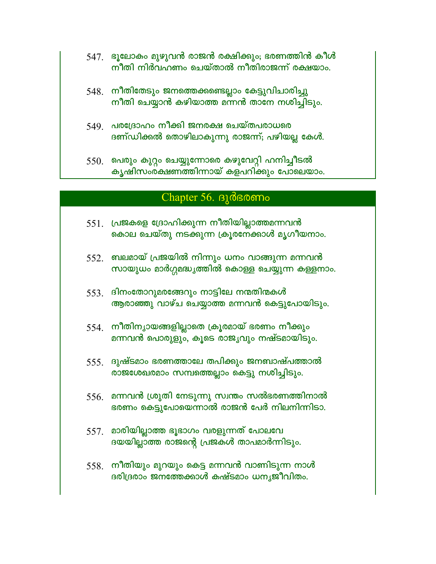- 547. ഭൂലോകം മുഴുവൻ രാജൻ രക്ഷിക്കും; ഭരണത്തിൻ കീൾ നീതി നിർവഹണം ചെയ്താൽ നീതിരാജന്ന് രക്ഷയാം.
- 548. നീതിതേടും ജനത്തെക്കണ്ടെല്ലാം കേട്ടുവിചാരിച്ചു നീതി ചെയ്യാൻ കഴിയാത്ത മന്നൻ താനേ നശിച്ചിടും.
- $549$  വരദ്രോഹം നീക്കി ജനരക്ഷ ചെയ്തപരാധരെ ദണ്ഡിക്കൽ തൊഴിലാകുന്നു രാജന്ന്; പഴിയല്ല കേൾ.
- 550. പെരും കുറ്റം ചെയ്യുന്നോരെ കഴുവേറ്റി ഹനിച്ചീടൽ കൃഷിസംര്ക്ഷണത്തിന്നായ് കളപറിക്കും പോലെയാം.

#### Chapter 56. BJ@BOOMo

- $551.$  പ്രജകളെ ദ്രോഹിക്കുന്ന നീതിയില്ലാത്തമന്നവൻ കൊല ചെയ്തു നടക്കുന്ന ക്രൂരനേക്കാൾ മൃഗീയനാം.
- $552$  ബലമായ് പ്രജയിൽ നിന്നും ധനം വാങ്ങുന്ന മന്നവൻ സായുധം മാർഗ്ഗമദ്ധ്യത്തിൽ കൊള്ള ചെയ്യുന്ന കള്ളനാം.
- 553. ദിനംതോറുമരങ്ങേറും നാട്ടിലേ നന്മതിന്മകൾ ആരാഞ്ഞു വാഴ്ച ചെയ്യാത്ത മന്നവൻ കെട്ടുപോയിടും.
- $554$ . നീതിന്യായങ്ങളില്ലാതെ ക്രൂരമായ് ഭരണം നീക്കും മന്നവൻ പൊരുളും, കൂടെ രാജ്യവും നഷ്ടമായിടും.
- 555 ദുഷ്ടമാം ഭരണത്താലേ തപിക്കും ജനബാഷ്പത്താൽ രാജശേഖരമാം സമ്പത്തെല്ലാം കെട്ടു നശിച്ചിടും.
- 556. മന്നവൻ ശ്രുതി നേടുന്നു സ്വന്തം സൽഭരണത്തിനാൽ ഭരണം കെട്ടുപോയെന്നാൽ രാജൻ പേർ നിലനിന്നിടാ.
- $557$ . മാരിയില്ലാത്ത ഭൂഭാഗം വരളുന്നത് പോലവേ ദയയില്ലാത്ത രാജന്റെ പ്രജകൾ താപമാർന്നിടും.
- $558.$  നീതിയും മുറയും കെട്ട മന്നവൻ വാണിടുന്ന നാൾ ദരിദ്രരാം ജനത്തേക്കാൾ കഷ്ടമാം ധനൃജീവിതം.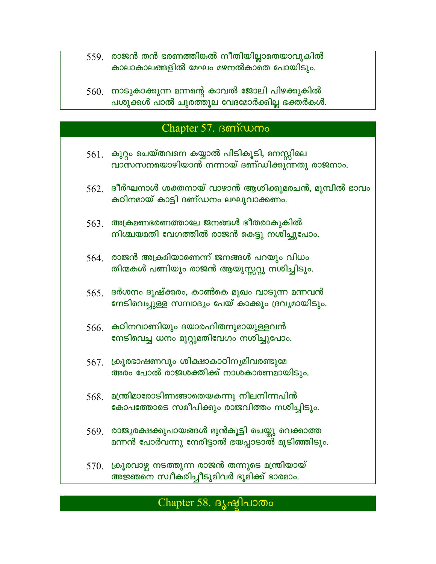- 559. രാജൻ തൻ ഭരണത്തിങ്കൽ നീതിയില്ലാതെയാവുകിൽ കാലാകാലങ്ങളിൽ മേഘം മഴനൽകാതെ പോയിടും.
- 560. നാടുകാക്കുന്ന മന്നന്റെ കാവൽ ജോലി പിഴക്കുകിൽ പശുക്കൾ പാൽ ചുരത്തുല വേദമോർക്കില്ല ഭക്തർകൾ.

### Chapter 57.  $\beta$  m  $\sim$   $\alpha$

- 561. കുറ്റം ചെയ്തവനെ കയ്യാൽ പിടികൂടി, മനസ്സിലെ വാസസനയൊഴിയാൻ നന്നായ് ദണ്ഡിക്കുന്നതു രാജനാം.
- $562.$  ദീർഘനാൾ ശക്തനായ് വാഴാൻ ആശിക്കുമരചൻ, മുമ്പിൽ ഭാവം കഠിനമായ് കാട്ടി ദണ്ഡനം ലഘുവാക്കണം.
- $563$ . അക്രമണഭരണത്താലേ ജനങ്ങൾ ഭീതരാകുകിൽ നിശ്ചയമതി വേഗത്തിൽ രാജൻ കെട്ടു നശിച്ചുപോം.
- $564$ . രാജൻ അക്രമിയാണെന്ന് ജനങ്ങൾ പറയും വിധം തിന്മകൾ പണിയും രാജൻ ആയുസ്സറ്റു നശിച്ചിടും.
- $565.$  ദർശനം ദുഷ്ക്കരം, കാൺകെ മുഖം വാടുന്ന മന്നവൻ നേടിവെച്ചുള്ള സമ്പാദ്യം പേയ് കാക്കും ദ്രവൃമായിടും.
- 566. കഠിനവാണിയും ദയാരഹിതനുമായുള്ളവൻ നേടിവെച്ച ധനം മുറ്റുമതിവേഗം നശിച്ചുപോം.
- $567.$  ക്രൂരഭാഷണവും ശിക്ഷാകാഠിനൃമിവരണ്ടുമേ അരം പോൽ രാജശക്തിക്ക് നാശകാരണമായിടും.
- $568$  മന്ത്രിമാരോടിണങ്ങാതെയകന്നു നിലനിന്നപിൻ കോപത്തോടെ സമീപിക്കും രാജവിത്തം നശിച്ചിടും.
- 569. രാജ്യരക്ഷക്കുപായങ്ങൾ മുൻകൂട്ടി ചെയ്തു വെക്കാത്ത മന്നൻ പോർവന്നു നേരിട്ടാൽ ഭയപ്പാടാൽ മുടിഞ്ഞിടും.
- 570. ക്രൂരവാഴ്ച നടത്തുന്ന രാജൻ തന്നുടെ മന്ത്രിയായ് അജ്ഞനെ സ്വീകരിച്ചീടുമിവർ ഭൂമിക്ക് ഭാരമാം.

## Chapter 58. BJ ഷിപാതം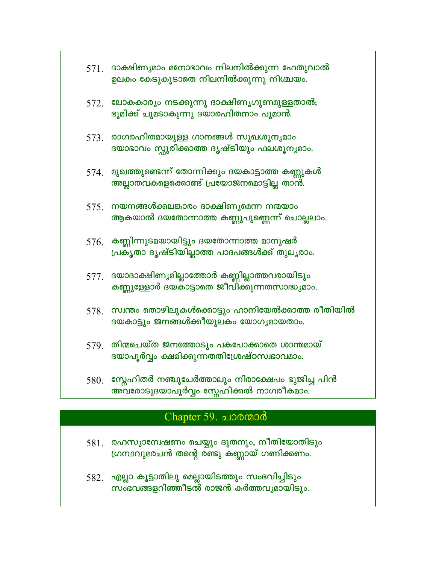| 571. | ദാക്ഷിണ്യമാം മനോഭാവം നിലനിൽക്കുന്ന ഹേതുവാൽ<br>ഉലകം കേടുകൂടാതെ നിലനിൽക്കുന്നു നിശ്ചയം.              |
|------|----------------------------------------------------------------------------------------------------|
| 572. | ലോകകാര്യം നടക്കുന്നു ദാക്ഷിണ്യഗുണമുള്ളതാൽ;<br>ഭൂമിക്ക് ചുമടാകുന്നു ദയാരഹിതനാം പൂമാൻ.               |
| 573. | രാഗരഹിതമായുള്ള ഗാനങ്ങൾ സുഖശൂന്യമാം<br>ദയാഭാവം സ്റ്റുരിക്കാത്ത ദൃഷ്ടിയും ഫലശൂന്യമാം.                |
|      | 574. മുഖത്തുണ്ടെന്ന് തോന്നിക്കും ദയകാട്ടാത്ത കണ്ണുകൾ<br>അല്ലാതവകളെക്കൊണ്ട് പ്രയോജനമൊട്ടില്ല താൻ.   |
| 575. | നയനങ്ങൾക്കലങ്കാരം ദാക്ഷിണ്യമെന്ന നന്മയാം<br>ആകയാൽ ദയതോന്നാത്ത കണ്ണുപുണ്ണെന്ന് ചൊല്ലലാം.            |
| 576. | കണ്ണിന്നുടമയായിട്ടും ദയതോന്നാത്ത മാനുഷർ<br>പ്രക്യതാ ദൃഷ്ടിയില്ലാത്ത പാദപങ്ങൾക്ക് തുലൃരാം.          |
|      | 577. ദയാദാക്ഷിണ്യമില്ലാത്തോർ കണ്ണില്ലാത്തവരായിടും<br>കണ്ണുള്ളോർ ദയകാട്ടാതെ ജീവിക്കുന്നതസാദ്ധ്യമാം. |
| 578. | സ്വന്തം തൊഴിലുകൾക്കൊട്ടും ഹാനിയേൽക്കാത്ത രീതിയിൽ<br>ദയകാട്ടും ജനങ്ങൾക്കീയുലകം യോഗൃമായതാം.          |
| 579. | തിന്മചെയ്ത ജനത്തോടും പകപോക്കാതെ ശാന്തമായ്<br>ദയാപൂർവ്വം ക്ഷമിക്കുന്നതതിശ്രേഷ്ഠസ്വഭാവമാം.           |
| 580. | സ്റ്റേഹിതർ നഞ്ചുചേർത്താലും നിരാക്ഷേപം ഭുജിച്ച പിൻ<br>അവരോടുദയാപൂർവ്വം സ്നേഹിക്കൽ നാഗരീകമാം.        |

# Chapter 59. പാരന്മാർ

- 581. രഹസ്യാമ്പേഷണം ചെയ്യും ദൂതനും, നീതിയോതിടും ഗ്രന്ഥവുമരചൻ തന്റെ രണ്ടു കണ്ണായ് ഗണിക്കണം.
- 582. എല്ലാ കൂട്ടാതിലു മെല്ലായിടത്തും സംഭവിച്ചിടും<br>സംഭവങ്ങളറിഞ്ഞീടൽ രാജൻ കർത്തവൃമായിടും.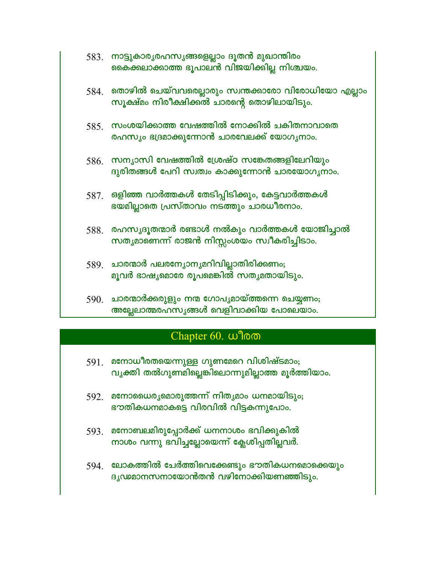|      | 583. നാട്ടുകാര്യരഹസ്യങ്ങളെല്ലാം ദൂതൻ മുഖാന്തിരം<br>കൈക്കലാക്കാത്ത ഭൂപാലൻ വിജയിക്കില്ല നിശ്ചയം.   |
|------|--------------------------------------------------------------------------------------------------|
| 584. | തൊഴിൽ ചെയ്വവരെല്ലാരും സ്വന്തക്കാരോ വിരോധിയോ എല്ലാം<br>സൂക്ഷ്മം നിരീക്ഷിക്കൽ ചാരന്റെ തൊഴിലായിടും. |
|      | $585$ . സംശയിക്കാത്ത വേഷത്തിൽ നോക്കിൽ ചകിതനാവാതെ<br>രഹസ്യം ഭദ്രമാക്കുന്നോൻ ചാരവേലക്ക് യോഗൃനാം.   |
| 586. | സന്യാസി വേഷത്തിൽ ശ്രേഷ്ഠ സങ്കേതങ്ങളിലേറിയും<br>ദുരിതങ്ങൾ പേറി സ്വത്വം കാക്കുന്നോൻ ചാരയോഗൃനാം.    |
|      | 587.   ഒളിഞ്ഞ വാർത്തകൾ തേടിപ്പിടിക്കും, കേട്ടവാർത്തകൾ<br>ഭയമില്ലാതെ പ്രസ്താവം നടത്തും ചാരധീരനാം. |
|      | 588. രഹസ്യദൂതന്മാർ രണ്ടാൾ നൽകും വാർത്തകൾ യോജിച്ചാൽ<br>സതൃമാണെന്ന് രാജൻ നിസ്സംശയം സ്വീകരിച്ചിടാം. |
|      | 589. ചാരന്മാർ പലരന്യോന്യമറിവില്ലാതിരിക്കണം;<br>മൂവർ ഭാഷ്യമൊരേ രൂപമെങ്കിൽ സതൃമതായിടും.            |
| 500  | ചാരന്മാർക്കരിളും നന്മ ഗോപശായ്ത്തന്നെ ചെയണം:                                                      |

பலுயம்; അല്ലേലാത്മരഹസൃങ്ങൾ വെളിവാക്കിയ പോലെയാം.

# Chapter 60. wlow

- $591.$  മനോധീരതയെന്നുള്ള ഗുണമേറെ വിശിഷ്ടമാം; വൃക്തി തൽഗുണമില്ലെങ്കിലൊന്നുമില്ലാത്ത മൂർത്തിയാം.
- 592. മനോധൈര്യമൊരുത്തന്ന് നിതൃമാം ധനമായിടും; ഭൗതികധനമാകട്ടെ വിരവിൽ വിട്ടകന്നുപോം.
- 593. മനോബലമിരുപ്പോർക്ക് ധനനാശം ഭവിക്കുകിൽ നാശം വന്നു ഭവിച്ചല്ലോയെന്ന് ക്ലേശിപ്പതില്ലവർ.
- 594 ലോകത്തിൽ ചേർത്തിവെക്കേണ്ടും ഭൗതികധനമൊക്കെയും ദൃഢമാനസനായോൻതൻ വഴിനോക്കിയണഞ്ഞിടും.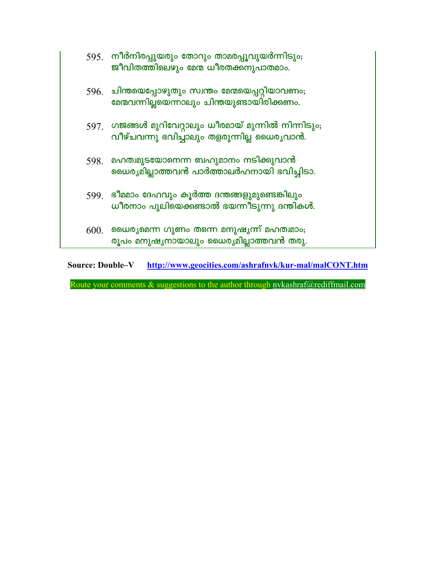|      | <u>595.   നീർനിരപ്പുയരും തോറും താമരപ്പൂവുയർന്നിടും;</u><br>ജീവിതത്തിലെഴും മേന്മ ധീരതക്കനുപാതമാം.          |
|------|-----------------------------------------------------------------------------------------------------------|
| 596. | ചിന്തയെപ്പോഴുതും സ്വന്തം മേന്മയെപ്പറ്റിയാവണം;<br>മേന്മവന്നില്ലയെന്നാലും ചിന്തയുണ്ടായിരിക്കണം.             |
| 597. | ഗജങ്ങൾ മുറിവേറ്റാലും ധീരമായ് മുന്നിൽ നിന്നിടും <del>,</del><br>വീഴ്ചവന്നു ഭവിച്ചാലും തളരുന്നില്ല ധൈരൃവാൻ. |
| 598. | മഹത്വമുടയോനെന്ന ബഹുമാനം നടിക്കുവാൻ<br>ഡൈര്യമില്ലാത്തവൻ പാർത്താലർഹനായി ഭവിച്ചിടാ.                          |
| 599. | ഭീമമാം ദേഹവും കൂർത്ത ദന്തങ്ങളുമുണ്ടെങ്കിലും<br>ധീരനാം പുലിയെക്കണ്ടാൽ ഭയന്നീടുന്നു ദന്തികൾ.                |
| 600. | ധൈരൃമെന്ന ഗുണം തന്നെ മനുഷൃന്ന് മഹത്വമാം;<br>രൂപം മനുഷ്യനായാലും ധൈര്യമില്ലാത്തവൻ തരു.                      |

**Source: Double-V** http://www.geocities.com/ashrafnvk/kur-mal/malCONT.htm

Route your comments & suggestions to the author through nvkashraf@rediffmail.com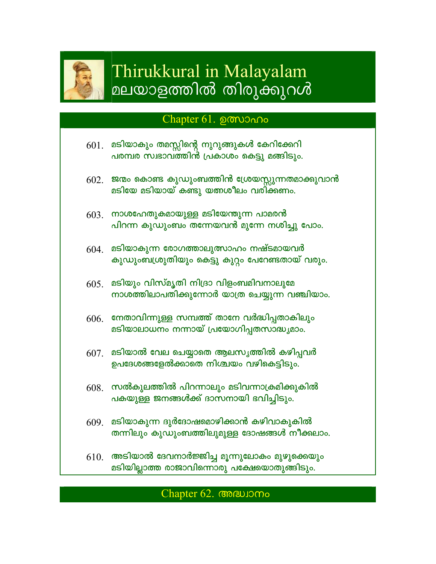

# Thirukkural in Malayalam മലയാളത്തിൽ തിരുക്കുറൾ

## Chapter 61. por Chapter

- മടിയാകും തമസ്സിന്റെ നുറുങ്ങുകൾ കേറിക്കേറി 601. പരമ്പര സ്വഭാവത്തിൻ പ്രകാശം കെട്ടു മങ്ങിടും.
- $602.$  ജന്മം കൊണ്ട കുഡുംബത്തിൻ ശ്രേയസ്സുന്നതമാക്കുവാൻ മടിയേ മടിയായ് കണ്ടു യത്നശീലം വരിക്കണം.
- $603$  നാശഹേതുകമായുള്ള മടിയേന്തുന്ന പാമരൻ പിറന്ന കുഡുംബം തന്നേയവൻ മുന്നേ നശിച്ചു പോം.
- $604.$  മടിയാകുന്ന രോഗത്താലുത്സാഹം നഷ്ടമായവർ കുഡുംബശ്രുതിയും കെട്ടു കുറ്റം പേറേണ്ടതായ് വരും.
- $605$ . മടിയും വിസ്മൃതി നിദ്രാ വിളംബമിവനാലുമേ നാശത്തിലാപതിക്കുന്നോർ യാത്ര ചെയ്യുന്ന വഞ്ചിയാം.
- $606.$  നേതാവിന്നുള്ള സമ്പത്ത് താനേ വർദ്ധിപ്പതാകിലും മടിയാലാധനം നന്നായ് പ്രയോഗിപ്പതസാദ്ധ്യമാം.
- $607<sub>1</sub>$  മടിയാൽ വേല ചെയ്യാതെ ആലസൃത്തിൽ കഴിപ്പവർ ഉപദേശങ്ങളേൽക്കാതെ നിശ്ചയം വഴികെട്ടിടും.
- $608.$  സൽകുലത്തിൽ പിറന്നാലും മടിവന്നാക്രമിക്കുകിൽ പകയുള്ള ജനങ്ങൾക്ക് ദാസനായി ഭവിച്ചിടും.
- $609$  മടിയാകുന്ന ദുർദോഷമൊഴിക്കാൻ കഴിവാകുകിൽ തന്നിലും കുഡുംബത്തിലുമുള്ള ദോഷങ്ങൾ നീക്കലാം.
- $610.$  അടിയാൽ ദേവനാർജ്ജിച്ച മൂന്നുലോകം മുഴുക്കെയും മടിയില്ലാത്ത രാജാവിന്നൊരു പക്ഷേയൊതുങ്ങിടും.

### Chapter 62. Chapter 62.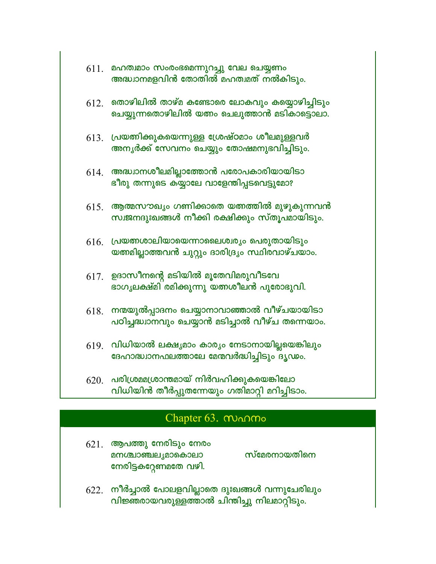|      | $611.$ മഹത്വമാം സംരംഭമെന്നുറച്ചു വേല ചെയ്യണം<br>അദ്ധ്വാനമളവിൻ തോതിൽ മഹത്വമത് നൽകിടും.                 |
|------|-------------------------------------------------------------------------------------------------------|
|      | $612.$ തൊഴിലിൽ താഴ്മ കണ്ടോരെ ലോകവും കയ്യൊഴിച്ചിടും<br>ചെയ്യുന്നതൊഴിലിൽ യത്നം ചെലുത്താൻ മടികാട്ടൊലാ.   |
|      | $613$ . പ്രയത്നിക്കുകയെന്നുള്ള ശ്രേഷ്ഠമാം ശീലമുള്ളവർ<br>അനൃർക്ക് സേവനം ചെയ്യും തോഷമനുഭവിച്ചിടും.      |
| 614. | അദ്ധ്വാനശീലമില്ലാത്തോൻ പരോപകാരിയായിടാ<br>ഭീരു തന്നുടെ കയ്യാലേ വാളേന്തിപ്പടവെട്ടുമോ?                   |
|      | $615.$ ആത്മസൗഖ്യം ഗണിക്കാതെ യത്നത്തിൽ മുഴുകുന്നവൻ<br>സ്വജനദുഃഖങ്ങൾ നീക്കി രക്ഷിക്കും സ്തൂപമായിടും.    |
|      | $616.$ പ്രയത്നശാലിയായെന്നാലൈശ്വര്യം പെരുതായിടും<br>യത്തമില്ലാത്തവൻ ചുറ്റും ദാരിദ്ര്യം സ്ഥിരവാഴ്ചയാം.  |
|      | $617.$ ഉദാസീനന്റെ മടിയിൽ മൂതേവിമരുവീടവേ<br>ഭാഗൃലക്ഷ്മി രമിക്കുന്നു യത്നശീലൻ പുരോഭുവി.                 |
|      | $618.$ നന്മയുൽപ്പാദനം ചെയ്യാനാവാഞ്ഞാൽ വീഴ്ചയായിടാ<br>പഠിച്ചദ്ധാനവും ചെയ്യാൻ മടിച്ചാൽ വീഴ്ച തന്നെയാം.  |
|      | $619$ . വിധിയാൽ ലക്ഷ്യമാം കാര്യം നേടാനായില്ലയെങ്കിലും<br>ദേഹാദ്ധ്വാനഫലത്താലേ മേന്മവർദ്ധിച്ചിടും ദൃഢം. |
| 620. | പരിശ്രമമശ്രാന്തമായ് നിർവഹിക്കുകയെങ്കിലോ<br>വിധിയിൻ തീർപ്പുതന്നേയും ഗതിമാറ്റി മറിച്ചിടാം.              |

# Chapter 63. MANO

- $621.$  ആപത്തു നേരിടും നേരം സ്മേരനായതിനെ മനശ്ചാഞ്ചലൃമാകൊലാ നേരിട്ടകറ്റേണമതേ വഴി.
- 622. നീർച്ചാൽ പോലളവില്ലാതെ ദുഃഖങ്ങൾ വന്നുചേരിലും<br>പിജ്ഞരായവരുള്ളത്താൽ ചിന്തിച്ചു നിലമാറ്റിടും.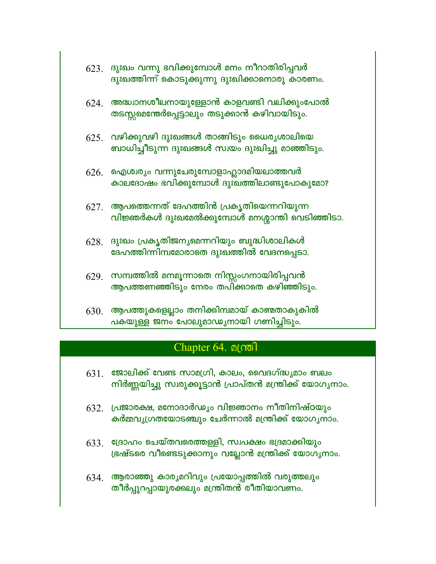|      | $623$ . ദുഃഖം വന്നു ഭവിക്കുമ്പോൾ മനം നീറാതിരിപ്പവർ<br>ദുഃഖത്തിന്ന് കൊടുക്കുന്നു ദുഃഖിക്കാനൊരു കാരണം.  |
|------|-------------------------------------------------------------------------------------------------------|
|      | $624.$ അദ്ധ്വാനശീലനായുള്ളോൻ കാളവണ്ടി വലിക്കുംപോൽ<br>തടസ്സമെന്തേർപ്പെട്ടാലും തടുക്കാൻ കഴിവായിടും.      |
|      | $625$ . വഴിക്കുവഴി ദുഃഖങ്ങൾ താങ്ങിടും ധൈരൃശാലിയെ<br>ബാധിച്ചീടുന്ന ദുഃഖങ്ങൾ സ്വയം ദുഃഖിച്ചു മാഞ്ഞിടും. |
| 626. | ഐശ്വര്യം വന്നുചേരുമ്പോളാഹ്ലാദമിയലാത്തവർ<br>കാലദോഷം ഭവിക്കുമ്പോൾ ദുഃഖത്തിലാണ്ടുപോകുമോ?                 |
|      | $627$ . ആപത്തെന്നത് ദേഹത്തിൻ പ്രകൃതിയെന്നറിയുന്ന<br>വിജ്ഞർകൾ ദുഃഖമേൽക്കുമ്പോൾ മനശ്ശാന്തി വെടിഞ്ഞിടാ.  |
| 628. | ദുഃഖം പ്രകൃതിജനൃമെന്നറിയും ബുദ്ധിശാലികൾ<br>ദേഹത്തിന്നിമ്പമോരാതെ ദുഃഖത്തിൽ വേദനപ്പെടാ.                 |
|      | $629$ . സമ്പത്തിൽ മനമൂന്നാതെ നിസ്സംഗനായിരിപ്പവൻ<br>ആപത്തണഞ്ഞിടും നേരം തപിക്കാതെ കഴിഞ്ഞിടും.           |
|      | $630.$ ആപത്തുകളെല്ലാം തനിക്കിമ്പമായ് കാണ്മതാകുകിൽ<br>പകയുള്ള ജനം പോലുമാഢ്യനായി ഗണിച്ചിടും.            |

## Chapter 64. **alcool**

- $631.$  ജോലിക്ക് വേണ്ട സാമഗ്രി, കാലം, വൈദഗ്ദ്ധ്യമാം ബലം നിർണ്ണയിച്ചു സ്വരുക്കൂട്ടാൻ പ്രാപ്തൻ മന്ത്രിക്ക് യോഗൃനാം.
- $632.$  പ്രജാരക്ഷ, മനോദാർഡ്യം വിജ്ഞാനം നീതിനിഷ്ഠയും കർമ്മവൃഗ്രതയോടഞ്ചും ചേർന്നാൽ മന്ത്രിക്ക് യോഗൃനാം.
- $633$  ജ്രോഹം ചെയ്തവരെത്തള്ളി, സ്വപക്ഷം ഭദ്രമാക്കിയും ഭ്രഷ്ടരെ വീണ്ടെടുക്കാനും വല്ലോൻ മന്ത്രിക്ക് യോഗൃനാം.
- $634.$  ആരാഞ്ഞു കാര്യമറിവും പ്രയോപ്പത്തിൽ വരുത്തലും തീർപ്പുറപ്പായുരക്കലും മന്ത്രിതൻ രീതിയാവണം.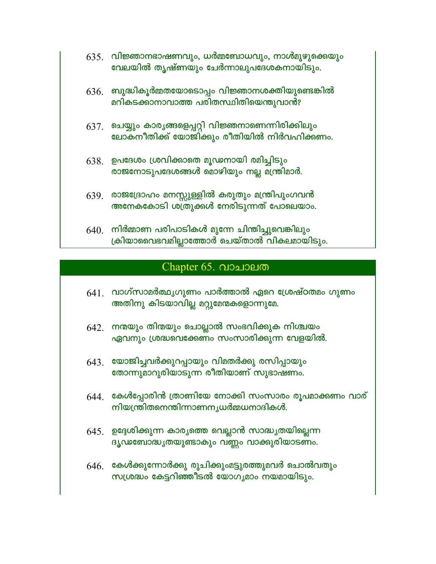- $635.$  വിജ്ഞാനഭാഷണവും, ധർമ്മബോധവും, നാൾമുഴുക്കെയും വേലയിൽ തൃഷ്ണയും ചേർന്നാലുപദേശകനായിടും.
- $636.$  ബുദ്ധികൂർമ്മതയോടൊപ്പം വിജ്ഞാനശക്തിയുണ്ടെങ്കിൽ മറികടക്കാനാവാത്ത പരിതസ്ഥിതിയെന്തുവാൻ?
- $637$ . ചെയ്യും കാരൃങ്ങളെപ്പറ്റി വിജ്ഞനാണെന്നിരിക്കിലും ലോകനീതിക്ക് യോജിക്കും രീതിയിൽ നിർവഹിക്കണം.
- $638.$  ഉപദേശം ശ്രവിക്കാതെ മൂഢനായി രമിച്ചിടും രാജനോടുപദേശങ്ങൾ മൊഴിയും നല്ല മന്ത്രിമാർ.
- 639. രാജദ്രോഹം മനസ്സുള്ളിൽ കരുതും മന്ത്രിപുംഗവൻ അനേകകോടി ശത്രുക്കൾ നേരിടുന്നത് പോലെയാം.
- $640.$  നിർമ്മാണ പരിപാടികൾ മുന്നേ ചിന്തിച്ചുവെങ്കിലും ക്രിയാവൈഭവമില്ലാത്തോർ ചെയ്താൽ വികലമായിടും.

## Chapter 65. വാചാലത

- $641$ . വാഗ്സാമർത്ഥൃഗുണം പാർത്താൽ ഏറെ ശ്രേഷ്ഠതമം ഗുണം അതിനു കിടയാവില്ല മറ്റുമേന്മകളൊന്നുമേ.
- $642.$  നന്മയും തിന്മയും ചൊല്ലാൽ സംഭവിക്കുക നിശ്ചയം ഏവനും ശ്രദ്ധവെക്കേണം സംസാരിക്കുന്ന വേളയിൽ.
- $643.$  യോജിച്ചവർക്കുറപ്പായും വിമതർക്കു രസിപ്പായും തോന്നുമാറുരിയാടുന്ന രീതിയാണ് സുഭാഷണം.
- $644$  കേൾപ്പോരിൻ ത്രാണിയേ നോക്കി സംസാരം രൂപമാക്കണം വാര് **നിയന്ത്രിതനെന്തിന്നാണനൃധർമ്മധനാദികൾ.**
- $645.$  ഉദ്ദേശിക്കുന്ന കാര്യത്തെ വെല്ലാൻ സാദ്ധ്യതയില്ലെന്ന ദൃഢബോദ്ധൃതയുണ്ടാകും വണ്ണം വാക്കുരിയാടണം.
- $646$ . കേൾക്കുന്നോർക്കു രുചിക്കുംമട്ടുരത്തുമവർ ചൊൽവതും സശ്രദ്ധം കേട്ടറിഞ്ഞീടൽ യോഗൃമാം നയമായിടും.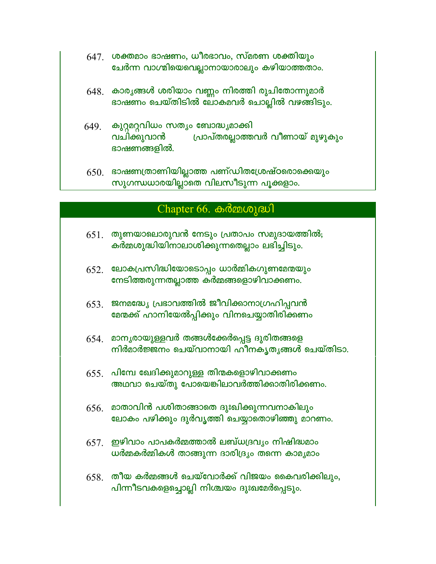- $647.$  ശക്തമാം ഭാഷണം, ധീരഭാവം, സ്മരണ ശക്തിയും ചേർന്ന വാഗ്മിയെവെല്ലാനായാരാലും കഴിയാത്തതാം.
- $648.$  കാര്യങ്ങൾ ശരിയാം വണ്ണം നിരത്തി രുചിതോന്നുമാർ ഭാഷണം ചെയ്തിടിൽ ലോകമവർ ചൊല്ലിൽ വഴങ്ങിടും.
- $649$ . കുറ്റമറ്റവിധം സത്യം ബോദ്ധ്യമാക്കി വചിക്കുവാൻ പ്രാപ്തരല്ലാത്തവർ വീണായ് മുഴുകും ഭാഷണങ്ങളിൽ.
- $650.$  ഭാഷണത്രാണിയില്ലാത്ത പണ്ഡിതശ്രേഷ്ഠരൊക്കെയും സുഗന്ധധാരയില്ലാതെ വിലസീടുന്ന പൂക്കളാം.

### Chapter 66. കർമ്മശുദ്ധി

- $651.$  തുണയാലൊരുവൻ നേടും പ്രതാപം സമുദായത്തിൽ; കർമ്മശുദ്ധിയിനാലാശിക്കുന്നതെല്ലാം ലഭിച്ചിടും.
- $652.$  ലോകപ്രസിദ്ധിയോടൊപ്പം ധാർമ്മികഗുണമേന്മയും നേടിത്തരുന്നതല്ലാത്ത കർമ്മങ്ങളൊഴിവാക്കണം.
- $653$ . ജനമദ്ധ്യേ പ്രഭാവത്തിൽ ജീവിക്കാനാഗ്രഹിപ്പവൻ മേന്മക്ക് ഹാനിയേൽപ്പിക്കും വിനചെയ്യാതിരിക്കണം
- $654$ . മാനൃരായുള്ളവർ തങ്ങൾക്കേർപ്പെട്ട ദുരിതങ്ങളെ നിർമാർജ്ജനം ചെയ്വാനായി ഹീനകൃതൃങ്ങൾ ചെയ്തിടാ.
- $655$ . പിമ്പേ ഖേദിക്കുമാറുള്ള തിന്മകളൊഴിവാക്കണം അഥവാ ചെയ്തു പോയെങ്കിലാവർത്തിക്കാതിരിക്കണം.
- $656.$  മാതാവിൻ പശിതാങ്ങാതെ ദുഃഖിക്കുന്നവനാകിലും ലോകം പഴിക്കും ദുർവൃത്തി ചെയ്യാതൊഴിഞ്ഞു മാറണം.
- $657<sub>1</sub>$  ഈിവാം പാപകർമ്മത്താൽ ലബ്ധദ്രവ്യം നിഷിദ്ധമാം ധർമ്മകർമ്മികൾ താങ്ങുന്ന ദാരിദ്ര്യം തന്നെ കാമൃമാം
- $658$ . തീയ കർമ്മങ്ങൾ ചെയ്വോർക്ക് വിജയം കൈവരിക്കിലും, പിന്നീടവകളെച്ചൊല്ലി നിശ്ചയം ദുഃഖമേർപ്പെടും.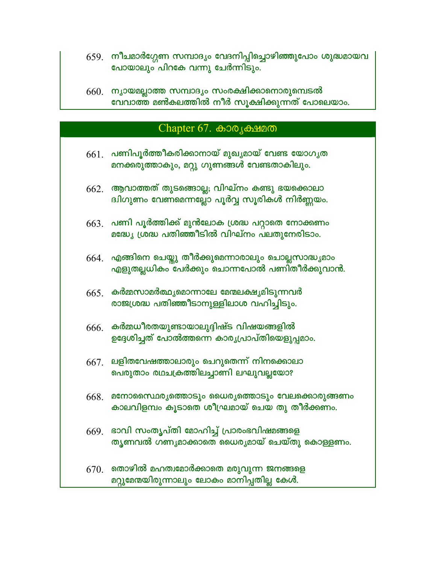- 659. നീചമാർഗ്ഗേണ സമ്പാദ്യം വേദനിപ്പിച്ചൊഴിഞ്ഞുപോം ശുദ്ധമായവ പോയാലും പിറകേ വന്നു ചേർന്നിടും.
- 660. ന്യായമല്ലാത്ത സമ്പാദ്യം സംരക്ഷിക്കാനൊരുമ്പെടൽ വേവാത്ത് മൺകലത്തിൽ നീർ സൂക്ഷിക്കുന്നത് പോലെയാം.

#### Chapter 67.  $\omega_0$  Сладие

- $661$ . പണിപൂർത്തീകരിക്കാനായ് മുഖ്യമായ് വേണ്ട യോഗൃത മനക്കരുത്താകും, മറ്റു ഗുണങ്ങൾ വേണ്ടതാകിലും.
- $662.$  ആവാത്തത് തുടങ്ങൊല്ല; വിഘ്നം കണ്ടു ഭയക്കൊലാ ദ്വിഗുണം വേണമെന്നല്ലോ പൂർവ്വ സൂരികൾ നിർണ്ണയം.
- $663$ . പണി പൂർത്തിക്ക് മുൻലോക ശ്രദ്ധ പറ്റാതെ നോക്കണം മദ്ധ്യേ ശ്രദ്ധ പതിഞ്ഞീടിൽ വിഘ്നം പലതുനേരിടാം.
- $664$ . എങ്ങിനെ ചെയ്തു തീർക്കുമെന്നാരാലും ചൊല്ലസാദ്ധ്യമാം എളുതല്ലധികം പേർക്കും ചൊന്നപോൽ പണിതീർക്കുവാൻ.
- $665$ . കർമ്മസാമർത്ഥ്യമൊന്നാലേ മേന്മലക്ഷ്യമിടുന്നവർ രാജശ്രദ്ധ പതിഞ്ഞീടാനുള്ളിലാശ വഹിച്ചിടും.
- $666.$  കർമ്മധീരതയുണ്ടായാലുദ്ദിഷ്ട വിഷയങ്ങളിൽ ഉദ്ദേശിച്ചത് പോൽത്തന്നെ കാര്യപ്രാപ്തിയെളുപ്പമാം.
- $667.$  ലളിതവേഷത്താലാരും ചെറുതെന്ന് നിനക്കൊലാ പെരുതാം രഥചക്രത്തിലച്ചാണി ലഘുവല്ലയോ?
- $668.$  മനോസൈഥരൃത്തൊടും ധൈരൃത്തൊടും വേലക്കൊരുങ്ങണം കാലവിളമ്പം കൂടാതെ ശീഘ്രമായ് ചെയ തു തീർക്കണം.
- $669$ . ഭാവി സംതൃപ്തി മോഹിച്ച് പ്രാരംഭവിഷമങ്ങളെ തൃണവൽ ഗണ്യമാക്കാതെ ധൈര്യമായ് ചെയ്തു കൊള്ളണം.
- $670.$  തൊഴിൽ മഹത്വമോർക്കാതെ മരുവുന്ന ജനങ്ങളെ മറ്റുമേന്മയിരുന്നാലും ലോകം മാനിപ്പതില്ല കേൾ.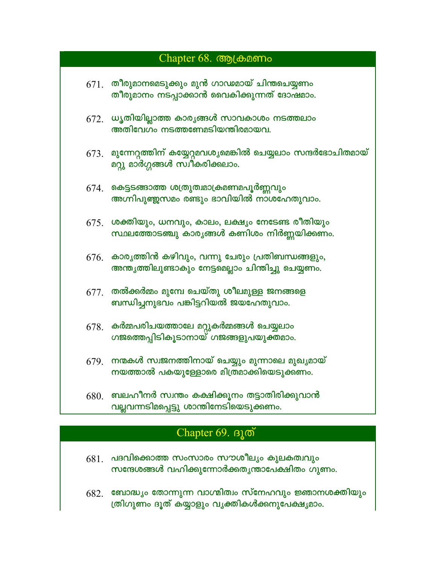| Chapter 68. Com Chapter |                                                                                                                |  |
|-------------------------|----------------------------------------------------------------------------------------------------------------|--|
| 671.                    | തീരുമാനമെടുക്കും മുൻ ഗാഢമായ് ചിന്തചെയ്യണം<br>തീരുമാനം നടപ്പാക്കാൻ വൈകിക്കുന്നത് ദോഷമാം.                        |  |
|                         | $672.$ ധൃതിയില്ലാത്ത കാര്യങ്ങൾ സാവകാശം നടത്തലാം<br>അതിവേഗം നടത്തണേമടിയന്തിരമായവ.                               |  |
|                         | $673$ . മുന്നേറ്റത്തിന് കയ്യേറ്റമവശ്യമെങ്കിൽ ചെയ്യലാം സന്ദർഭോചിതമായ്<br>മറ്റു മാർഗ്ഗങ്ങൾ സ്വീകരിക്കലാം.        |  |
|                         | $674$ . കെട്ടടങ്ങാത്ത ശത്രുത്വമാക്രമണമപൂർണ്ണവും<br>അഗ്നിപുഞ്ജസമം രണ്ടും ഭാവിയിൽ നാശഹേതുവാം.                    |  |
|                         | $675.$ ശക്തിയും, ധനവും, കാലം, ലക്ഷ്യം നേടേണ്ട രീതിയും<br>സ്ഥലത്തോടഞ്ചു കാരൃങ്ങൾ കണിശം നിർണ്ണയിക്കണം.           |  |
|                         | $676.$ കാര്യത്തിൻ കഴിവും, വന്നു ചേരും പ്രതിബന്ധങ്ങളും,<br>അന്ത്യത്തിലുണ്ടാകും നേട്ടമെല്ലാം ചിന്തിച്ചു ചെയ്യണം. |  |
| 677.                    | തൽക്കർമ്മം മുമ്പേ ചെയ്തു ശീലമുള്ള ജനങ്ങളെ<br>ബന്ധിച്ചനുഭവം പങ്കിട്ടറിയൽ ജയഹേതുവാം.                             |  |
| 678.                    | കർമ്മപരിചയത്താലേ മറ്റുകർമ്മങ്ങൾ ചെയ്യലാം<br>ഗജത്തെപ്പിടികൂടാനായ് ഗജങ്ങളുപയുക്തമാം.                             |  |
|                         | $679$ . നന്മകൾ സ്വജനത്തിനായ് ചെയ്യും മുന്നാലെ മുഖൃമായ്<br>നയത്താൽ പകയുള്ളോരെ മിത്രമാക്കിയെടുക്കണം.             |  |
| 680.                    | ബലഹീനർ സ്വന്തം കക്ഷിക്കുനം തട്ടാതിരിക്കുവാൻ<br>വല്ലവന്നടിമപ്പെട്ടു ശാന്തിനേടിയെടുക്കണം.                        |  |

# Chapter 69. BJO

- $681.$  പദവിക്കൊത്ത സംസാരം സൗശീല്യം കുലകത്വവും സന്ദേശങ്ങൾ വഹിക്കുന്നോർക്കതൃന്താപേക്ഷിതം ഗുണം.
- 682. ബോദ്ധ്യം തോന്നുന്ന വാഗ്മിത്വം സ്നേഹവും ജ്ഞാനശക്തിയും<br>തിഗുണം ദൂത് കയ്യാളും വൃക്തികൾക്കനുപേക്ഷ്യമാം.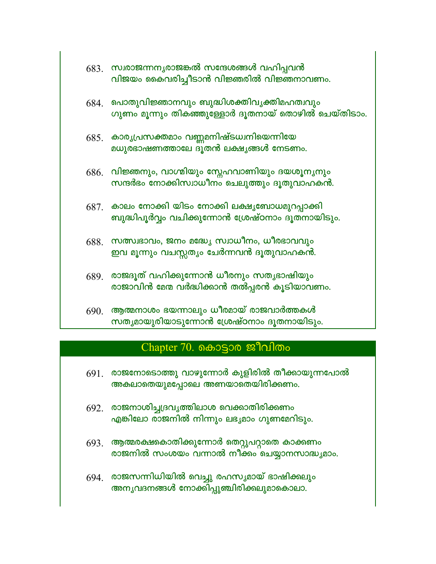|      | $683.$ സ്വരാജന്നനൃരാജങ്കൽ സന്ദേശങ്ങൾ വഹിപ്പവൻ<br>വിജയം കൈവരിച്ചീടാൻ വിജ്ഞരിൽ വിജ്ഞനാവണം.                |
|------|---------------------------------------------------------------------------------------------------------|
|      | $684$ . പൊതുവിജ്ഞാനവും ബുദ്ധിശക്തിവൃക്തിമഹത്വവും<br>ഗുണം മൂന്നും തികഞ്ഞുള്ളോർ ദൂതനായ് തൊഴിൽ ചെയ്തിടാം.  |
| 685. | കാരൃപ്രസക്തമാം വണ്ണമനിഷ്ടധ്വനിയെന്നിയേ<br>മധുരഭാഷണത്താലേ ദൂതൻ ലക്ഷൃങ്ങൾ നേടണം.                          |
|      | $686$ . വിജ്ഞനും, വാഗ്മിയും സ്നേഹവാണിയും ദയശൂനൃനും<br>സന്ദർഭം നോക്കിസ്വാധീനം ചെലുത്തും ദൂതുവാഹകൻ.       |
|      | $6871$ കാലം നോക്കി യിടം നോക്കി ലക്ഷൃബോധമുറപ്പാക്കി<br>ബുദ്ധിപൂർവ്വം വചിക്കുന്നോൻ ശ്രേഷ്ഠനാം ദൂതനായിടും. |
| 688. | സത്സ്വഭാവം, ജനം മദ്ധ്യേ സ്വാധീനം, ധീരഭാവവും<br>ഇവ മൂന്നും വചസ്സത്യം ചേർന്നവൻ ദൂതുവാഹകൻ.                 |
| 689. | രാജദൂത് വഹിക്കുന്നോൻ ധീരനും സതൃഭാഷിയും<br>രാജാവിൻ മേന്മ വർദ്ധിക്കാൻ തൽപ്പരൻ കൂടിയാവണം.                  |
| 690. | ആത്മനാശം ഭയന്നാലും ധീരമായ് രാജവാർത്തകൾ<br>സതൃമായുരിയാടുന്നോൻ ശ്രേഷ്ഠനാം ദൂതനായിടും.                     |

## Chapter 70. கൊട്ടാര ജീവിതം

- $691.$  രാജനോടൊത്തു വാഴുന്നോർ കുളിരിൽ തീക്കായുന്നപോൽ അകലാതെയുമപ്പോലെ അണയാതെയിരിക്കണം.
- $692.$  രാജനാശിച്ച്യദവൃത്തിലാശ വെക്കാതിരിക്കണം എങ്കിലോ രാജനിൽ നിന്നും ലഭ്യമാം ഗുണമേറിടും.
- $693$ . ആത്മരക്ഷകൊതിക്കുന്നോർ തെറ്റുപറ്റാതെ കാക്കണം രാജനിൽ സംശയം വന്നാൽ നീക്കം ചെയ്യാനസാദ്ധ്യമാം.
- 694. രാജസന്നിധിയിൽ വെച്ചു രഹസ്യമായ് ഭാഷിക്കലും അന്യവദനങ്ങൾ നോക്കിപ്പുഞ്ചിരിക്കലുമാകൊലാ.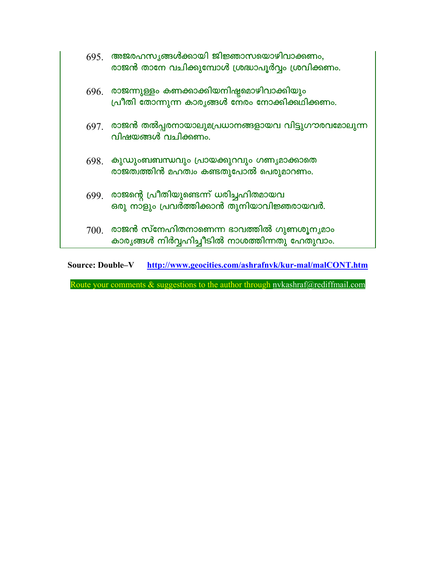|      | $695$ അജരഹസൃങ്ങൾക്കായി ജിജ്ഞാസയൊഴിവാക്കണം,<br>രാജൻ താനേ വചിക്കുമ്പോൾ ശ്രദ്ധാപൂർവ്വം ശ്രവിക്കണം.      |
|------|------------------------------------------------------------------------------------------------------|
|      | $696.$ രാജന്നുള്ളം കണക്കാക്കിയനിഷ്ടമൊഴിവാക്കിയും<br>പ്രീതി തോന്നുന്ന കാരൃങ്ങൾ നേരം നോക്കിക്കഥിക്കണം. |
|      | $697$ . രാജൻ തൽപ്പരനായാലുമപ്രധാനങ്ങളായവ വിട്ടുഗൗരവമോലുന്ന<br>വിഷയങ്ങൾ വചിക്കണം.                      |
| 698. | കുഡുംബബന്ധവും പ്രായക്കുറവും ഗണ്യമാക്കാതെ<br>രാജത്വത്തിൻ മഹത്വം കണ്ടതുപോൽ പെരുമാറണം.                  |
| 699. | രാജന്റെ പ്രീതിയുണ്ടെന്ന് ധരിച്ചഹിതമായവ<br>ഒരു നാളും പ്രവർത്തിക്കാൻ തുനിയാവിജ്ഞരായവർ.                 |
| 700. | രാജൻ സ്നേഹിതനാണെന്ന ഭാവത്തിൽ ഗുണശൂന്യമാം<br>കാര്യങ്ങൾ നിർവ്വഹിച്ചീടിൽ നാശത്തിന്നതു ഹേതുവാം.          |

Source: Double-V http://www.geocities.com/ashrafnyk/kur-mal/malCONT.htm

Route your comments & suggestions to the author through nvkashraf@rediffmail.com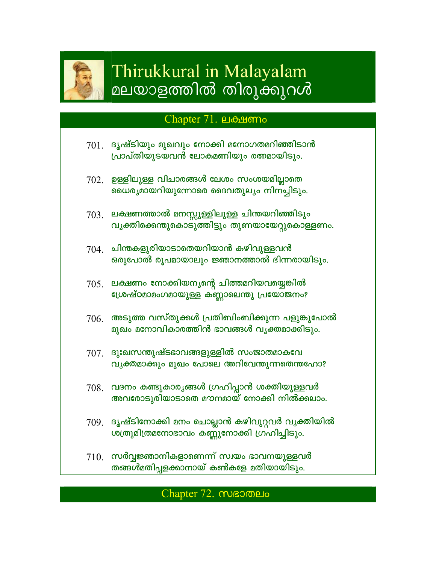

# Thirukkural in Malayalam മലയാളത്തിൽ തിരുക്കുറൾ

## Chapter 71. பக்ஷமால்

- $701.$  ദൃഷ്ടിയും മുഖവും നോക്കി മനോഗതമറിഞ്ഞിടാൻ പ്രാപ്തിയുടയവൻ ലോകമണിയും രത്നമായിടും.
- $702.$  ഉള്ളിലുള്ള വിചാരങ്ങൾ ലേശം സംശയമില്ലാതെ ധൈര്യമായറിയുന്നോരെ ദൈവതുല്യം നിനച്ചിടും.
- $703.$  ലക്ഷണത്താൽ മനസ്സുള്ളിലുള്ള ചിന്തയറിഞ്ഞിടും വൃക്തിക്കെന്തുകൊടുത്തിട്ടും തുണയായേറ്റുകൊള്ളണം.
- $704$ . ചിന്തകളുരിയാടാതെയറിയാൻ കഴിവുള്ളവൻ ഒരുപോൽ രൂപമായാലും ജ്ഞാനത്താൽ ഭിന്നരായിടും.
- $705.$  ലക്ഷണം നോക്കിയനൃന്റെ ചിത്തമറിയവയ്യെങ്കിൽ ശ്രേഷ്ഠമാമംഗമായുള്ള കണ്ണാലെന്തു പ്രയോജനം?
- $706$ . അടുത്ത വസ്തുക്കൾ പ്രതിബിംബിക്കുന്ന പളുങ്കുപോൽ മുഖം മനോവികാരത്തിൻ ഭാവങ്ങൾ വൃക്തമാക്കിടും.
- $707$  ദുഃഖസന്തുഷ്ടഭാവങ്ങളുള്ളിൽ സംജാതമാകവേ വൃക്തമാക്കും മുഖം പോലെ അറിവേന്തുന്നതെന്തഹോ?
- 708. വദനം കണ്ടുകാര്യങ്ങൾ ഗ്രഹിപ്പാൻ ശക്തിയുള്ളവർ അവരോടുരിയാടാതെ മൗനമായ് നോക്കി നിൽക്കലാം.
- 709. ദൃഷ്ടിനോക്കി മനം ചൊല്ലാൻ കഴിവുറ്റവർ വൃക്തിയിൽ ശത്രുമിത്രമനോഭാവം കണ്ണുനോക്കി ഗ്രഹിച്ചിടും.
- $710$  സർവ്വജ്ഞാനികളാണെന്ന് സ്വയം ഭാവനയുള്ളവർ തങ്ങൾമതിപ്പളക്കാനായ് കൺകളേ മതിയായിടും.

## Chapter 72. MBOMELO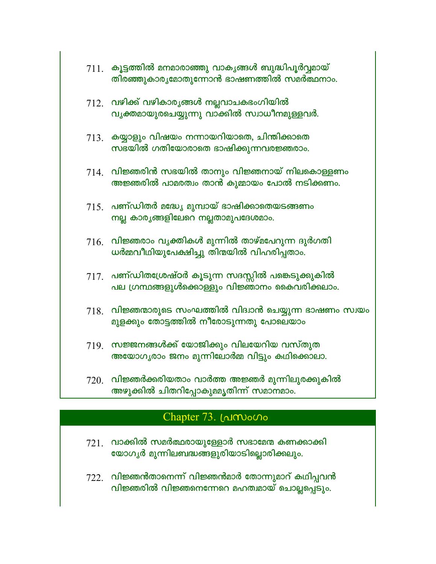|      | $711.$ കൂട്ടത്തിൽ മനമാരാഞ്ഞു വാകൃങ്ങൾ ബുദ്ധിപൂർവ്വമായ്<br>തിരഞ്ഞുകാരൃമോതുന്നോൻ ഭാഷണത്തിൽ സമർത്ഥനാം.     |
|------|---------------------------------------------------------------------------------------------------------|
|      | $712.$ വഴിക്ക് വഴികാരൃങ്ങൾ നല്ലവാചകഭംഗിയിൽ<br>വൃക്തമായുരചെയ്യുന്നു വാക്കിൽ സ്വാധീനമുള്ളവർ.              |
|      | $713.$ കയ്യാളും വിഷയം നന്നായറിയാതെ, ചിന്തിക്കാതെ<br>സഭയിൽ ഗതിയോരാതെ ഭാഷിക്കുന്നവരജ്ഞരാം.                |
|      | $714$ . വിജ്ഞരിൻ സഭയിൽ താനും വിജ്ഞനായ് നിലകൊള്ളണം<br>അജ്ഞരിൽ പാമരത്വം താൻ കുമ്മായം പോൽ നടിക്കണം.        |
|      | $715$ . പണ്ഡിതർ മദ്ധ്യേ മുമ്പായ് ഭാഷിക്കാതെയടങ്ങണം<br>നല്ല കാര്യങ്ങളിലേറെ നല്ലതാമുപദേശമാം.              |
| 716. | വിജ്ഞരാം വൃക്തികൾ മുന്നിൽ താഴ്മപേറുന്ന ദുർഗതി<br>ധർമ്മവീഥിയുപേക്ഷിച്ചു തിന്മയിൽ വിഹരിപ്പതാം.            |
|      | $717$ . പണ്ഡിതശ്രേഷ്ഠർ കൂടുന്ന സദസ്സിൽ പങ്കെടുക്കുകിൽ<br>പല ഗ്രന്ഥങ്ങളുൾക്കൊള്ളും വിജ്ഞാനം കൈവരിക്കലാം. |
| 718. | വിജ്ഞന്മാരുടെ സംഘത്തിൽ വിദ്വാൻ ചെയ്യുന്ന ഭാഷണം സ്വയം<br>മുളക്കും തോട്ടത്തിൽ നീരോടുന്നതു പോലെയാം         |
|      | $719$ . സജ്ജനങ്ങൾക്ക് യോജിക്കും വിലയേറിയ വസ്തുത<br>അയോഗൃരാം ജനം മുന്നിലോർമ്മ വിട്ടും കഥിക്കൊലാ.         |
| 720. | വിജ്ഞർക്കരിയതാം വാർത്ത അജ്ഞർ മുന്നിലുരക്കുകിൽ                                                           |

അഴുക്കിൽ ചിതറിപ്പോകുമമൃതിന്ന് സമാനമാം.

## Chapter 73. [Almono

- $721.$  വാക്കിൽ സമർത്ഥരായുള്ളോർ സഭാമേന്മ കണക്കാക്കി യോഗൃർ മുന്നിലബദ്ധങ്ങളുരിയാടില്ലൊരിക്കലും.
- $722$ . വിജ്ഞൻതാനെന്ന് വിജ്ഞൻമാർ തോന്നുമാറ് കഥിപ്പവൻ വിജ്ഞരിൽ വിജ്ഞനെന്നേറെ മഹത്വമായ് ചൊല്ലപ്പെടും.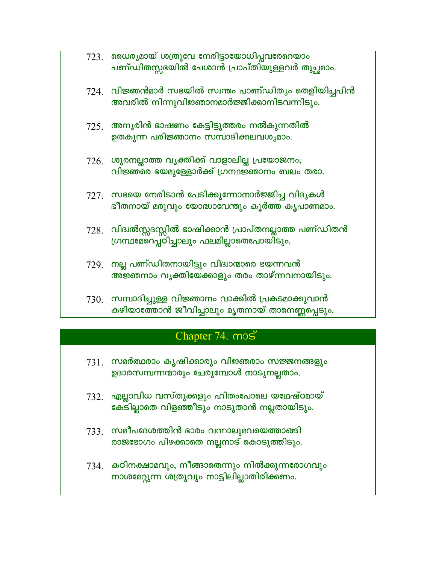- $723$ . ഡൈര്യമായ് ശത്രുവേ നേരിട്ടായോധിപ്പവരേറെയാം പണ്ഡിതസ്സഭയിൽ പേശാൻ പ്രാപ്തിയുള്ളവർ തുച്ഛമാം.
- $724$ . വിജ്ഞൻമാർ സഭയിൽ സ്വന്തം പാണ്ഡിതൃം തെളിയിച്ചപിൻ അവരിൽ നിന്നുവിജ്ഞാനമാർജ്ജിക്കാനിടവന്നിടും.
- $725$ . അനൃരിൻ ഭാഷണം കേട്ടിട്ടുത്തരം നൽകുന്നതിൽ ഉതകുന്ന പരിജ്ഞാനം സമ്പാദിക്കലവശൃമാം.
- $726.$  ശൂരനല്ലാത്ത വൃക്തിക്ക് വാളാലില്ല പ്രയോജനം; വിജ്ഞരെ ഭയമുള്ളോർക്ക് ഗ്രന്ഥജ്ഞാനം ബലം തരാ.
- 727. സഭയെ നേരിടാൻ പേടിക്കുന്നോനാർജ്ജിച്ച വിദൃകൾ ഭീതനായ് മരുവും യോദ്ധാവേന്തും കൂർത്ത കൃപാണമാം.
- $728$ . വിദ്വൽസ്സദസ്സിൽ ഭാഷിക്കാൻ പ്രാപ്തനല്ലാത്ത പണ്ഡിതൻ ഗ്രന്ഥമേറെപ്പ്ഠിച്ചാലും ഫലമില്ലാതെപോയിടും.
- $729$ . നല്ല പണ്ഡിതനായിട്ടും വിദ്വാന്മാരെ ഭയന്നവൻ അ്ജ്ഞനാം വൃക്തിയേക്കാളും തരം താഴ്ന്നവനായിടും.
- $730.$  സമ്പാദിച്ചുള്ള വിജ്ഞാനം വാക്കിൽ പ്രകടമാക്കുവാൻ കഴിയാത്തോൻ ജീവിച്ചാലും മൃതനായ് താനെണ്ണപ്പെടും.

# Chapter 74. mos

- 731. സമർത്ഥരാം കൃഷിക്കാരും വിജ്ഞരാം സജ്ജനങ്ങളും ഉദാരസമ്പന്നന്മാരും ചേരുമ്പോൾ നാടുനല്ലതാം.
- $732$ . എല്ലാവിധ വസ്തുക്കളും ഹിതംപോലെ യഥേഷ്ഠമായ് കേടില്ലാതെ വിളഞ്ഞീടും നാടുതാൻ നല്ലതായിടും.
- $733.$  സമീപദേശത്തിൻ ഭാരം വന്നാലുമവയെത്താങ്ങി രാജഭോഗം പിഴക്കാതെ നല്ലനാട് കൊടുത്തിടും.
- $734.$  കഠിനക്ഷാമവും, നീങ്ങാതെന്നും നിൽക്കുന്നരോഗവും നാശമേറ്റുന്ന ശത്രുവും നാട്ടിലില്ലാതിരിക്കണം.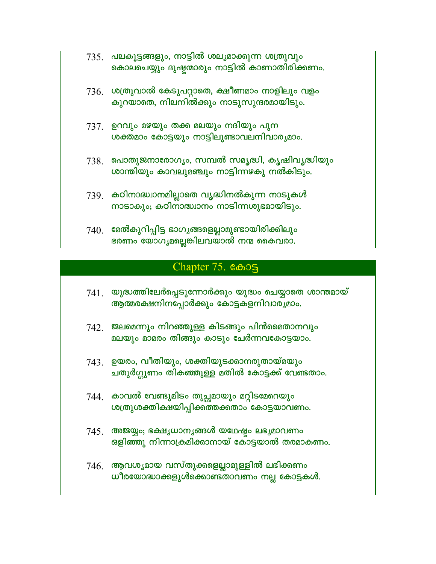- 735. പലകൂട്ടങ്ങളും, നാട്ടിൽ ശല്യമാക്കുന്ന ശത്രുവും കൊലചെയ്യും ദുഷ്ടന്മാരും നാട്ടിൽ കാണാതിരിക്കണം.
- $736.$  ശത്രുവാൽ കേടുപറ്റാതെ, ക്ഷീണമാം നാളിലും വളം കുറയാതെ, നിലനിൽക്കും നാടുസുന്ദരമായിടും.
- 737. ഉറവും മഴയും തക്ക മലയും നദിയും പുന ശക്തമാം കോട്ടയും നാട്ടിലുണ്ടാവലനിവാരൃമാം.
- $738$ . പൊതുജനാരോഗ്യം, സമ്പൽ സമൃദ്ധി, കൃഷിവൃദ്ധിയും ശാന്തിയും കാവലുമഞ്ചും നാട്ടിന്നഴകു നൽകിടും.
- $739$ . കഠിനാദ്ധ്വാനമില്ലാതെ വൃദ്ധിനൽകുന്ന നാടുകൾ നാടാകും; കഠിനാദ്ധ്വാനം നാടിന്നശുഭമായിടും.
- $740$ . മേൽകുറിപ്പിട്ട ഭാഗൃങ്ങളെല്ലാമുണ്ടായിരിക്കിലും ഭരണം യോഗൃമല്ലെങ്കിലവയാൽ നന്മ കൈവരാ.

## Chapter 75. Coos

- $741$ . യുദ്ധത്തിലേർപ്പെടുന്നോർക്കും യുദ്ധം ചെയ്യാതെ ശാന്തമായ് ആത്മരക്ഷനിനപ്പോർക്കും കോട്ടകളനിവാര്യമാം.
- $742.$  ജലമെന്നും നിറഞ്ഞുള്ള കിടങ്ങും പിൻമൈതാനവും മലയും മാമരം തിങ്ങും കാടും ചേർന്നവകോട്ടയാം.
- $743.$  ഉയരം, വീതിയും, ശക്തിയുടക്കാനരുതായ്മയും ചതുർഗ്ഗുണം തികഞ്ഞുള്ള മതിൽ കോട്ടക്ക് വേണ്ടതാം.
- 744 കാവൽ വേണ്ടുമിടം തുച്ഛമായും മറ്റിടമേറെയും ശത്രുശക്തിക്ഷയിപ്പിക്കത്തക്കതാം കോട്ടയാവണം.
- $745$ . അജയ്യം; ഭക്ഷൃധാനൃങ്ങൾ യഥേഷ്യം ലഭ്യമാവണം ഒളിഞ്ഞു നിന്നാക്രമിക്കാനായ് കോട്ടയാൽ തരമാകണം.
- $746.$  ആവശ്യമായ വസ്തുക്കളെല്ലാമുള്ളിൽ ലഭിക്കണം ധീരയോദ്ധാക്കളുൾക്കൊണ്ടതാവണം നല്ല കോട്ടകൾ.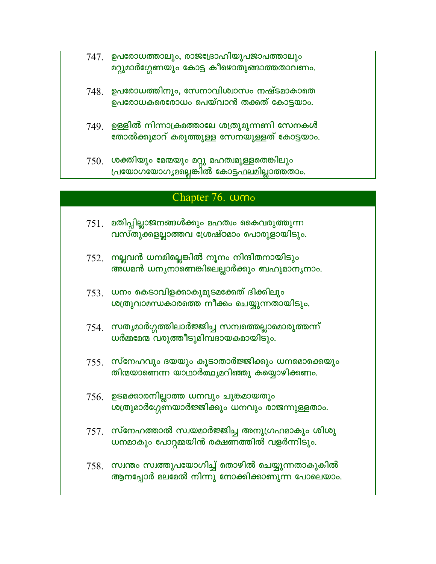- 747 ഉപരോധത്താലും, രാജദ്രോഹിയുപജാപത്താലും മറ്റുമാർഗ്ഗേണയും കോട്ട കീഴൊതുങ്ങാത്തതാവണം.
- 748. ഉപരോധത്തിനും, സേനാവിശ്വാസം നഷ്ടമാകാതെ ഉപരോധകരെരോധം പെയ്വാൻ തക്കത് കോട്ടയാം.
- $749$  ഉള്ളിൽ നിന്നാക്രമത്താലേ ശത്രുമുന്നണി സേനകൾ തോൽക്കുമാറ് കരുത്തുള്ള സേനയുള്ളത് കോട്ടയാം.
- $750$ . ശക്തിയും മേന്മയും മറ്റു മഹത്വമുള്ളതെങ്കിലും പ്രയോഗയോഗൃമല്ലെങ്കിൽ കോട്ടഫലമില്ലാത്തതാം.

### Chapter 76. wmo

- $751.$  മതിപ്പില്ലാജനങ്ങൾക്കും മഹത്വം കൈവരുത്തുന്ന വസ്തുക്കളല്ലാത്തവ ശ്രേഷ്ഠമാം പൊരുളായിടും.
- $752.$  നല്ലവൻ ധനമില്ലെങ്കിൽ നൂനം നിന്ദിതനായിടും അധമൻ ധനൃനാണെങ്കിലെല്ലാർക്കും ബഹുമാനൃനാം.
- $753.$  ധനം കെടാവിളക്കാകുമുടമക്കേത് ദിക്കിലും ശത്രുവാമന്ധകാരത്തെ നീക്കം ചെയ്യുന്നതായിടും.
- $754.$  സതൃമാർഗ്ഗത്തിലാർജ്ജിച്ച സമ്പത്തെല്ലാമൊരുത്തന്ന് ധർമ്മമേന്മ വരുത്തീടുമിമ്പദായകമായിടും.
- $755.$  സ്നേഹവും ദയയും കൂടാതാർജ്ജിക്കും ധനമൊക്കെയും തിന്മയാണെന്ന യാഥാർത്ഥ്യമറിഞ്ഞു കയ്യൊഴിക്കണം.
- $756.$  ഉടമക്കാരനില്ലാത്ത ധനവും ചുങ്കമായതും ശത്രുമാർഗ്ഗേണയാർജ്ജിക്കും ധനവും രാജന്നുള്ളതാം.
- $757.$  സ്നേഹത്താൽ സ്വയമാർജ്ജിച്ച അനുഗ്രഹമാകും ശിശു ധനമാകും പോറ്റമ്മയിൻ രക്ഷണത്തിൽ വളർന്നിടും.
- $758$ . സ്വന്തം സ്വത്തുപയോഗിച്ച് തൊഴിൽ ചെയ്യുന്നതാകുകിൽ ആനപ്പോർ മലമേൽ നിന്നു നോക്കിക്കാണുന്ന പോലെയാം.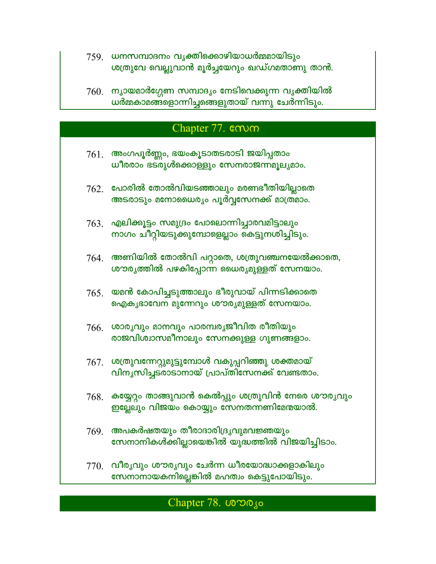- 759 ധനസമ്പാദനം വൃക്തിക്കൊഴിയാധർമ്മമായിടും ശത്രുവേ വെല്ലുവാൻ മൂർച്ചയേറും ഖഡ്ഗമതാണു താൻ.
- $760$ . ന്യായമാർഗ്ഗേണ സമ്പാദ്യം നേടിവെക്കുന്ന വൃക്തിയിൽ<br>ധർമ്മകാമങ്ങളൊന്നിച്ചങ്ങെളുതായ് വന്നു ചേർന്നിടും.

## Chapter 77. com

| 761. | അംഗപൂർണ്ണം, ഭയംകൂടാതടരാടി ജയിപ്പതാം<br>ധീരരാം ഭട്രുൾക്കൊള്ളും സേനരാജന്നമൂല്യമാം.                |
|------|-------------------------------------------------------------------------------------------------|
|      | $762.$ പോരിൽ തോൽവിയടഞ്ഞാലും മരണഭീതിയില്ലാതെ<br>അടരാടും മനോധൈര്യം പൂർവ്വസേനക്ക് മാത്രമാം.        |
| 763. | എലിക്കൂട്ടം സമുദ്രം പോലൊന്നിച്ചാരവമിട്ടാലും<br>നാഗം ചീറ്റിയടുക്കുമ്പോളെല്ലാം കെട്ടുനശിച്ചിടും.  |
| 764. | അണിയിൽ തോൽവി പറ്റാതെ, ശത്രുവഞ്ചനയേൽക്കാതെ,<br>ശൗരൃത്തിൽ പഴകിപ്പോന്ന ധൈര്യമുള്ളത് സേനയാം.        |
| 765. | യമൻ കോപിച്ചടുത്താലും ഭീരുവായ് പിന്നടിക്കാതെ<br>ഐകൃഭാവേന മുന്നേറും ശൗരൃമുള്ളത് സേനയാം.           |
| 766. | ശാരൃവും മാനവും പാരമ്പരൃജീവിത രീതിയും<br>രാജവിശ്വാസമീനാലും സേനക്കുള്ള ഗുണങ്ങളാം.                 |
| 767. | ശത്രുവന്നേറ്റുമുട്ടുമ്പോൾ വകുപ്പറിഞ്ഞു ശക്തമായ്<br>വിനൃസിച്ചടരാടാനായ് പ്രാപ്തിസേനക്ക് വേണ്ടതാം. |
| 768. | കയ്യേറ്റം താങ്ങുവാൻ കെൽപ്പും ശത്രുവിൻ നേരെ ശൗരൃവും<br>ഇല്ലേലും വിജയം കൊയ്യും സേനതന്നണിമേന്മയാൽ. |
| 769. | അപകർഷതയും തീരാദാരിദ്രൃവുമവജ്ഞയും<br>സേനാനികൾക്കില്ലായെങ്കിൽ യുദ്ധത്തിൽ വിജയിച്ചിടാം.            |
| 770. | വീരൃവും ശൗരൃവും ചേർന്ന ധീരയോദ്ധാക്കളാകിലും<br>സേനാനായകനില്ലെങ്കിൽ മഹത്വം കെട്ടുപോയിടും.         |

# Chapter 78. LONOJO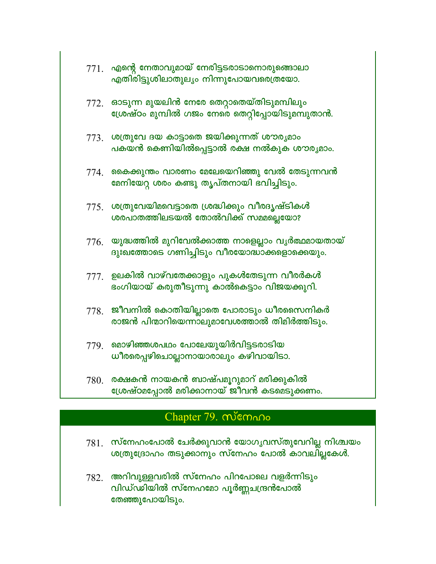|      | 771. എന്റെ നേതാവുമായ് നേരിട്ടടരാടാനൊരുങ്ങൊലാ<br>എതിരിട്ടുശിലാതുലൃം നിന്നുപോയവരെത്രയോ.                  |
|------|--------------------------------------------------------------------------------------------------------|
|      | $772$ . ഓടുന്ന മുയലിൻ നേരേ തെറ്റാതെയ്തിടുമമ്പിലും<br>ശ്രേഷ്ഠം മുമ്പിൽ ഗജം നേരെ തെറ്റിപ്പോയിടുമമ്പുതാൻ. |
|      | 773. ശത്രുവേ ദയ കാട്ടാതെ ജയിക്കുന്നത് ശൗരൃമാം<br>പകയൻ കെണിയിൽപ്പെട്ടാൽ രക്ഷ നൽകുക ശൗര്യമാം.            |
| 774. | കൈക്കുന്തം വാരണം മേലേയെറിഞ്ഞു വേൽ തേടുന്നവൻ<br>മേനിയേറ്റ ശരം കണ്ടു തൃപ്തനായി ഭവിച്ചിടും.               |
| 775. | ശത്രുവേയിമവെട്ടാതെ ശ്രദ്ധിക്കും വീരദൃഷ്ടികൾ<br>ശരപാതത്തിലടയൽ തോൽവിക്ക് സമ്മല്ലെയോ?                     |
| 776. | യുദ്ധത്തിൽ മുറിവേൽക്കാത്ത നാളെല്ലാം വൃർത്ഥമായതായ്<br>ദുഃഖത്തോടെ ഗണിച്ചിടും വീരയോദ്ധാക്കളൊക്കെയും.      |
| 777. | ഉലകിൽ വാഴ്വതേക്കാളും പുകൾതേടുന്ന വീരർകൾ<br>ഭംഗിയായ് കരുതീടുന്നു കാൽകെട്ടാം വിജയക്കുറി.                 |
| 778. | ജീവനിൽ കൊതിയില്ലാതെ പോരാടും ധീരസൈനികർ<br>രാജൻ പിന്മാറിയെന്നാലുമാവേശത്താൽ തിമിർത്തിടും.                 |
| 779. | മൊഴിഞ്ഞശപഥം പോലേയുയിർവിട്ടടരാടിയ<br>ധീരരെപ്പഴിചൊല്ലാനായാരാലും കഴിവായിടാ.                               |
| 780. | രക്ഷകൻ നായകൻ ബാഷ്പമൂറുമാറ് മരിക്കുകിൽ<br>ഗ്രേഷ്ഠമപോൽ മരിക്കാനായ് ജീവൻ കടമെട്ടുക്കണം.                   |

# Chapter 79. memono

- $781.$  സ്നേഹംപോൽ ചേർക്കുവാൻ യോഗൃവസ്തുവേറില്ല നിശ്ചയം ശത്രുദ്രോഹം തടുക്കാനും സ്നേഹം പോൽ കാവലില്ലകേൾ.
- 782. അറിവുള്ളവരിൽ സ്നേഹം പിറപോലെ വളർന്നിടും വിഡ്ഡിയിൽ സ്നേഹമോ പൂർണ്ണചന്ദ്രൻപോൽ തേഞ്ഞുപോയിടും.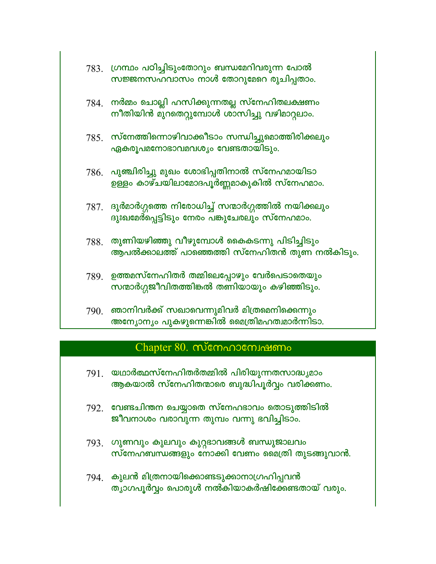|      | 783. ഗ്രന്ഥം പഠിച്ചിടുംതോറും ബന്ധമേറിവരുന്ന പോൽ<br>സജ്ജനസഹവാസം നാൾ തോറുമേറെ രുചിപ്പതാം.            |
|------|----------------------------------------------------------------------------------------------------|
|      | $784$ . നർമ്മം ചൊല്ലി ഹസിക്കുന്നതല്ല സ്നേഹിതലക്ഷണം<br>നീതിയിൻ മുറതെറ്റുമ്പോൾ ശാസിച്ചു വഴിമാറ്റലാം. |
|      | $785.$ സ്നേത്തിന്നൊഴിവാക്കീടാം സന്ധിച്ചുമൊത്തിരിക്കലും<br>ഏകരൂപമനോഭാവമവശ്യം വേണ്ടതായിടും.          |
| 786. | പുഞ്ചിരിച്ചു മുഖം ശോഭിപ്പതിനാൽ സ്നേഹമായിടാ<br>ഉള്ളം കാഴ്ചയിലാമോദപൂർണ്ണമാകുകിൽ സ്നേഹമാം.            |
| 787. | ദുർമാർഗ്ഗത്തെ നിരോധിച്ച് സന്മാർഗ്ഗത്തിൽ നയിക്കലും<br>ദുഃഖമേർപ്പെട്ടിടും നേരം പങ്കുചേരലും സ്നേഹമാം. |
| 788. | തുണിയഴിഞ്ഞു വീഴുമ്പോൾ കൈകടന്നു പിടിച്ചിടും<br>ആപൽക്കാലത്ത് പാഞ്ഞെത്തി സ്നേഹിതൻ തുണ നൽകിടും.        |
| 789. | ഉത്തമസ്നേഹിതർ തമ്മിലെപ്പോഴും വേർപെടാതെയും<br>സന്മാർഗ്ഗജീവിതത്തിങ്കൽ തണിയായും കഴിഞ്ഞിടും.           |
| 790. | ഞാനിവർക്ക് സഖാവെന്നുമിവർ മിത്രമെനിക്കെന്നും<br>അന്യോന്യം പുകഴുന്നെങ്കിൽ മൈത്രിമഹത്വമാർന്നിടാ.      |

## $Chapter 80.$  സ്നേഹാന്വേഷണം

- യഥാർത്ഥസ്നേഹിതർതമ്മിൽ പിരിയുന്നതസാദ്ധ്യമാം 791. ആകയാൽ സ്നേഹിതന്മാരെ ബുദ്ധിപൂർവ്വം വരിക്കണം.
- $792.$  വേണ്ടചിന്തന ചെയ്യാതെ സ്നേഹഭാവം തൊടുത്തിടിൽ ജീവനാശം വരാവുന്ന തുമ്പം വന്നു ഭവിച്ചിടാം.
- $793$ . ഗുണവും കുലവും കുറ്റഭാവങ്ങൾ ബന്ധുജാലവം സ്നേഹബന്ധങ്ങളും നോക്കി വേണം മൈത്രി തുടങ്ങുവാൻ.
- 794. കുലൻ മിത്രനായിക്കൊണ്ടടുക്കാനാഗ്രഹിപ്പവൻ ത്യാഗപൂർവ്വം പൊരുൾ നൽകിയാകർഷിക്കേണ്ടതായ് വരും.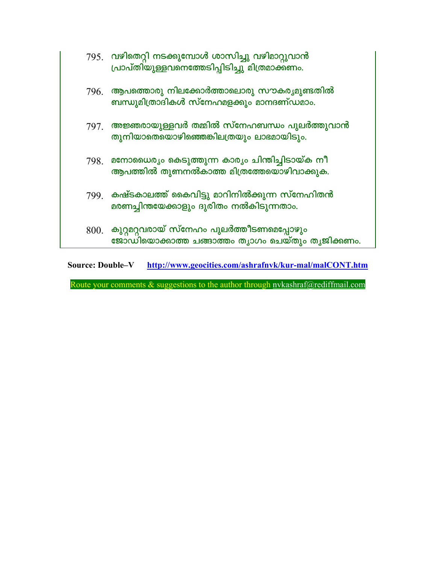|      | 795. വഴിതെറ്റി നടക്കുമ്പോൾ ശാസിച്ചു വഴിമാറ്റുവാൻ<br>പ്രാപ്തിയുള്ളവനെത്തേടിപ്പിടിച്ചു മിത്രമാക്കണം. |
|------|----------------------------------------------------------------------------------------------------|
|      | $796$ . ആപത്തൊരു നിലക്കോർത്താലൊരു സൗകര്യമുണ്ടതിൽ<br>ബന്ധുമിത്രാദികൾ സ്നേഹമളക്കും മാനദണ്ഡമാം.       |
|      | $797.$ അജ്ഞരായുള്ളവർ തമ്മിൽ സ്നേഹബന്ധം പുലർത്തുവാൻ<br>തുനിയാതെയൊഴിഞ്ഞെങ്കിലത്രയും ലാഭമായിടും.      |
| 798. | മനോധൈര്യം കെടുത്തുന്ന കാര്യം ചിന്തിച്ചിടായ്ക നീ<br>ആപത്തിൽ തുണനൽകാത്ത മിത്രത്തേയൊഴിവാക്കുക.        |
|      | 799 കഷ്ടകാലത്ത് കൈവിട്ടു മാറിനിൽക്കുന്ന സ്നേഹിതൻ<br>മരണച്ചിന്തയേക്കാളും ദുരിതം നൽകിടുന്നതാം.       |
| 800. | കുറ്റമറ്റവരായ് സ്നേഹം പുലർത്തീടണമെപ്പോഴും<br>ജോഡിയൊക്കാത്ത ചങ്ങാത്തം തൃാഗം ചെയ്തും തൃജിക്കണം.      |

Source: Double-V http://www.geocities.com/ashrafnyk/kur-mal/malCONT.htm

Route your comments & suggestions to the author through nvkashraf@rediffmail.com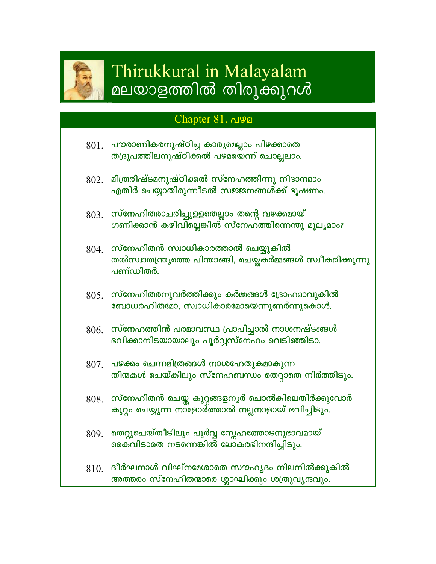

# Thirukkural in Malayalam മലയാളത്തിൽ തിരുക്കുറൾ

## Chapter 81. പഴമ

- 801. പൗരാണികരനുഷ്ഠിച്ച കാരൃമെല്ലാം പിഴക്കാതെ തദ്രൂപത്തിലനുഷ്ഠിക്കൽ പഴമയെന്ന് ചൊല്ലലാം.
- $802$  മിത്രരിഷ്ടമനുഷ്ഠിക്കൽ സ്നേഹത്തിന്നു നിദാനമാം എതിർ ചെയ്യാതിരുന്നീടൽ സജ്ജനങ്ങൾക്ക് ഭൂഷണം.
- $803.$  സ്നേഹിതരാചരിച്ചുള്ളതെല്ലാം തന്റെ വഴക്കമായ് ഗണിക്കാൻ കഴിവില്ലെങ്കിൽ സ്നേഹത്തിന്നെന്തു മൂല്യമാം?
- $804.$  സ്നേഹിതൻ സ്വാധികാരത്താൽ ചെയ്യുകിൽ തൽസ്വാതന്ത്ര്യത്തെ പിന്താങ്ങി, ചെയ്തകർമ്മങ്ങൾ സ്വീകരിക്കുന്നു പണ്ഡിതർ.
- $805.$  സ്നേഹിതരനുവർത്തിക്കും കർമ്മങ്ങൾ ദ്രോഹമാവുകിൽ ബോധരഹിതമോ, സ്വാധികാരമോയെന്നുണർന്നുകൊൾ.
- $806$ . സ്നേഹത്തിൻ പരമാവസ്ഥ പ്രാപിച്ചാൽ നാശനഷ്ടങ്ങൾ ഭവിക്കാനിടയായാലും പൂർവ്വസ്നേഹം വെടിഞ്ഞിടാ.
- $807$ . പഴക്കം ചെന്നമിത്രങ്ങൾ നാശഹേതുകമാകുന്ന തിന്മകൾ ചെയ്കിലും സ്നേഹബന്ധം തെറ്റാതെ നിർത്തിടും.
- $808$ . സ്നേഹിതൻ ചെയ്ത കുറ്റങ്ങളനൃർ ചൊൽകിലെതിർക്കുവോർ കുറ്റം ചെയ്യുന്ന നാളോർത്താൽ നല്ലനാളായ് ഭവിച്ചിടും.
- 809 ആറ്റുചെയ്തീടിലും പൂർവ്വ സ്നേഹത്തോടനുഭാവമായ് കൈവിടാതെ നടന്നെങ്കിൽ ലോകരഭിനന്ദിച്ചിടും.
- $810.$  ദീർഘനാൾ വിഘ്നമേശാതെ സൗഹൃദം നിലനിൽക്കുകിൽ അത്തരം സ്നേഹിതന്മാരെ ശ്ലാഘിക്കും ശത്രുവൃന്ദവും.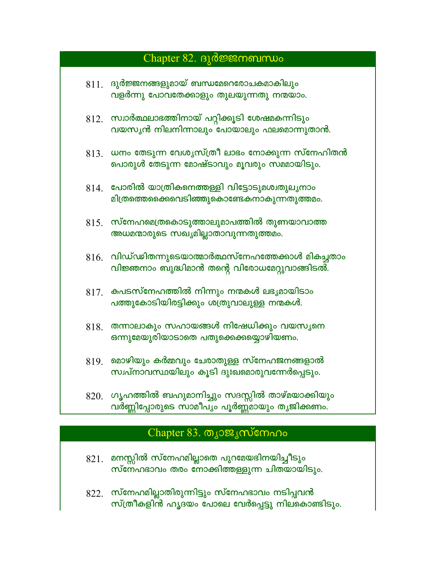#### Chapter 82.  $B_1$   $\delta$   $\mathcal{B}$   $\mathcal{B}$   $\mathcal{B}$   $\mathcal{B}$   $\mathcal{B}$   $\mathcal{B}$   $\mathcal{B}$   $\mathcal{B}$   $\mathcal{B}$   $\mathcal{B}$   $\mathcal{B}$   $\mathcal{B}$   $\mathcal{B}$   $\mathcal{B}$   $\mathcal{B}$   $\mathcal{B}$   $\mathcal{B}$   $\mathcal{B}$   $\mathcal{B}$   $\mathcal{B}$   $\mathcal{B}$   $\mathcal{B}$

| $811$ . ദുർജ്ജനങ്ങളുമായ് ബന്ധമേറെരോചകമാകിലും |
|----------------------------------------------|
| വളർന്നു പോവതേക്കാളും തുലയുന്നതു നന്മയാം.     |

- $812.$  സ്വാർത്ഥലാഭത്തിനായ് പറ്റിക്കൂടി ശേഷമകന്നിടും വയസൃൻ നിലനിന്നാലും പോയാലും ഫലമൊന്നുതാൻ.
- $813.$  ധനം തേടുന്ന വേശൃസ്ത്രീ ലാഭം നോക്കുന്ന സ്നേഹിതൻ പൊരുൾ തേടുന്ന മോഷ്ടാവും മൂവരും സമമായിടും.
- $814.$  പോരിൽ യാത്രികനെത്തള്ളി വിട്ടോടുമശ്വതുലൃനാം മിത്രത്തെക്കൈവെടിഞ്ഞുകൊണ്ടേകനാകുന്നതുത്തമം.
- $815.$  സ്നേഹമെത്രകൊടുത്താലുമാപത്തിൽ തുണയാവാത്ത അധമന്മാരുടെ സഖ്യമില്ലാതാവുന്നതുത്തമം.
- $816.$  വിഡ്ഢിതന്നുടെയാത്മാർത്ഥസ്നേഹത്തേക്കാൾ മികച്ചതാം വിജ്ഞനാം ബുദ്ധിമാൻ തന്റെ വിരോധമേറ്റുവാങ്ങിടൽ.
- $817.$  കപടസ്നേഹത്തിൽ നിന്നും നന്മകൾ ലഭൃമായിടാം പത്തുകോടിയിരട്ടിക്കും ശത്രുവാലുള്ള നന്മകൾ.
- $818$  തന്നാലാകും സഹായങ്ങൾ നിഷേധിക്കും വയസൃനെ ഒന്നുമേയുരിയാടാതെ പതുക്കെക്കയ്യൊഴിയണം.
- $819$ . മൊഴിയും കർമ്മവും ചേരാതുള്ള സ്നേഹജനങ്ങളാൽ സ്വപ്നാവസ്ഥയിലും കൂടി ദുഃഖമൊരുവന്നേർപ്പെടും.
- $820$ . ഗൃഹത്തിൽ ബഹുമാനിച്ചും സദസ്സിൽ താഴ്മയാക്കിയും വർണ്ണിപ്പോരുടെ സാമീപ്യം പൂർണ്ണമായും തൃജിക്കണം.

#### Chapter 83. തൃാജൃസ്നേഹം

- $821$ . മനസ്സിൽ സ്നേഹമില്ലാതെ പുറമേയഭിനയിച്ചീടും സ്നേഹഭാവം തരം നോക്കിത്തള്ളുന്ന ചിതയായിടും.
- $822.$  സ്നേഹമില്ലാതിരുന്നിട്ടും സ്നേഹഭാവം നടിപ്പവൻ സ്ത്രീകളിൻ ഹൃദയം പോലെ വേർപ്പെട്ടു നിലകൊണ്ടിടും.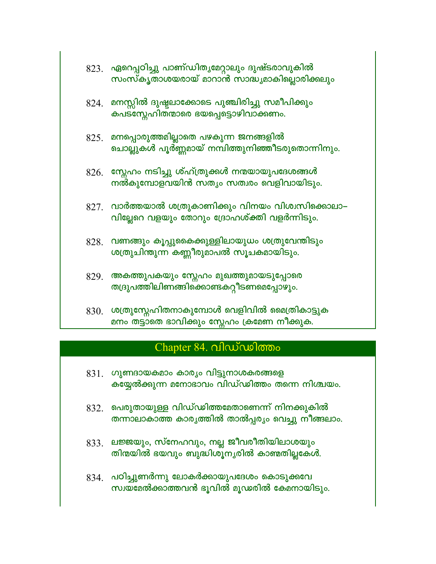|      | 823.   ഏറെപ്പഠിച്ചു  പാണ്ഡിതൃമേറ്റാലും ദുഷ്ടരാവുകിൽ<br>സംസ്കൃതാശയരായ് മാറാൻ സാദ്ധ്യമാകില്ലൊരിക്കലും |
|------|-----------------------------------------------------------------------------------------------------|
| 824. | മനസ്സിൽ ദുഷ്ടലാക്കോടെ പുഞ്ചിരിച്ചു സമീപിക്കും<br>കപടസ്നേഹിതന്മാരെ ഭയപ്പെട്ടൊഴിവാക്കണം.              |
|      | $825\_$ മനപ്പൊരുത്തമില്ലാതെ പഴകുന്ന ജനങ്ങളിൽ<br>ചൊല്ലുകൾ പൂർണ്ണമായ് നമ്പിത്തുനിഞ്ഞീടരുതൊന്നിനും.    |
|      | $826$ . സ്നേഹം നടിച്ചു ശ്ഹ്ത്രുക്കൾ നന്മയായുപദേശങ്ങൾ<br>നൽകുമ്പോളവയിൻ സത്യം സത്വരം വെളിവായിടും.     |
| 827. | _വാർത്തയാൽ ശത്രുകാണിക്കും വിനയം വിശ്വസിക്കൊലാ<br>വില്ലേറെ വളയും തോറും ദ്രോഹശ്ക്തി വളർന്നിടും.       |
| 828. | വണങ്ങും കൂപ്പുകൈക്കുള്ളിലായുധം ശത്രുവേന്തിടും<br>ശത്രുചിന്തുന്ന കണ്ണീരുമാപൽ സൂചകമായിടും.            |
|      | 829.   അകത്തുപകയും സ്നേഹം മുഖത്തുമായടുപ്പോരെ<br>തദ്രുപത്തിലിണങ്ങിക്കൊണ്ടകറ്റീടണമെപ്പോഴും.           |
|      | $830$ . ശത്രുസ്നേഹിതനാകുമ്പോൾ വെളിവിൽ മൈത്രികാട്ടുക<br>മനം തട്ടാതെ ഭാവിക്കും സ്നേഹം ക്രമേണ നീക്കുക. |

## Chapter 84. വിഡ്ഡിത്തം

- $831.$  ഗുണ്ടായകമാം കാര്യം വിട്ടുനാശകരങ്ങളെ കയ്യേൽക്കുന്ന മനോഭാവം വിഡ്ഡിത്തം തന്നെ നിശ്ചയം.
- $832.$  പെരുതായുള്ള വിഡ്ഢിത്തമേതാണെന്ന് നിനക്കുകിൽ തന്നാലാകാത്ത കാരൃത്തിൽ താൽപ്പരൃം വെച്ചു നീങ്ങലാം.
- $833.$  ലജ്ജയും, സ്നേഹവും, നല്ല ജീവരീതിയിലാശയും തിന്മയിൽ ഭയവും ബുദ്ധിശൂനൃരിൽ കാഞ്ഞില്ലകേൾ.
- $834.$  പഠിച്ചുണർന്നു ലോകർക്കായുപദേശം കൊടുക്കവേ സ്വയമേൽക്കാത്തവൻ ഭൂവിൽ മൂഡരിൽ കേമനായിടും.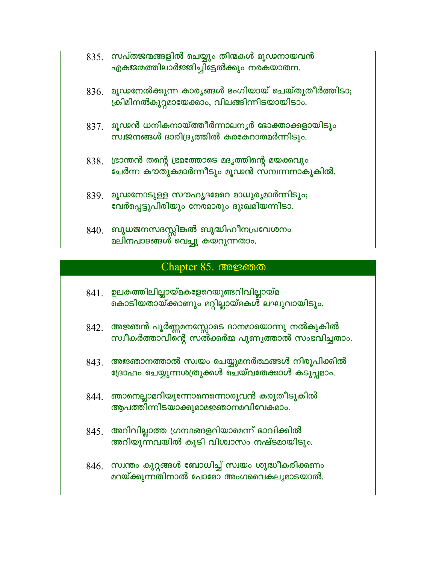| $835\pm 0$ സപ്തജന്മങ്ങളിൽ ചെയ്യും തിന്മകൾ മൂഢനായവൻ |
|----------------------------------------------------|
| എകജന്മത്തിലാർജ്ജിച്ചിട്ടേൽക്കും നരകയാതന.           |

- $836.$  മൂഢനേൽക്കുന്ന കാര്യങ്ങൾ ഭംഗിയായ് ചെയ്തുതീർത്തിടാ; ക്രിമിനൽകുറ്റമായേക്കാം, വിലങ്ങിന്നിടയായിടാം.
- $837$ . മൂഢൻ ധനികനായ്ത്തീർന്നാലനൃർ ഭോക്താക്കളായിടും സ്വജനങ്ങൾ ദാരിദ്രൃത്തിൽ കരകേറാതമർന്നിടും.
- $838.$  ്രദാന്തൻ തന്റെ ഭ്രമത്തോടെ മദൃത്തിന്റെ മയക്കവും ചേർന്ന കൗതുകമാർന്നീടും മൂഢൻ സമ്പന്നനാകുകിൽ.
- 839. മൂഢനോടുള്ള സൗഹൃദമേറെ മാധുര്യമാർന്നിടും; വേർപ്പെട്ടുപിരിയും നേരമാരും ദുഃഖമിയന്നിടാ.
- $840$ . ബുധജനസദസ്സിങ്കൽ ബുദ്ധിഹീനപ്രവേശനം മലിനപാദങ്ങൾ വെച്ചു കയറുന്നതാം.

#### Chapter 85. അജ്ഞത

- $841.$  ഉലകത്തിലില്ലായ്മകളേറെയുണ്ടറിവില്ലായ്മ കൊടിയതായ്ക്കാണും മറ്റില്ലായ്മകൾ ലഘുവായിടും.
- 842. അജ്ഞൻ പൂർണ്ണമനസ്സോടെ ദാനമായൊന്നു നൽകുകിൽ സ്വീകർത്താവിന്റെ സൽക്കർമ്മ പുണൃത്താൽ സംഭവിച്ചതാം.
- $843.$  അജ്ഞാനത്താൽ സ്വയം ചെയ്യുമനർത്ഥങ്ങൾ നിരൂപിക്കിൽ ദ്രോഹം ചെയ്യുന്നശത്രുക്കൾ ചെയ്വതേക്കാൾ കടുപ്പമാം.
- $844$ . ഞാനെല്ലാമറിയുന്നോനെന്നൊരുവൻ കരുതീടുകിൽ ആപത്തിന്നിടയാക്കുമാമജ്ഞാനമവിവേകമാം.
- $845.$  അറിവില്ലാത്ത ഗ്രന്ഥങ്ങളറിയാമെന്ന് ഭാവിക്കിൽ അറിയുന്നവയിൽ കൂടി വിശ്വാസം നഷ്ടമായിടും.
- $846.$  സ്വന്തം കുറ്റങ്ങൾ ബോധിച്ച് സ്വയം ശുദ്ധീകരിക്കണം മറയ്ക്കുന്നതിനാൽ പോമോ അംഗവൈകലൃമാടയാൽ.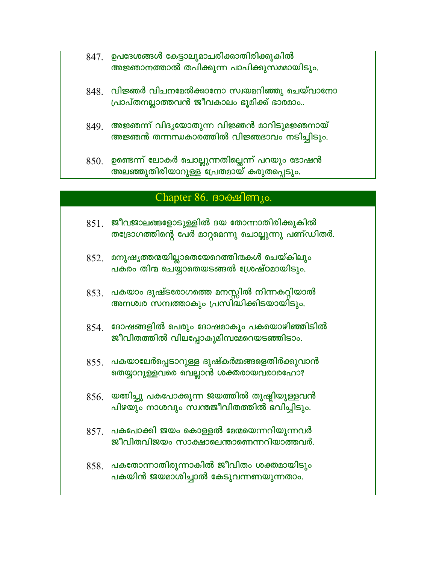- 847. ഉപദേശങ്ങൾ കേട്ടാലുമാചരിക്കാതിരിക്കുകിൽ അജ്ഞാനത്താൽ തപിക്കുന്ന പാപിക്കുസമമായിടും.
- $848$ . വിജ്ഞർ വിചനമേൽക്കാനോ സ്വയമറിഞ്ഞു ചെയ്വാനോ പ്രാപ്തനല്ലാത്തവൻ ജീവകാലം ഭൂമിക്ക് ഭാരമാം..
- 849. അജ്ഞന്ന് വിദൃയോതുന്ന വിജ്ഞൻ മാറിടുമജ്ഞനായ് അജ്ഞൻ തന്നന്ധകാരത്തിൽ വിജ്ഞഭാവം നടിച്ചിടും.
- $850.$  ഉണ്ടെന്ന് ലോകർ ചൊല്ലുന്നതില്ലെന്ന് പറയും ഭോഷൻ അലഞ്ഞുതിരിയാറുള്ള പ്രേതമായ് കരുതപ്പെടും.

## Chapter 86. BOchsengo.

- $851.$  ജീവജാലങ്ങളോടുള്ളിൽ ദയ തോന്നാതിരിക്കുകിൽ തദ്രോഗത്തിന്റെ പേർ മാറ്റമെന്നു ചൊല്ലുന്നു പണ്ഡിതർ.
- $852.$  മനുഷൃത്തന്മയില്ലാതെയേറെത്തിന്മകൾ ചെയ്കിലും പകരം തിന്മ ചെയ്യാതെയടങ്ങൽ ശ്രേഷ്ഠമായിടും.
- 853. പകയാം ദുഷ്ടരോഗത്തെ മനസ്സിൽ നിന്നകറ്റിയാൽ അനശ്വര സമ്പത്താകും പ്രസിദ്ധിക്കിടയായിടും.
- $854$ . ഭോഷങ്ങളിൽ പെരും ദോഷമാകും പകയൊഴിഞ്ഞിടിൽ ജീവിതത്തിൽ വിലപ്പോകുമിമ്പമേറെയടഞ്ഞിടാം.
- $855.$  പകയാലേർപ്പെടാറുള്ള ദുഷ്കർമ്മങ്ങളെതിർക്കുവാൻ തെയ്യാറുള്ളവരെ വെല്ലാൻ ശക്തരായവരാരഹോ?
- $856.$  യത്നിച്ചു പകപോക്കുന്ന ജയത്തിൽ തുഷ്ടിയുള്ളവൻ പിഴയും നാശവും സ്വന്തജീവിതത്തിൽ ഭവിച്ചിടും.
- $857$ . പകപോക്കി ജയം കൊള്ളൽ മേന്മയെന്നറിയുന്നവർ ജീവിതവിജയം സാക്ഷാലെന്താണെന്നറിയാത്തവർ.
- $858.$  പകതോന്നാതിരുന്നാകിൽ ജീവിതം ശക്തമായിടും പകയിൻ ജയമാശിച്ചാൽ കേടുവന്നണയുന്നതാം.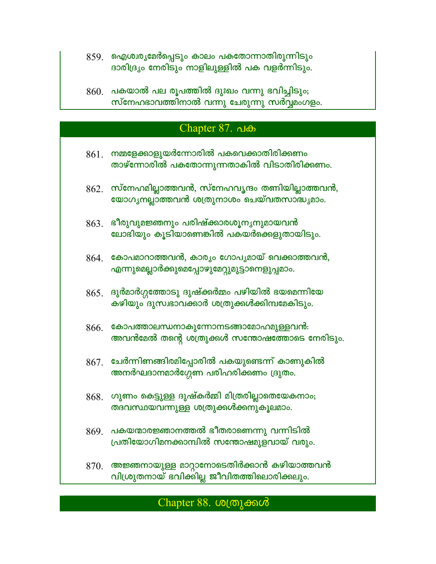- 859 ആശ്വര്യമേർപ്പെടും കാലം പകതോന്നാതിരുന്നിടും ദാരിദ്ര്യം നേരിടും നാളിലുള്ളിൽ പക വളർന്നിടും.
- $860$ . പകയാൽ പല രൂപത്തിൽ ദുഃഖം വന്നു ഭവിച്ചിടും; സ്നേഹഭാവത്തിനാൽ വന്നു ചേരുന്നു സർവ്വമംഗളം.

#### Chapter 87. പക

- $861$ ് നമ്മളേക്കാളുയർന്നോരിൽ പകവെക്കാതിരിക്കണം താഴ്ന്നോരിൽ പകതോന്നുന്നതാകിൽ വിടാതിരിക്കണം.
- $862.$  സ്നേഹമില്ലാത്തവൻ, സ്നേഹവൃന്ദം തണിയില്ലാത്തവൻ, യോഗൃനല്ലാത്തവൻ ശത്രുനാശം ചെയ്വതസാദ്ധ്യമാം.
- $863.$  ഭീരുവുമജ്ഞനും പരിഷ്ക്കാരശൂന്യനുമായവൻ ലോഭിയും കൂടിയാണെങ്കിൽ പകയർക്കെളുതായിടും.
- $864.$  കോപമാറാത്തവൻ, കാര്യം ഗോപൃമായ് വെക്കാത്തവൻ, എന്നുമെല്ലാർക്കുമെപ്പോഴുമേറ്റുമുട്ടാനെളുപ്പമാം.
- $865.$  ദുർമാർഗ്ഗത്തോടു ദുഷ്ക്കർമ്മം പഴിയിൽ ഭയമെന്നിയേ കഴിയും ദുസ്വഭാവക്കാർ ശത്രുക്കൾക്കിമ്പമേകിടും.
- $866.$  കോപത്താലന്ധനാകുന്നോനടങ്ങാമോഹമുള്ളവൻ: അവൻമേൽ തന്റെ ശത്രുക്കൾ സന്തോഷത്തോടെ നേരിടും.
- $867$ . ചേർന്നിണങ്ങിരമിപ്പോരിൽ പകയുണ്ടെന്ന് കാണുകിൽ അനർഘദാനമാർഗ്ഗേണ പരിഹരിക്കണം ദ്രുതം.
- $868.$  ഗുണം കെട്ടുള്ള ദുഷ്കർമ്മി മിത്രരില്ലാതെയേകനാം; തദവസ്ഥയവന്നുള്ള ശത്രുക്കൾക്കനുകൂലമാം.
- $869$ . പകയന്മാരജ്ഞാനത്തൽ ഭീതരാണെന്നു വന്നിടിൽ പ്രതിയോഗിമനക്കാമ്പിൽ സന്തോഷമുളവായ് വരും.
- $870$ . അജ്ഞനായുള്ള മാറ്റാനോടെതിർക്കാൻ കഴിയാത്തവൻ വിശ്രുതനായ് ഭവിക്കില്ല ജീവിതത്തിലൊരിക്കലും.

### Chapter 88. ശത്രുക്കൾ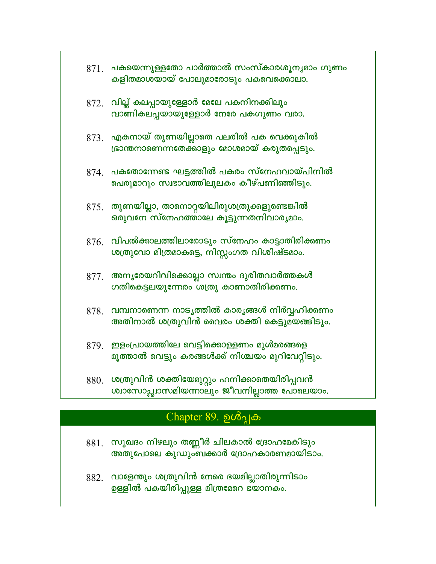|      | $871$ . പകയെന്നുള്ളതോ പാർത്താൽ സംസ്കാരശൂന്യമാം ഗുണം<br>കളിതമാശയായ് പോലുമാരോടും പകവെക്കൊലാ.            |
|------|-------------------------------------------------------------------------------------------------------|
|      | $872$ . വില്ല് കലപ്പായുള്ളോർ മേലേ പകനിനക്കിലും<br>വാണികലപ്പയായുള്ളോർ നേരേ പകഗുണം വരാ.                 |
|      | $873$ . എകനായ് തുണയില്ലാതെ പലരിൽ പക വെക്കുകിൽ<br>ഭ്രാന്തനാണെന്നതേക്കാളും മോശമായ് കരുതപ്പെടും.         |
|      | $874$ . പകതോന്നേണ്ട ഘട്ടത്തിൽ പകരം സ്നേഹവായ്പിനിൽ<br>പെരുമാറും സ്വഭാവത്തിലുലകം കീഴ്പണിഞ്ഞിടും.        |
|      | $875$ . തുണയില്ലാ, താനൊറ്റയിലിരുശത്രുക്കളുണ്ടെങ്കിൽ<br>ഒരുവനേ സ്നേഹത്താലേ കൂട്ടുന്നതനിവാര്യമാം.       |
| 876. | വിപൽക്കാലത്തിലാരോടും സ്നേഹം കാട്ടാതിരിക്കണം<br>ശത്രുവോ മിത്രമാകട്ടെ, നിസ്റ്റംഗത വിശിഷ്ടമാം.           |
| 877. | അനൃരേയറിവിക്കൊല്ലാ സ്വന്തം ദുരിതവാർത്തകൾ<br>ഗതികെട്ടലയുന്നേരം ശത്രു കാണാതിരിക്കണം.                    |
| 878. | വമ്പനാണെന്ന നാടൃത്തിൽ കാരൃങ്ങൾ നിർവ്വഹിക്കണം<br>അതിനാൽ ശത്രുവിൻ വൈരം ശക്തി കെട്ടുമയങ്ങിടും.           |
|      | $879.$ ഇളംപ്രായത്തിലേ വെട്ടിക്കൊള്ളണം മുൾമരങ്ങളെ<br>മൂത്താൽ വെട്ടും കരങ്ങൾക്ക് നിശ്ചയം മുറിവേറ്റിടും. |
|      |                                                                                                       |

 $880$ . ശത്രുവിൻ ശക്തിയേമുറ്റും ഹനിക്കാതെയിരിപ്പവൻ ശ്വാസോച്ഛ്വാസമിയന്നാലും ജീവനില്ലാത്ത പോലെയാം.

## Chapter 89. ഉൾപ്പക

- 881. സുഖദം നിഴലും തണ്ണീർ ചിലകാൽ ദ്രോഹമേകിടും അതുപോലെ കുഡുംബക്കാർ ദ്രോഹകാരണമായിടാം.
- 882. വാളേന്തും ശത്രുവിൻ നേരെ ഭയമില്ലാതിരുന്നിടാം ഉള്ളിൽ പകയിരിപ്പുള്ള മിത്രമേറെ ഭ്യാനകം.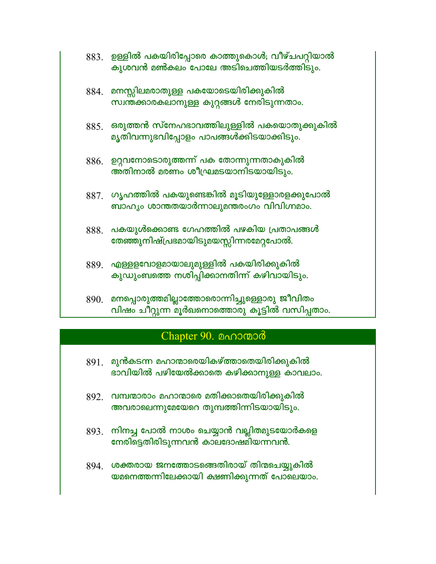|      | $883.$ ഉള്ളിൽ പകയിരിപ്പോരെ കാത്തുകൊൾ; വീഴ്ചപറ്റിയാൽ<br>കുശവൻ മൺകലം പോലേ അടിചെത്തിയടർത്തിടും.        |
|------|-----------------------------------------------------------------------------------------------------|
|      | 884. മനസ്സിലമരാതുള്ള പകയോടെയിരിക്കുകിൽ<br>സ്വന്തക്കാരകലാനുള്ള കുറ്റങ്ങൾ നേരിടുന്നതാം.               |
|      | $885$ . ഒരുത്തൻ സ്നേഹഭാവത്തിലുള്ളിൽ പകയൊതുക്കുകിൽ<br>മൃതിവന്നുഭവിപ്പോളം പാപങ്ങൾക്കിടയാക്കിടും.      |
|      | 886. ഉറ്റവനോടൊരുത്തന്ന് പക തോന്നുന്നതാകുകിൽ<br>അതിനാൽ മരണം ശീഘ്രമടയാനിടയായിടും.                     |
|      | $887$ . ഗൃഹത്തിൽ പകയുണ്ടെങ്കിൽ മൂടിയുള്ളോരളക്കുപോൽ<br>ബാഹൃം ശാന്തതയാർന്നാലുമന്തരംഗം വിവിഗ്നമാം.     |
| 888. | പകയുൾക്കൊണ്ട ഗേഹത്തിൽ പഴകിയ പ്രതാപങ്ങൾ<br>തേഞ്ഞുനിഷ്പ്രഭമായിടുമയസ്സിന്നരമേറ്റപോൽ.                   |
|      | $889$ . എള്ളളവോളമായാലുമുള്ളിൽ പകയിരിക്കുകിൽ<br>കുഡുംബത്തെ നശിപ്പിക്കാനതിന്ന് കഴിവായിടും.            |
|      | 890. മനപ്പൊരുത്തമില്ലാത്തോരൊന്നിച്ചുള്ളൊരു ജീവിതം<br>വിഷം ചീറ്റുന്ന മൂർഖനൊത്തൊരു കൂട്ടിൽ വസിപ്പതാം. |

## Chapter 90. 0000000

- $891.$  മുൻകടന്ന മഹാന്മാരെയികഴ്ത്താതെയിരിക്കുകിൽ ഭാവിയിൽ പഴിയേൽക്കാതെ കഴിക്കാനുള്ള കാവലാം.
- 892. വമ്പന്മാരാം മഹാന്മാരെ മതിക്കാതെയിരിക്കുകിൽ അവരാലെന്നുമേയേറെ തുമ്പത്തിന്നിടയായിടും.
- 893. നിനച്ച പോൽ നാശം ചെയ്യാൻ വല്ലിതമുടയോർകളെ നേരിട്ടെതിരിടുന്നവൻ കാലദോഷമിയന്നവൻ.
- 894. ശക്തരായ ജനത്തോടങ്ങെതിരായ് തിന്മചെയ്യുകിൽ യമനെത്തന്നിലേക്കായി ക്ഷണിക്കുന്നത് പോലെയാം.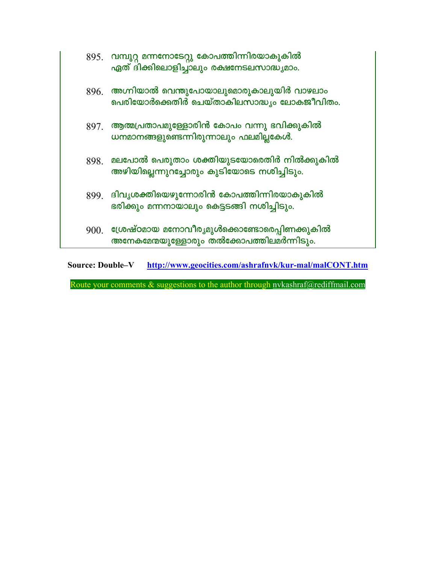|  | 895 വമ്പുറ്റ മന്നനോടേറ്റു കോപത്തിന്നിരയാകുകിൽ<br>ഏത് ദിക്കിലൊളിച്ചാലും രക്ഷനേടലസാദ്ധ്യമാം.       |
|--|--------------------------------------------------------------------------------------------------|
|  | $896.$ അഗ്നിയാൽ വെന്തുപോയാലുമൊരുകാലുയിർ വാഴലാം<br>പെരിയോർക്കെതിർ ചെയ്താകിലസാദ്ധ്യം ലോകജീവിതം.    |
|  | $897.$ ആത്മപ്രതാപമുള്ളോരിൻ കോപം വന്നു ഭവിക്കുകിൽ<br>ധനമാനങ്ങളുണ്ടെന്നിരുന്നാലും ഫലമില്ലകേൾ.      |
|  | 898. മലപോൽ പെരുതാം ശക്തിയുടയോരെതിർ നിൽക്കുകിൽ<br>അഴിയില്ലെന്നുറച്ചോരും കുടിയോടെ നശിച്ചിടും.      |
|  | 899 ഭിവൃശക്തിയെഴുന്നോരിൻ കോപത്തിന്നിരയാകുകിൽ<br>ഭരിക്കും മന്നനായാലും കെട്ടടങ്ങി നശിച്ചിടും.      |
|  | $9001$ ശ്രേഷ്ഠമായ മനോവീര്യമുൾക്കൊണ്ടോരെപ്പിണക്കുകിൽ<br>അനേകമേന്മയുള്ളോരും തൽക്കോപത്തിലമർന്നിടും. |

Source: Double-V http://www.geocities.com/ashrafnyk/kur-mal/malCONT.htm

Route your comments & suggestions to the author through nvkashraf@rediffmail.com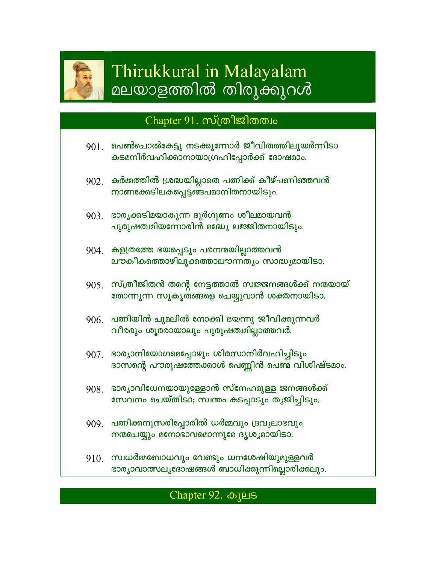

# Thirukkural in Malayalam മലയാളത്തിൽ തിരുക്കുറൾ

## Chapter 91. സ്ത്രീജിതത്വം

- $901$ . പെൺചൊൽകേട്ടു നടക്കുന്നോർ ജീവിതത്തിലുയർന്നിടാ കടമനിർവഹിക്കാനായാഗ്രഹിപ്പോർക്ക് ദോഷമാം.
- $902$ . കർമ്മത്തിൽ ശ്രദ്ധയില്ലാതെ പത്നിക്ക് കീഴ്പണിഞ്ഞവൻ നാണക്കേടിലകപ്പെട്ടങ്ങപമാനിതനായിടും.
- $903<sub>1</sub>$  ഭാരൃക്കടിമയാകുന്ന ദുർഗുണം ശീലമായവൻ പുരുഷത്ഥിയന്നോരിൻ മദ്ധ്യേ ലജ്ജിതനായിടും.
- 904. കളത്രത്തേ ഭയപ്പെടും പരനന്മയില്ലാത്തവൻ ലൗകീകത്തൊഴിലൂക്കത്താലൗന്നത്യം സാദ്ധ്യമായിടാ.
- $905.$  സ്ത്രീജിതൻ തന്റെ നേട്ടത്താൽ സജ്ജനങ്ങൾക്ക് നന്മയായ് തോന്നുന്ന സുകൃതങ്ങളെ ചെയ്യുവാൻ ശക്തനായിടാ.
- $906$  പത്നിയിൻ ചുമലിൽ നോക്കി ഭയന്നു ജീവിക്കുന്നവർ വീരരും ശൂരരായാലും പുരുഷത്വമില്ലാത്തവർ.
- 907 ഭാര്യാനിയോഗമെപ്പോഴും ശിരസാനിർവഹിച്ചിടും ദാസന്റെ പൗരുഷത്തേക്കാൾ പെണ്ണിൻ പെണ്മ വിശിഷ്ടമാം.
- $908$  ഭാര്യാവിധേനയായുള്ളോൻ സ്നേഹമുള്ള ജനങ്ങൾക്ക് സേവനം ചെയ്തിടാ; സ്വന്തം കടപ്പാടും തൃജിച്ചിടും.
- 909. പത്നിക്കനുസരിപ്പോരിൽ ധർമ്മവും ദ്രവൃലാഭവും നന്മചെയ്യും മനോഭാവമൊന്നുമേ ദൃശൃമായിടാ.
- $910$ . സ്വധർമ്മബോധവും വേണ്ടും ധനശേഷിയുമുള്ളവർ ഭാര്യാവാത്സല്യദോഷങ്ങൾ ബാധിക്കുന്നില്ലൊരിക്കലും.

## Chapter 92. கியக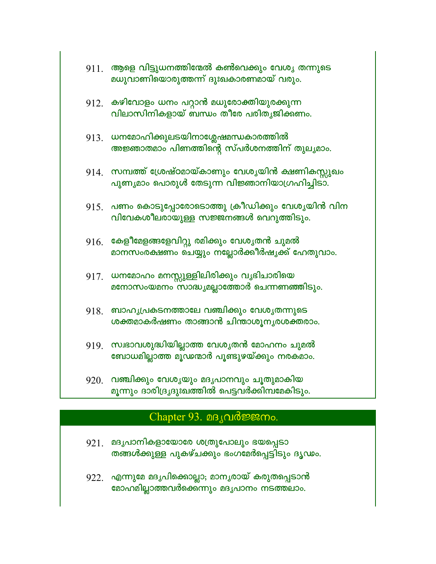|      | $911$ . ആളെ വിട്ടുധനത്തിന്മേൽ കൺവെക്കും വേശൃ തന്നുടെ<br>മധുവാണിയൊരുത്തന്ന് ദുഃഖകാരണമായ് വരും.           |
|------|---------------------------------------------------------------------------------------------------------|
|      | $912$ .  കഴിവോളം ധനം പറ്റാൻ മധുരോക്തിയുരക്കുന്ന<br>വിലാസിനികളായ് ബന്ധം തീരേ പരിതൃജിക്കണം.               |
|      | 913 ധനമോഹിക്കുലടയിനാശ്ലേഷമന്ധകാരത്തിൽ<br>അജ്ഞാതമാം പിണത്തിന്റെ സ്പർശനത്തിന് തുല്യമാം.                   |
|      | $914$ . സമ്പത്ത് ശ്രേഷ്ഠമായ്കാണും വേശൃയിൻ ക്ഷണികസ്സുഖം<br>പുണ്യമാം പൊരുൾ തേടുന്ന വിജ്ഞാനിയാഗ്രഹിച്ചിടാ. |
|      | $915$ . പണം കൊടുപ്പോരോടൊത്തു ക്രീഡിക്കും വേശൃയിൻ വിന<br>വിവേകശീലരായുള്ള സജ്ജനങ്ങൾ വെറുത്തിടും.          |
|      | $916\_$ കേളീമേളങ്ങളേവിറ്റു രമിക്കും വേശൃതൻ ചുമൽ<br>മാനസംരക്ഷണം ചെയ്യും നല്ലോർക്കീർഷ്യക്ക് ഹേതുവാം.      |
|      | 917. ധനമോഹം മനസ്സുള്ളിലിരിക്കും വൃഭിചാരിയെ<br>മനോസംയമനം സാദ്ധ്യമല്ലാത്തോർ ചെന്നണഞ്ഞിടും.                |
| 918. | ബാഹൃപ്രകടനത്താലേ വഞ്ചിക്കും വേശൃതന്നുടെ<br>ശക്തമാകർഷണം താങ്ങാൻ ചിന്താശൂനൃരശക്തരാം.                      |
|      | 919. സ്വഭാവശുദ്ധിയില്ലാത്ത വേശൃതൻ മോഹനം ചുമൽ<br>ബോധമില്ലാത്ത മൂഢന്മാർ പൂണ്ടുഴയ്ക്കും നരകമാം.            |
| 920. | വഞ്ചിക്കും വേശൃയും മദൃപാനവും ചൂതുമാകിയ<br>മൂന്നും ദാരിദ്രൃദുഃഖത്തിൽ പെട്ടവർക്കിമ്പമേകിടും.              |

## Chapter 93. 08 Jud memo.

- മദൃപാനികളായോരേ ശത്രുപോലും ഭയപ്പെടാ 921. തങ്ങൾക്കുള്ള പുകഴ്ചക്കും ഭംഗമേർപ്പെട്ടിടും ദൃഢം.
- 922. എന്നുമേ മദൃപിക്കൊല്ലാ; മാനൃരായ് കരുതപ്പെടാൻ മോഹ്മില്ലാത്തവർക്കെ്ന്നും മദൃപാനം നടത്തലാം.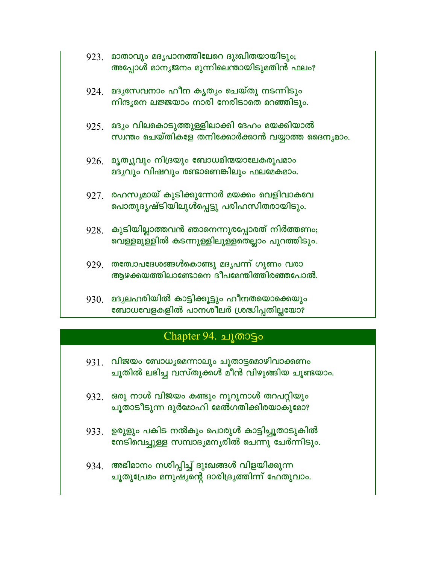|      | 923 മാതാവും മദൃപാനത്തിലേറെ ദുഃഖിതയായിടും;<br>അപ്പോൾ മാനൃജനം മുന്നിലെന്തായിടുമതിൻ ഫലം?                |
|------|------------------------------------------------------------------------------------------------------|
|      | $924$ . മദൃസേവനാം ഹീന കൃത്യം ചെയ്തു നടന്നിടും<br>നിന്ദൃനെ ലജ്ജയാം നാരി നേരിടാതെ മറഞ്ഞിടും.           |
|      | 925 മദ്യം വിലകൊടുത്തുള്ളിലാക്കി ദേഹം മയക്കിയാൽ<br>സ്വന്തം ചെയ്തികളേ തനിക്കോർക്കാൻ വയ്യാത്ത ദൈന്യമാം. |
|      | $926$ . മൃത്യുവും നിദ്രയും ബോധമിന്മയാലേകരൂപമാം<br>മദൃവും വിഷവും രണ്ടാണെങ്കിലും ഫലമേകമാം.             |
|      | $927$ . രഹസൃമായ് കുടിക്കുന്നോർ മയക്കം വെളിവാകവേ<br>പൊതുദൃഷ്ടിയിലുൾപ്പെട്ടു പരിഹസിതരായിടും.           |
| 928. | കുടിയില്ലാത്തവൻ ഞാനെന്നുരപ്പോരത് നിർത്തണം;<br>വെള്ളമുള്ളിൽ കടന്നുള്ളിലുള്ളതെല്ലാം പുറത്തിടും.        |
|      | 929 തത്വോപദേശങ്ങൾകൊണ്ടു മദൃപന്ന് ഗുണം വരാ<br>ആഴക്കയത്തിലാണ്ടോനെ ദീപമേന്തിത്തിരഞ്ഞപോൽ.                |
|      |                                                                                                      |

930. മദൃലഹരിയിൽ കാട്ടിക്കൂട്ടും ഹീനതയൊക്കെയും ബോധവേളകളിൽ പാനശീലർ ശ്രദ്ധിപ്പതില്ലയോ?

## Chapter 94. ചൂതാട്ടം

- 931. വിജയം ബോധൃമെന്നാലും ചൂതാട്ടമൊഴിവാക്കണം ചൂതിൽ ലഭിച്ച വസ്തുക്കൾ മീൻ വിഴുങ്ങിയ ചൂണ്ടയാം.
- $932.$  ഒരു നാൾ വിജയം കണ്ടും നൂറുനാൾ തറപറ്റിയും ചൂതാടീടുന്ന ദുർമോഹി മേൽഗതിക്കിരയാകുമോ?
- 933. ഉരുളും പകിട നൽകും പൊരുൾ കാട്ടിച്ചൂതാടുകിൽ നേടിവെച്ചുള്ള സമ്പാദൃമനൃരിൽ ചെന്നു ചേർന്നിടും.
- 934. അഭിമാനം നശിപ്പിച്ച് ദുഃഖങ്ങൾ വിളയിക്കുന്ന ചൂതുപ്രേമം മനുഷ്യന്റെ ദാരിദ്ര്യത്തിന്ന് ഹേതുവാം.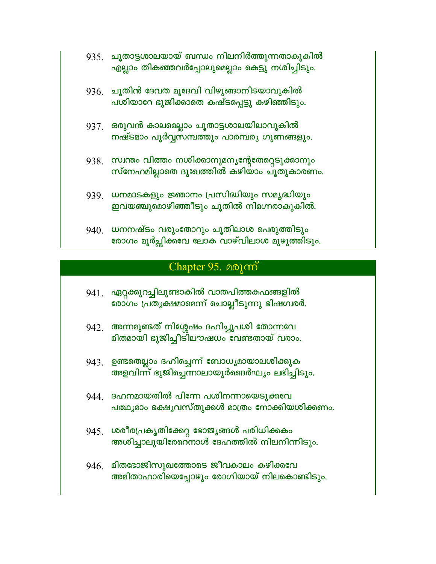- 935 ചൂതാട്ടശാലയായ് ബന്ധം നിലനിർത്തുന്നതാകുകിൽ എല്ലാം തികഞ്ഞവർപ്പോലുമെല്ലാം കെട്ടു നശിച്ചിടും.
- $936.$  ചൂതിൻ ദേവത മൂദേവി വിഴുങ്ങാനിടയാവുകിൽ പശിയാറേ ഭുജിക്കാതെ കഷ്ടപ്പെട്ടു കഴിഞ്ഞിടും.
- 937. ഒരുവൻ കാലമെല്ലാം ചൂതാട്ടശാലയിലാവുകിൽ നഷ്ടമാം പൂർവ്വസമ്പത്തും പാരമ്പര്യ ഗുണങ്ങളും.
- 938. സ്വന്തം വിത്തം നശിക്കാനുമനൃന്റേതേറ്റെടുക്കാനും സ്നേഹമില്ലാതെ ദുഃഖത്തിൽ കഴിയാം ചൂതുകാരണം.
- 939. ധനമാടകളും ജ്ഞാനം പ്രസിദ്ധിയും സമൃദ്ധിയും ഇവയഞ്ചുമൊഴിഞ്ഞീടും ചൂതിൽ നിമഗ്നരാകുകിൽ.
- 940. ധനനഷ്ടം വരുംതോറും ചൂതിലാശ പെരുത്തിടും രോഗം മൂർച്ചിക്കവേ ലോക വാഴ്വിലാശ മുഴുത്തിടും.

#### Chapter 95. 001 m

- 941. ഏറ്റക്കുറച്ചിലുണ്ടാകിൽ വാതപിത്തകഫങ്ങളിൽ രോഗം പ്രതൃക്ഷമാമെന്ന് ചൊല്ലീടുന്നു ഭിഷഗ്വരർ.
- 942. അന്നമുണ്ടത് നിശ്ശേഷം ദഹിച്ചുപശി തോന്നവേ മിതമായി ഭുജിച്ചീട്ിലൗഷധം വേണ്ടതായ് വരാം.
- 943. ഉണ്ടതെല്ലാം ദഹിച്ചെന്ന് ബോധ്യമായാലശിക്കുക അളവിന്ന് ഭുജിച്ചെന്നാലായുർദൈർഘ്യം ലഭിച്ചിടും.
- 944 ഭഹനമായതിൽ പിന്നേ പശിനന്നായെടുക്കവേ പത്ഥ്യമാം ഭക്ഷൃവസ്തുക്കൾ മാത്രം നോക്കിയശിക്കണം.
- 945 ശരീരപ്രകൃതിക്കേറ്റ ഭോജ്യങ്ങൾ പരിധിക്കകം അശിച്ചാലുയിരേറെനാൾ ദേഹത്തിൽ നിലനിന്നിടും.
- $946.$  മിതഭോജിസുഖത്തോടെ ജീവകാലം കഴിക്കവേ അമിതാഹാരിയെപ്പോഴും രോഗിയായ് നിലകൊണ്ടിടും.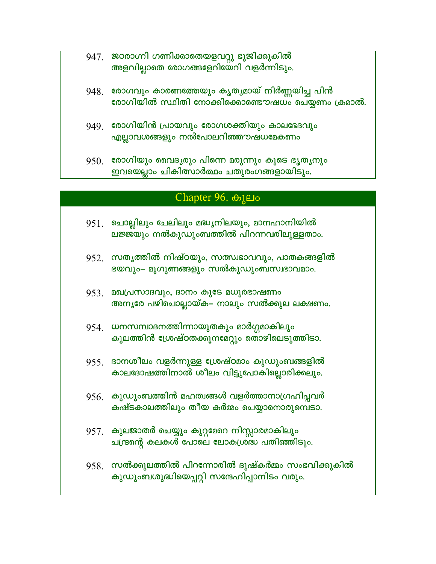- 947. ജഠരാഗ്നി ഗണിക്കാതെയളവറ്റു ഭുജിക്കുകിൽ അളവില്ലാതെ രോഗങ്ങളേറിയേറി വളർന്നിടും.
- 948. രോഗവും കാരണത്തേയും കൃതൃമായ് നിർണ്ണയിച്ച പിൻ രോഗിയിൽ സ്ഥിതി നോക്കിക്കൊണ്ടൌഷധം ചെയ്യണം ക്രമാൽ.
- 949 രോഗിയിൻ പ്രായവും രോഗശക്തിയും കാലഭേദവും എല്ലാവശങ്ങളും നൽപോലറിഞ്ഞ**ാഷധമേകണം**
- $950.$  രോഗിയും വൈദൃരും പിന്നെ മരുന്നും കൂടെ ഭൃതൃനും ഇവയെല്ലാം ചികിത്സാർത്ഥം ചതുരംഗങ്ങളായിടും.

#### Chapter 96. ⊕1µ0

- $951$ . ചൊല്ലിലും ചേലിലും മദ്ധ്യനിലയും, മാനഹാനിയിൽ ലജ്ജയും നൽകുഡുംബത്തിൽ പിറന്നവരിലുള്ളതാം.
- $952.$  സതൃത്തിൽ നിഷ്ഠയും, സത്സ്വഭാവവും, പാതകങ്ങളിൽ ഭയവും– മൂഗുണങ്ങളും സൽകുഡുംബസ്വഭാവമാം.
- $953$  മഖപ്രസാദവും, ദാനം കൂടേ മധുരഭാഷണം അനൃരേ പഴിചൊല്ലായ്ക– നാലും സൽക്കുല ലക്ഷണം.
- 954 ധനസമ്പാദനത്തിന്നായുതകും മാർഗ്ഗമാകിലും കുലത്തിൻ ശ്രേഷ്ഠതക്കൂനമേറ്റും തൊഴിലെടുത്തിടാ.
- $955$  ദാനശീലം വളർന്നുള്ള ശ്രേഷ്ഠമാം കുഡുംബങ്ങളിൽ കാലദോഷത്തിനാൽ ശീലം വിട്ടുപോകില്ലൊരിക്കലും.
- $956$  കുഡുംബത്തിൻ മഹത്വങ്ങൾ വളർത്താനാഗ്രഹിപ്പവർ കഷ്ടകാലത്തിലും തീയ കർമ്മം ചെയ്യാനൊരുമ്പെടാ.
- 957. കുലജാതർ ചെയ്യും കുറ്റമേറെ നിസ്സാരമാകിലും ചന്ദ്രന്റെ കലകൾ പോലെ ലോകശ്രദ്ധ പതിഞ്ഞിടും.
- $958.$  സൽക്കുലത്തിൽ പിറന്നോരിൽ ദുഷ്കർമ്മം സംഭവിക്കുകിൽ കുഡുംബശുദ്ധിയെപ്പറ്റി സന്ദേഹിപ്പാനിടം വരും.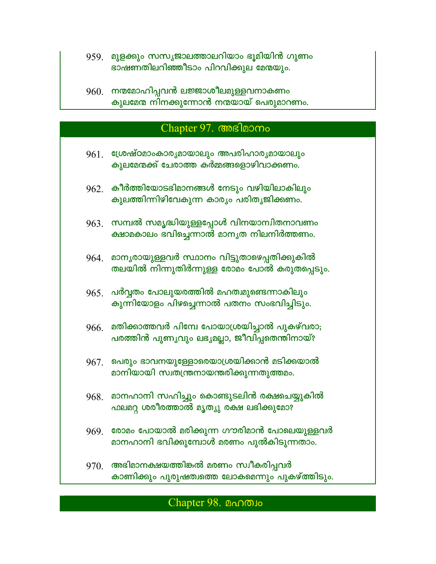- 959 മുളക്കും സസൃജാലത്താലറിയാം ഭൂമിയിൻ ഗുണം ഭാഷണതിലറിഞ്ഞീടാം പിറവിക്കുല മേന്മയും.
- 960. നന്മമോഹിപ്പവൻ ലജ്ജാശീലമുള്ളവനാകണം കുലമേന്മ നിനക്കുന്നോൻ നന്മയായ് പെരുമാറണം.

# Chapter 97. Chapter 07.

- 961 ശ്രേഷ്ഠമാംകാരൃമായാലും അപരിഹാരൃമായാലും കൂലമേന്മക്ക് ചേരാത്ത കർമ്മങ്ങളൊഴിവാക്കണം.
- $962.$  കീർത്തിയോടഭിമാനങ്ങൾ നേടും വഴിയിലാകിലും കുലത്തിന്നിഴിവേകുന്ന കാര്യം പരിതൃജിക്കണം.
- $963$ . സമ്പൽ സമൃദ്ധിയുള്ളപ്പോൾ വിനയാന്വിതനാവണം ക്ഷാമകാലം ഭവിച്ചെന്നാൽ മാനൃത നിലനിർത്തണം.
- 964. മാനൃരായുള്ളവർ സ്ഥാനം വിട്ടുതാഴെപ്പതിക്കുകിൽ തലയിൽ നിന്നുതിർന്നുള്ള രോമം പോൽ കരുതപ്പെടും.
- $965$ . പർവ്വതം പോലുയരത്തിൽ മഹത്വമുണ്ടെന്നാകിലും കുന്നിയോളം പിഴച്ചെന്നാൽ പതനം സംഭവിച്ചിടും.
- $966.$  മതിക്കാത്തവർ പിമ്പേ പോയാശ്രയിച്ചാൽ പുകഴ്വരാ; പരത്തിൻ പുണൃവും ലഭ്യമല്ലാ, ജീവിപ്പതെന്തിനായ്?
- 967. പെരും ഭാവനയുള്ളോരെയാശ്രയിക്കാൻ മടിക്കയാൽ മാനിയായി സ്വതന്ത്രനായന്തരിക്കുന്നതുത്തമം.
- 968. മാനഹാനി സഹിച്ചും കൊണ്ടുടലിൻ രക്ഷചെയ്യുകിൽ ഫലമറ്റ ശരീരത്താൽ മൃത്യു രക്ഷ ലഭിക്കുമോ?
- 969 രോമം പോയാൽ മരിക്കുന്ന ഗൗരിമാൻ പോലെയുള്ളവർ മാനഹാനി ഭവിക്കുമ്പോൾ മരണം പുൽകിടുന്നതാം.
- $970.$  അഭിമാനക്ഷയത്തിങ്കൽ മരണം സ്വീകരിപ്പവർ കാണിക്കും പുരുഷത്വത്തെ ലോകമെന്നും പുകഴ്ത്തിടും.

#### Chapter 98. മഹത്വം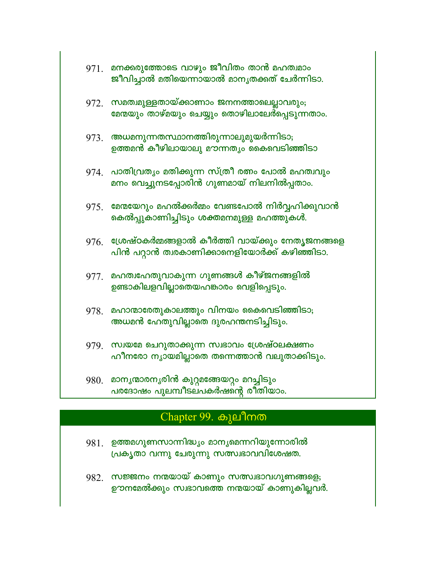|      | 971. മനക്കരുത്തോടെ വാഴും ജീവിതം താൻ മഹത്വമാം<br>ജീവിച്ചാൽ മതിയെന്നായാൽ മാനൃതക്കത് ചേർന്നിടാ.              |
|------|-----------------------------------------------------------------------------------------------------------|
|      | 972 സമത്വമുള്ളതായ്ക്കാണാം ജനനത്താലെല്ലാവരും;<br>മേന്മയും താഴ്മയും ചെയ്യും തൊഴിലാലേർപ്പെടുന്നതാം.          |
| 973. | അധമനുന്നതസ്ഥാനത്തിരുന്നാലുമുയർന്നിടാ <del>,</del><br>ഉത്തമൻ കീഴിലായാലു മൗന്നത്യം കൈവെടിഞ്ഞിടാ             |
| 974. | പാതിവ്രത്യം മതിക്കുന്ന സ്ത്രീ രത്നം പോൽ മഹത്വവും<br>മനം വെച്ചുനടപ്പോരിൻ ഗുണമായ് നിലനിൽപ്പതാം.             |
| 975. | മേന്മയേറും മഹൽക്കർമ്മം വേണ്ടപോൽ നിർവ്വഹിക്കുവാൻ<br>കെൽപ്പുകാണിച്ചിടും ശക്തമനമുള്ള മഹത്തുകൾ.               |
|      | $976$ . ശ്രേഷ്ഠകർമ്മങ്ങളാൽ കീർത്തി വായ്ക്കും നേതൃജനങ്ങളെ<br>പിൻ പറ്റാൻ ത്വരകാണിക്കാനെളിയോർക്ക് കഴിഞ്ഞിടാ. |
|      | $977$ . മഹത്വഹേതുവാകുന്ന ഗുണങ്ങൾ കീഴ്ജനങ്ങളിൽ<br>ഉണ്ടാകിലളവില്ലാതെയഹങ്കാരം വെളിപ്പെടും.                   |
| 978. | മഹാന്മാരേതുകാലത്തും വിനയം കൈവെടിഞ്ഞിടാ;<br>അധമൻ ഹേതുവില്ലാതെ ദുരഹന്തനടിച്ചിടും.                           |
|      | 979. സ്വയമേ ചെറുതാക്കുന്ന സ്വഭാവം ശ്രേഷ്ഠലക്ഷണം<br>ഹീനരോ നൃായമില്ലാതെ തന്നെത്താൻ വലുതാക്കിടും.            |
| 980. | മാനൃന്മാരനൃരിൻ കുറ്റമങ്ങേയറ്റം മറച്ചിടും<br>പരദോഷം പുലമ്പീടലപകർഷന്റെ രീതിയാം.                             |

## Chapter 99. கியி

- 981. ഉത്തമഗുണസാന്നിദ്ധ്യം മാന്യമെന്നറിയുന്നോരിൽ പ്രകൃതാ വന്നു ചേരുന്നു സത്സ്വഭാവവിശേഷത.
- 982. സജ്ജനം നന്മയായ് കാണും സത്സ്വഭാവഗുണങ്ങളെ; ഊനമേൽക്കും സ്വഭാവത്തെ നന്മയായ് കാണുകില്ലവർ.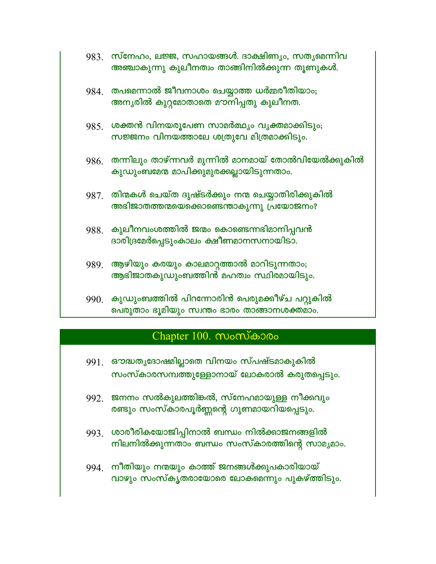- 983. സ്നേഹം, ലജ്ജ, സഹായങ്ങൾ. ദാക്ഷിണ്യം, സതൃമെന്നിവ അഞ്ചാകുന്നു കുലീനത്വം താങ്ങിനിൽക്കുന്ന തൂണുകൾ.
- 984. തപമെന്നാൽ ജീവനാശം ചെയ്യാത്ത ധർമ്മരീതിയാം; അനൃരിൽ കുറ്റമോതാതെ മൗനിപ്പതു കുലീനത.
- 985 ശക്തൻ വിനയരുപേണ സാമർത്ഥ്യം വൃക്തമാക്കിടും; സജ്ജനം വിനയത്താലേ ശത്രുവേ മിത്രമാക്കിടും.
- $986$ . തന്നിലും താഴ്ന്നവർ മുന്നിൽ മാനമായ് തോൽവിയേൽക്കുകിൽ കുഡുംബമേന മാപിക്കുമുരക്കല്ലായിടുന്നതാം.
- $987$ . തിന്മകൾ ചെയ്ത ദുഷ്ടർക്കും നന്മ ചെയ്യാതിരിക്കുകിൽ അഭിജാതത്തന്മയെക്കൊണ്ടെന്താകുന്നു പ്രയോജനം?
- 988. കുലീനവംശത്തിൽ ജന്മം കൊണ്ടെന്നഭിമാനിപ്പവൻ ദാരിദ്രമേർപ്പെടുംകാലം ക്ഷീണമാനസനായിടാ.
- 989. ആഴിയും കരയും കാലമാറ്റത്താൽ മാറിടുന്നതാം; ആഭിജാതകുഡുംബത്തിൻ മഹത്വം സ്ഥിരമായിടും.
- 990. കുഡുംബത്തിൽ പിറന്നോരിൻ പെരുമക്കീഴ്ച പറ്റുകിൽ പെരുതാം ഭൂമിയും സ്വന്തം ഭാരം താങ്ങാനശക്തമാം.

## Chapter 100. സംസ്കാരം

- 991. ഔദ്ധതൃദോഷമില്ലാതെ വിനയം സ്പഷ്ടമാകുകിൽ സംസ്കാരസമ്പത്തുള്ളോനായ് ലോകരാൽ കരുതപ്പെടും.
- 992. ജനനം സൽകുലത്തിങ്കൽ, സ്നേഹമായുള്ള നീക്കവും രണ്ടും സംസ്കാരപൂർണ്ണന്റെ ഗുണമായറിയപ്പെടും.
- 993. ശാരീരികയോജിപ്പിനാൽ ബന്ധം നിൽക്കാജനങ്ങളിൽ നിലനിൽക്കുന്നതാം ബന്ധം സംസ്കാരത്തിന്റെ സാമൃമാം.
- 994 നീതിയും നന്മയും കാത്ത് ജനങ്ങൾക്കുപകാരിയായ് വാഴും സംസ്കൃതരായോരെ ലോകമെന്നും പുകഴ്ത്തിടും.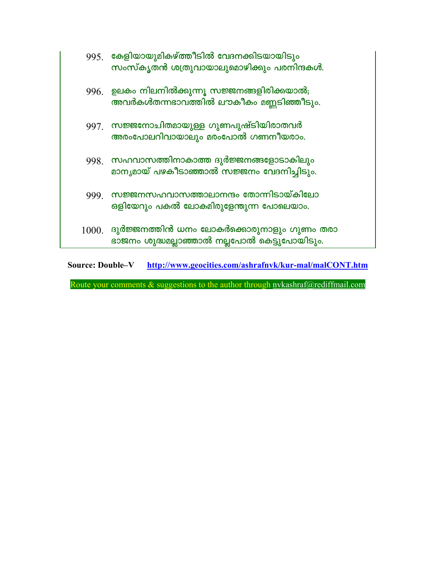|       | 995 കേളിയായുമികഴ്ത്തീടിൽ വേദനക്കിടയായിടും<br>സംസ്കൃതൻ ശത്രുവായാലുമൊഴിക്കും പരനിന്ദകൾ.     |
|-------|-------------------------------------------------------------------------------------------|
| 996.  | <u>ഉലകം നിലനിൽക്കുന്നൂ സജ്ജനങ്ങളിരിക്കയാൽ;</u><br>അവർകൾതന്നഭാവത്തിൽ ലൗകീകം മണ്ണടിഞ്ഞീടും. |
| 997.  | ്സജ്ജനോചിതമായുള്ള ഗുണപുഷ്ടിയിരാതവർ<br>അരംപോലറിവായാലും മരംപോൽ ഗണനീയരാം.                    |
|       | .998 സഹവാസത്തിനാകാത്ത ദുർജ്ജനങ്ങളോടാകിലും<br>മാനൃമായ് പഴകീടാഞ്ഞാൽ സജ്ജനം വേദനിച്ചിടും.    |
| 999.  | സജ്ജനസഹവാസത്താലാനന്ദം തോന്നിടായ്കിലോ<br>ഒളിയേറും പകൽ ലോകമിരുളേന്തുന്ന പോലെയാം.            |
| 1000. | ദുർജ്ജനത്തിൻ ധനം ലോകർക്കൊരുനാളും ഗുണം തരാ<br>ഭാജനം ശുദ്ധമല്ലാഞ്ഞാൽ നല്ലപോൽ കെട്ടുപോയിടും. |

**Source: Double-V** http://www.geocities.com/ashrafnvk/kur-mal/malCONT.htm

Route your comments & suggestions to the author through nvkashraf@rediffmail.com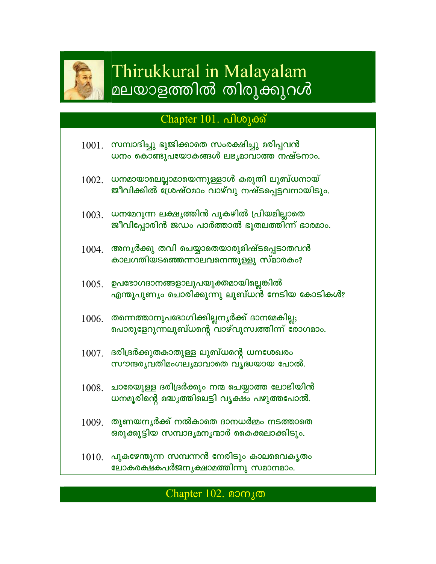

# Thirukkural in Malayalam മലയാളത്തിൽ തിരുക്കുറൾ

## Chapter 101. പിശുക്ക്

|       | $1001$ . സമ്പാദിച്ചു ഭുജിക്കാതെ സംരക്ഷിച്ചു മരിപ്പവൻ<br>ധനം കൊണ്ടുപയോകങ്ങൾ ലഭ്യമാവാത്ത നഷ്ടനാം.       |
|-------|-------------------------------------------------------------------------------------------------------|
|       | $1002.$ ധനമായാലെല്ലാമായെന്നുള്ളാൾ കരുതി ലുബ്ധനായ്<br>ജീവിക്കിൽ ശ്രേഷ്ഠമാം വാഴ്വു നഷ്ടപ്പെട്ടവനായിടും. |
|       | $1003$ . ധനമേറുന്ന ലക്ഷൃത്തിൻ പുകഴിൽ പ്രിയമില്ലാതെ<br>ജീവിപ്പോരിൻ ജഡം പാർത്താൽ ഭൂതലത്തിന്ന് ഭാരമാം.   |
| 1004. | അനൃർക്കു തവി ചെയ്യാതെയാരുമിഷ്ടപ്പെടാതവൻ<br>കാലഗതിയടഞ്ഞെന്നാലവനെന്തുള്ളു സ്മാരകം?                      |
|       | ഉപഭോഗദാനങ്ങളാലുപയുക്തമായില്ലെങ്കിൽ                                                                    |

- എന്തുപുണ്യം ചൊരിക്കുന്നു ലുബ്ധൻ നേടിയ കോടികൾ?
- $1006$ . തന്നെത്താനുപഭോഗിക്കില്ലനൃർക്ക് ദാനമേകില്ല; പൊരുളേറുന്നലുബ്ധന്റെ വാഴ്വുസ്വത്തിന്ന് രോഗമാം.
- $1007$  ദരിദ്രർക്കുതകാതുള്ള ലുബ്ധന്റെ ധനശേഖരം സൗന്ദരൃവതിമംഗലൃമാവാതെ വൃദ്ധയായ പോൽ.
- $1008$ . ചാരേയുള്ള ദരിദ്രർക്കും നന്മ ചെയ്യാത്ത ലോഭിയിൻ ധനമൂരിന്റെ മദ്ധ്യത്തിലെട്ടി വൃക്ഷം പഴുത്തപോൽ.
- $1009$  തുണയനൃർക്ക് നൽകാതെ ദാനധർമ്മം നടത്താതെ ഒരുക്കൂട്ടിയ സമ്പാദൃമനൃന്മാർ കൈക്കലാക്കിടും.
- $1010$ . പുകഴേന്തുന്ന സമ്പന്നൻ നേരിടും കാലവൈകൃതം ലോകരക്ഷകപർജനൃക്ഷാമത്തിന്നു സമാനമാം.

## Chapter 102. മാനൃത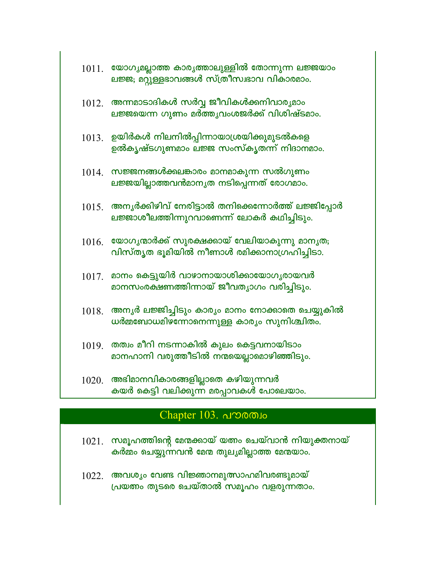| 1011. | യോഗ്യമല്ലാത്ത കാര്യത്താലുള്ളിൽ തോന്നുന്ന ലജ്ജയാം<br>ലജ്ജ; മറ്റുള്ളഭാവങ്ങൾ സ്ത്രീസ്വഭാവ വികാരമാം. |
|-------|--------------------------------------------------------------------------------------------------|
|       | $1012.$ അന്നമാടാദികൾ സർവ്വ ജീവികൾക്കനിവാരൃമാം<br>ലജ്ജയെന്ന ഗുണം മർത്തൃവംശജർക്ക് വിശിഷ്ടമാം.      |
|       | $1013$ . ഉയിർകൾ നിലനിൽപ്പിന്നായാശ്രയിക്കുമുടൽകളെ<br>ഉൽകൃഷ്ടഗുണമാം ലജ്ജ സംസ്കൃതന്ന് നിദാനമാം.     |
| 1014. | സജ്ജനങ്ങൾക്കലങ്കാരം മാനമാകുന്ന സൽഗുണം<br>ലജ്ജയില്ലാത്തവൻമാനൃത നടിപ്പെന്നത് രോഗമാം.               |
| 1015. | അനൃർക്കിഴിവ് നേരിട്ടാൽ തനിക്കെന്നോർത്ത് ലജ്ജിപ്പോർ<br>ലജ്ജാശീലത്തിന്നുറവാണെന്ന് ലോകർ കഥിച്ചിടും. |
| 1016. | യോഗൃന്മാർക്ക് സുരക്ഷക്കായ് വേലിയാകുന്നു മാനൃത;<br>വിസ്തൃത ഭൂമിയിൽ നീണാൾ രമിക്കാനാഗ്രഹിച്ചിടാ.    |
| 1017. | മാനം കെട്ടുയിർ വാഴാനായാശിക്കായോഗൃരായവർ<br>മാനസംരക്ഷണത്തിന്നായ് ജീവതൃാഗം വരിച്ചിടും.              |
| 1018. | അനൃർ ലജ്ജിച്ചിടും കാര്യം മാനം നോക്കാതെ ചെയ്യുകിൽ<br>ധർമ്മബോധമിഴന്നോനെന്നുള്ള കാര്യം സുനിശ്ചിതം.  |
| 1019. | തത്വം മീറി നടന്നാകിൽ കുലം കെട്ടവനായിടാം<br>മാനഹാനി വരുത്തീടിൽ നന്മയെല്ലാമൊഴിഞ്ഞിടും.             |
| 1020. | അഭിമാനവികാരങ്ങളില്ലാതെ കഴിയുന്നവർ<br>കയർ കെട്ടി വലിക്കുന്ന മരപ്പാവകൾ പോലെയാം.                    |

## Chapter 103. പൗരത്വം

 $1021$ . സമൂഹത്തിന്റെ മേന്മക്കായ് യത്നം ചെയ്വാൻ നിയുക്തനായ് കർമ്മം ചെയ്യുന്നവൻ മേന്മ തുലൃമില്ലാത്ത മേന്മയാം.

 $1022.$  അവശ്യം വേണ്ട വിജ്ഞാനമുത്സാഹമിവരണ്ടുമായ് പ്രയത്നം തുടരെ ചെയ്താൽ സമൂഹം വളരുന്നതാം.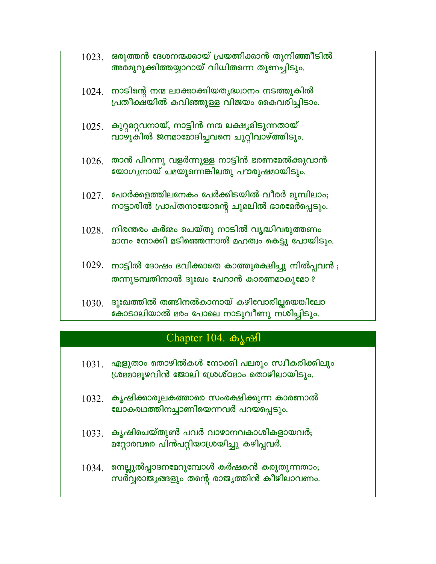| $1023$ . ഒരുത്തൻ ദേശനന്മക്കായ് പ്രയത്നിക്കാൻ തുനിഞ്ഞീടിൽ |
|----------------------------------------------------------|
| അരമുറുക്കിത്തയ്യാറായ് വിധിതന്നെ തുണച്ചിടും.              |

- $1024$ . നാടിന്റെ നന്മ ലാക്കാക്കിയതൃദ്ധ്വാനം നടത്തുകിൽ പ്രതീക്ഷ്യിൽ കവിഞ്ഞുള്ള വിജയം കൈവരിച്ചിടാം.
- $1025$ . കുറ്റമറ്റവനായ്, നാട്ടിൻ നന്മ ലക്ഷ്യമിടുന്നതായ് വാഴുകിൽ ജനമാമോദിച്ചവനെ ചുറ്റിവാഴ്ത്തിടും.
- $1026$ . താൻ പിറന്നു വളർന്നുള്ള നാട്ടിൻ ഭരണമേൽക്കുവാൻ യോഗൃനായ് ചമയുന്നെങ്കിലതു പൗരുഷമായിടും.
- $1027$ . പോർക്കളത്തിലനേകം പേർക്കിടയിൽ വീരർ മുമ്പിലാം; നാട്ടാരിൽ പ്രാപ്തനായോന്റെ ചുമലിൽ ഭാരമേർപ്പെടും.
- $1028$ . നിരന്തരം കർമ്മം ചെയ്തു നാടിൽ വൃദ്ധിവരുത്തണം മാനം നോക്കി മടിഞ്ഞെന്നാൽ മഹത്വം കെട്ടു പോയിടും.
- $1029.$  നാട്ടിൽ ദോഷം ഭവിക്കാതെ കാത്തുരക്ഷിച്ചു നിൽപ്പവൻ; തന്നുടമ്പതിനാൽ ദുഃഖം പേറാൻ കാരണമാകുമോ ?
- $1030$ . ദുഃഖത്തിൽ തണ്ടിനൽകാനായ് കഴിവോരില്ലയെങ്കിലോ കോടാലിയാൽ മരം പോലെ നാടുവീണു നശിച്ചിടും.

### Chapter 104. கியி

- $1031$ . എളുതാം തൊഴിൽകൾ നോക്കി പലരും സ്വീകരിക്കിലും ശ്രമമാമൂഴവിൻ ജോലി ശ്രേശ്ഠമാം തൊഴിലായിടും.
- $1032$ . കൃഷിക്കാരുലകത്താരെ സംരക്ഷിക്കുന്ന കാരണാൽ ലോകരഥത്തിനച്ചാണിയെന്നവർ പറയപ്പെടും.
- $1033$ . കൃഷിചെയ്തുൺ പവർ വാഴാനവകാശികളായവർ; മറ്റോരവരെ പിൻപറ്റിയാശ്രയിച്ചു കഴിപ്പവർ.
- $1034$ . നെല്ലുൽപ്പാദനമേറുമ്പോൾ കർഷകൻ കരുതുന്നതാം; സർവ്വരാജ്യങ്ങളും തന്റെ രാജ്യത്തിൻ കീഴിലാവണം.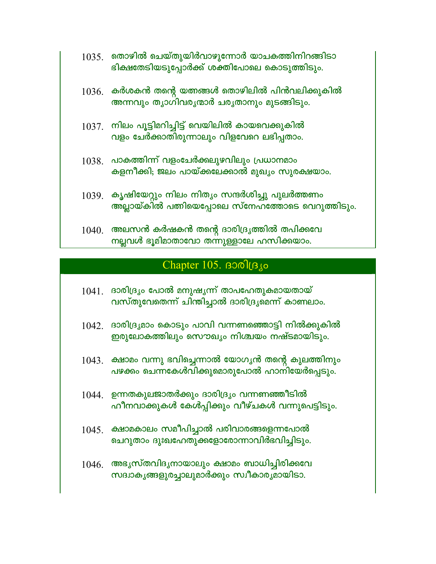- $1035$ . തൊഴിൽ ചെയ്തുയിർവാഴുന്നോർ യാചകത്തിനിറങ്ങിടാ ഭിക്ഷതേടിയടുപ്പോർക്ക് ശക്തിപോലെ കൊടുത്തിടും.
- $1036$ . കർശകൻ തന്റെ യത്നങ്ങൾ തൊഴിലിൽ പിൻവലിക്കുകിൽ അന്നവും തൃാഗിവരൃന്മാർ ചരൃതാനും മുടങ്ങിടും.
- $1037$ . നിലം പൂട്ടിമറിച്ചിട്ട് വെയിലിൽ കായവെക്കുകിൽ വളം ചേർക്കാതിരുന്നാലും വിളവേറെ ലഭിപ്പതാം.
- $1038$ . പാകത്തിന്ന് വളംചേർക്കലുഴവിലും പ്രധാനമാം കളനീക്കി; ജലം പായ്ക്കലേക്കാൽ മുഖൃം സുരക്ഷയാം.
- $1039$ . കൃഷിയേറ്റും നിലം നിതൃം സന്ദർശിച്ചു പുലർത്തണം അല്ലായ്കിൽ പത്നിയെപ്പോലെ സ്നേഹത്തോടെ വെറുത്തിടും.
- $1040$ . അലസൻ കർഷകൻ തന്റെ ദാരിദ്ര്യത്തിൽ തപിക്കവേ നല്ലവൾ ഭൂമിമാതാവോ തന്നുള്ളാലേ ഹസിക്കയാം.

## Chapter  $105.$  Bool(B  $\mu$ o

- $1041$ . ദാരിദ്ര്യം പോൽ മനുഷൃന്ന് താപഹേതുകമായതായ് വസ്തുവേതെന്ന് ചിന്തിച്ചാൽ ദാരിദ്രൃമെന്ന് കാണലാം.
- $1042$ . ദാരിദ്ര്യമാം കൊടും പാവി വന്നണത്തൊട്ടി നിൽക്കുകിൽ ഇരുലോകത്തിലും സൌഖൃം നിശ്ചയം നഷ്ടമായിടും.
- $1043$ . ക്ഷാമം വന്നു ഭവിച്ചെന്നാൽ യോഗൃൻ തന്റെ കുലത്തിനും പഴക്കം ചെന്നകേൾവിക്കുമൊരുപോൽ ഹാനിയേർപ്പെടും.
- $1044$ . ഉന്നതകുലജാതർക്കും ദാരിദ്ര്യം വന്നണഞ്ഞീടിൽ ഹീനവാക്കുകൾ കേൾപ്പിക്കും വീഴ്ചകൾ വന്നുപെട്ടിടും.
- $1045.$  ക്ഷാമകാലം സമീപിച്ചാൽ പരിവാരങ്ങളെന്നപോൽ ചെറുതാം ദുഃഖഹേതുക്കളോരോന്നാവിർഭവിച്ചിടും.
- $1046$ . അഭൃസ്തവിദൃനായാലും ക്ഷാമം ബാധിച്ചിരിക്കവേ സദ്വാകൃങ്ങളുരച്ചാലുമാർക്കും സ്വീകാരൃമായിടാ.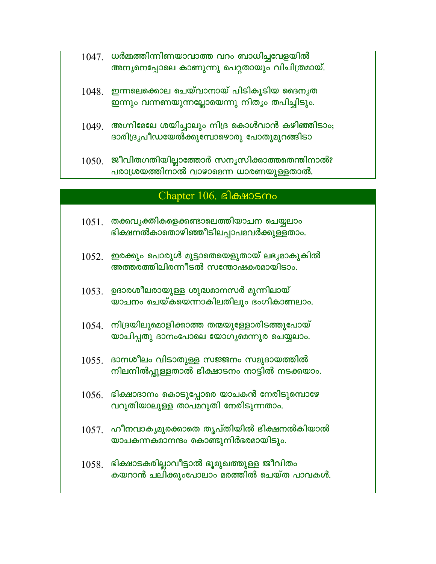- $1047$ . ധർമ്മത്തിന്നിണയാവാത്ത വറം ബാധിച്ചവേളയിൽ അന്യനെപ്പോലെ കാണുന്നു പെറ്റതായും വിചിത്രമായ്.
- $1048.$  ഇന്നലെക്കൊല ചെയ്വാനായ് പിടികൂടിയ ദൈനൃത ഇന്നും വന്നണയുന്നല്ലോയെന്നു നിത്യം തപിച്ചിടും.
- $1049$ . അഗ്നിമേലേ ശയിച്ചാലും നിദ്ര കൊൾവാൻ കഴിഞ്ഞിടാം; ദാരിദ്രൃപീഡയേൽക്കുമ്പോഴൊരു പോതുമുറങ്ങിടാ
- $1050$ . ജീവിതഗതിയില്ലാത്തോർ സന്യസിക്കാത്തതെന്തിനാൽ? പരാശ്രയത്തിനാൽ വാഴാമെന്ന ധാരണയുള്ളതാൽ.

#### Chapter 106. BlowSmo

- $1051$ . തക്കവൃക്തികളെക്കണ്ടാലെത്തിയാചന ചെയ്യലാം ഭിക്ഷനൽകാതൊഴിഞ്ഞീടിലപ്പാപമവർക്കുള്ളതാം.
- $1052$ . ഇരക്കും പൊരുൾ മുട്ടാതെയെളുതായ് ലഭൃമാകുകിൽ അത്തരത്തിലിരന്നീടൽ സന്തോഷകരമായിടാം.
- $1053$ . ഉദാരശീലരായുള്ള ശുദ്ധമാനസർ മുന്നിലായ് യാചനം ചെയ്കയെന്നാകിലതിലും ഭംഗികാണലാം.
- $1054$  നിദ്രയിലുമൊളിക്കാത്ത തന്മയുള്ളോരിടത്തുപോയ് യാചിപ്പതു ദാനംപോലെ യോഗൃമെന്നുര ചെയ്യലാം.
- $1055$ . ദാനശീലം വിടാതുള്ള സജ്ജനം സമുദായത്തിൽ നിലനിൽപ്പുള്ളതാൽ ഭിക്ഷാടനം നാട്ടിൽ നടക്കയാം.
- $1056$ . ഭിക്ഷാദാനം കൊടുപ്പോരെ യാചകൻ നേരിടുമ്പൊഴേ വറുതിയാലുള്ള താപമറുതി നേരിടുന്നതാം.
- $1057$ . ഹീനവാകൃമുരക്കാതെ തൃപ്തിയിൽ ഭിക്ഷനൽകിയാൽ യാചകന്നകമാനന്ദം കൊണ്ടുനിർഭരമായിടും.
- $1058$ . ഭിക്ഷാടകരില്ലാവീട്ടാൽ ഭൂമുഖത്തുള്ള ജീവിതം കയറാൻ ചലിക്കുംപോലാം മരത്തിൽ ചെയ്ത പാവകൾ.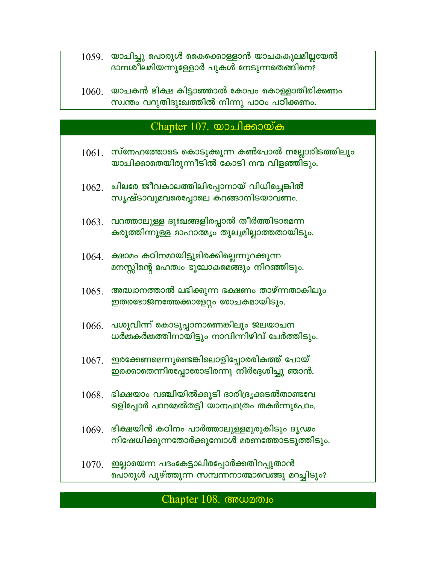- $1059$ . യാചിച്ചു പൊരുൾ കൈക്കൊള്ളാൻ യാചകകുലമില്ലയേൽ ദാനശീലമിയന്നുള്ളോർ പുകൾ നേടുന്നതെങ്ങിനെ?
- $1060$  യാചകൻ ഭിക്ഷ കിട്ടാഞ്ഞാൽ കോപം കൊള്ളാതിരിക്കണം സ്വന്തം വറുതിദുഃഖത്തിൽ നിന്നു പാഠം പഠിക്കണം.

#### Chapter 107. യാചിക്കായ്ക

- $1061.$  സ്നേഹത്തോടെ കൊടുക്കുന്ന കൺപോൽ നല്ലോരിടത്തിലും യാചിക്കാതെയിരുന്നീടിൽ കോടി നന്മ വിളഞ്ഞി്ടും.
- $1062$ . ചിലരേ ജീവകാലത്തിലിരപ്പാനായ് വിധിച്ചെങ്കിൽ സൃഷ്ടാവുമവരെപ്പോലെ കറങ്ങാനിടയാവണം.
- $1063$ . വറത്താലുള്ള ദുഃഖങ്ങളിരപ്പാൽ തീർത്തിടാമെന്ന കരുത്തിന്നുള്ള മാഹാത്മ്യം തുല്യമില്ലാത്തതായിടും.
- $1064.$  ക്ഷാമം കഠിനമായിട്ടുമിരക്കില്ലെന്നുറക്കുന്ന മനസ്സിന്റെ മഹത്വം ഭൂലോകമെങ്ങും നിറഞ്ഞിടും.
- $1065.$  അദ്ധ്വാനത്താൽ ലഭിക്കുന്ന ഭക്ഷണം താഴ്ന്നതാകിലും ഇതരഭോജനത്തേക്കാളേറ്റം രോചകമായിടും.
- $1066$ . പശുവിന്ന് കൊടുപ്പാനാണെങ്കിലും ജലയാചന ധർമ്മകർമ്മത്തിനായിട്ടും നാവിന്നിഴിവ് ചേർത്തിടും.
- $1067.$  ഇരക്കേണമെന്നുണ്ടെങ്കിലൊളിപ്പോരരികത്ത് പോയ് ഇരക്കാതെന്നിരപ്പോരോടിരന്നു നിർദ്ദേശിച്ചു ഞാൻ.
- $1068.$  ഭിക്ഷയാം വഞ്ചിയിൽക്കൂടി ദാരിദ്ര്യക്കടൽതാണ്ടവേ ഒളിപ്പോർ പാറമേൽതട്ടി യാനപാത്രം തകർന്നുപോം.
- $1069$ . ഭിക്ഷയിൻ കഠിനം പാർത്താലുള്ളമുരുകിടും ദൃഢം നിഷേധിക്കുന്നതോർക്കുമ്പോൾ മരണത്തോടടുത്തിടും.
- $1070.$  ഇല്ലായെന്ന പദംകേട്ടാലിരപ്പോർക്കതിറപ്പുതാൻ പൊരുൾ പൂഴ്ത്തുന്ന സമ്പന്നനാത്മാവെങ്ങു മറച്ചിടും?

#### Chapter 108. COMPLES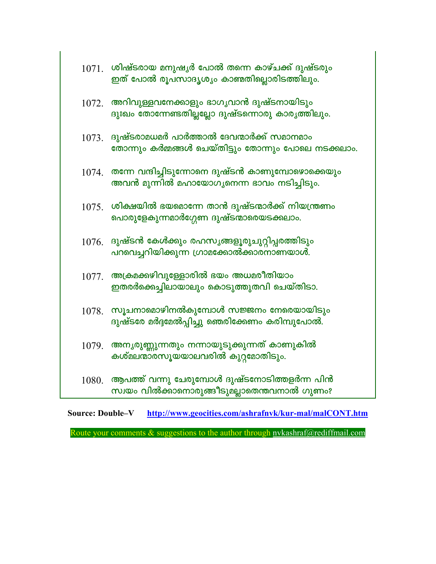|       | $1071$ . ശിഷ്ടരായ മനുഷൃർ പോൽ തന്നെ കാഴ്ചക്ക് ദുഷ്ടരും<br>ഇത് പോൽ രൂപസാദൃശ്യം കാണ്മതില്ലൊരിടത്തിലും.  |
|-------|------------------------------------------------------------------------------------------------------|
| 1072. | അറിവുള്ളവനേക്കാളും ഭാഗൃവാൻ ദുഷ്ടനായിടും<br>ദുഃഖം തോന്നേണ്ടതില്ലല്ലോ ദുഷ്ടന്നൊരു കാരൃത്തിലും.         |
| 1073. | ദുഷ്ടരാമധമർ പാർത്താൽ ദേവന്മാർക്ക് സമാനമാം<br>തോന്നും കർമ്മങ്ങൾ ചെയ്തിട്ടും തോന്നും പോലെ നടക്കലാം.    |
| 1074. | തന്നേ വന്ദിച്ചിടുന്നോനെ ദുഷ്ടൻ കാണുമ്പോഴൊക്കെയും<br>അവൻ മുന്നിൽ മഹായോഗ്യനെന്ന ഭാവം നടിച്ചിടും.       |
|       | $1075$ . ശിക്ഷയിൽ ഭയമൊന്നേ താൻ ദുഷ്ടന്മാർക്ക് നിയന്ത്രണം<br>പൊരുളേകുന്നമാർഗ്ഗേണ ദുഷ്ടന്മാരെയടക്കലാം. |
| 1076. | ദുഷ്ടൻ കേൾക്കും രഹസ്യങ്ങളൂരുചുറ്റിപ്പരത്തിടും<br>പറവെച്ചറിയിക്കുന്ന ഗ്രാമക്കോൽക്കാരനാണയാൾ.           |
| 1077. | അക്രമക്കഴിവുള്ളോരിൽ ഭയം അധമരീതിയാം<br>ഇതരർക്കെച്ചിലായാലും കൊടുത്തുതവി ചെയ്തിടാ.                      |
| 1078. | സൂചനാമൊഴിനൽകുമ്പോൾ സജ്ജനം നേരെയായിടും<br>ദുഷ്ടരേ മർദ്ദമേൽപ്പിച്ചു ഞെരിക്കേണം കരിമ്പുപോൽ.             |
| 1079. | അനൃരുണ്ണുന്നതും നന്നായുടുക്കുന്നത് കാണുകിൽ<br>കശ്മലന്മാരസൂയയാലവരിൽ കുറ്റമോതിടും.                     |
| 1080. | ആപത്ത് വന്നു ചേരുമ്പോൾ ദുഷ്ടനോടിത്തളർന്ന പിൻ<br>സ്വയം വിൽക്കാനൊരുങ്ങീടുമല്ലാതെന്തവനാൽ ഗുണം?          |

**Source: Double-V** http://www.geocities.com/ashrafnvk/kur-mal/malCONT.htm

Route your comments & suggestions to the author through nykashraf@rediffmail.com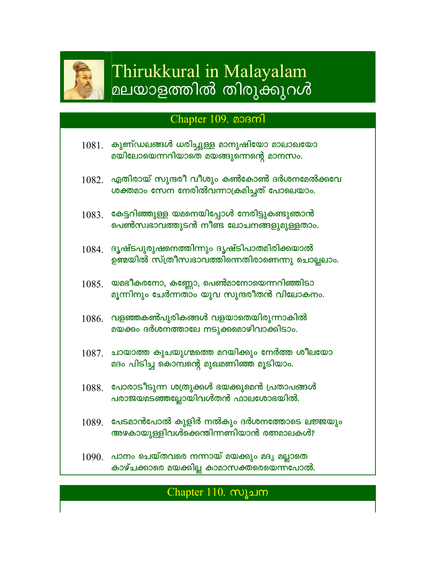

# Thirukkural in Malayalam മലയാളത്തിൽ തിരുക്കുറൾ

## Chapter 109. **approximate**

- കുണ്ഡലങ്ങൾ ധരിച്ചുള്ള മാനുഷിയോ മാലാഖയോ 1081. മയിലോയെന്നറിയാതെ മയങ്ങുന്നെന്റെ മാനസം.
- $1082$ . എതിരായ് സുന്ദരീ വീശും കൺകോൺ ദർശനമേൽക്കവേ ശക്തമാം സേന നേരിൽവന്നാക്രമിച്ചത് പോലെയാം.
- $1083$ . കേട്ടറിഞ്ഞുള്ള യമനെയിപ്പോൾ നേരിട്ടുകണ്ടുഞാൻ പെൺസ്വഭാവത്തുടൻ നീണ്ട ലോചനങ്ങളുമുള്ളതാം.
- $1084$ . ദൃഷ്ടപുരുഷനെത്തിന്നും ദൃഷ്ടിപാതമിരിക്കയാൽ ഉണ്മയിൽ സ്ത്രീസ്വഭാവത്തിന്നെതിരാണെന്നു ചൊല്ലലാം.
- യമഭീകരനോ, കണ്ണോ, പെൺമാനോയെന്നറിഞ്ഞിടാ 1085. മൂന്നിനും ചേർന്നതാം യുവ സുന്ദരീതൻ വിലോകനം.
- $1086$ . വളഞ്ഞകൺപുരികങ്ങൾ വളയാതെയിരുന്നാകിൽ മയക്കം ദർശനത്താലേ നടുക്കമൊഴിവാക്കിടാം.
- $1087$ . ചായാത്ത കുചയുഗ്മത്തെ മറയിക്കും നേർത്ത ശീലയോ മദം പിടിച്ച കൊമ്പന്റെ മുഖമണിഞ്ഞ മൂടിയാം.
- $1088$ . പോരാടീടുന്ന ശത്രുക്കൾ ഭയക്കുമെൻ പ്രതാപങ്ങൾ പരാജയമടഞ്ഞല്ലോയിവൾതൻ ഫാലശോഭയിൽ.
- $1089$  പേടമാൻപോൽ കുളിർ നൽകും ദർശനത്തോടെ ലജ്ജയും അഴകായുള്ളിവൾക്കെന്തിന്നണിയാൻ രത്നമാലകൾ?
- 1090. പാനം ചെയ്തവരെ നന്നായ് മയക്കും മദൃ മല്ലാതെ കാഴ്ചക്കാരെ മയക്കില്ല കാമാസക്തരെയെന്നപോൽ.

## Chapter 110. സുചന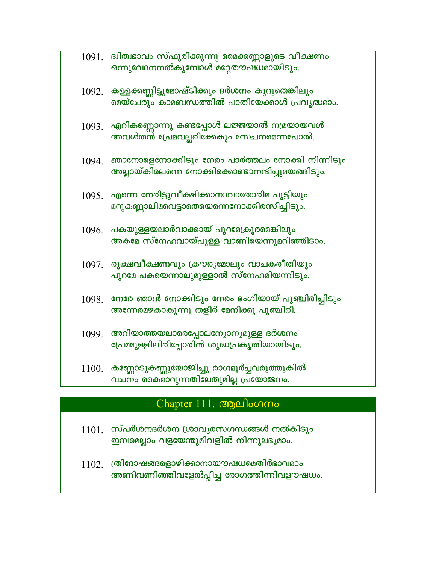|       | $1091$ . ദ്വിത്വഭാവം സ്ഫുരിക്കുന്നു മൈക്കണ്ണാളുടെ വീക്ഷണം<br>ഒന്നുവേദനനൽകുമ്പോൾ മറ്റേതൗഷധമായിടും.           |
|-------|-------------------------------------------------------------------------------------------------------------|
|       | 1092. കള്ളക്കണ്ണിട്ടുമോഷ്ടിക്കും ദർശനം കുറുതെങ്കിലും<br>മെയ്ചേരും കാമബന്ധത്തിൽ പാതിയേക്കാൾ പ്രവൃദ്ധമാം.     |
| 1093. | എറികണ്ണൊന്നു കണ്ടപ്പോൾ ലജ്ജയാൽ നമ്രയായവൾ<br>അവൾതൻ പ്രേമവല്ലരിക്കേകും സേചനമെന്നപോൽ.                          |
|       | $1094.$ ഞാനോളെനോക്കിടും നേരം പാർത്തലം നോക്കി നിന്നിടും<br>അല്ലായ്കിലെന്നെ നോക്കിക്കൊണ്ടാനന്ദിച്ചുമയങ്ങിടും. |
|       | $1095.$ എന്നെ നേരിട്ടുവീക്ഷിക്കാനാവാതോരിമ പൂട്ടിയും<br>മറുകണ്ണാലിമവെട്ടാതെയെന്നെനോക്കിരസിച്ചിടും.           |
| 1096. | <b>പകയുള്ളയലാർവാക്കായ് പുറമേക്രൂരമെങ്കിലും</b><br>അകമേ സ്നേഹവായ്പുള്ള വാണിയെന്നുമറിഞ്ഞിടാം.                 |
| 1097. | രൂക്ഷവീക്ഷണവും ക്രൗരൃമോലും വാചകരീതിയും<br>പുറമേ പകയെന്നാലുമുള്ളാൽ സ്നേഹമിയന്നിടും.                          |
| 1098. | നേരേ ഞാൻ നോക്കിടും നേരം ഭംഗിയായ് പുഞ്ചിരിച്ചിടും<br>അന്നേരമഴകാകുന്നു തളിർ മേനിക്കു പുഞ്ചിരി.                |
| 1099. | അറിയാത്തയലാരെപ്പോലന്യോന്യമുള്ള ദർശനം<br>പ്രേമ്മുള്ളിലിരിപ്പോരിൻ ശുദ്ധപ്രകൃതിയായിടും.                        |
|       | $1100$ . കണ്ണോടുകണ്ണുയോജിച്ചു രാഗമൂർച്ചവരുത്തുകിൽ<br>വചനം കൈമാറുന്നതിലേതുമില്ല പ്രയോജനം.                    |

# Chapter 111. ആലിംഗനം

- $1101.$  സ്പർശന്ദർശന ശ്രാവൃരസഗന്ധങ്ങൾ നൽകിടും ഇമ്പമെല്ലാം വളയേന്തുമിവളിൽ നിന്നുലഭൃമാം.
- $1102.$  ത്രിദോഷങ്ങളൊഴിക്കാനായൗഷധമെതിർഭാവമാം അണിവണിഞ്ഞിവളേൽപ്പിച്ച രോഗത്തിന്നിവളൗഷധം.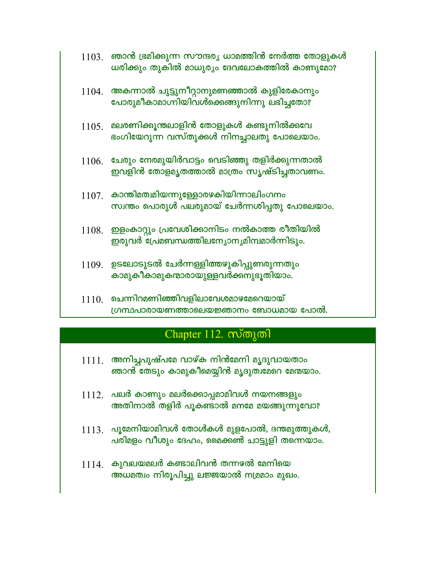| 1103. | ്ഞാൻ ഭ്രമിക്കുന്ന സൗന്ദര്യ ധാമത്തിൻ നേർത്ത തോളുകൾ |
|-------|---------------------------------------------------|
|       | ധരിക്കും തുകിൽ മാധുര്യം ദേവലോകത്തിൽ കാണുമോ?       |

- $1104$ . അകന്നാൽ ചുട്ടുനീറ്റാനുമണഞ്ഞാൽ കുളിരേകാനും പോരുമീകാമാഗ്നിയിവൾക്കെങ്ങുനിന്നു ലഭിച്ചതോ?
- $1105$  മലരണിക്കുന്തലാളിൻ തോളുകൾ കണ്ടുനിൽക്കവേ ഭംഗിയേറുന്ന വസ്തുക്കൾ നിനച്ചാലതു പോലെയാം.
- $1106$ . ചേരും നേരമുയിർവാട്ടം വെടിഞ്ഞു തളിർക്കുന്നതാൽ ഇവളിൻ തോളമൃതത്താൽ മാത്രം സൃഷ്ടിച്ചതാവണം.
- $1107.$  കാന്തിമത്വമിയന്നുള്ളോരഴകിയിന്നാലിംഗനം സ്വന്തം പൊരുൾ പലരുമായ് ചേർന്നശിപ്പതു പോലെയാം.
- $1108.$  ഇളംകാറ്റും പ്രവേശിക്കാനിടം നൽകാത്ത രീതിയിൽ ഇരുവർ പ്രേമബന്ധത്തിലന്യോനൃമിമ്പമാർന്നിടും.
- $1109$  ഉടലോടുടൽ ചേർന്നള്ളിത്തഴുകിപ്പുണരുന്നതും കാമുകീകാമുകന്മാരായുള്ളവർക്കനുഭൂതിയാം.
- $1110$  ചെന്നിറമണിഞ്ഞിവളിലാവേശമാഴമേറെയായ് (ഗന്ഥപാരായണത്താലെയജ്ഞാനം ബോധമായ പോൽ.

## Chapter 112. സ്തുതി

- $1111$  അനിച്ചപുഷ്പമേ വാഴ്ക നിൻമേനി മൃദുവായതാം ഞാൻ തേടും കാമുകീമെയ്യിൻ മൃദുത്വമേറെ മേന്മയാം.
- $1112$ . പലർ കാണും മലർക്കൊപ്പമാമിവൾ നയനങ്ങളും അതിനാൽ തളിർ പൂകണ്ടാൽ മനമേ മയങ്ങുന്നുവോ?
- $1113$ . പൂമേനിയാമിവൾ തോൾകൾ മുളപോൽ, ദന്തമുത്തുകൾ, പരിമളം വീശും ദേഹം, മൈക്കൺ ചാട്ടുളി തന്നെയാം.
- $1114$  കുവലയമലർ കണ്ടാലിവൻ തന്നഴൽ മേനിയെ അധമത്വം നിരൂപിച്ചു ലജ്ജയാൽ നമ്രമാം മുഖം.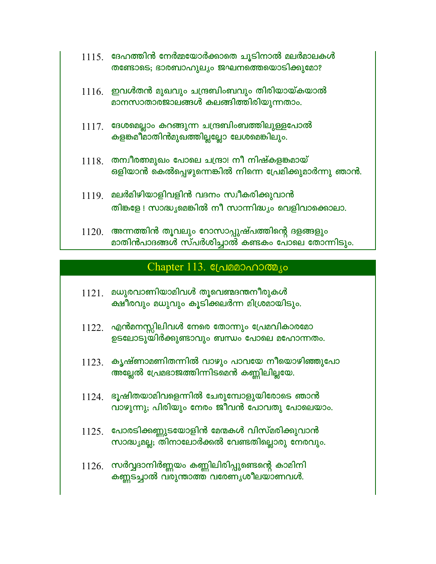|       | $1115$ . ദേഹത്തിൻ നേർമ്മയോർക്കാതെ ചൂടിനാൽ മലർമാലകൾ<br>തണ്ടോടെ; ഭാരബാഹുല്യം ജഘനത്തെയൊടിക്കുമോ?                   |
|-------|-----------------------------------------------------------------------------------------------------------------|
|       | $1116$ . ഇവൾതൻ മുഖവും ചന്ദ്രബിംബവും തിരിയായ്കയാൽ<br>മാനസാതാരജാലങ്ങൾ കലങ്ങിത്തിരിയുന്നതാം.                       |
|       | $1117.$ ദേശമെല്ലാം കറങ്ങുന്ന ചന്ദ്രബിംബത്തിലുള്ളപോൽ<br>കളങ്കമീമാതിൻമുഖത്തില്ലല്ലോ ലേശമെങ്കിലും.                 |
|       | $1118.$ തന്വീരത്തമുഖം പോലെ ചന്ദ്രാ! നീ നിഷ്കളങ്കമായ്<br>ഒളിയാൻ കെൽപ്പെഴുന്നെങ്കിൽ നിന്നെ പ്രേമിക്കുമാർന്നു ഞാൻ. |
|       | $1119$ മലർമിഴിയാളിവളിൻ വദനം സ്വീകരിക്കുവാൻ<br>തിങ്കളേ ! സാദ്ധ്യമെങ്കിൽ നീ സാന്നിദ്ധ്യം വെളിവാക്കൊലാ.            |
| 1120. | അന്നത്തിൻ തൂവലും റോസാപ്പുഷ്പത്തിന്റെ ദളങ്ങളും<br>മാതിൻപാദങ്ങൾ സ്പർശിച്ചാൽ കണ്ടകം പോലെ തോന്നിടും.                |

#### Chapter 113. Connector Chapter

- $1121.$  മധുരവാണിയാമിവൾ തൂവെണ്മദന്തനീരുകൾ ക്ഷീരവും മധുവും കൂടിക്കലർന്ന മിശ്രമായിടും.
- $1122$ . എൻമനസ്സിലിവൾ നേരെ തോന്നും പ്രേമവികാരമോ ഉടലോടുയിർക്കുണ്ടാവും ബന്ധം പോലെ മഹോന്നതം.
- $1123$ . കൃഷ്ണാമണിതന്നിൽ വാഴും പാവയേ നീയൊഴിഞ്ഞുപോ അല്ലേൽ പ്രേമഭാജത്തിന്നിടമെൻ കണ്ണിലില്ലയേ.
- $1124$ . ഭൂഷിതയാമിവളെന്നിൽ ചേരുമ്പോളുയിരോടെ ഞാൻ വാഴുന്നു; പിരിയും നേരം ജീവൻ പോവതു പോലെയാം.
- $1125$ . പോരടിക്കണ്ണുടയോളിൻ മേന്മകൾ വിസ്മരിക്കുവാൻ സാദ്ധ്യമല്ല; തിനാലോർക്കൽ വേണ്ടതില്ലൊരു നേരവും.
- $1126$ . സർവ്വദാനിർണ്ണയം കണ്ണിലിരിപ്പുണ്ടെന്റെ കാമിനി കണ്ണടച്ചാൽ വരുന്താത്ത വരേണ്യശീലയാണവൾ.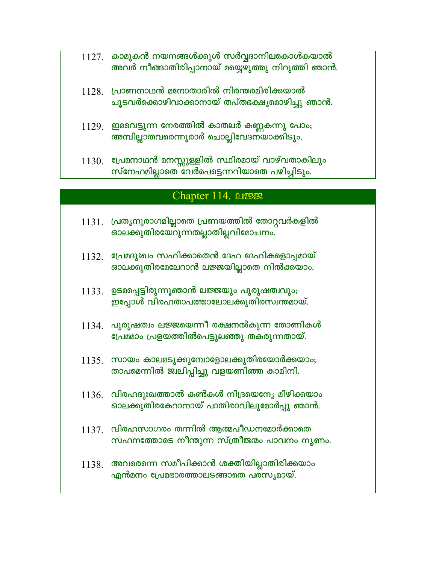- $1127$ . കാമുകൻ നയനങ്ങൾക്കുൾ സർവ്വദാനിലകൊൾകയാൽ അവർ നീങ്ങാതിരിപ്പാനായ് മയ്യെഴുത്തു നിറുത്തി ഞാൻ.
- $1128$  പ്രാണനാഥൻ മനോതാരിൽ നിരന്തരമിരിക്കയാൽ ചൂടവർക്കൊഴിവാക്കാനായ് തപ്തഭക്ഷൃമൊഴിച്ചു ഞാൻ.
- $1129$ . ഇമവെട്ടുന്ന നേരത്തിൽ കാതലർ കണ്ണകന്നു പോം; അമ്പില്ലാതവരെന്നൂരാർ ചൊല്ലിവേദനയാക്കിടും.
- $1130$ . പ്രേമനാഥൻ മനസ്സുള്ളിൽ സ്ഥിരമായ് വാഴ്വതാകിലും സ്നേഹമില്ലാതെ വേർപെട്ടെന്നറിയാതെ പഴിച്ചിടും.

#### Chapter 114. பஜ

- $1131$ . പ്രതൃനുരാഗമില്ലാതെ പ്രണയത്തിൽ തോറ്റവർകളിൽ ഓലക്കുതിരയേറുന്നതല്ലാതില്ലവിമോചനം.
- $1132$ . പ്രേമദുഃഖം സഹിക്കാതെൻ ദേഹ ദേഹികളൊപ്പമായ് ഓലക്കുതിരമേലേറാൻ ലജ്ജയില്ലാതെ നിൽക്കയാം.
- 1133. ഉടമപ്പെട്ടിരുന്നൂഞാൻ ലജ്ജയും പുരുഷത്വവും; ഇപ്പോൾ വിരഹതാപത്താലോലക്കുതിരസ്വന്തമായ്.
- $1134$  പുരുഷത്വം ലജ്ജയെന്നീ രക്ഷനൽകുന്ന തോണികൾ പ്രേമമാം പ്രളയത്തിൽപെട്ടുലഞ്ഞു തകരുന്നതായ്.
- $1135$ . സായം കാലമടുക്കുമ്പോളോലക്കുതിരയോർക്കയാം; താപമെന്നിൽ ജഥിപ്പിച്ചു വളയണിഞ്ഞ കാമിനി.
- $1136$ . വിരഹദുഃഖത്താൽ കൺകൾ നിദ്രയെന്യേ മിഴിക്കയാം ഓലക്കുതിരകേറാനായ് പാതിരാവിലുമോർപ്പു ഞാൻ.
- $1137.$  വിരഹസാഗരം തന്നിൽ ആത്മപീഡനമോർക്കാതെ സഹനത്തോടെ നീന്തുന്ന സ്ത്രീജന്മം പാവനം നൃണം.
- $1138.$  അവരെന്നെ സമീപിക്കാൻ ശക്തിയില്ലാതിരിക്കയാം എൻമനം പ്രേമഭാരത്താലടങ്ങാതെ പരസ്യമായ്.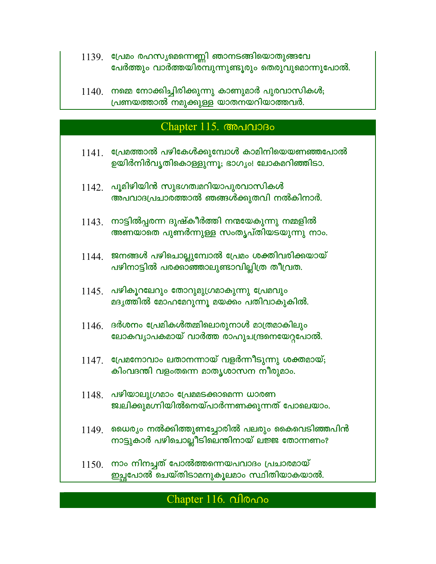- 1139. പ്രേമം രഹസ്യമെന്നെണ്ണി ഞാനടങ്ങിയൊതുങ്ങവേ പേർത്തും വാർത്തയിരമ്പുന്നുണ്ടൂരും തെരുവുമൊന്നുപോൽ.
- $1140$ . നമ്മെ നോക്കിച്ചിരിക്കുന്നു കാണുമാർ പുരവാസികൾ; പ്രണയത്താൽ നമുക്കുള്ള യാതനയറിയാത്തവർ.

### Chapter 115. Chapter 115.

- $1141.$  പ്രേമത്താൽ പഴികേൾക്കുമ്പോൾ കാമിനിയെയണഞ്ഞപോൽ ഉയിർനിർവൃതികൊള്ളുന്നൂ; ഭാഗ്യം! ലോകമറിഞ്ഞിടാ.
- $1142$ . പൂമിഴിയിൻ സുഭഗത്വമറിയാപുരവാസികൾ അപവാദപ്രചാരത്താൽ ഞങ്ങൾക്കുതവി നൽകിനാർ.
- $1143$ . നാട്ടിൽപ്പരന്ന ദുഷ്കീർത്തി നന്മയേകുന്നു നമ്മളിൽ അണയാതെ പുണർന്നുള്ള സംതൃപ്തിയടയുന്നു നാം.
- $1144$ . ജനങ്ങൾ പഴിചൊല്ലുമ്പോൽ പ്രേമം ശക്തിവരിക്കയായ് പഴിനാട്ടിൽ പരക്കാഞ്ഞാലുണ്ടാവില്ലിത്ര തീവ്രത.
- $1145$ . പഴികൂറലേറും തോറുമുഗ്രമാകുന്നു പ്രേമവും മദൃത്തിൽ മോഹമേറുന്നു മയക്കം പതിവാകുകിൽ.
- $1146$  ദർശനം പ്രേമികൾതമ്മിലൊരുനാൾ മാത്രമാകിലും ലോകവൃാപകമായ് വാർത്ത രാഹുചന്ദ്രനെയേറ്റപോൽ.
- $1147.$  പ്രേമനോവാം ലതാനന്നായ് വളർന്നീടുന്നു ശക്തമായ്; കിംവദന്തി വളംതന്നെ മാതൃശാസന നീരുമാം.
- $1148$ . പഴിയാലുഗ്രമാം പ്രേമമടക്കാമെന്ന ധാരണ ജ്വലിക്കുമഗ്നിയിൽനെയ്പാർന്നണക്കുന്നത് പോലെയാം.
- $1149$ . ഡൈര്യം നൽക്കിത്തുണച്ചോരിൽ പലരും കൈവെടിഞ്ഞപിൻ നാട്ടുകാർ പഴിചൊല്ലീടിലെന്തിനായ് ലജ്ജ തോന്നണം?
- $1150$ . നാം നിനച്ചത് പോൽത്തന്നെയപവാദം പ്രചാരമായ് ഇച്ചപോൽ ചെയ്തിടാമനുകൂലമാം സ്ഥിതിയാകയാൽ.

## Chapter 116. *<u>Allono</u>*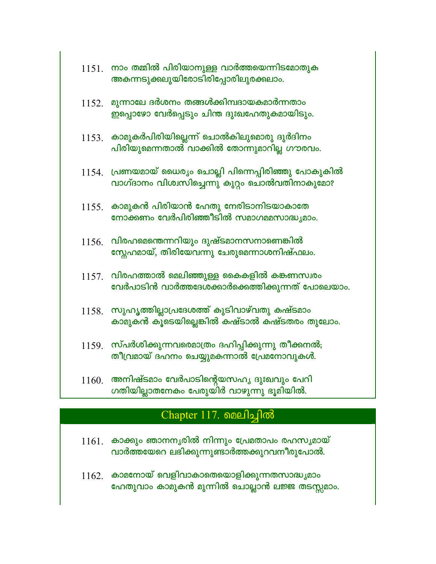| 1151. | നാം തമ്മിൽ പിരിയാനുള്ള വാർത്തയെന്നിടമോതുക<br>അകന്നടുക്കലുയിരോടിരിപ്പോരിലുരക്കലാം.                          |
|-------|------------------------------------------------------------------------------------------------------------|
| 1152. | മുന്നാലേ ദർശനം തങ്ങൾക്കിമ്പദായകമാർന്നതാം<br>ഇപ്പൊഴോ വേർപ്പെടും ചിന്ത ദുഃഖഹേതുകമായിടും.                     |
|       | $1153$ . കാമുകർപിരിയില്ലെന്ന് ചൊൽകിലുമൊരു ദുർദിനം<br>പിരിയുമെന്നതാൽ വാക്കിൽ തോന്നുമാറില്ല ഗൗരവം.           |
|       | $1154$ . പ്രണയമായ് ധൈര്യം ചൊല്ലി പിന്നെപ്പിരിഞ്ഞു പോകുകിൽ<br>വാഗ്ദാനം വിശ്വസിച്ചെന്നു കുറ്റം ചൊൽവതിനാകുമോ? |
|       | $1155.$ കാമുകൻ പിരിയാൻ ഹേതു നേരിടാനിടയാകാതേ<br>നോക്കണം വേർപിരിഞ്ഞീടിൽ സമാഗമമസാദ്ധ്യമാം.                    |
| 1156. | വിരഹമെന്തെന്നറിയും ദുഷ്ടമാനസനാണെങ്കിൽ<br>സ്റ്റേഹമായ്, തിരിയേവന്നു ചേരുമെന്നാശനിഷ്ഫലം.                      |
|       | $1157$ . വിരഹത്താൽ മെലിഞ്ഞുള്ള കൈകളിൽ കങ്കണസ്വരം<br>വേർപാടിൻ വാർത്തദേശക്കാർക്കെത്തിക്കുന്നത് പോലെയാം.      |
|       | $1158$ . സുഹൃത്തില്ലാപ്രദേശത്ത് കുടിവാഴ്വതു കഷ്ടമാം<br>കാമുകൻ കൂടെയില്ലെങ്കിൽ കഷ്ടാൽ കഷ്ടതരം തുലോം.        |
|       | $1159$ . സ്പർശിക്കുന്നവരെമാത്രം ദഹിപ്പിക്കുന്നു തീക്കനൽ;<br>തീവ്രമായ് ദഹനം ചെയ്യുമകന്നാൽ പ്രേമനോവുകൾ.      |
| 1160. | അനിഷ്ടമാം വേർപാടിന്റെയസഹൃ ദുഃഖവും പേറി<br>ഗതിയില്ലാതനേകം പേരുയിർ വാഴുന്നു ഭൂമിയിൽ.                         |

## Chapter 117. வைபிதினி

- $1161.$  കാക്കും ഞാനനൃരിൽ നിന്നും പ്രേമതാപം രഹസൃമായ് വാർത്തയേറെ ലഭിക്കുന്നുണ്ടാർത്തക്കുറവനീരുപോൽ.
- $1162.$  കാമനോയ് വെളിവാകാതെയൊളിക്കുന്നതസാദ്ധ്യമാം ഹേതുവാം കാമുകൻ മുന്നിൽ ചൊല്ലാൻ ലജ്ജ തടസ്സമാം.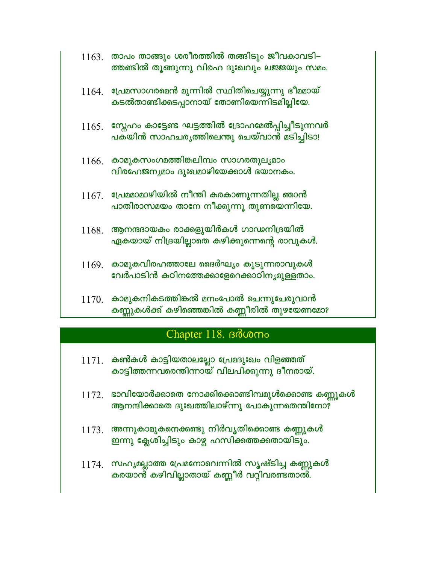|       | $1163.$ താപം താങ്ങും ശരീരത്തിൽ തങ്ങിടും ജീവകാവടി–<br>ത്തണ്ടിൽ തൂങ്ങുന്നു വിരഹ ദുഃഖവും ലജ്ജയും സമം.   |
|-------|------------------------------------------------------------------------------------------------------|
|       | $1164$ . പ്രേമസാഗരമെൻ മുന്നിൽ സ്ഥിതിചെയ്യുന്നു ഭീമമായ്<br>കടൽതാണ്ടിക്കടപ്പാനായ് തോണിയെന്നിടമില്ലിയേ. |
| 1165. | സ്റ്റേഹം കാട്ടേണ്ട ഘട്ടത്തിൽ ദ്രോഹമേൽപ്പിച്ചീടുന്നവർ<br>പക്യിൻ സാഹചരൃത്തിലെന്തു ചെയ്വാൻ മടിച്ചിടാ!   |
| 1166. | കാമുകസംഗമത്തിങ്കലിമ്പം സാഗരതുലൃമാം<br>വിരഹേജനൃമാം ദുഃഖമാഴിയേക്കാൾ ഭയാനകം.                            |
|       | $1167.$ പ്രേമമാമാഴിയിൽ നീന്തി കരകാണുന്നതില്ല ഞാൻ<br>പാതിരാസമയം താനേ നീക്കുന്നൂ തുണയെന്നിയേ.          |
| 1168. | ആനന്ദദായകം രാക്കളുയിർകൾ ഗാഡനിദ്രയിൽ<br>ഏകയായ് നിദ്രയില്ലാതെ കഴിക്കുന്നെന്റെ രാവുകൾ.                  |
| 1169. | കാമുകവിരഹത്താലേ ദൈർഘ്യം കൂടുന്നരാവുകൾ<br>വേർപാടിൻ കഠിനത്തേക്കാളേറെക്കാഠിനൃമുള്ളതാം.                  |
| 1170  | കാമുകനികടത്തിങ്കൽ മനംപോൽ ചെന്നുചേരുവാൻ                                                               |

കണ്ണുകൾക്ക് കഴിഞ്ഞെങ്കിൽ കണ്ണീരിൽ തുഴയേണമോ?

## Chapter 118. Boomo

- $1171.$  കൺകൾ കാട്ടിയതാലല്ലോ പ്രേമദുഃഖം വിളഞ്ഞത് കാട്ടിത്തന്നവരെന്തിന്നായ് വിലപിക്കുന്നു ദീനരായ്.
- $1172$ . ഭാവിയോർക്കാതെ നോക്കിക്കൊണ്ടിമ്പമുൾക്കൊണ്ട കണ്ണൂകൾ ആനന്ദിക്കാതെ ദുഃഖത്തിലാഴ്ന്നു പോകുന്നതെന്തിനോ?
- $1173$ . അന്നുകാമുകനെക്കണ്ടു നിർവൃതിക്കൊണ്ട കണ്ണുകൾ ഇന്നു ക്ലേശിച്ചിടും കാഴ്ച ഹസിക്കത്തക്കതായിടും.
- 1174. സഹ്യമല്ലാത്ത പ്രേമനോവെന്നിൽ സൃഷ്ടിച്ച കണ്ണുകൾ കരയാൻ് കഴിവില്ലാതായ് കണ്ണീർ വറ്റിവരണ്ടതാൽ.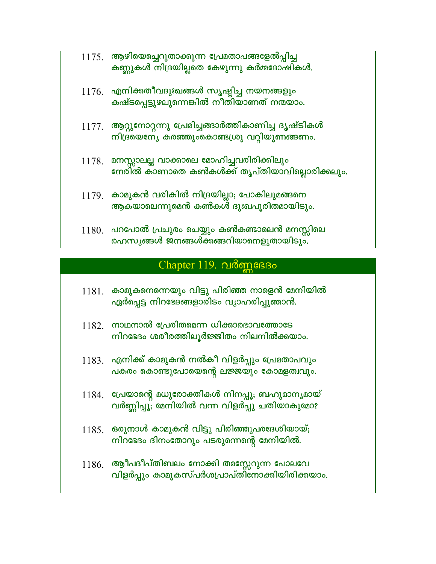| 1175. | ആഴിയെച്ചെറുതാക്കുന്ന പ്രേമതാപങ്ങളേൽപ്പിച്ച |
|-------|--------------------------------------------|
|       | കണ്ണുകൾ നിദ്രയില്ലതെ കേഴുന്നു കർമ്മദോഷികൾ. |

- $1176.$  എനിക്കതീവദുഃഖങ്ങൾ സൃഷ്ടിച്ച നയനങ്ങളും കഷ്ടപ്പെട്ടുഴലുന്നെങ്കിൽ നീതിയാണത് നന്മയാം.
- $1177$ . ആറ്റുനോറ്റന്നു പ്രേമിച്ചങ്ങാർത്തികാണിച്ച ദൃഷ്ടികൾ നിദ്രയെന്യേ കരഞ്ഞുംകൊണ്ടഗ്രു വറ്റിയുണങ്ങണം.
- $1178$ . മനസ്സാലല്ല വാക്കാലെ മോഹിച്ചവരിരിക്കിലും നേരിൽ കാണാതെ കൺകൾക്ക് തൃപ്തിയാവില്ലൊരിക്കലും.
- $1179$ . കാമുകൻ വരികിൽ നിദ്രയില്ലാ; പോകിലുമങ്ങനെ ആകയാലെന്നുമെൻ കൺകൾ ദുഃഖപൂരിതമായിടും.
- $1180.$  പറപോൽ പ്രചുരം ചെയ്യും കൺകണ്ടാലെൻ മനസ്സിലെ രഹസൃങ്ങൾ ജനങ്ങൾക്കങ്ങറിയാനെളുതായിടും.

### Chapter 119. വർണ്ണഭേദം

- $1181$ . കാമുകനെന്നെയും വിട്ടു പിരിഞ്ഞ നാളെൻ മേനിയിൽ ഏർപ്പെട്ട നിറഭേദങ്ങളാരിടം വ്യാഹരിപ്പുഞാൻ.
- $1182.$  നാഥനാൽ പ്രേരിതമെന്ന ധിക്കാരഭാവത്തോടേ നിറഭേദം ശരീരത്തിലൂർജ്ജിതം നിലനിൽക്കയാം.
- $1183$ . എനിക്ക് കാമുകൻ നൽകീ വിളർപ്പും പ്രേമതാപവും പകരം കൊണ്ടുപോയെന്റെ ലജ്ജയും കോമളത്വവും.
- $1184$ . പ്രേയാന്റെ മധുരോക്തികൾ നിനപ്പൂ; ബഹുമാനൃമായ് വർണ്ണിപ്പൂ; മേനിയിൽ വന്ന വിളർപ്പു ചതിയാകുമോ?
- $1185.$  ഒരുനാൾ കാമുകൻ വിട്ടു പിരിഞ്ഞുപരദേശിയായ്; നിറഭേദം ദിനംതോറും പടരുന്നെന്റെ മേനിയിൽ.
- $1186.$  ആീപദീപ്തിബലം നോക്കി തമസ്സേറുന്ന പോലവേ വിളർപ്പും കാമുകസ്പർശപ്രാപ്തിനോക്കിയിരിക്കയാം.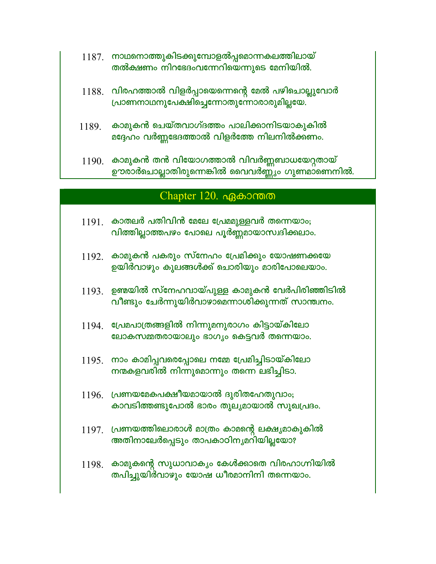- $1187.$  നാഥനൊത്തുകിടക്കുമ്പോളൽപ്പമൊന്നകലത്തിലായ് തൽക്ഷണം നിറഭേദംവന്നേറിയെന്നുടെ മേനിയിൽ.
- $1188.$  വിരഹത്താൽ വിളർപ്പായെന്നെന്റെ മേൽ പഴിചൊല്ലുവോർ പ്രാണനാഥനുപേക്ഷിച്ചെന്നോതുന്നോരാരുമില്ലയേ.
- $1189$  കാമുകൻ ചെയ്തവാഗ്ദത്തം പാലിക്കാനിടയാകുകിൽ മദ്ദേഹം വർണ്ണഭേദത്താൽ വിളർത്തേ നിലനിൽക്കണം.
- $1190.$  കാമുകൻ തൻ വിയോഗത്താൽ വിവർണ്ണബാധയേറ്റതായ് ഊരാർചൊല്ലാതിരുന്നെങ്കിൽ വൈവർണ്ണ്യം ഗുണമാണെനിൽ.

#### Chapter  $120.$   $\alpha$ Beborom on

- $1191$ . കാതലർ പതിവിൻ മേലേ പ്രേമമുള്ളവർ തന്നെയാം; വിത്തില്ലാത്തപഴം പോലെ പൂർണ്ണമായാസ്വദിക്കലാം.
- $1192$ . കാമുകൻ പകരും സ്നേഹം പ്രേമിക്കും യോഷണക്കയേ ഉയിർവാഴും കുലങ്ങൾക്ക് ചൊരിയും മാരിപോലെയാം.
- $1193$ . ഉണ്മയിൽ സ്നേഹവായ്പുള്ള കാമുകൻ വേർപിരിഞ്ഞിടിൽ വീണ്ടും ചേർന്നുയിർവാഴാമെന്നാശിക്കുന്നത് സാന്ത്വനം.
- $1194$ . പ്രേമപാത്രങ്ങളിൽ നിന്നുമനുരാഗം കിട്ടായ്കിലോ ലോകസമ്മതരായാലും ഭാഗൃം കെട്ടവർ തന്നെയാം.
- $1195$ . നാം കാമിപ്പവരെപ്പോലെ നമ്മേ പ്രേമിച്ചിടായ്കിലോ നന്മകളവരിൽ നിന്നുമൊന്നും തന്നെ ലഭിച്ചിടാ.
- $1196$ . പ്രണയമേകപക്ഷീയമായാൽ ദുരിതഹേതുവാം; കാവടിത്തണ്ടുപോൽ ഭാരം തുലൃമായാൽ സുഖപ്രദം.
- $1197$ . പ്രണയത്തിലൊരാൾ മാത്രം കാമന്റെ ലക്ഷ്യമാകുകിൽ അതിനാലേർപ്പെടും താപകാഠിനൃമറിയില്ലയോ?
- $1198$ . കാമുകന്റെ സുധാവാകൃം കേൾക്കാതെ വിരഹാഗ്നിയിൽ തപിച്ചുയിർവാഴും യോഷ ധീരമാനിനി തന്നെയാം.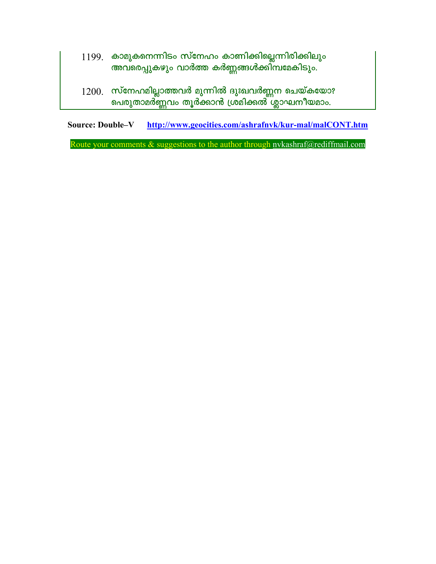- $1199$ . കാമുകനെന്നിടം സ്നേഹം കാണിക്കില്ലെന്നിരിക്കിലും അവ്രെപ്പുകഴും വാർത്ത കർണ്ണങ്ങൾക്കി്മ്പമേകിടും.
- $1200$ . സ്നേഹമില്ലാത്തവർ മുന്നിൽ ദുഃഖവർണ്ണന ചെയ്കയോ? പെരുതാമർ്ണ്ണവം തൂർക്കാൻ ശ്ര്മിക്കൽ ശ്ലാഘനീയമാം.

Source: Double-V http://www.geocities.com/ashrafnyk/kur-mal/malCONT.htm

Route your comments  $\&$  suggestions to the author through nykashraf@rediffmail.com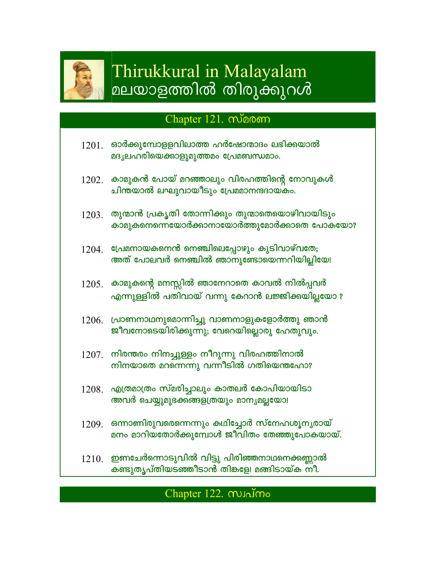

# Thirukkural in Malayalam മലയാളത്തിൽ തിരുക്കുറൾ

## Chapter 121. manom

- ഓർക്കുമ്പോളളവിലാത്ത ഹർഷോന്മാദം ലഭിക്കയാൽ 1201. മദൃലഹരിയെക്കാളുമുത്തമം പ്രേമബന്ധമാം.
- $1202$ . കാമുകൻ പോയ് മറഞ്ഞാലും വിരഹത്തിന്റെ നോവുകൾ ചിന്തയാൽ ലഘുവായീടും പ്രേമമാനന്ദദായകം.
- <u>1203. തുന്മാൻ പ്രകൃതി തോന്നിക്കും തുന്മാതെയൊഴിവായിടും </u> കാമുകനെന്നെയോർക്കാനായോർത്തുമോർക്കാതെ പോകയോ?
- $1204$ . പ്രേമനായകനെൻ നെഞ്ചിലെപ്പോഴും കുടിവാഴ്വതേ; അത് പോലവർ നെഞ്ചിൽ ഞാനുണ്ടോയെന്നറിയില്ലിയേ!
- $1205$ . കാമുകന്റെ മനസ്സിൽ ഞാനേറാതെ കാവൽ നിൽപ്പവർ എന്നുള്ളിൽ പതിവായ് വന്നു കേറാൻ ലജ്ജിക്കയില്ലയോ ?
- $1206$ . പ്രാണനാഥനുമൊന്നിച്ചു വാണനാളുകളോർത്തു ഞാൻ ജീവനോടെയിരിക്കുന്നു; വേറെയില്ലൊരു ഹേതുവും.
- $1207$ . നിരന്തരം നിനച്ചുള്ളം നീറുന്നു വിരഹത്തിനാൽ നിനയാതെ മറന്നെന്നു വന്നീടിൽ ഗതിയെന്തഹോ?
- $1208$ . എത്രമാത്രം സ്മരിച്ചാലും കാതലർ കോപിയായിടാ അവർ ചെയ്യുമുഭക്കങ്ങളത്രയും മാനൃമല്ലയോ!
- $1209$ . ഒന്നാണിരുവരെന്നെന്നും കഥിച്ചോർ സ്നേഹശൂനൃരായ് മനം മാറിയതോർക്കുമ്പോൾ ജീവിതം തേഞ്ഞുപോകയായ്.
- $1210<sub>1</sub>$  ഇണചേർന്നൊടുവിൽ വിട്ടു പിരിഞ്ഞനാഥനെക്കണ്ണാൽ കണ്ടുതൃപ്തിയടഞ്ഞീടാൻ തിങ്കളേ! മങ്ങിടായ്ക നീ.

## Chapter 122. munimo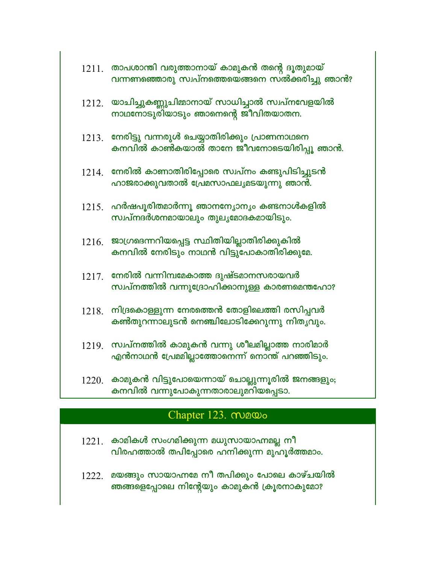|       | $1211.$ താപശാന്തി വരുത്താനായ് കാമുകൻ തന്റെ ദൂതുമായ്<br>വന്നണഞ്ഞൊരു സ്വപ്നത്തെയെങ്ങനെ സൽക്കരിച്ചു ഞാൻ?    |
|-------|----------------------------------------------------------------------------------------------------------|
|       | $1212$ . യാചിച്ചുകണ്ണുചിമ്മാനായ് സാധിച്ചാൽ സ്വപ്നവേളയിൽ<br>നാഥനോടുരിയാടും ഞാനെന്റെ ജീവിതയാതന.            |
|       | $1213.$ നേരിട്ടു വന്നരുൾ ചെയ്യാതിരിക്കും പ്രാണനാഥനെ<br>കനവിൽ കാൺകയാൽ താനേ ജീവനോടെയിരിപ്പൂ ഞാൻ.           |
|       | $1214$ . നേരിൽ കാണാതിരിപ്പോരെ സ്വപ്നം കണ്ടുപിടിച്ചുടൻ<br>ഹാജരാക്കുവതാൽ പ്രേമസാഫലൃമടയുന്നു ഞാൻ.           |
|       | $1215$ . ഹർഷപൂരിതമാർന്നൂ ഞാനന്യോന്യം കണ്ടനാൾകളിൽ<br>സ്വപ്നദർശനമായാലും തുലൃമോദകമായിടും.                   |
|       | $1216.$ ജാഗ്രമദന്നറിയപ്പെട്ട സ്ഥിതിയില്ലാതിരിക്കുകിൽ<br>കനവിൽ നേരിടും നാഥൻ വിട്ടുപോകാതിരിക്കുമേ.         |
| 1217. | നേരിൽ വന്നിമ്പമേകാത്ത ദുഷ്ടമാനസരായവർ<br>സ്വപ്നത്തിൽ വന്നുദ്രോഹിക്കാനുള്ള കാരണമെന്തഹോ?                    |
| 1218. | നിദ്രകൊള്ളുന്ന നേരത്തെൻ തോളിലെത്തി രസിപ്പവർ<br>കൺതുറന്നാലുടൻ നെഞ്ചിലോടിക്കേറുന്നു നിതൃവും.               |
|       | $1219$ . സ്വപ്നത്തിൽ കാമുകൻ വന്നു ശീലമില്ലാത്ത നാരിമാർ<br>എൻനാഥൻ പ്രേമമില്ലാത്തോനെന്ന് നൊന്ത് പറഞ്ഞിടും. |
| 1220. | കാമുകൻ വിട്ടുപോയെന്നായ് ചൊല്ലുന്നൂരിൽ ജനങ്ങളും;<br>കനവിൽ വന്നുപോകുന്നതാരാലുമറിയപ്പെടാ.                   |

# Chapter 123. manos

- കാമികൾ സംഗമിക്കുന്ന മധുസായാഹ്നമല്ല നീ 1221. വിരഹത്താൽ തപിപ്പോരെ ഹനിക്കുന്ന മുഹൂർത്തമാം.
- 1222. മയങ്ങും സായാഹ്നമേ നീ തപിക്കും പോലെ കാഴ്ചയിൽ ഞങ്ങളെപ്പോലെ നിന്റേയും കാമുകൻ ക്രൂരനാകുമോ?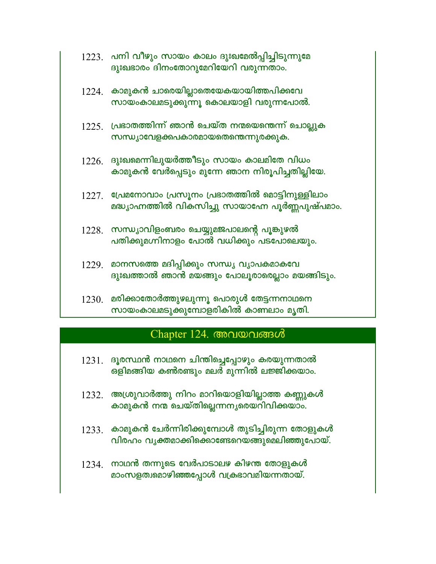|       | $1223$ . പനി വീഴും സായം കാലം ദുഃഖമേൽപ്പിച്ചിടുന്നുമേ<br>ദുഃഖഭാരം ദിനംതോറുമേറിയേറി വരുന്നതാം.      |
|-------|---------------------------------------------------------------------------------------------------|
| 1224. | കാമുകൻ ചാരെയില്ലാതെയേകയായിത്തപിക്കവേ<br>സായംകാലമടുക്കുന്നു കൊലയാളി വരുന്നപോൽ.                     |
|       | $1225$ . പ്രഭാതത്തിന്ന് ഞാൻ ചെയ്ത നന്മയെന്തെന്ന് ചൊല്ലുക<br>സന്ധ്യാവേളക്കപകാരമായതെന്തെന്നുരക്കുക. |

- $1226$ . ദുഃഖമെന്നിലുയർത്തീടും സായം കാലമിതേ വിധം കാമുകൻ വേർപ്പെടും മുന്നേ ഞാന നിരൂപിച്ചതില്ലിയേ.
- $1227.$  പ്രേമനോവാം പ്രസൂനം പ്രഭാതത്തിൽ മൊട്ടിനുള്ളിലാം മദ്ധ്യാഹ്നത്തിൽ വികസിച്ചു സായാഹ്നേ പൂർണ്ണപുഷ്പമാം.
- $1228$ . സന്ധ്യാവിളംബരം ചെയ്യുമജപാലന്റെ പൂങ്കുഴൽ പതിക്കുമഗ്നിനാളം പോൽ വധിക്കും പടപോലെയും.
- 1229. മാനസത്തെ മദിപ്പിക്കും സന്ധ്യ വ്യാപകമാകവേ ദുഃഖത്താൽ ഞാൻ മയങ്ങും പോലൂരാരെല്ലാം മയങ്ങിടും.
- $1230.$  മരിക്കാതോർത്തുഴലുന്നൂ പൊരുൾ തേട്ടന്നനാഥനെ സായംകാലമടുക്കുമ്പോളരികിൽ കാണലാം മൃതി.

## Chapter 124. അവയവങ്ങൾ

- $1231.$  ദൂരസ്ഥൻ നാഥനെ ചിന്തിച്ചെപ്പോഴും കരയുന്നതാൽ ഒളിമങ്ങിയ കൺരണ്ടും മലർ മുന്നിൽ ലജ്ജിക്കയാം.
- $1232.$  അശ്രുവാർത്തു നിറം മാറിയൊളിയില്ലാത്ത കണ്ണുകൾ കാമുകൻ നന്മ ചെയ്തില്ലെന്നനൃരെയറിവിക്കയാം.
- $1233.$  കാമുകൻ ചേർന്നിരിക്കുമ്പോൾ തുടിച്ചിരുന്ന തോളുകൾ വിരഹം വൃക്തമാക്കിക്കൊണ്ടേറെയങ്ങുമെലിഞ്ഞുപോയ്.
- $1234$ . നാഥൻ തന്നുടെ വേർപാടാലഴ കിഴന്ത തോളുകൾ മാംസളത്വമൊഴിഞ്ഞപ്പോൾ വക്രഭാവമിയന്നതായ്.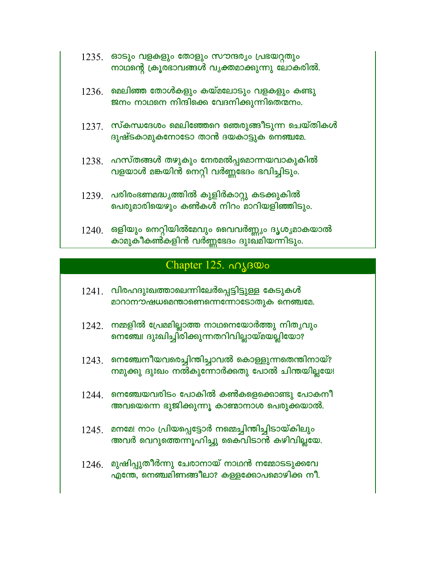- $1235.$  ഓടും വളകളും തോളും സൗന്ദര്യം പ്രഭയറ്റതും നാഥന്റെ ക്രൂരഭാവങ്ങൾ വൃക്തമാക്കുന്നു ലോകരിൽ.
- $1236$ . മെലിഞ്ഞ തോൾകളും കയ്മലോടും വളകളും കണ്ടു ജനം നാഥനെ നിന്ദിക്കെ വേദനിക്കുന്നിതെന്മനം.
- $1237$ . സ്കന്ധദേശം മെലിഞ്ഞേറെ ഞെരുങ്ങീടുന്ന ചെയ്തികൾ ദുഷ്ടകാമുകനോടോ താൻ ദയകാട്ടുക നെഞ്ചമേ.
- $1238$ . ഹസ്തങ്ങൾ തഴുകും നേരമൽപ്പമൊന്നയവാകുകിൽ വളയാൾ മങ്കയിൻ നെറ്റി വർണ്ണഭേദം ഭവിച്ചിടും.
- $1239$ . പരിരംഭണമദ്ധൃത്തിൽ കുളിർകാറ്റു കടക്കുകിൽ പെരുമാരിയെഴും കൺകൾ നിറം മാറിയളിഞ്ഞിടും.
- $1240$ . ഒളിയും നെറ്റിയിൽമേവും വൈവർണ്ണ്യം ദൃശൃമാകയാൽ കാമുകീകൺകളിൻ വർണ്ണഭേദം ദുഃഖമിയന്നിടും.

## Chapter 125. no BOO

- $1241$ . വിരഹദുഃഖത്താലെന്നിലേർപ്പെട്ടിട്ടുള്ള കേടുകൾ മാറാനൗഷധമെന്താണെന്നെന്നോടോതുക നെഞ്ചമേ.
- $1242$ . നമ്മളിൽ പ്രേമമില്ലാത്ത നാഥനെയോർത്തു നിതൃവും നെഞ്ചേ! ദുഃഖിച്ചിരിക്കുന്നതറിവില്ലായ്മയല്ലിയോ?
- $1243$ . നെഞ്ചേനീയവരെച്ചിന്തിച്ചാവൽ കൊള്ളുന്നതെന്തിനായ്? നമുക്കു ദുഃഖം നൽകുന്നോർക്കതു പോൽ ചിന്തയില്ലയേ!
- $1244.$  നെഞ്ചേയവരിടം പോകിൽ കൺകളെക്കൊണ്ടു പോകനീ അവയെന്നെ ഭുജിക്കുന്നൂ കാഞ്ചാനാശ പെരുക്കയാൽ.
- 1245. മനമേ! നാം പ്രിയപ്പെട്ടോർ നമ്മെച്ചിന്തിച്ചിടായ്കിലും അവർ വെറുത്തെന്നൂഹിച്ചു കൈവിടാൻ കഴിവില്ലയേ.
- $1246$ . മുഷിപ്പുതീർന്നു ചേരാനായ് നാഥൻ നമ്മോടടുക്കവേ എന്തേ, നെഞ്ചമിണങ്ങീലാ? കള്ളക്കോപമൊഴിക്ക നീ.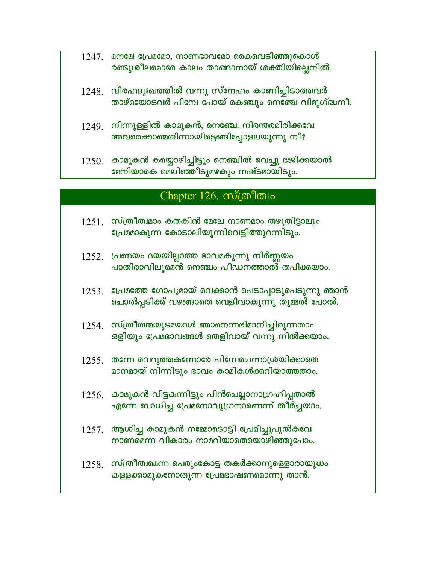- $1247$ . മനമേ! പ്രേമമോ, നാണഭാവമോ കൈവെടിഞ്ഞുകൊൾ രണ്ടുശീലമൊരേ കാലം താങ്ങാനായ് ശക്തിയില്ലെനിൽ.
- $1248$ . വിരഹദുഃഖത്തിൽ വന്നു സ്നേഹം കാണിച്ചിടാത്തവർ താഴ്മയോടവർ പിമ്പേ പോയ് കെഞ്ചും നെഞ്ചേ വിമുഗ്ദ്ധനീ.
- $1249$  നിന്നുള്ളിൽ കാമുകൻ, നെഞ്ചേ! നിരന്തരമിരിക്കവേ അവരെക്കാണ്മതിന്നായിട്ടെങ്ങിപ്പോളലയുന്നു നീ?
- $1250$ . കാമുകൻ കയ്യൊഴിച്ചിട്ടും നെഞ്ചിൽ വെച്ചു ഭജിക്കയാൽ മേനിയാകെ മെലിഞ്ഞീടുമഴകും നഷ്ടമായിടും.

#### Chapter 126.  $m$ (m) m

- $1251.$  സ്ത്രീത്വമാം കതകിൻ മേലേ നാണമാം തഴുതിട്ടാലും പ്രേമമാകുന്ന കോടാലിയുന്നിവെട്ടിത്തുറന്നിടും.
- $1252.$  പ്രണയം ദയയില്ലാത്ത ഭാവമകുന്നു നിർണ്ണയം പാതിരാവിലുമെൻ നെഞ്ചം പീഡനത്താൽ തപിക്കയാം.
- $1253$ . പ്രേമത്തേ ഗോപൃമായ് വെക്കാൻ പെടാപ്പാടുപെടുന്നു ഞാൻ ചൊൽപ്പടിക്ക് വഴങ്ങാതെ വെളിവാകുന്നു തുമ്മൽ പോൽ.
- $1254$ . സ്ത്രീതന്മയുടയോൾ ഞാനെന്നഭിമാനിച്ചിരുന്നതാം ഒളിയും പ്രേമഭാവങ്ങൾ തെളിവായ് വന്നു നിൽക്കയാം.
- <u>1255 ആന്നേ വെറുത്തകന്നോരേ പിമ്പേചെന്നാശ്രയിക്കാതെ</u> മാനമായ് നിന്നിടും ഭാവം കാമികൾക്കറിയാത്തതാം.
- $1256$ . കാമുകൻ വിട്ടകന്നിട്ടും പിൻചെല്ലാനാഗ്രഹിപ്പതാൽ എന്നേ ബാധിച്ച പ്രേമനോവുഗ്രനാണെന്ന് തീർച്ചയാം.
- $1257$ . ആശിച്ച കാമുകൻ നമ്മോടൊട്ടി പ്രേമിച്ചുപുൽകവേ നാണമെന്ന വികാരം നാമറിയാതെയൊഴിഞ്ഞുപോം.
- $1258.$  സ്ത്രീത്വമെന്ന പെരുംകോട്ട തകർക്കാനുള്ളൊരായുധം കള്ളക്കാമുകനോതുന്ന പ്രേമഭാഷണമൊന്നു താൻ.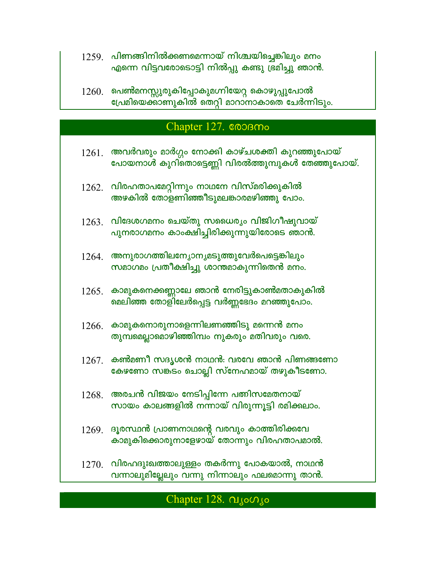- $1259$ . പിണങ്ങിനിൽക്കണമെന്നായ് നിശ്ചയിച്ചെങ്കിലും മനം എന്നെ വിട്ടവരോടൊട്ടി നിൽപ്പു കണ്ടു ഭ്രമിച്ചു ഞാൻ.
- $1260.$  പെൺമനസ്സുരുകിപ്പോകുമഗ്നിയേറ്റ കൊഴുപ്പുപോൽ പ്രേമിയെക്കാണുകിൽ തെറ്റി മാറാനാകാതെ ചേർന്നിടും.

#### Chapter 127. COOBMo

 $1261.$  അവർവരും മാർഗ്ഗം നോക്കി കാഴ്ചശക്തി കുറഞ്ഞുപോയ് പോയനാൾ കുറി്തൊട്ടെണ്ണി വിരൽത്തുമ്പുകൾ തേഞ്ഞുപോയ്.  $1262$ . വിരഹതാപമേറ്റിന്നും നാഥനേ വിസ്മരിക്കുകിൽ അഴകിൽ തോളണിഞ്ഞീടുമലങ്കാരമഴിഞ്ഞു പോം.  $1263$ . വിദേശഗമനം ചെയ്തു സധൈര്യം വിജിഗീഷുവായ് പുനരാഗമനം കാംക്ഷിച്ചിരിക്കുന്നുയിരോടെ ഞാൻ.  $1264$ . അനുരാഗത്തിലന്യോനൃമടുത്തുവേർപെട്ടെങ്കിലും സമാഗമം പ്രതീക്ഷിച്ചു ശാന്തമാകുന്നിതെൻ മനം.  $1265<sub>1</sub>$  കാമുകനെക്കണ്ണാലേ ഞാൻ നേരിട്ടുകാൺമതാകുകിൽ മെലിഞ്ഞ തോളിലേർപ്പെട്ട വർണ്ണഭേദം മറഞ്ഞുപോം.  $1266.$  കാമുകനൊരുനാളെന്നിലണഞ്ഞിടു മന്നെൻ മനം തുമ്പമെല്ലാമൊഴിഞ്ഞിമ്പം നുകരും മതിവരും വരെ.  $1267$ . കൺമണീ സദൃശൻ നാഥൻ: വരവേ ഞാൻ പിണങ്ങണോ കേഴണോ സങ്കടം ചൊല്ലി സ്നേഹമായ് തഴുകീടണോ.  $1268.$  അരചൻ വിജയം നേടിപ്പിന്നേ പതിസമേതനായ് സായം കാലങ്ങളിൽ നന്നായ് വിരുന്നൂട്ടി രമിക്കലാം.  $1269$ . ദൂരസ്ഥൻ പ്രാണനാഥന്റെ വരവും കാത്തിരിക്കവേ കാമുകിക്കൊരുനാളേഴായ് തോന്നും വിരഹതാപമാൽ.  $1270$ . വിരഹദുഃഖത്താലുള്ളം തകർന്നു പോകയാൽ, നാഥൻ വന്നാലുമില്ലേലും വന്നു നിന്നാലും ഫലമൊന്നു താൻ.

#### Chapter 128.  $\alpha_{\text{10}}$   $\alpha_{\text{10}}$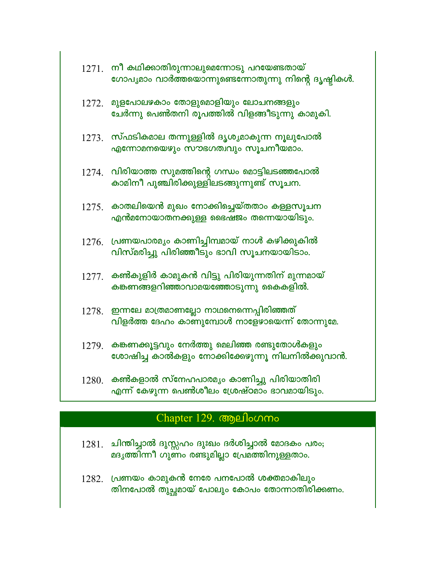|       | $1271.$ നീ കഥിക്കാതിരുന്നാലുമെന്നോടു പറയേണ്ടതായ്<br>ഗോപൃമാം വാർത്തയൊന്നുണ്ടെന്നോതുന്നു നിന്റെ ദൃഷ്ടികൾ.  |
|-------|----------------------------------------------------------------------------------------------------------|
| 1272. | മുളപോലഴകാം തോളുമൊളിയും ലോചനങ്ങളും<br>ചേർന്നു പെൺതനി രൂപത്തിൽ വിളങ്ങീടുന്നു കാമുകി.                       |
|       | $1273$ . സ്ഫടികമാല തന്നുള്ളിൽ ദൃശൃമാകുന്ന നൂലുപോൽ<br>എന്നോമനയെഴും സൗഭഗത്വവും സൂചനീയമാം.                  |
|       | $1274$ . വിരിയാത്ത സുമത്തിന്റെ ഗന്ധം മൊട്ടിലടഞ്ഞപോൽ<br>കാമിനീ പുഞ്ചിരിക്കുള്ളിലടങ്ങുന്നുണ്ട് സൂചന.       |
|       | $1275$ . കാതലിയെൻ മുഖം നോക്കിച്ചെയ്തതാം കള്ളസൂചന<br>എൻമനോയാതനക്കുള്ള ഭൈഷജം തന്നെയായിടും.                 |
|       | $1276$ . പ്രണയപാരമൃം കാണിച്ചിമ്പമായ് നാൾ കഴിക്കുകിൽ<br>വിസ്മരിച്ചു പിരിഞ്ഞീടും ഭാവി സൂചനയായിടാം.         |
|       | $1277$ . കൺകുളിർ കാമുകൻ വിട്ടു പിരിയുന്നതിന് മുന്നമായ്<br>കങ്കണങ്ങളറിഞ്ഞാവാമയഞ്ഞോടുന്നു കൈകളിൽ.          |
|       | $1278.$ ഇന്നലേ മാത്രമാണല്ലോ നാഥനെന്നെപ്പിരിഞ്ഞത്<br>വിളർത്ത ദേഹം കാണുമ്പോൾ നാളേഴായെന്ന് തോന്നുമേ.        |
|       | $1279$ . കങ്കണക്കൂട്ടവും നേർത്തു മെലിഞ്ഞ രണ്ടുതോൾകളും<br>ശോഷിച്ച കാൽകളും നോക്കിക്കേഴുന്നൂ നിലനിൽക്കുവാൻ. |
| 1280. | കൺകളാൽ സ്നേഹപാരമ്യം കാണിച്ചു പിരിയാതിരി<br>എന്ന് കേഴുന്ന പെൺശീലം ശ്രേഷ്ഠമാം ഭാവമായിടും.                  |

# Chapter 129. ആലിംഗനം

- $1281$ . ചിന്തിച്ചാൽ ദുസ്സഹം ദുഃഖം ദർശിച്ചാൽ മോദകം പരം;<br>മദൃത്തിന്നീ ഗുണം രണ്ടുമില്ലാ പ്രേമത്തിനുള്ളതാം.
- $1282$ . (പണയം കാമുകൻ നേരേ പനപോൽ ശക്തമാകിലും<br>തിനപോൽ തുച്ഛമായ് പോലും കോപം തോന്നാതിരിക്കണം.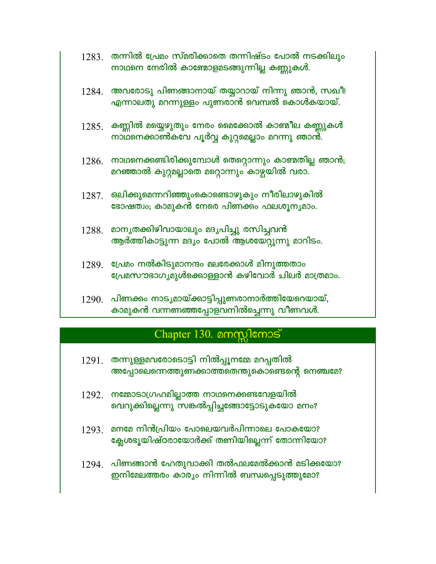- $1283$  തന്നിൽ പ്രേമം സ്മരിക്കാതെ തന്നിഷ്ടം പോൽ നടക്കിലും നാഥനെ നേരിൽ കാഞ്ചോളമടങ്ങുന്നില്ല കണ്ണുകൾ.
- $1284$ . അവരോടു പിണങ്ങാനായ് തയ്യാറായ് നിന്നു ഞാൻ, സഖീ! എന്നാലതു മറന്നുള്ളം പുണരാൻ വെമ്പൽ കൊൾകയായ്.
- $1285$ . കണ്ണിൽ മയ്യെഴുതും നേരം മൈക്കോൽ കാഞ്ചീല കണ്ണുകൾ നാഥനെക്കാൺകവേ പൂർവ്വ കുറ്റമെല്ലാം മറന്നു ഞാൻ.
- $1286$ . നാഥനെക്കണ്ടിരിക്കുമ്പോൾ തെറ്റൊന്നും കാണ്മതില്ല ഞാൻ; മറഞ്ഞാൽ കുറ്റമല്ലാതെ മറ്റൊന്നും കാഴ്ചയിൽ വരാ.
- $1287$ . ഒലിക്കുമെന്നറിഞ്ഞുംകൊണ്ടൊഴുകും നീരിലാഴുകിൽ ഭോഷത്വം; കാമുകൻ നേരെ പിണക്കം ഫലശൂനൃമാം.
- 1288. മാനൃതക്കിഴിവായാലും മദൃപിച്ചു രസിച്ചവൻ ആർത്തികാട്ടുന്ന മദൃം പോൽ ആശയേറ്റുന്നു മാറിടം.
- $1289$ . പ്രേമം നൽകിടുമാനന്ദം മലരേക്കാൾ മിനുത്തതാം പ്രേമസൗഭാഗ്യമുൾക്കൊള്ളാൻ കഴിവോർ ചിലർ മാത്രമാം.
- 1290. പിണക്കം നാടൃമായ്ക്കാട്ടിപ്പുണരാനാർത്തിയേറെയായ്, കാമുകൻ വന്നണഞ്ഞപ്പോളവനിൽച്ചെന്നു വീണവൾ.

## Chapter 130.  $\triangle$ mm) kmos

- $1291$ . തന്നുള്ളമവരോടൊട്ടി നിൽപ്പൂനമ്മേ മറപ്പതിൽ അപ്പോലെന്നെത്തുണക്കാത്തതെന്തുകൊണ്ടെന്റെ നെഞ്ചമേ?
- 1292. നമ്മോടാഗ്രഹമില്ലാത്ത നാഥനെക്കണ്ടവേളയിൽ വെറുക്കില്ലെന്നു സങ്കൽപ്പിച്ചങ്ങോട്ടോടുകയോ മനം?
- $1293$ . മനമേ നിൻപ്രിയം പോലെയവർപിന്നാലെ പോകയോ? ക്ലേശഭൂയിഷ്ഠരായോർക്ക് തണിയില്ലെന്ന് തോന്നിയോ?
- $1294$ . പിണങ്ങാൻ ഹേതുവാക്കി തൽഫലമേൽക്കാൻ മടിക്കയോ? ഇനിമേലത്തരം കാര്യം നിന്നിൽ ബന്ധപ്പെടുത്തുമോ?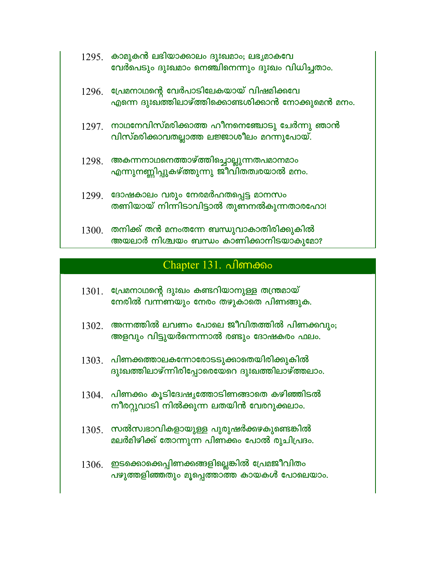|       | $1295$ . കാമുകൻ ലഭിയാക്കാലം ദുഃഖമാം; ലഭൃമാകവേ<br>വേർപെടും ദുഃഖമാം നെഞ്ചിനെന്നും ദുഃഖം വിധിച്ചതാം. |
|-------|---------------------------------------------------------------------------------------------------|
| 1296. | പ്രേമനാഥന്റെ വേർപാടിലേകയായ് വിഷമിക്കവേ<br>എന്നെ ദുഃഖത്തിലാഴ്ത്തിക്കൊണ്ടശിക്കാൻ നോക്കുമെൻ മനം.     |
| 1297. | ്നാഥനേവിസ്മരിക്കാത്ത ഹീനനെഞ്ചോടു ചേർന്നു ഞാൻ<br>വിസ്മരിക്കാവതല്ലാത്ത ലജ്ജാശീലം മറന്നുപോയ്.        |
| 1298. | അകന്നനാഥനെത്താഴ്ത്തിച്ചൊല്ലുന്നതപമാനമാം<br>എന്നുനണ്ണിപ്പുകഴ്ത്തുന്നു ജീവിതത്വരയാൽ മനം.            |
| 1299. | ദോഷകാലം വരും നേരമർഹതപ്പെട്ട മാനസം<br>തണിയായ് നിന്നിടാവിട്ടാൽ തുണനൽകുന്നതാരഹോ!                     |
| 1300. | തനിക്ക് തൻ മനംതന്നേ ബന്ധുവാകാതിരിക്കുകിൽ<br>അയലാർ നിശ്ചയം ബന്ധം കാണിക്കാനിടയാകുമോ?                |

## Chapter 131. പിണക്കം

- $1301$ . പ്രേമനാഥന്റെ ദുഃഖം കണ്ടറിയാനുള്ള തന്ത്രമായ് നേരിൽ വന്നണയും നേരം തഴുകാതെ പിണങ്ങുക.
- $1302$  അന്നത്തിൽ ലവണം പോലെ ജീവിതത്തിൽ പിണക്കവും; അളവും വിട്ടുയർന്നെന്നാൽ രണ്ടും ദോഷകരം ഫലം.
- $1303$ . പിണക്കത്താലകന്നോരോടടുക്കാതെയിരിക്കുകിൽ ദുഃഖത്തിലാഴ്ന്നിരിപ്പോരെയേറെ ദുഃഖത്തിലാഴ്ത്തലാം.
- $1304$ . പിണക്കം കൂടിദേഷ്യത്തോടിണങ്ങാതെ കഴിഞ്ഞിടൽ നീരറ്റുവാടി നിൽക്കുന്ന ലതയിൻ വേരറുക്കലാം.
- $1305$ . സൽസ്വഭാവികളായുള്ള പുരുഷർക്കഴകുണ്ടെങ്കിൽ മലർമിഴിക്ക് തോന്നുന്ന പിണക്കം പോൽ രുചിപ്രദം.
- $1306.$  ഇടക്കൊക്കെപ്പിണക്കങ്ങളില്ലെങ്കിൽ പ്രേമജീവിതം പഴുത്തളിഞ്ഞതും മൂപ്പെത്താത്ത കായകൾ പോലെയാം.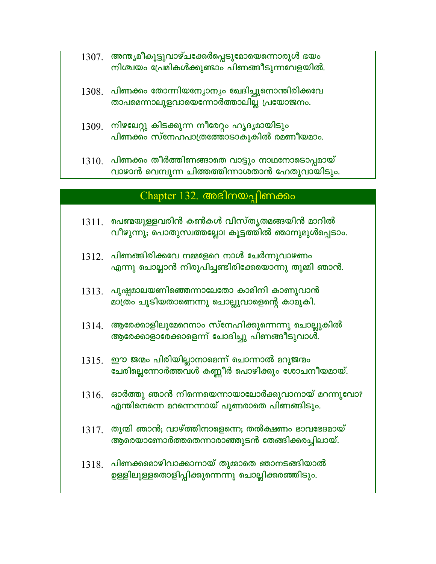- $1307$ . അന്ത്യമീകൂട്ടുവാഴ്ചക്കേർപ്പെടുമോയെന്നൊരുൾ ഭയം നിശ്ചയം പ്രേമികൾക്കുണ്ടാം പിണങ്ങീടുന്നവേളയിൽ.
- $1308$ . പിണക്കം തോന്നിയന്യോന്യം ഖേദിച്ചുനൊന്തിരിക്കവേ താപമെന്നാലുളവായെന്നോർത്താലില്ല പ്രയോജനം.
- $1309$ . നിഴലേറ്റു കിടക്കുന്ന നീരേറ്റം ഹൃദ്യമായിടും പിണക്കം സ്നേഹപാത്രത്തോടാകുകിൽ രമണീയമാം.
- $1310.$  പിണക്കം തീർത്തിണങ്ങാതെ വാട്ടും നാഥനോടൊപ്പമായ് വാഴാൻ വെമ്പുന്ന ചിത്തത്തിന്നാശതാൻ ഹേതുവായിടും.

#### Chapter 132. അഭിനയപ്പിണക്കം

- $1311$ . പെണ്മയുള്ളവരിൻ കൺകൾ വിസ്തൃതമങ്ങയിൻ മാറിൽ വീഴുന്നു; പൊതുസ്വത്തല്ലോ! കൂട്ടത്തിൽ ഞാനുമുൾപ്പെടാം.
- $1312.$  പിണങ്ങിരിക്കവേ നമ്മളേറെ നാൾ ചേർന്നുവാഴണം എന്നു ചൊല്ലാൻ നിരൂപിച്ചണ്ടിരിക്കേയൊന്നു തുമ്മി ഞാൻ.
- $1313$  പുഷ്ടമാലയണിഞ്ഞെന്നാലേതോ കാമിനി കാണുവാൻ മാത്രം ചൂടിയതാണെന്നു ചൊല്ലുവാളെന്റെ കാമുകി.
- $1314$ . ആരേക്കാളിലുമേറെനാം സ്നേഹിക്കുന്നെന്നു ചൊല്ലുകിൽ ആരേക്കാളാരേക്കാളെന്ന് ചോദിച്ചു പിണങ്ങീടുവാൾ.
- $1315.$  ഈ ജന്മം പിരിയില്ലാനാമെന്ന് ചൊന്നാൽ മറുജന്മം ചേരില്ലെന്നോർത്തവൾ കണ്ണീർ പൊഴിക്കും ശോചനീയമായ്.
- $1316.$  ഓർത്തു ഞാൻ നിന്നെയെന്നായാലോർക്കുവാനായ് മറന്നുവോ? എന്തിനെന്നെ മറന്നെന്നായ് പുണരാതെ പിണങ്ങിടും.
- $1317$ . തുന്മി ഞാൻ; വാഴ്ത്തിനാളെന്നെ; തൽക്ഷണം ഭാവഭേദമായ് ആരെയാണോർത്തതെന്നാരാഞ്ഞുടൻ തേങ്ങിക്കരച്ചിലായ്.
- $1318$ . പിണക്കമൊഴിവാക്കാനായ് തുമ്മാതെ ഞാനടങ്ങിയാൽ ഉള്ളിലുള്ളതൊളിപ്പിക്കുന്നെന്നു ചൊല്ലിക്കരഞ്ഞിടും.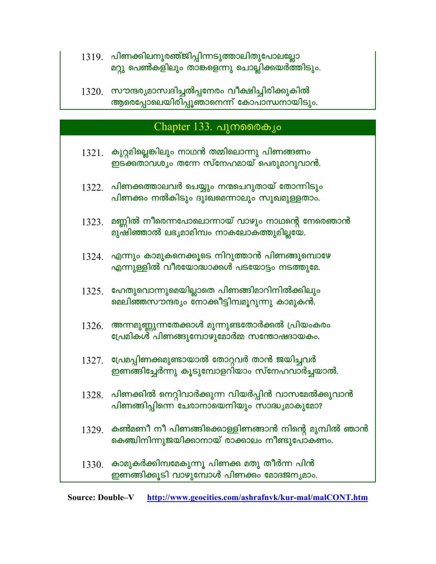- 1319. പിണക്കിലനുരഞ്ജിപ്പിന്നടുത്താലിതുപോലല്ലോ മറ്റു പെൺകളിലും താങ്കളെന്നു ചൊല്ലിക്കയർത്തിടും.
- 1320. സൗന്ദര്യമാസ്വദിച്ചൽപ്പനേരം വീക്ഷിച്ചിരിക്കുകിൽ<br>ആരെപ്പോലെയിരിപ്പൂഞാനെന്ന് കോപാന്ധനായിടും.

## Chapter 133. പുനരൈകൃം

| 1321. | കുറ്റമില്ലെങ്കിലും നാഥൻ തമ്മിലൊന്നു പിണങ്ങണം<br>ഇടക്കതാവശ്യം തന്നേ സ്നേഹമായ് പെരുമാറുവാൻ.                   |
|-------|-------------------------------------------------------------------------------------------------------------|
|       | $1322.$ പിണക്കത്താലവർ ചെയ്യും നന്മചെറുതായ് തോന്നിടും<br>പിണക്കം നൽകിടും ദുഃഖമെന്നാലും സുഖമുള്ളതാം.          |
| 1323. | മണ്ണിൽ നീരെന്നപോലൊന്നായ് വാഴും നാഥന്റെ നേരെഞാൻ<br>മുഷിഞ്ഞാൽ ലഭൃമാമിമ്പം നാകലോകത്തുമില്ലയേ.                  |
|       | 1324. എന്നും കാമുകനെക്കൂടെ നിറുത്താൻ പിണങ്ങുമ്പൊഴേ<br>എന്നുള്ളിൽ വീരയോദ്ധാക്കൾ പടയോട്ടം നടത്തുമേ.           |
| 1325. | ഹേതുവൊന്നുമെയില്ലാതെ പിണങ്ങിമാറിനിൽക്കിലും<br>മെലിഞ്ഞസൗന്ദരൃം നോക്കീട്ടിമ്പമൂറുന്നു കാമുകൻ.                 |
| 1326. | അന്നമുണ്ണുന്നതേക്കാൾ മുന്നുണ്ടതോർക്കൽ പ്രിയംകരം<br>പ്രേമികൾ പിണങ്ങുമ്പോഴുമോർമ്മ സന്തോഷദായകം.                |
|       | $1327$ . പ്രേമപ്പിണക്കമുണ്ടായാൽ തോറ്റവർ താൻ ജയിച്ചവർ<br>ഇണങ്ങിച്ചേർന്നു കൂടുമ്പോളറിയാം സ്നേഹവാർച്ചയാൽ.      |
|       | $1328$ . പിണക്കിൽ നെറ്റിവാർക്കുന്ന വിയർപ്പിൻ വാസമേൽക്കുവാൻ<br>പിണങ്ങിപ്പിന്നെ ചേരാനായെനിയും സാദ്ധ്യമാകുമോ?  |
|       | $1329$ . കൺമണീ നീ പിണങ്ങിക്കൊള്ളിണങ്ങാൻ നിന്റെ മുമ്പിൽ ഞാൻ<br>കെഞ്ചിനിന്നുജയിക്കാനായ് രാക്കാലം നീണ്ടുപോകണം. |
| 1330. | കാമുകർക്കിമ്പമേകുന്നു പിണക്ക മതു തീർന്ന പിൻ<br>ഇണങ്ങിക്കൂടി വാഴുമ്പോൾ പിണക്കം മോദജനൃമാം.                    |

**Source: Double-V** http://www.geocities.com/ashrafnvk/kur-mal/malCONT.htm